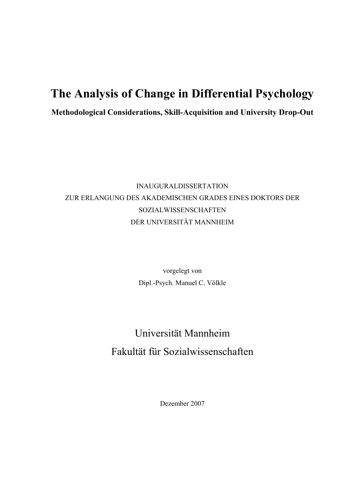# **The Analysis of Change in Differential Psychology**

**Methodological Considerations, Skill-Acquisition and University Drop-Out**

# INAUGURALDISSERTATION ZUR ERLANGUNG DES AKADEMISCHEN GRADES EINES DOKTORS DER SOZIALWISSENSCHAFTEN DER UNIVERSITÄT MANNHEIM

vorgelegt von Dipl.-Psych. Manuel C. Völkle

# Universität Mannheim Fakultät für Sozialwissenschaften

Dezember 2007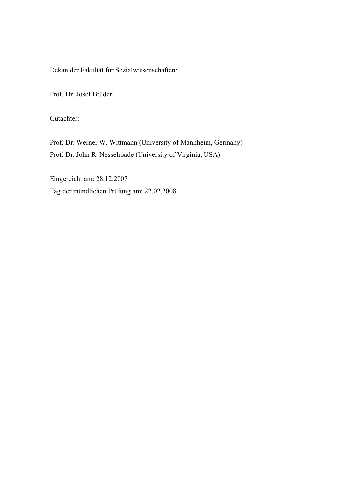Dekan der Fakultät für Sozialwissenschaften:

Prof. Dr. Josef Brüderl

Gutachter:

Prof. Dr. Werner W. Wittmann (University of Mannheim, Germany) Prof. Dr. John R. Nesselroade (University of Virginia, USA)

Eingereicht am: 28.12.2007 Tag der mündlichen Prüfung am: 22.02.2008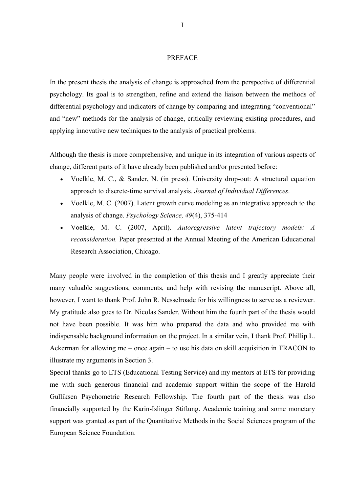#### PREFACE

In the present thesis the analysis of change is approached from the perspective of differential psychology. Its goal is to strengthen, refine and extend the liaison between the methods of differential psychology and indicators of change by comparing and integrating "conventional" and "new" methods for the analysis of change, critically reviewing existing procedures, and applying innovative new techniques to the analysis of practical problems.

Although the thesis is more comprehensive, and unique in its integration of various aspects of change, different parts of it have already been published and/or presented before:

- Voelkle, M. C., & Sander, N. (in press). University drop-out: A structural equation approach to discrete-time survival analysis. *Journal of Individual Differences*.
- Voelkle, M. C. (2007). Latent growth curve modeling as an integrative approach to the analysis of change. *Psychology Science, 49*(4), 375-414
- Voelkle, M. C. (2007, April). *Autoregressive latent trajectory models: A reconsideration.* Paper presented at the Annual Meeting of the American Educational Research Association, Chicago.

Many people were involved in the completion of this thesis and I greatly appreciate their many valuable suggestions, comments, and help with revising the manuscript. Above all, however, I want to thank Prof. John R. Nesselroade for his willingness to serve as a reviewer. My gratitude also goes to Dr. Nicolas Sander. Without him the fourth part of the thesis would not have been possible. It was him who prepared the data and who provided me with indispensable background information on the project. In a similar vein, I thank Prof. Phillip L. Ackerman for allowing me – once again – to use his data on skill acquisition in TRACON to illustrate my arguments in Section 3.

Special thanks go to ETS (Educational Testing Service) and my mentors at ETS for providing me with such generous financial and academic support within the scope of the Harold Gulliksen Psychometric Research Fellowship. The fourth part of the thesis was also financially supported by the Karin-Islinger Stiftung. Academic training and some monetary support was granted as part of the Quantitative Methods in the Social Sciences program of the European Science Foundation.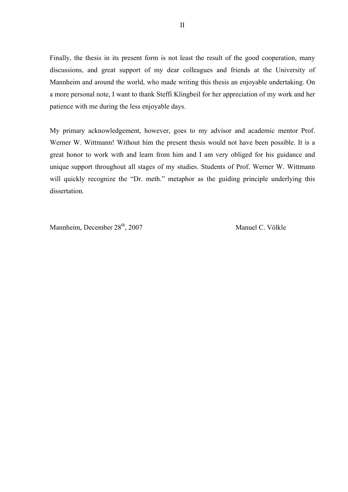Finally, the thesis in its present form is not least the result of the good cooperation, many discussions, and great support of my dear colleagues and friends at the University of Mannheim and around the world, who made writing this thesis an enjoyable undertaking. On a more personal note, I want to thank Steffi Klingbeil for her appreciation of my work and her patience with me during the less enjoyable days.

My primary acknowledgement, however, goes to my advisor and academic mentor Prof. Werner W. Wittmann! Without him the present thesis would not have been possible. It is a great honor to work with and learn from him and I am very obliged for his guidance and unique support throughout all stages of my studies. Students of Prof. Werner W. Wittmann will quickly recognize the "Dr. meth." metaphor as the guiding principle underlying this dissertation.

Mannheim, December 28<sup>th</sup>, 2007 Manuel C. Völkle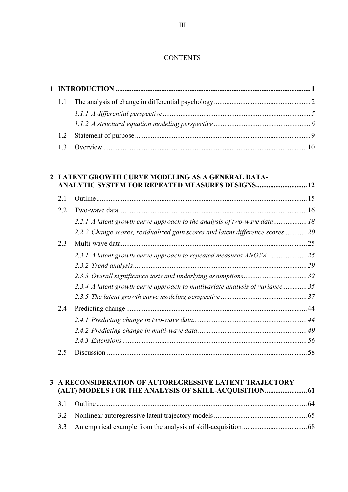#### **CONTENTS**

#### **2 LATENT GROWTH CURVE MODELING AS A GENERAL DATA-ANALYTIC SYSTEM FOR REPEATED MEASURES DESIGNS.............................12**

| 2.1 |                                                                               |  |
|-----|-------------------------------------------------------------------------------|--|
| 2.2 |                                                                               |  |
|     | 2.2.1 A latent growth curve approach to the analysis of two-wave data         |  |
|     | 2.2.2 Change scores, residualized gain scores and latent difference scores 20 |  |
| 2.3 |                                                                               |  |
|     |                                                                               |  |
|     |                                                                               |  |
|     |                                                                               |  |
|     | 2.3.4 A latent growth curve approach to multivariate analysis of variance35   |  |
|     |                                                                               |  |
| 2.4 |                                                                               |  |
|     |                                                                               |  |
|     |                                                                               |  |
|     |                                                                               |  |
| 2.5 |                                                                               |  |

## **3 A RECONSIDERATION OF AUTOREGRESSIVE LATENT TRAJECTORY (ALT) MODELS FOR THE ANALYSIS OF SKILL-ACQUISITION........................61**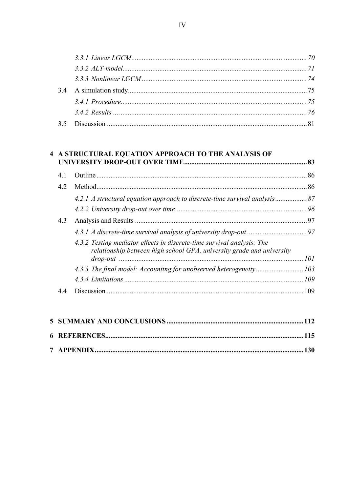## 4 A STRUCTURAL EQUATION APPROACH TO THE ANALYSIS OF

| 4.1 |                                                                                                                                                 | . 86 |
|-----|-------------------------------------------------------------------------------------------------------------------------------------------------|------|
| 42  |                                                                                                                                                 | .86  |
|     |                                                                                                                                                 |      |
|     |                                                                                                                                                 |      |
| 4.3 |                                                                                                                                                 |      |
|     |                                                                                                                                                 |      |
|     | 4.3.2 Testing mediator effects in discrete-time survival analysis: The<br>relationship between high school GPA, university grade and university |      |
|     |                                                                                                                                                 |      |
|     |                                                                                                                                                 |      |
|     |                                                                                                                                                 |      |
| 44  |                                                                                                                                                 | 109  |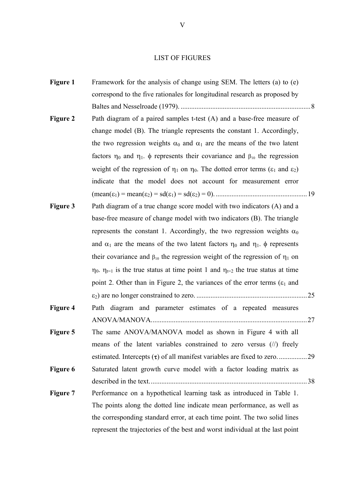#### LIST OF FIGURES

| <b>Figure 1</b> | Framework for the analysis of change using SEM. The letters (a) to (e)                                            |  |
|-----------------|-------------------------------------------------------------------------------------------------------------------|--|
|                 | correspond to the five rationales for longitudinal research as proposed by                                        |  |
|                 |                                                                                                                   |  |
| <b>Figure 2</b> | Path diagram of a paired samples t-test (A) and a base-free measure of                                            |  |
|                 | change model (B). The triangle represents the constant 1. Accordingly,                                            |  |
|                 | the two regression weights $\alpha_0$ and $\alpha_1$ are the means of the two latent                              |  |
|                 | factors $\eta_0$ and $\eta_1$ , $\phi$ represents their covariance and $\beta_{10}$ the regression                |  |
|                 | weight of the regression of $\eta_1$ on $\eta_0$ . The dotted error terms ( $\varepsilon_1$ and $\varepsilon_2$ ) |  |
|                 | indicate that the model does not account for measurement error                                                    |  |
|                 |                                                                                                                   |  |
| <b>Figure 3</b> | Path diagram of a true change score model with two indicators (A) and a                                           |  |
|                 | base-free measure of change model with two indicators (B). The triangle                                           |  |
|                 | represents the constant 1. Accordingly, the two regression weights $\alpha_0$                                     |  |
|                 | and $\alpha_1$ are the means of the two latent factors $\eta_0$ and $\eta_1$ , $\phi$ represents                  |  |
|                 | their covariance and $\beta_{10}$ the regression weight of the regression of $\eta_1$ on                          |  |
|                 | $\eta_0$ . $\eta_{t=1}$ is the true status at time point 1 and $\eta_{t=2}$ the true status at time               |  |
|                 | point 2. Other than in Figure 2, the variances of the error terms ( $\varepsilon_1$ and                           |  |
|                 |                                                                                                                   |  |
| <b>Figure 4</b> | Path diagram and parameter estimates of a repeated measures                                                       |  |
|                 |                                                                                                                   |  |
| Figure 5        | The same ANOVA/MANOVA model as shown in Figure 4 with all                                                         |  |
|                 | means of the latent variables constrained to zero versus $(\frac{1}{\lambda})$ freely                             |  |
|                 |                                                                                                                   |  |
| Figure 6        | Saturated latent growth curve model with a factor loading matrix as                                               |  |
|                 |                                                                                                                   |  |
| Figure 7        | Performance on a hypothetical learning task as introduced in Table 1.                                             |  |
|                 | The points along the dotted line indicate mean performance, as well as                                            |  |
|                 | the corresponding standard error, at each time point. The two solid lines                                         |  |
|                 | represent the trajectories of the best and worst individual at the last point                                     |  |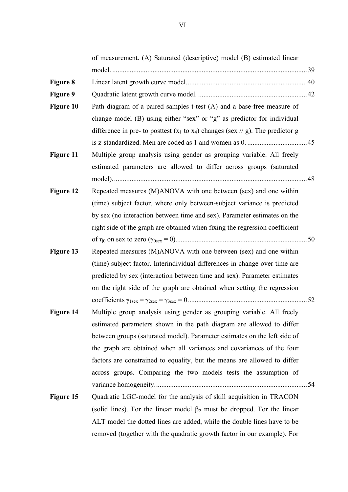of measurement. (A) Saturated (descriptive) model (B) estimated linear model. ...............................................................................................................39 **Figure 8** Linear latent growth curve model.....................................................................40 **Figure 9** Quadratic latent growth curve model. ..............................................................42 **Figure 10** Path diagram of a paired samples t-test (A) and a base-free measure of change model (B) using either "sex" or "g" as predictor for individual difference in pre- to posttest  $(x_1 \text{ to } x_4)$  changes (sex // g). The predictor g is z-standardized. Men are coded as 1 and women as 0. ..................................45 **Figure 11** Multiple group analysis using gender as grouping variable. All freely estimated parameters are allowed to differ across groups (saturated model)...............................................................................................................48 **Figure 12** Repeated measures (M)ANOVA with one between (sex) and one within (time) subject factor, where only between-subject variance is predicted by sex (no interaction between time and sex). Parameter estimates on the right side of the graph are obtained when fixing the regression coefficient of η0 on sex to zero (γ0sex = 0)...........................................................................50 **Figure 13** Repeated measures (M)ANOVA with one between (sex) and one within (time) subject factor. Interindividual differences in change over time are predicted by sex (interaction between time and sex). Parameter estimates on the right side of the graph are obtained when setting the regression coefficients γ1sex = γ2sex = γ3sex = 0....................................................................52 **Figure 14** Multiple group analysis using gender as grouping variable. All freely estimated parameters shown in the path diagram are allowed to differ between groups (saturated model). Parameter estimates on the left side of the graph are obtained when all variances and covariances of the four factors are constrained to equality, but the means are allowed to differ across groups. Comparing the two models tests the assumption of variance homogeneity.......................................................................................54

**Figure 15** Quadratic LGC-model for the analysis of skill acquisition in TRACON (solid lines). For the linear model  $\beta_2$  must be dropped. For the linear ALT model the dotted lines are added, while the double lines have to be removed (together with the quadratic growth factor in our example). For

VI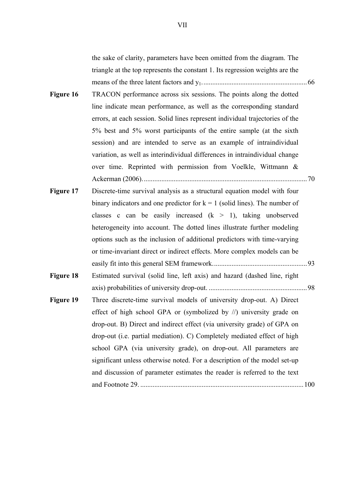the sake of clarity, parameters have been omitted from the diagram. The triangle at the top represents the constant 1. Its regression weights are the means of the three latent factors and y1............................................................66

- **Figure 16** TRACON performance across six sessions. The points along the dotted line indicate mean performance, as well as the corresponding standard errors, at each session. Solid lines represent individual trajectories of the 5% best and 5% worst participants of the entire sample (at the sixth session) and are intended to serve as an example of intraindividual variation, as well as interindividual differences in intraindividual change over time. Reprinted with permission from Voelkle, Wittmann & Ackerman (2006)..............................................................................................70
- **Figure 17** Discrete-time survival analysis as a structural equation model with four binary indicators and one predictor for  $k = 1$  (solid lines). The number of classes c can be easily increased  $(k > 1)$ , taking unobserved heterogeneity into account. The dotted lines illustrate further modeling options such as the inclusion of additional predictors with time-varying or time-invariant direct or indirect effects. More complex models can be easily fit into this general SEM framework......................................................93
- **Figure 18** Estimated survival (solid line, left axis) and hazard (dashed line, right axis) probabilities of university drop-out. ........................................................98
- **Figure 19** Three discrete-time survival models of university drop-out. A) Direct effect of high school GPA or (symbolized by //) university grade on drop-out. B) Direct and indirect effect (via university grade) of GPA on drop-out (i.e. partial mediation). C) Completely mediated effect of high school GPA (via university grade), on drop-out. All parameters are significant unless otherwise noted. For a description of the model set-up and discussion of parameter estimates the reader is referred to the text and Footnote 29. .............................................................................................100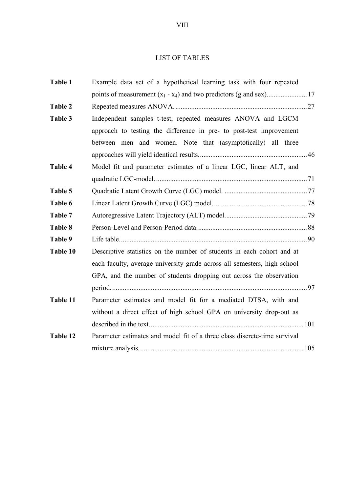## LIST OF TABLES

| Table 1        | Example data set of a hypothetical learning task with four repeated       |  |
|----------------|---------------------------------------------------------------------------|--|
|                |                                                                           |  |
| <b>Table 2</b> |                                                                           |  |
| Table 3        | Independent samples t-test, repeated measures ANOVA and LGCM              |  |
|                | approach to testing the difference in pre- to post-test improvement       |  |
|                | between men and women. Note that (asymptotically) all three               |  |
|                |                                                                           |  |
| <b>Table 4</b> | Model fit and parameter estimates of a linear LGC, linear ALT, and        |  |
|                |                                                                           |  |
| Table 5        |                                                                           |  |
| Table 6        |                                                                           |  |
| Table 7        |                                                                           |  |
| Table 8        |                                                                           |  |
| Table 9        |                                                                           |  |
| Table 10       | Descriptive statistics on the number of students in each cohort and at    |  |
|                | each faculty, average university grade across all semesters, high school  |  |
|                | GPA, and the number of students dropping out across the observation       |  |
|                |                                                                           |  |
| Table 11       | Parameter estimates and model fit for a mediated DTSA, with and           |  |
|                | without a direct effect of high school GPA on university drop-out as      |  |
|                |                                                                           |  |
| Table 12       | Parameter estimates and model fit of a three class discrete-time survival |  |
|                |                                                                           |  |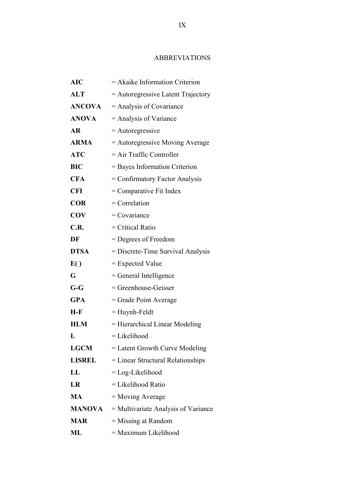#### ABBREVIATIONS

| <b>AIC</b>    | $=$ Akaike Information Criterion    |
|---------------|-------------------------------------|
| <b>ALT</b>    | = Autoregressive Latent Trajectory  |
| <b>ANCOVA</b> | $=$ Analysis of Covariance          |
| <b>ANOVA</b>  | $=$ Analysis of Variance            |
| <b>AR</b>     | $=$ Autoregressive                  |
| <b>ARMA</b>   | = Autoregressive Moving Average     |
| <b>ATC</b>    | $=$ Air Traffic Controller          |
| <b>BIC</b>    | = Bayes Information Criterion       |
| <b>CFA</b>    | = Confirmatory Factor Analysis      |
| <b>CFI</b>    | = Comparative Fit Index             |
| <b>COR</b>    | $=$ Correlation                     |
| <b>COV</b>    | $=$ Covariance                      |
| C.R.          | $=$ Critical Ratio                  |
| DF            | $=$ Degrees of Freedom              |
| <b>DTSA</b>   | = Discrete-Time Survival Analysis   |
| E()           | $=$ Expected Value                  |
| G             | $=$ General Intelligence            |
| $G-G$         | = Greenhouse-Geisser                |
| <b>GPA</b>    | $=$ Grade Point Average             |
| $H-F$         | $=$ Huynh-Feldt                     |
| <b>HLM</b>    | = Hierarchical Linear Modeling      |
| L             | = Likelihood                        |
| <b>LGCM</b>   | = Latent Growth Curve Modeling      |
| <b>LISREL</b> | $=$ Linear Structural Relationships |
| LL            | $=$ Log-Likelihood                  |
| LR            | $=$ Likelihood Ratio                |
| <b>MA</b>     | $=$ Moving Average                  |
| <b>MANOVA</b> | = Multivariate Analysis of Variance |
| <b>MAR</b>    | = Missing at Random                 |
| ML            | = Maximum Likelihood                |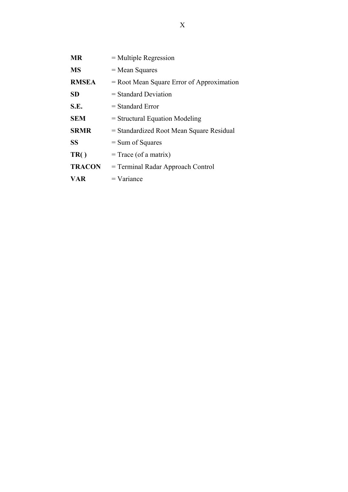| <b>MR</b>     | $=$ Multiple Regression                     |
|---------------|---------------------------------------------|
| <b>MS</b>     | $=$ Mean Squares                            |
| <b>RMSEA</b>  | $=$ Root Mean Square Error of Approximation |
| <b>SD</b>     | $=$ Standard Deviation                      |
| S.E.          | $=$ Standard Error                          |
| <b>SEM</b>    | $=$ Structural Equation Modeling            |
| <b>SRMR</b>   | = Standardized Root Mean Square Residual    |
| <b>SS</b>     | $=$ Sum of Squares                          |
| TR()          | $=$ Trace (of a matrix)                     |
| <b>TRACON</b> | = Terminal Radar Approach Control           |
| VAR           | $=$ Variance                                |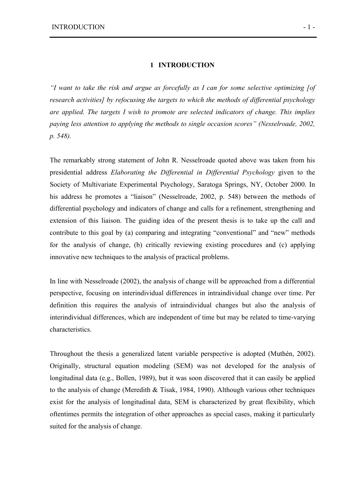#### **1 INTRODUCTION**

*"I want to take the risk and argue as forcefully as I can for some selective optimizing [of research activities] by refocusing the targets to which the methods of differential psychology are applied. The targets I wish to promote are selected indicators of change. This implies paying less attention to applying the methods to single occasion scores" (Nesselroade, 2002, p. 548).*

The remarkably strong statement of John R. Nesselroade quoted above was taken from his presidential address *Elaborating the Differential in Differential Psychology* given to the Society of Multivariate Experimental Psychology, Saratoga Springs, NY, October 2000. In his address he promotes a "liaison" (Nesselroade, 2002, p. 548) between the methods of differential psychology and indicators of change and calls for a refinement, strengthening and extension of this liaison. The guiding idea of the present thesis is to take up the call and contribute to this goal by (a) comparing and integrating "conventional" and "new" methods for the analysis of change, (b) critically reviewing existing procedures and (c) applying innovative new techniques to the analysis of practical problems.

In line with Nesselroade (2002), the analysis of change will be approached from a differential perspective, focusing on interindividual differences in intraindividual change over time. Per definition this requires the analysis of intraindividual changes but also the analysis of interindividual differences, which are independent of time but may be related to time-varying characteristics.

Throughout the thesis a generalized latent variable perspective is adopted (Muthén, 2002). Originally, structural equation modeling (SEM) was not developed for the analysis of longitudinal data (e.g., Bollen, 1989), but it was soon discovered that it can easily be applied to the analysis of change (Meredith & Tisak, 1984, 1990). Although various other techniques exist for the analysis of longitudinal data, SEM is characterized by great flexibility, which oftentimes permits the integration of other approaches as special cases, making it particularly suited for the analysis of change.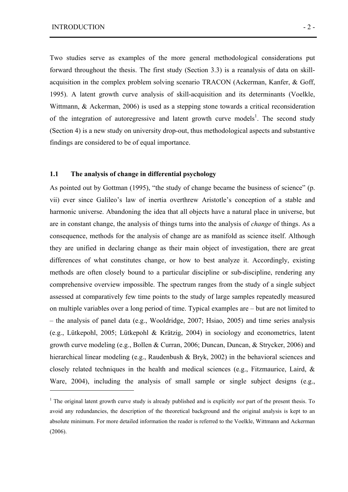$\overline{a}$ 

Two studies serve as examples of the more general methodological considerations put forward throughout the thesis. The first study (Section 3.3) is a reanalysis of data on skillacquisition in the complex problem solving scenario TRACON (Ackerman, Kanfer, & Goff, 1995). A latent growth curve analysis of skill-acquisition and its determinants (Voelkle, Wittmann, & Ackerman, 2006) is used as a stepping stone towards a critical reconsideration of the integration of autoregressive and latent growth curve models<sup>1</sup>. The second study (Section 4) is a new study on university drop-out, thus methodological aspects and substantive findings are considered to be of equal importance.

#### **1.1 The analysis of change in differential psychology**

As pointed out by Gottman (1995), "the study of change became the business of science" (p. vii) ever since Galileo's law of inertia overthrew Aristotle's conception of a stable and harmonic universe. Abandoning the idea that all objects have a natural place in universe, but are in constant change, the analysis of things turns into the analysis of *change* of things. As a consequence, methods for the analysis of change are as manifold as science itself. Although they are unified in declaring change as their main object of investigation, there are great differences of what constitutes change, or how to best analyze it. Accordingly, existing methods are often closely bound to a particular discipline or sub-discipline, rendering any comprehensive overview impossible. The spectrum ranges from the study of a single subject assessed at comparatively few time points to the study of large samples repeatedly measured on multiple variables over a long period of time. Typical examples are – but are not limited to – the analysis of panel data (e.g., Wooldridge, 2007; Hsiao, 2005) and time series analysis (e.g., Lütkepohl, 2005; Lütkepohl & Krätzig, 2004) in sociology and econometrics, latent growth curve modeling (e.g., Bollen & Curran, 2006; Duncan, Duncan, & Strycker, 2006) and hierarchical linear modeling (e.g., Raudenbush & Bryk, 2002) in the behavioral sciences and closely related techniques in the health and medical sciences (e.g., Fitzmaurice, Laird, & Ware, 2004), including the analysis of small sample or single subject designs (e.g.,

<sup>&</sup>lt;sup>1</sup> The original latent growth curve study is already published and is explicitly *not* part of the present thesis. To avoid any redundancies, the description of the theoretical background and the original analysis is kept to an absolute minimum. For more detailed information the reader is referred to the Voelkle, Wittmann and Ackerman (2006).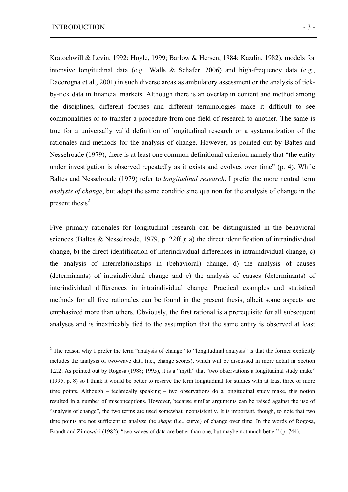$\overline{a}$ 

Kratochwill & Levin, 1992; Hoyle, 1999; Barlow & Hersen, 1984; Kazdin, 1982), models for intensive longitudinal data (e.g., Walls & Schafer, 2006) and high-frequency data (e.g., Dacorogna et al., 2001) in such diverse areas as ambulatory assessment or the analysis of tickby-tick data in financial markets. Although there is an overlap in content and method among the disciplines, different focuses and different terminologies make it difficult to see commonalities or to transfer a procedure from one field of research to another. The same is true for a universally valid definition of longitudinal research or a systematization of the rationales and methods for the analysis of change. However, as pointed out by Baltes and Nesselroade (1979), there is at least one common definitional criterion namely that "the entity under investigation is observed repeatedly as it exists and evolves over time" (p. 4). While Baltes and Nesselroade (1979) refer to *longitudinal research*, I prefer the more neutral term *analysis of change*, but adopt the same conditio sine qua non for the analysis of change in the present thesis $2$ .

Five primary rationales for longitudinal research can be distinguished in the behavioral sciences (Baltes & Nesselroade, 1979, p. 22ff.): a) the direct identification of intraindividual change, b) the direct identification of interindividual differences in intraindividual change, c) the analysis of interrelationships in (behavioral) change, d) the analysis of causes (determinants) of intraindividual change and e) the analysis of causes (determinants) of interindividual differences in intraindividual change. Practical examples and statistical methods for all five rationales can be found in the present thesis, albeit some aspects are emphasized more than others. Obviously, the first rational is a prerequisite for all subsequent analyses and is inextricably tied to the assumption that the same entity is observed at least

<sup>&</sup>lt;sup>2</sup> The reason why I prefer the term "analysis of change" to "longitudinal analysis" is that the former explicitly includes the analysis of two-wave data (i.e., change scores), which will be discussed in more detail in Section 1.2.2. As pointed out by Rogosa (1988; 1995), it is a "myth" that "two observations a longitudinal study make" (1995, p. 8) so I think it would be better to reserve the term longitudinal for studies with at least three or more time points. Although – technically speaking – two observations do a longitudinal study make, this notion resulted in a number of misconceptions. However, because similar arguments can be raised against the use of "analysis of change", the two terms are used somewhat inconsistently. It is important, though, to note that two time points are not sufficient to analyze the *shape* (i.e., curve) of change over time. In the words of Rogosa, Brandt and Zimowski (1982): "two waves of data are better than one, but maybe not much better" (p. 744).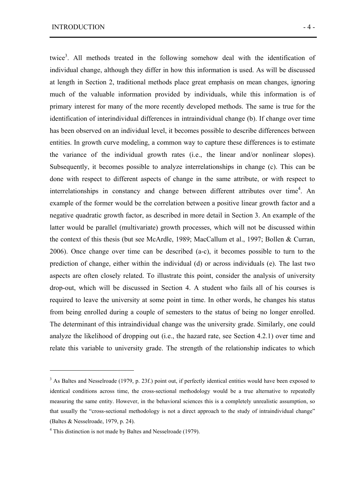twice<sup>3</sup>. All methods treated in the following somehow deal with the identification of individual change, although they differ in how this information is used. As will be discussed at length in Section 2, traditional methods place great emphasis on mean changes, ignoring much of the valuable information provided by individuals, while this information is of primary interest for many of the more recently developed methods. The same is true for the identification of interindividual differences in intraindividual change (b). If change over time has been observed on an individual level, it becomes possible to describe differences between entities. In growth curve modeling, a common way to capture these differences is to estimate the variance of the individual growth rates (i.e., the linear and/or nonlinear slopes). Subsequently, it becomes possible to analyze interrelationships in change (c). This can be done with respect to different aspects of change in the same attribute, or with respect to interrelationships in constancy and change between different attributes over time<sup>4</sup>. An example of the former would be the correlation between a positive linear growth factor and a negative quadratic growth factor, as described in more detail in Section 3. An example of the latter would be parallel (multivariate) growth processes, which will not be discussed within the context of this thesis (but see McArdle, 1989; MacCallum et al., 1997; Bollen & Curran, 2006). Once change over time can be described (a-c), it becomes possible to turn to the prediction of change, either within the individual (d) or across individuals (e). The last two aspects are often closely related. To illustrate this point, consider the analysis of university drop-out, which will be discussed in Section 4. A student who fails all of his courses is required to leave the university at some point in time. In other words, he changes his status from being enrolled during a couple of semesters to the status of being no longer enrolled. The determinant of this intraindividual change was the university grade. Similarly, one could analyze the likelihood of dropping out (i.e., the hazard rate, see Section 4.2.1) over time and relate this variable to university grade. The strength of the relationship indicates to which

 $\overline{a}$ 

<sup>&</sup>lt;sup>3</sup> As Baltes and Nesselroade (1979, p. 23f.) point out, if perfectly identical entities would have been exposed to identical conditions across time, the cross-sectional methodology would be a true alternative to repeatedly measuring the same entity. However, in the behavioral sciences this is a completely unrealistic assumption, so that usually the "cross-sectional methodology is not a direct approach to the study of intraindividual change" (Baltes & Nesselroade, 1979, p. 24).

<sup>&</sup>lt;sup>4</sup> This distinction is not made by Baltes and Nesselroade (1979).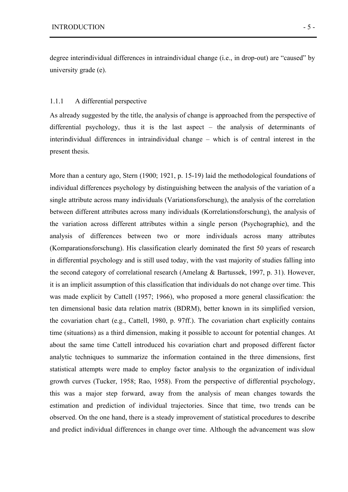degree interindividual differences in intraindividual change (i.e., in drop-out) are "caused" by university grade (e).

#### 1.1.1 A differential perspective

As already suggested by the title, the analysis of change is approached from the perspective of differential psychology, thus it is the last aspect – the analysis of determinants of interindividual differences in intraindividual change – which is of central interest in the present thesis.

More than a century ago, Stern (1900; 1921, p. 15-19) laid the methodological foundations of individual differences psychology by distinguishing between the analysis of the variation of a single attribute across many individuals (Variationsforschung), the analysis of the correlation between different attributes across many individuals (Korrelationsforschung), the analysis of the variation across different attributes within a single person (Psychographie), and the analysis of differences between two or more individuals across many attributes (Komparationsforschung). His classification clearly dominated the first 50 years of research in differential psychology and is still used today, with the vast majority of studies falling into the second category of correlational research (Amelang & Bartussek, 1997, p. 31). However, it is an implicit assumption of this classification that individuals do not change over time. This was made explicit by Cattell (1957; 1966), who proposed a more general classification: the ten dimensional basic data relation matrix (BDRM), better known in its simplified version, the covariation chart (e.g., Cattell, 1980, p. 97ff.). The covariation chart explicitly contains time (situations) as a third dimension, making it possible to account for potential changes. At about the same time Cattell introduced his covariation chart and proposed different factor analytic techniques to summarize the information contained in the three dimensions, first statistical attempts were made to employ factor analysis to the organization of individual growth curves (Tucker, 1958; Rao, 1958). From the perspective of differential psychology, this was a major step forward, away from the analysis of mean changes towards the estimation and prediction of individual trajectories. Since that time, two trends can be observed. On the one hand, there is a steady improvement of statistical procedures to describe and predict individual differences in change over time. Although the advancement was slow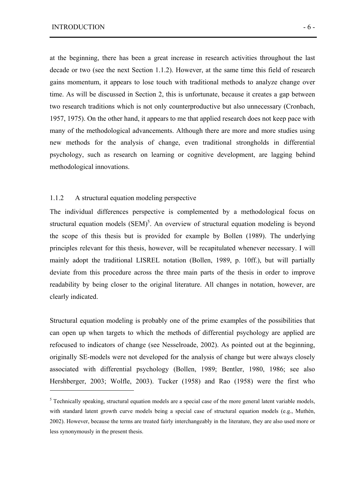$\overline{a}$ 

at the beginning, there has been a great increase in research activities throughout the last decade or two (see the next Section 1.1.2). However, at the same time this field of research gains momentum, it appears to lose touch with traditional methods to analyze change over time. As will be discussed in Section 2, this is unfortunate, because it creates a gap between two research traditions which is not only counterproductive but also unnecessary (Cronbach, 1957, 1975). On the other hand, it appears to me that applied research does not keep pace with many of the methodological advancements. Although there are more and more studies using new methods for the analysis of change, even traditional strongholds in differential psychology, such as research on learning or cognitive development, are lagging behind methodological innovations.

#### 1.1.2 A structural equation modeling perspective

The individual differences perspective is complemented by a methodological focus on structural equation models  $(SEM)^5$ . An overview of structural equation modeling is beyond the scope of this thesis but is provided for example by Bollen (1989). The underlying principles relevant for this thesis, however, will be recapitulated whenever necessary. I will mainly adopt the traditional LISREL notation (Bollen, 1989, p. 10ff.), but will partially deviate from this procedure across the three main parts of the thesis in order to improve readability by being closer to the original literature. All changes in notation, however, are clearly indicated.

Structural equation modeling is probably one of the prime examples of the possibilities that can open up when targets to which the methods of differential psychology are applied are refocused to indicators of change (see Nesselroade, 2002). As pointed out at the beginning, originally SE-models were not developed for the analysis of change but were always closely associated with differential psychology (Bollen, 1989; Bentler, 1980, 1986; see also Hershberger, 2003; Wolfle, 2003). Tucker (1958) and Rao (1958) were the first who

<sup>&</sup>lt;sup>5</sup> Technically speaking, structural equation models are a special case of the more general latent variable models, with standard latent growth curve models being a special case of structural equation models (e.g., Muthén, 2002). However, because the terms are treated fairly interchangeably in the literature, they are also used more or less synonymously in the present thesis.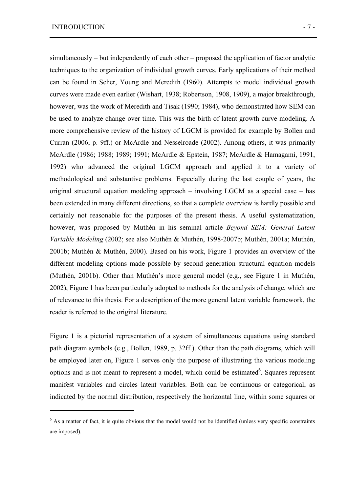$\overline{a}$ 

simultaneously – but independently of each other – proposed the application of factor analytic techniques to the organization of individual growth curves. Early applications of their method can be found in Scher, Young and Meredith (1960). Attempts to model individual growth curves were made even earlier (Wishart, 1938; Robertson, 1908, 1909), a major breakthrough, however, was the work of Meredith and Tisak (1990; 1984), who demonstrated how SEM can be used to analyze change over time. This was the birth of latent growth curve modeling. A more comprehensive review of the history of LGCM is provided for example by Bollen and Curran (2006, p. 9ff.) or McArdle and Nesselroade (2002). Among others, it was primarily McArdle (1986; 1988; 1989; 1991; McArdle & Epstein, 1987; McArdle & Hamagami, 1991, 1992) who advanced the original LGCM approach and applied it to a variety of methodological and substantive problems. Especially during the last couple of years, the original structural equation modeling approach – involving LGCM as a special case – has been extended in many different directions, so that a complete overview is hardly possible and certainly not reasonable for the purposes of the present thesis. A useful systematization, however, was proposed by Muthén in his seminal article *Beyond SEM: General Latent Variable Modeling* (2002; see also Muthén & Muthén, 1998-2007b; Muthén, 2001a; Muthén, 2001b; Muthén & Muthén, 2000). Based on his work, Figure 1 provides an overview of the different modeling options made possible by second generation structural equation models (Muthén, 2001b). Other than Muthén's more general model (e.g., see Figure 1 in Muthén, 2002), Figure 1 has been particularly adopted to methods for the analysis of change, which are of relevance to this thesis. For a description of the more general latent variable framework, the reader is referred to the original literature.

Figure 1 is a pictorial representation of a system of simultaneous equations using standard path diagram symbols (e.g., Bollen, 1989, p. 32ff.). Other than the path diagrams, which will be employed later on, Figure 1 serves only the purpose of illustrating the various modeling options and is not meant to represent a model, which could be estimated $6$ . Squares represent manifest variables and circles latent variables. Both can be continuous or categorical, as indicated by the normal distribution, respectively the horizontal line, within some squares or

<sup>&</sup>lt;sup>6</sup> As a matter of fact, it is quite obvious that the model would not be identified (unless very specific constraints are imposed).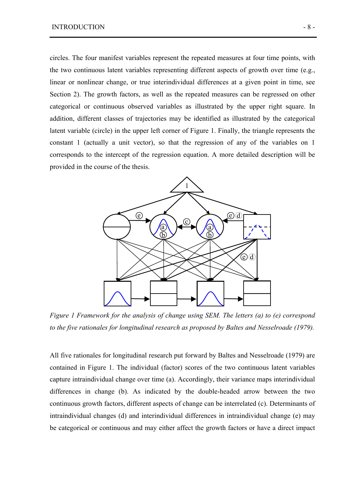circles. The four manifest variables represent the repeated measures at four time points, with the two continuous latent variables representing different aspects of growth over time (e.g., linear or nonlinear change, or true interindividual differences at a given point in time, see Section 2). The growth factors, as well as the repeated measures can be regressed on other categorical or continuous observed variables as illustrated by the upper right square. In addition, different classes of trajectories may be identified as illustrated by the categorical latent variable (circle) in the upper left corner of Figure 1. Finally, the triangle represents the constant 1 (actually a unit vector), so that the regression of any of the variables on 1 corresponds to the intercept of the regression equation. A more detailed description will be provided in the course of the thesis.



*Figure 1 Framework for the analysis of change using SEM. The letters (a) to (e) correspond to the five rationales for longitudinal research as proposed by Baltes and Nesselroade (1979).* 

All five rationales for longitudinal research put forward by Baltes and Nesselroade (1979) are contained in Figure 1. The individual (factor) scores of the two continuous latent variables capture intraindividual change over time (a). Accordingly, their variance maps interindividual differences in change (b). As indicated by the double-headed arrow between the two continuous growth factors, different aspects of change can be interrelated (c). Determinants of intraindividual changes (d) and interindividual differences in intraindividual change (e) may be categorical or continuous and may either affect the growth factors or have a direct impact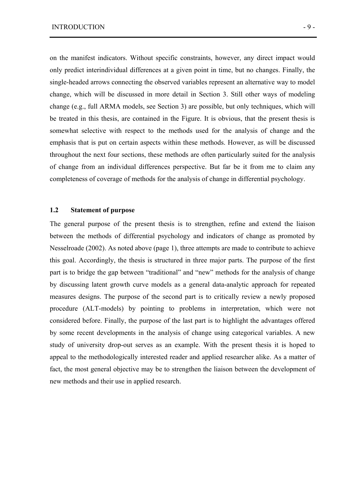on the manifest indicators. Without specific constraints, however, any direct impact would only predict interindividual differences at a given point in time, but no changes. Finally, the single-headed arrows connecting the observed variables represent an alternative way to model change, which will be discussed in more detail in Section 3. Still other ways of modeling change (e.g., full ARMA models, see Section 3) are possible, but only techniques, which will be treated in this thesis, are contained in the Figure. It is obvious, that the present thesis is somewhat selective with respect to the methods used for the analysis of change and the emphasis that is put on certain aspects within these methods. However, as will be discussed throughout the next four sections, these methods are often particularly suited for the analysis of change from an individual differences perspective. But far be it from me to claim any completeness of coverage of methods for the analysis of change in differential psychology.

#### **1.2 Statement of purpose**

The general purpose of the present thesis is to strengthen, refine and extend the liaison between the methods of differential psychology and indicators of change as promoted by Nesselroade (2002). As noted above (page 1), three attempts are made to contribute to achieve this goal. Accordingly, the thesis is structured in three major parts. The purpose of the first part is to bridge the gap between "traditional" and "new" methods for the analysis of change by discussing latent growth curve models as a general data-analytic approach for repeated measures designs. The purpose of the second part is to critically review a newly proposed procedure (ALT-models) by pointing to problems in interpretation, which were not considered before. Finally, the purpose of the last part is to highlight the advantages offered by some recent developments in the analysis of change using categorical variables. A new study of university drop-out serves as an example. With the present thesis it is hoped to appeal to the methodologically interested reader and applied researcher alike. As a matter of fact, the most general objective may be to strengthen the liaison between the development of new methods and their use in applied research.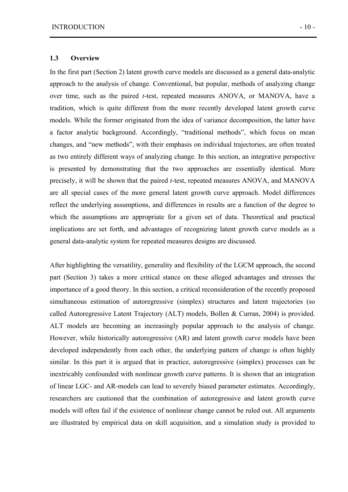#### **1.3 Overview**

In the first part (Section 2) latent growth curve models are discussed as a general data-analytic approach to the analysis of change. Conventional, but popular, methods of analyzing change over time, such as the paired *t*-test, repeated measures ANOVA, or MANOVA, have a tradition, which is quite different from the more recently developed latent growth curve models. While the former originated from the idea of variance decomposition, the latter have a factor analytic background. Accordingly, "traditional methods", which focus on mean changes, and "new methods", with their emphasis on individual trajectories, are often treated as two entirely different ways of analyzing change. In this section, an integrative perspective is presented by demonstrating that the two approaches are essentially identical. More precisely, it will be shown that the paired *t*-test, repeated measures ANOVA, and MANOVA are all special cases of the more general latent growth curve approach. Model differences reflect the underlying assumptions, and differences in results are a function of the degree to which the assumptions are appropriate for a given set of data. Theoretical and practical implications are set forth, and advantages of recognizing latent growth curve models as a general data-analytic system for repeated measures designs are discussed.

After highlighting the versatility, generality and flexibility of the LGCM approach, the second part (Section 3) takes a more critical stance on these alleged advantages and stresses the importance of a good theory. In this section, a critical reconsideration of the recently proposed simultaneous estimation of autoregressive (simplex) structures and latent trajectories (so called Autoregressive Latent Trajectory (ALT) models, Bollen & Curran, 2004) is provided. ALT models are becoming an increasingly popular approach to the analysis of change. However, while historically autoregressive (AR) and latent growth curve models have been developed independently from each other, the underlying pattern of change is often highly similar. In this part it is argued that in practice, autoregressive (simplex) processes can be inextricably confounded with nonlinear growth curve patterns. It is shown that an integration of linear LGC- and AR-models can lead to severely biased parameter estimates. Accordingly, researchers are cautioned that the combination of autoregressive and latent growth curve models will often fail if the existence of nonlinear change cannot be ruled out. All arguments are illustrated by empirical data on skill acquisition, and a simulation study is provided to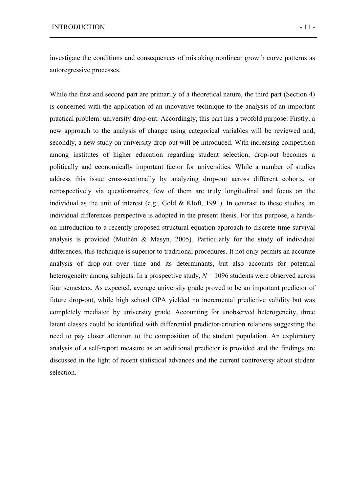investigate the conditions and consequences of mistaking nonlinear growth curve patterns as autoregressive processes.

While the first and second part are primarily of a theoretical nature, the third part (Section 4) is concerned with the application of an innovative technique to the analysis of an important practical problem: university drop-out. Accordingly, this part has a twofold purpose: Firstly, a new approach to the analysis of change using categorical variables will be reviewed and, secondly, a new study on university drop-out will be introduced. With increasing competition among institutes of higher education regarding student selection, drop-out becomes a politically and economically important factor for universities. While a number of studies address this issue cross-sectionally by analyzing drop-out across different cohorts, or retrospectively via questionnaires, few of them are truly longitudinal and focus on the individual as the unit of interest (e.g., Gold  $&$  Kloft, 1991). In contrast to these studies, an individual differences perspective is adopted in the present thesis. For this purpose, a handson introduction to a recently proposed structural equation approach to discrete-time survival analysis is provided (Muthén & Masyn, 2005). Particularly for the study of individual differences, this technique is superior to traditional procedures. It not only permits an accurate analysis of drop-out over time and its determinants, but also accounts for potential heterogeneity among subjects. In a prospective study,  $N = 1096$  students were observed across four semesters. As expected, average university grade proved to be an important predictor of future drop-out, while high school GPA yielded no incremental predictive validity but was completely mediated by university grade. Accounting for unobserved heterogeneity, three latent classes could be identified with differential predictor-criterion relations suggesting the need to pay closer attention to the composition of the student population. An exploratory analysis of a self-report measure as an additional predictor is provided and the findings are discussed in the light of recent statistical advances and the current controversy about student selection.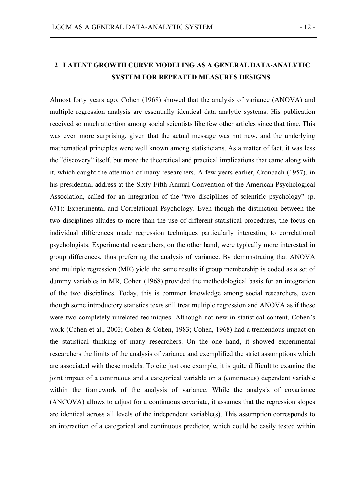# **2 LATENT GROWTH CURVE MODELING AS A GENERAL DATA-ANALYTIC SYSTEM FOR REPEATED MEASURES DESIGNS**

Almost forty years ago, Cohen (1968) showed that the analysis of variance (ANOVA) and multiple regression analysis are essentially identical data analytic systems. His publication received so much attention among social scientists like few other articles since that time. This was even more surprising, given that the actual message was not new, and the underlying mathematical principles were well known among statisticians. As a matter of fact, it was less the "discovery" itself, but more the theoretical and practical implications that came along with it, which caught the attention of many researchers. A few years earlier, Cronbach (1957), in his presidential address at the Sixty-Fifth Annual Convention of the American Psychological Association, called for an integration of the "two disciplines of scientific psychology" (p. 671): Experimental and Correlational Psychology. Even though the distinction between the two disciplines alludes to more than the use of different statistical procedures, the focus on individual differences made regression techniques particularly interesting to correlational psychologists. Experimental researchers, on the other hand, were typically more interested in group differences, thus preferring the analysis of variance. By demonstrating that ANOVA and multiple regression (MR) yield the same results if group membership is coded as a set of dummy variables in MR, Cohen (1968) provided the methodological basis for an integration of the two disciplines. Today, this is common knowledge among social researchers, even though some introductory statistics texts still treat multiple regression and ANOVA as if these were two completely unrelated techniques. Although not new in statistical content, Cohen's work (Cohen et al., 2003; Cohen & Cohen, 1983; Cohen, 1968) had a tremendous impact on the statistical thinking of many researchers. On the one hand, it showed experimental researchers the limits of the analysis of variance and exemplified the strict assumptions which are associated with these models. To cite just one example, it is quite difficult to examine the joint impact of a continuous and a categorical variable on a (continuous) dependent variable within the framework of the analysis of variance. While the analysis of covariance (ANCOVA) allows to adjust for a continuous covariate, it assumes that the regression slopes are identical across all levels of the independent variable(s). This assumption corresponds to an interaction of a categorical and continuous predictor, which could be easily tested within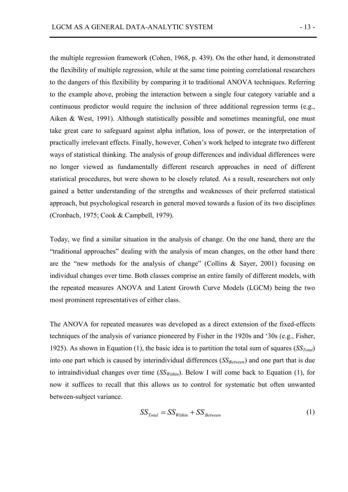the multiple regression framework (Cohen, 1968, p. 439). On the other hand, it demonstrated the flexibility of multiple regression, while at the same time pointing correlational researchers to the dangers of this flexibility by comparing it to traditional ANOVA techniques. Referring to the example above, probing the interaction between a single four category variable and a continuous predictor would require the inclusion of three additional regression terms (e.g., Aiken & West, 1991). Although statistically possible and sometimes meaningful, one must take great care to safeguard against alpha inflation, loss of power, or the interpretation of practically irrelevant effects. Finally, however, Cohen's work helped to integrate two different ways of statistical thinking. The analysis of group differences and individual differences were no longer viewed as fundamentally different research approaches in need of different statistical procedures, but were shown to be closely related. As a result, researchers not only gained a better understanding of the strengths and weaknesses of their preferred statistical approach, but psychological research in general moved towards a fusion of its two disciplines (Cronbach, 1975; Cook & Campbell, 1979).

Today, we find a similar situation in the analysis of change. On the one hand, there are the "traditional approaches" dealing with the analysis of mean changes, on the other hand there are the "new methods for the analysis of change" (Collins & Sayer, 2001) focusing on individual changes over time. Both classes comprise an entire family of different models, with the repeated measures ANOVA and Latent Growth Curve Models (LGCM) being the two most prominent representatives of either class.

The ANOVA for repeated measures was developed as a direct extension of the fixed-effects techniques of the analysis of variance pioneered by Fisher in the 1920s and '30s (e.g., Fisher, 1925). As shown in Equation (1), the basic idea is to partition the total sum of squares  $(SST<sub>total</sub>)$ into one part which is caused by interindividual differences (*SS<sub>Between</sub>*) and one part that is due to intraindividual changes over time  $(SS<sub>Within</sub>)$ . Below I will come back to Equation (1), for now it suffices to recall that this allows us to control for systematic but often unwanted between-subject variance.

$$
SS_{Total} = SS_{Within} + SS_{Between}
$$
 (1)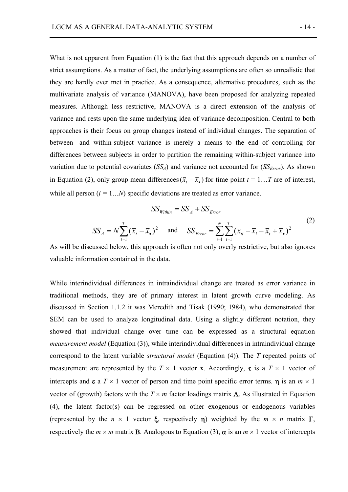What is not apparent from Equation (1) is the fact that this approach depends on a number of strict assumptions. As a matter of fact, the underlying assumptions are often so unrealistic that they are hardly ever met in practice. As a consequence, alternative procedures, such as the multivariate analysis of variance (MANOVA), have been proposed for analyzing repeated measures. Although less restrictive, MANOVA is a direct extension of the analysis of variance and rests upon the same underlying idea of variance decomposition. Central to both approaches is their focus on group changes instead of individual changes. The separation of between- and within-subject variance is merely a means to the end of controlling for differences between subjects in order to partition the remaining within-subject variance into variation due to potential covariates  $(SS<sub>A</sub>)$  and variance not accounted for  $(SS<sub>Error</sub>)$ . As shown in Equation (2), only group mean differences( $\overline{x}_t - \overline{x}_t$ ) for time point  $t = 1...T$  are of interest, while all person  $(i = 1...N)$  specific deviations are treated as error variance.

$$
SS_{Within} = SS_A + SS_{Error}
$$
  
\n
$$
SS_A = N \sum_{t=1}^{T} (\overline{x}_t - \overline{x}_\bullet)^2
$$
 and 
$$
SS_{Error} = \sum_{i=1}^{N} \sum_{t=1}^{T} (x_{ti} - \overline{x}_t - \overline{x}_t + \overline{x}_\bullet)^2
$$
 (2)

As will be discussed below, this approach is often not only overly restrictive, but also ignores valuable information contained in the data.

While interindividual differences in intraindividual change are treated as error variance in traditional methods, they are of primary interest in latent growth curve modeling. As discussed in Section 1.1.2 it was Meredith and Tisak (1990; 1984), who demonstrated that SEM can be used to analyze longitudinal data. Using a slightly different notation, they showed that individual change over time can be expressed as a structural equation *measurement model* (Equation (3)), while interindividual differences in intraindividual change correspond to the latent variable *structural model* (Equation (4)). The *T* repeated points of measurement are represented by the  $T \times 1$  vector **x**. Accordingly, **t** is a  $T \times 1$  vector of intercepts and  $\boldsymbol{\varepsilon}$  a  $T \times 1$  vector of person and time point specific error terms.  $\boldsymbol{\eta}$  is an  $m \times 1$ vector of (growth) factors with the  $T \times m$  factor loadings matrix  $\Lambda$ . As illustrated in Equation (4), the latent factor(s) can be regressed on other exogenous or endogenous variables (represented by the  $n \times 1$  vector  $\xi$ , respectively  $\eta$ ) weighted by the  $m \times n$  matrix  $\Gamma$ , respectively the  $m \times m$  matrix **B**. Analogous to Equation (3),  $\alpha$  is an  $m \times 1$  vector of intercepts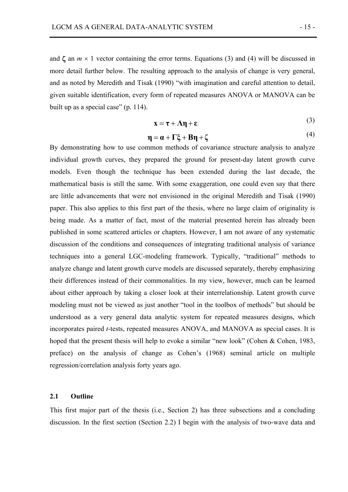and  $\zeta$  an  $m \times 1$  vector containing the error terms. Equations (3) and (4) will be discussed in more detail further below. The resulting approach to the analysis of change is very general, and as noted by Meredith and Tisak (1990) "with imagination and careful attention to detail, given suitable identification, every form of repeated measures ANOVA or MANOVA can be built up as a special case" (p. 114).

$$
\mathbf{x} = \boldsymbol{\tau} + \boldsymbol{\Lambda}\boldsymbol{\eta} + \boldsymbol{\epsilon} \tag{3}
$$

$$
\eta = \alpha + \Gamma \xi + B\eta + \zeta \tag{4}
$$

By demonstrating how to use common methods of covariance structure analysis to analyze individual growth curves, they prepared the ground for present-day latent growth curve models. Even though the technique has been extended during the last decade, the mathematical basis is still the same. With some exaggeration, one could even say that there are little advancements that were not envisioned in the original Meredith and Tisak (1990) paper. This also applies to this first part of the thesis, where no large claim of originality is being made. As a matter of fact, most of the material presented herein has already been published in some scattered articles or chapters. However, I am not aware of any systematic discussion of the conditions and consequences of integrating traditional analysis of variance techniques into a general LGC-modeling framework. Typically, "traditional" methods to analyze change and latent growth curve models are discussed separately, thereby emphasizing their differences instead of their commonalities. In my view, however, much can be learned about either approach by taking a closer look at their interrelationship. Latent growth curve modeling must not be viewed as just another "tool in the toolbox of methods" but should be understood as a very general data analytic system for repeated measures designs, which incorporates paired *t*-tests, repeated measures ANOVA, and MANOVA as special cases. It is hoped that the present thesis will help to evoke a similar "new look" (Cohen & Cohen, 1983, preface) on the analysis of change as Cohen's (1968) seminal article on multiple regression/correlation analysis forty years ago.

#### **2.1 Outline**

This first major part of the thesis (i.e., Section 2) has three subsections and a concluding discussion. In the first section (Section 2.2) I begin with the analysis of two-wave data and

 $(4)$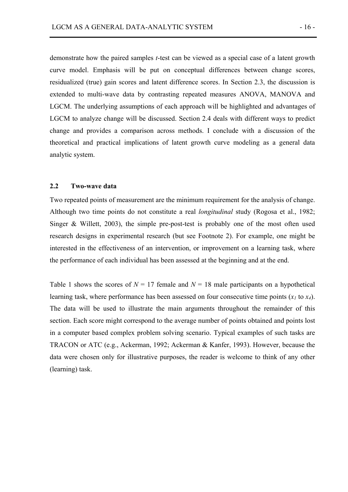demonstrate how the paired samples *t*-test can be viewed as a special case of a latent growth curve model. Emphasis will be put on conceptual differences between change scores, residualized (true) gain scores and latent difference scores. In Section 2.3, the discussion is extended to multi-wave data by contrasting repeated measures ANOVA, MANOVA and LGCM. The underlying assumptions of each approach will be highlighted and advantages of LGCM to analyze change will be discussed. Section 2.4 deals with different ways to predict change and provides a comparison across methods. I conclude with a discussion of the theoretical and practical implications of latent growth curve modeling as a general data analytic system.

#### **2.2 Two-wave data**

Two repeated points of measurement are the minimum requirement for the analysis of change. Although two time points do not constitute a real *longitudinal* study (Rogosa et al., 1982; Singer & Willett, 2003), the simple pre-post-test is probably one of the most often used research designs in experimental research (but see Footnote 2). For example, one might be interested in the effectiveness of an intervention, or improvement on a learning task, where the performance of each individual has been assessed at the beginning and at the end.

Table 1 shows the scores of  $N = 17$  female and  $N = 18$  male participants on a hypothetical learning task, where performance has been assessed on four consecutive time points  $(x<sub>1</sub>$  to  $x<sub>4</sub>)$ . The data will be used to illustrate the main arguments throughout the remainder of this section. Each score might correspond to the average number of points obtained and points lost in a computer based complex problem solving scenario. Typical examples of such tasks are TRACON or ATC (e.g., Ackerman, 1992; Ackerman & Kanfer, 1993). However, because the data were chosen only for illustrative purposes, the reader is welcome to think of any other (learning) task.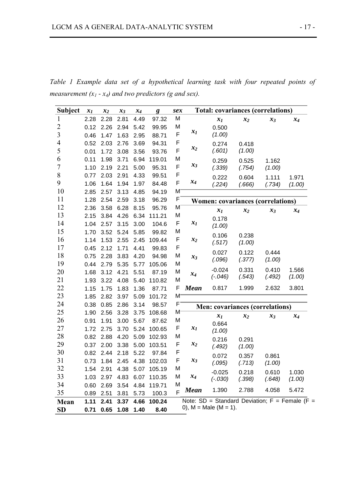| <b>Subject</b>   | $x_I$ | $x_2$     | $x_3$          | $x_4$     | g                          |                | <b>Total: covariances (correlations)</b><br>sex |                          |                                                     |                 |                 |
|------------------|-------|-----------|----------------|-----------|----------------------------|----------------|-------------------------------------------------|--------------------------|-----------------------------------------------------|-----------------|-----------------|
| $\mathbf{1}$     | 2.28  | 2.28      | 2.81           | 4.49      | 97.32                      | M              |                                                 | $x_I$                    | $x_2$                                               | $x_3$           | $x_4$           |
| $\overline{2}$   | 0.12  | 2.26      | 2.94           | 5.42      | 99.95                      | M              |                                                 | 0.500                    |                                                     |                 |                 |
| 3                | 0.46  | 1.47      | 1.63           | 2.95      | 88.71                      | F              | $x_I$                                           | (1.00)                   |                                                     |                 |                 |
| 4                | 0.52  | 2.03      | 2.76           | 3.69      | 94.31                      | F              |                                                 | 0.274                    | 0.418                                               |                 |                 |
| 5                | 0.01  | 1.72      | 3.08           | 3.56      | 93.76                      | F              | $x_2$                                           | (.601)                   | (1.00)                                              |                 |                 |
| 6                | 0.11  | 1.98      | 3.71           | 6.94      | 119.01                     | M              |                                                 | 0.259                    | 0.525                                               | 1.162           |                 |
| $\boldsymbol{7}$ | 1.10  | 2.19      | 2.21           | 5.00      | 95.31                      | $\mathsf F$    | $x_3$                                           | (.339)                   | (.754)                                              | (1.00)          |                 |
| 8                | 0.77  | 2.03 2.91 |                | 4.33      | 99.51                      | $\mathsf F$    |                                                 | 0.222                    | 0.604                                               | 1.111           | 1.971           |
| 9                | 1.06  | 1.64      | 1.94           | 1.97      | 84.48                      | F              | $x_4$                                           | (.224)                   | (.666)                                              | (.734)          | (1.00)          |
| 10               | 2.85  | 2.57      | 3.13           | 4.85      | 94.19                      | M,             |                                                 |                          |                                                     |                 |                 |
| 11               | 1.28  | 2.54      | 2.59           | 3.18      | 96.29                      | F              |                                                 |                          | <b>Women: covariances (correlations)</b>            |                 |                 |
| 12               | 2.36  | 3.58      | 6.28           | 8.15      | 95.76                      | M              |                                                 | $x_I$                    | $x_2$                                               | $x_3$           | $x_4$           |
| 13               | 2.15  |           | 3.84 4.26      | 6.34      | 111.21                     | M              |                                                 | 0.178                    |                                                     |                 |                 |
| 14               | 1.04  | 2.57      | 3.15           | 3.00      | 104.6                      | F              | $x_I$                                           | (1.00)                   |                                                     |                 |                 |
| 15               | 1.70  | 3.52      | 5.24           | 5.85      | 99.82                      | M              |                                                 | 0.106                    | 0.238                                               |                 |                 |
| 16               | 1.14  | 1.53      | 2.55           | 2.45      | 109.44                     | F              | $x_2$                                           | (.517)                   | (1.00)                                              |                 |                 |
| 17               | 0.45  | 2.12      | 1.71           | 4.41      | 99.83                      | F              |                                                 | 0.027                    | 0.122                                               | 0.444           |                 |
| 18               | 0.75  | 2.28      | 3.83           | 4.20      | 94.98                      | M              | $x_3$                                           | (.096)                   | (.377)                                              | (1.00)          |                 |
| 19               | 0.44  | 2.79      | 5.35           | 5.77      | 105.06                     | M              |                                                 |                          |                                                     |                 |                 |
| 20               | 1.68  | 3.12      | 4.21           | 5.51      | 87.19                      | M              | $x_4$                                           | $-0.024$<br>$(-.046)$    | 0.331<br>(.543)                                     | 0.410<br>(.492) | 1.566<br>(1.00) |
| 21               | 1.93  | 3.22      | 4.08           | 5.40      | 110.82                     | M              |                                                 |                          |                                                     |                 |                 |
| 22               | 1.15  | 1.75      | 1.83           | 1.36      | 87.71                      | F              | <b>Mean</b>                                     | 0.817                    | 1.999                                               | 2.632           | 3.801           |
| 23               | 1.85  | 2.82      | 3.97           | 5.09      | 101.72                     | M              |                                                 |                          |                                                     |                 |                 |
| 24               | 0.38  | 0.85      | 2.86           | 3.14      | 98.57                      | F              |                                                 |                          | <b>Men: covariances (correlations)</b>              |                 |                 |
| 25               | 1.90  | 2.56      | 3.28           | 3.75      | 108.68                     | M              |                                                 | $x_I$                    | $x_2$                                               | $x_3$           | $x_4$           |
| 26               | 0.91  | 1.91      | 3.00           | 5.67      | 87.62                      | M              |                                                 | 0.664                    |                                                     |                 |                 |
| 27               | 1.72  | 2.75      | 3.70           | 5.24      | 100.65                     | F              | $x_I$                                           | (1.00)                   |                                                     |                 |                 |
| 28               | 0.82  | 2.88      | 4.20           | 5.09      | 102.93                     | M              |                                                 | 0.216                    | 0.291                                               |                 |                 |
| 29               | 0.37  | 2.00      | 3.38           | 5.00      | 103.51                     | F              | $x_2$                                           | (.492)                   | (1.00)                                              |                 |                 |
| 30               | 0.82  |           | 2.44 2.18      | 5.22      | 97.84                      | F              |                                                 | 0.072                    | 0.357                                               | 0.861           |                 |
| 31               | 0.73  |           | 1.84 2.45 4.38 |           | 102.03                     | F              | $x_3$                                           | (.095)                   | (.713)                                              | (1.00)          |                 |
| 32               |       |           |                |           | 1.54 2.91 4.38 5.07 105.19 | M              |                                                 | $-0.025$                 | 0.218                                               | 0.610           | 1.030           |
| 33               | 1.03  | 2.97      |                | 4.83 6.07 | 110.35                     | M              | $x_4$                                           | $(-.030)$                | (.398)                                              | (.648)          | (1.00)          |
| 34               | 0.60  | 2.69      | 3.54           | 4.84      | 119.71                     | M              |                                                 |                          |                                                     |                 |                 |
| 35               | 0.89  | 2.51      | 3.81           | 5.73      | 100.3                      | $\overline{F}$ | <b>Mean</b>                                     | 1.390                    | 2.788                                               | 4.058           | 5.472           |
| Mean             | 1.11  | 2.41      | 3.37           | 4.66      | 100.24                     |                |                                                 |                          | Note: $SD = Standard Deviation$ ; $F = Female$ (F = |                 |                 |
| <b>SD</b>        | 0.71  | 0.65      | 1.08           | 1.40      | 8.40                       |                |                                                 | 0), $M = Male (M = 1)$ . |                                                     |                 |                 |

*Table 1 Example data set of a hypothetical learning task with four repeated points of measurement*  $(x_1 - x_4)$  *and two predictors (g and sex).*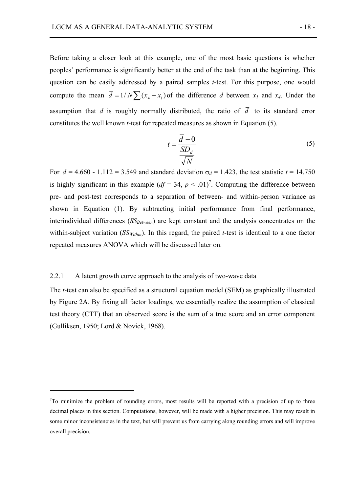Before taking a closer look at this example, one of the most basic questions is whether peoples' performance is significantly better at the end of the task than at the beginning. This question can be easily addressed by a paired samples *t*-test. For this purpose, one would compute the mean  $\overline{d} = 1/N \sum (x_4 - x_1)$  of the difference *d* between  $x_1$  and  $x_4$ . Under the assumption that *d* is roughly normally distributed, the ratio of  $\overline{d}$  to its standard error constitutes the well known *t*-test for repeated measures as shown in Equation (5).

$$
t = \frac{\overline{d} - 0}{\frac{SD_d}{\sqrt{N}}}
$$
 (5)

For  $\bar{d}$  = 4.660 - 1.112 = 3.549 and standard deviation  $\sigma_d$  = 1.423, the test statistic *t* = 14.750 is highly significant in this example  $(df = 34, p < .01)^7$ . Computing the difference between pre- and post-test corresponds to a separation of between- and within-person variance as shown in Equation (1). By subtracting initial performance from final performance, interindividual differences (*SS<sub>Between</sub>*) are kept constant and the analysis concentrates on the within-subject variation  $(SS_{Within})$ . In this regard, the paired *t*-test is identical to a one factor repeated measures ANOVA which will be discussed later on.

#### 2.2.1 A latent growth curve approach to the analysis of two-wave data

 $\overline{a}$ 

The *t*-test can also be specified as a structural equation model (SEM) as graphically illustrated by Figure 2A. By fixing all factor loadings, we essentially realize the assumption of classical test theory (CTT) that an observed score is the sum of a true score and an error component (Gulliksen, 1950; Lord & Novick, 1968).

 $7$ To minimize the problem of rounding errors, most results will be reported with a precision of up to three decimal places in this section. Computations, however, will be made with a higher precision. This may result in some minor inconsistencies in the text, but will prevent us from carrying along rounding errors and will improve overall precision.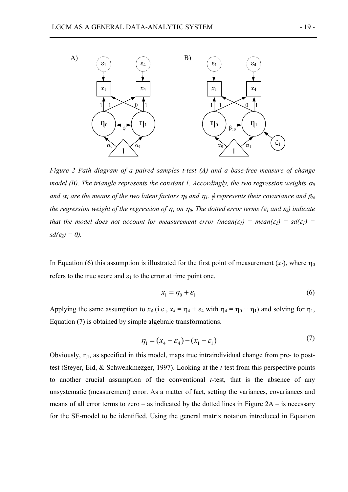

*Figure 2 Path diagram of a paired samples t-test (A) and a base-free measure of change model (B). The triangle represents the constant 1. Accordingly, the two regression weights*  $\alpha_0$ *and*  $\alpha_1$  *are the means of the two latent factors*  $\eta_0$  *and*  $\eta_1$ *,*  $\phi$  *represents their covariance and*  $\beta_{10}$ *the regression weight of the regression of*  $\eta_1$  *on*  $\eta_0$ *. The dotted error terms (* $\varepsilon_1$  *and*  $\varepsilon_2$ *) indicate that the model does not account for measurement error (mean(* $\varepsilon$ *<sub><i>l*</sub>) = mean( $\varepsilon$ <sub>2</sub>) = sd( $\varepsilon$ <sub>*l*</sub>) =  $sd(\varepsilon_2)=0$ ).

In Equation (6) this assumption is illustrated for the first point of measurement  $(x_1)$ , where  $\eta_0$ refers to the true score and  $\varepsilon_1$  to the error at time point one.

$$
x_1 = \eta_0 + \varepsilon_1 \tag{6}
$$

Applying the same assumption to  $x_4$  (i.e.,  $x_4 = \eta_4 + \varepsilon_4$  with  $\eta_4 = \eta_0 + \eta_1$ ) and solving for  $\eta_1$ , Equation (7) is obtained by simple algebraic transformations.

$$
\eta_1 = (x_4 - \varepsilon_4) - (x_1 - \varepsilon_1) \tag{7}
$$

Obviously,  $\eta_1$ , as specified in this model, maps true intraindividual change from pre- to posttest (Steyer, Eid, & Schwenkmezger, 1997). Looking at the *t*-test from this perspective points to another crucial assumption of the conventional *t*-test, that is the absence of any unsystematic (measurement) error. As a matter of fact, setting the variances, covariances and means of all error terms to zero – as indicated by the dotted lines in Figure  $2A -$  is necessary for the SE-model to be identified. Using the general matrix notation introduced in Equation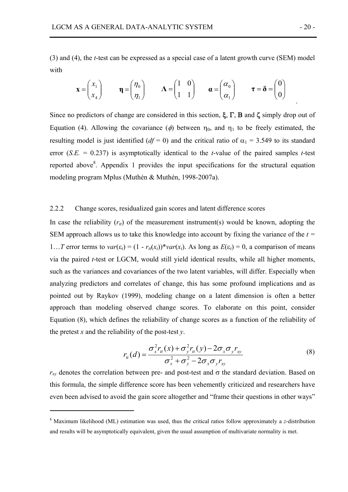(3) and (4), the *t*-test can be expressed as a special case of a latent growth curve (SEM) model with

$$
\mathbf{x} = \begin{pmatrix} x_1 \\ x_4 \end{pmatrix} \qquad \mathbf{\eta} = \begin{pmatrix} \eta_0 \\ \eta_1 \end{pmatrix} \qquad \mathbf{\Lambda} = \begin{pmatrix} 1 & 0 \\ 1 & 1 \end{pmatrix} \qquad \mathbf{\alpha} = \begin{pmatrix} \alpha_0 \\ \alpha_1 \end{pmatrix} \qquad \mathbf{\tau} = \mathbf{\delta} = \begin{pmatrix} 0 \\ 0 \end{pmatrix}
$$

Since no predictors of change are considered in this section,  $\xi$ ,  $\Gamma$ ,  $B$  and  $\zeta$  simply drop out of Equation (4). Allowing the covariance ( $\phi$ ) between  $\eta_0$ , and  $\eta_1$  to be freely estimated, the resulting model is just identified ( $df = 0$ ) and the critical ratio of  $\alpha_1 = 3.549$  to its standard error (*S.E.* = 0.237) is asymptotically identical to the *t*-value of the paired samples *t*-test reported above<sup>8</sup>. Appendix 1 provides the input specifications for the structural equation modeling program Mplus (Muthén & Muthén, 1998-2007a).

#### 2.2.2 Change scores, residualized gain scores and latent difference scores

In case the reliability  $(r<sub>t</sub>)$  of the measurement instrument(s) would be known, adopting the SEM approach allows us to take this knowledge into account by fixing the variance of the *t =*  1…*T* error terms to  $var(\varepsilon_i) = (1 - r_t(x_i))^* var(x_i)$ . As long as  $E(\varepsilon_i) = 0$ , a comparison of means via the paired *t*-test or LGCM, would still yield identical results, while all higher moments, such as the variances and covariances of the two latent variables, will differ. Especially when analyzing predictors and correlates of change, this has some profound implications and as pointed out by Raykov (1999), modeling change on a latent dimension is often a better approach than modeling observed change scores. To elaborate on this point, consider Equation (8), which defines the reliability of change scores as a function of the reliability of the pretest *x* and the reliability of the post-test  $\nu$ .

$$
r_{tt}(d) = \frac{\sigma_x^2 r_{tt}(x) + \sigma_y^2 r_{tt}(y) - 2\sigma_x \sigma_y r_{xy}}{\sigma_x^2 + \sigma_y^2 - 2\sigma_x \sigma_y r_{xy}}
$$
(8)

 $r_{xy}$  denotes the correlation between pre- and post-test and  $\sigma$  the standard deviation. Based on this formula, the simple difference score has been vehemently criticized and researchers have even been advised to avoid the gain score altogether and "frame their questions in other ways"

 $\overline{a}$ 

.

<sup>8</sup> Maximum likelihood (ML) estimation was used, thus the critical ratios follow approximately a *z*-distribution and results will be asymptotically equivalent, given the usual assumption of multivariate normality is met.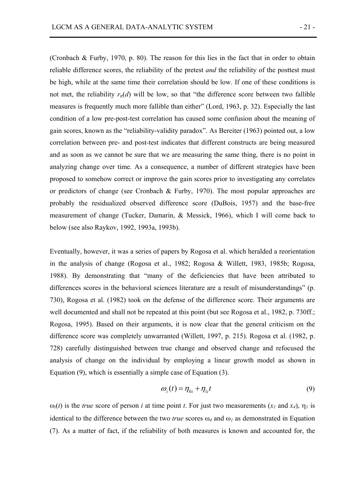(Cronbach & Furby, 1970, p. 80). The reason for this lies in the fact that in order to obtain reliable difference scores, the reliability of the pretest *and* the reliability of the posttest must be high, while at the same time their correlation should be low. If one of these conditions is not met, the reliability  $r<sub>t</sub>(d)$  will be low, so that "the difference score between two fallible measures is frequently much more fallible than either" (Lord, 1963, p. 32). Especially the last condition of a low pre-post-test correlation has caused some confusion about the meaning of gain scores, known as the "reliability-validity paradox". As Bereiter (1963) pointed out, a low correlation between pre- and post-test indicates that different constructs are being measured and as soon as we cannot be sure that we are measuring the same thing, there is no point in analyzing change over time. As a consequence, a number of different strategies have been proposed to somehow correct or improve the gain scores prior to investigating any correlates or predictors of change (see Cronbach & Furby, 1970). The most popular approaches are probably the residualized observed difference score (DuBois, 1957) and the base-free measurement of change (Tucker, Damarin, & Messick, 1966), which I will come back to below (see also Raykov, 1992, 1993a, 1993b).

Eventually, however, it was a series of papers by Rogosa et al. which heralded a reorientation in the analysis of change (Rogosa et al., 1982; Rogosa & Willett, 1983, 1985b; Rogosa, 1988). By demonstrating that "many of the deficiencies that have been attributed to differences scores in the behavioral sciences literature are a result of misunderstandings" (p. 730), Rogosa et al. (1982) took on the defense of the difference score. Their arguments are well documented and shall not be repeated at this point (but see Rogosa et al., 1982, p. 730ff.; Rogosa, 1995). Based on their arguments, it is now clear that the general criticism on the difference score was completely unwarranted (Willett, 1997, p. 215). Rogosa et al. (1982, p. 728) carefully distinguished between true change and observed change and refocused the analysis of change on the individual by employing a linear growth model as shown in Equation (9), which is essentially a simple case of Equation (3).

$$
\omega_i(t) = \eta_{0i} + \eta_{1i}t \tag{9}
$$

 $\omega_i(t)$  is the *true* score of person *i* at time point *t*. For just two measurements  $(x_i \text{ and } x_i)$ ,  $\eta_1$  is identical to the difference between the two *true* scores  $\omega_4$  and  $\omega_1$  as demonstrated in Equation (7). As a matter of fact, if the reliability of both measures is known and accounted for, the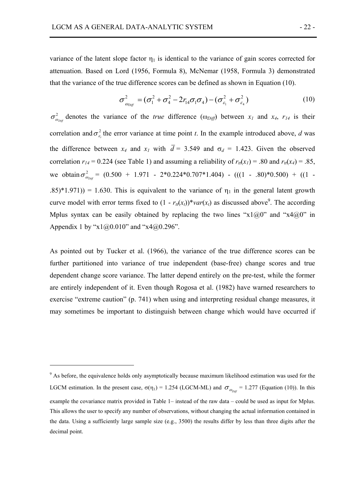variance of the latent slope factor  $\eta_1$  is identical to the variance of gain scores corrected for attenuation. Based on Lord (1956, Formula 8), McNemar (1958, Formula 3) demonstrated that the variance of the true difference scores can be defined as shown in Equation (10).

$$
\sigma_{\omega_{Diff}}^2 = (\sigma_1^2 + \sigma_4^2 - 2r_{14}\sigma_1\sigma_4) - (\sigma_{\varepsilon_1}^2 + \sigma_{\varepsilon_4}^2)
$$
 (10)

2  $\sigma_{\omega_{Diff}}^2$  denotes the variance of the *true* difference ( $\omega_{Diff}$ ) between  $x_1$  and  $x_4$ ,  $r_{14}$  is their correlation and  $\sigma_{\varepsilon_1}^2$  the error variance at time point *t*. In the example introduced above, *d* was the difference between  $x_4$  and  $x_1$  with  $\overline{d} = 3.549$  and  $\sigma_d = 1.423$ . Given the observed correlation  $r_{14} = 0.224$  (see Table 1) and assuming a reliability of  $r_{tt}(x_1) = .80$  and  $r_{tt}(x_4) = .85$ , we obtain  $\sigma_{\omega_{Diff}}^2$  = (0.500 + 1.971 - 2\*0.224\*0.707\*1.404) - (((1 - .80)\*0.500) + ((1 -.85)\*1.971)) = 1.630. This is equivalent to the variance of  $\eta_1$  in the general latent growth curve model with error terms fixed to  $(1 - r_u(x_t))^* var(x_t)$  as discussed above<sup>9</sup>. The according Mplus syntax can be easily obtained by replacing the two lines " $x1@0"$  and " $x4@0"$  in Appendix 1 by " $x1@0.010$ " and " $x4@0.296$ ".

As pointed out by Tucker et al. (1966), the variance of the true difference scores can be further partitioned into variance of true independent (base-free) change scores and true dependent change score variance. The latter depend entirely on the pre-test, while the former are entirely independent of it. Even though Rogosa et al. (1982) have warned researchers to exercise "extreme caution" (p. 741) when using and interpreting residual change measures, it may sometimes be important to distinguish between change which would have occurred if

 $\overline{a}$ 

<sup>&</sup>lt;sup>9</sup> As before, the equivalence holds only asymptotically because maximum likelihood estimation was used for the LGCM estimation. In the present case,  $\sigma(\eta_1) = 1.254$  (LGCM-ML) and  $\sigma_{\omega_{Diff}} = 1.277$  (Equation (10)). In this example the covariance matrix provided in Table 1– instead of the raw data – could be used as input for Mplus. This allows the user to specify any number of observations, without changing the actual information contained in the data. Using a sufficiently large sample size (e.g., 3500) the results differ by less than three digits after the decimal point.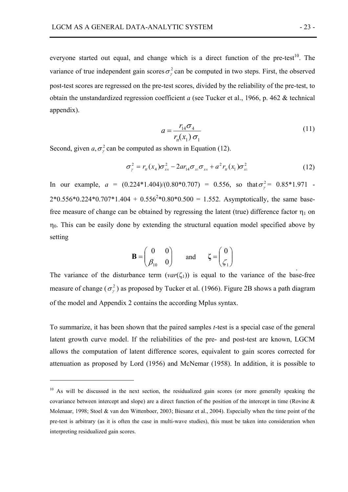everyone started out equal, and change which is a direct function of the pre-test<sup>10</sup>. The variance of true independent gain scores  $\sigma_r^2$  can be computed in two steps. First, the observed post-test scores are regressed on the pre-test scores, divided by the reliability of the pre-test, to obtain the unstandardized regression coefficient *a* (see Tucker et al., 1966, p. 462 & technical appendix).

$$
a = \frac{r_{14}\sigma_4}{r_d(x_1)\,\sigma_1} \tag{11}
$$

Second, given  $a, \sigma^2$  can be computed as shown in Equation (12).

 $\overline{a}$ 

$$
\sigma_{\gamma}^{2} = r_{u}(x_{4})\sigma_{x_{4}}^{2} - 2ar_{14}\sigma_{x_{1}}\sigma_{x_{4}} + a^{2}r_{u}(x_{1})\sigma_{x_{1}}^{2}
$$
(12)

In our example,  $a = (0.224*1.404)/(0.80*0.707) = 0.556$ , so that  $\sigma_{\gamma}^2 = 0.85*1.971$  $2*0.556*0.224*0.707*1.404 + 0.556<sup>2</sup>*0.80*0.500 = 1.552$ . Asymptotically, the same basefree measure of change can be obtained by regressing the latent (true) difference factor  $\eta_1$  on  $\eta_0$ . This can be easily done by extending the structural equation model specified above by setting

$$
\mathbf{B} = \begin{pmatrix} 0 & 0 \\ \beta_{10} & 0 \end{pmatrix} \quad \text{and} \quad \zeta = \begin{pmatrix} 0 \\ \zeta_1 \end{pmatrix}
$$

The variance of the disturbance term  $(var(\zeta_1))$  is equal to the variance of the base-free measure of change ( $\sigma_{\nu}^2$ ) as proposed by Tucker et al. (1966). Figure 2B shows a path diagram of the model and Appendix 2 contains the according Mplus syntax.

To summarize, it has been shown that the paired samples *t*-test is a special case of the general latent growth curve model. If the reliabilities of the pre- and post-test are known, LGCM allows the computation of latent difference scores, equivalent to gain scores corrected for attenuation as proposed by Lord (1956) and McNemar (1958). In addition, it is possible to

.

 $10$  As will be discussed in the next section, the residualized gain scores (or more generally speaking the covariance between intercept and slope) are a direct function of the position of the intercept in time (Rovine  $\&$ Molenaar, 1998; Stoel & van den Wittenboer, 2003; Biesanz et al., 2004). Especially when the time point of the pre-test is arbitrary (as it is often the case in multi-wave studies), this must be taken into consideration when interpreting residualized gain scores.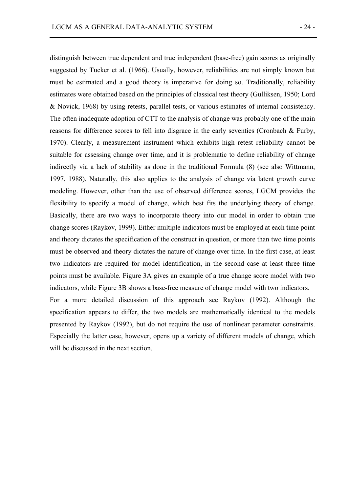distinguish between true dependent and true independent (base-free) gain scores as originally suggested by Tucker et al. (1966). Usually, however, reliabilities are not simply known but must be estimated and a good theory is imperative for doing so. Traditionally, reliability estimates were obtained based on the principles of classical test theory (Gulliksen, 1950; Lord & Novick, 1968) by using retests, parallel tests, or various estimates of internal consistency. The often inadequate adoption of CTT to the analysis of change was probably one of the main reasons for difference scores to fell into disgrace in the early seventies (Cronbach & Furby, 1970). Clearly, a measurement instrument which exhibits high retest reliability cannot be suitable for assessing change over time, and it is problematic to define reliability of change indirectly via a lack of stability as done in the traditional Formula (8) (see also Wittmann, 1997, 1988). Naturally, this also applies to the analysis of change via latent growth curve modeling. However, other than the use of observed difference scores, LGCM provides the flexibility to specify a model of change, which best fits the underlying theory of change. Basically, there are two ways to incorporate theory into our model in order to obtain true change scores (Raykov, 1999). Either multiple indicators must be employed at each time point and theory dictates the specification of the construct in question, or more than two time points must be observed and theory dictates the nature of change over time. In the first case, at least two indicators are required for model identification, in the second case at least three time points must be available. Figure 3A gives an example of a true change score model with two indicators, while Figure 3B shows a base-free measure of change model with two indicators. For a more detailed discussion of this approach see Raykov (1992). Although the specification appears to differ, the two models are mathematically identical to the models

presented by Raykov (1992), but do not require the use of nonlinear parameter constraints. Especially the latter case, however, opens up a variety of different models of change, which will be discussed in the next section.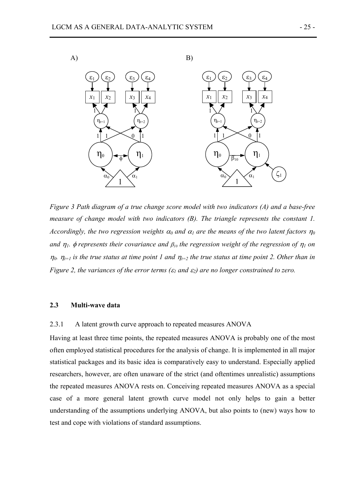

*Figure 3 Path diagram of a true change score model with two indicators (A) and a base-free measure of change model with two indicators (B). The triangle represents the constant 1. Accordingly, the two regression weights*  $\alpha_0$  *and*  $\alpha_1$  *are the means of the two latent factors*  $\eta_0$ *and* η*1.* φ *represents their covariance and* β*10 the regression weight of the regression of* η*1 on*   $n_0$ .  $n_{t-1}$  is the true status at time point 1 and  $n_{t-2}$  the true status at time point 2. Other than in *Figure 2, the variances of the error terms (*ε*1 and* ε*2) are no longer constrained to zero.* 

# **2.3 Multi-wave data**

## 2.3.1 A latent growth curve approach to repeated measures ANOVA

Having at least three time points, the repeated measures ANOVA is probably one of the most often employed statistical procedures for the analysis of change. It is implemented in all major statistical packages and its basic idea is comparatively easy to understand. Especially applied researchers, however, are often unaware of the strict (and oftentimes unrealistic) assumptions the repeated measures ANOVA rests on. Conceiving repeated measures ANOVA as a special case of a more general latent growth curve model not only helps to gain a better understanding of the assumptions underlying ANOVA, but also points to (new) ways how to test and cope with violations of standard assumptions.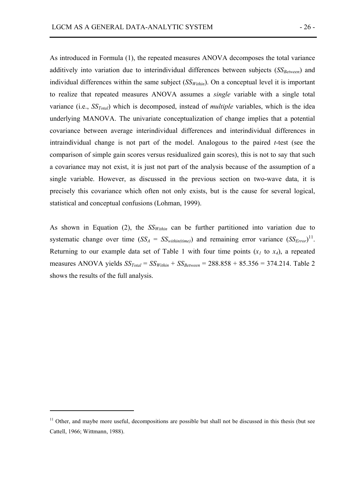As introduced in Formula (1), the repeated measures ANOVA decomposes the total variance additively into variation due to interindividual differences between subjects (*SS<sub>Between</sub>*) and individual differences within the same subject  $(SS<sub>Within</sub>)$ . On a conceptual level it is important to realize that repeated measures ANOVA assumes a *single* variable with a single total variance (i.e., *SSTotal*) which is decomposed, instead of *multiple* variables, which is the idea underlying MANOVA. The univariate conceptualization of change implies that a potential covariance between average interindividual differences and interindividual differences in intraindividual change is not part of the model. Analogous to the paired *t*-test (see the comparison of simple gain scores versus residualized gain scores), this is not to say that such a covariance may not exist, it is just not part of the analysis because of the assumption of a single variable. However, as discussed in the previous section on two-wave data, it is precisely this covariance which often not only exists, but is the cause for several logical, statistical and conceptual confusions (Lohman, 1999).

As shown in Equation (2), the  $SS<sub>Within</sub>$  can be further partitioned into variation due to systematic change over time  $(SS_A = SS_{within(time)})$  and remaining error variance  $(SS_{Error})^{11}$ . Returning to our example data set of Table 1 with four time points  $(x_1$  to  $x_4$ ), a repeated measures ANOVA yields *SSTotal* = *SSWithin* + *SSBetween* = 288.858 + 85.356 = 374.214. Table 2 shows the results of the full analysis.

 $\overline{a}$ 

 $11$  Other, and maybe more useful, decompositions are possible but shall not be discussed in this thesis (but see Cattell, 1966; Wittmann, 1988).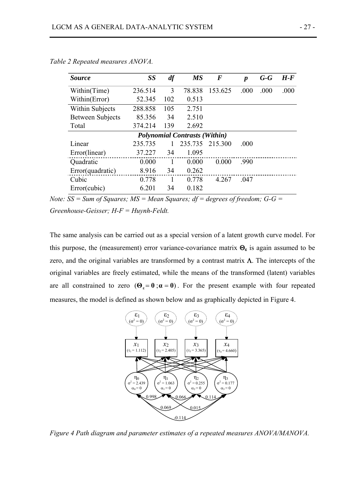| <i>Source</i>                        | <b>SS</b> | df             | <b>MS</b> | $\bm{F}$ | $\boldsymbol{p}$ | $G - G$ | $H$ - $F$ |  |
|--------------------------------------|-----------|----------------|-----------|----------|------------------|---------|-----------|--|
| Within(Time)                         | 236.514   | 3              | 78.838    | 153.625  | .000             | .000    | .000      |  |
| Within(Error)                        | 52.345    | 102            | 0.513     |          |                  |         |           |  |
| <b>Within Subjects</b>               | 288.858   | 105            | 2.751     |          |                  |         |           |  |
| <b>Between Subjects</b>              | 85.356    | 34             | 2.510     |          |                  |         |           |  |
| Total                                | 374.214   | 139            | 2.692     |          |                  |         |           |  |
| <b>Polynomial Contrasts (Within)</b> |           |                |           |          |                  |         |           |  |
| Linear                               | 235.735   | 1              | 235.735   | 215.300  | .000             |         |           |  |
| Error(linear)                        | 37.227    | 34             | 1.095     |          |                  |         |           |  |
| Quadratic                            | 0.000     | $\overline{1}$ | 0.000     | 0.000    | .990             |         |           |  |
| Error(quadratic)                     | 8.916     | 34             | 0.262     |          |                  |         |           |  |
| Cubic                                | 0.778     | $\mathbf{1}$   | 0.778     | 4.267    | .047             |         |           |  |
| Error(cubic)                         | 6.201     | 34             | 0.182     |          |                  |         |           |  |

*Table 2 Repeated measures ANOVA.* 

*Note:*  $\overline{SS}$  = *Sum of Squares; MS = Mean Squares; df = degrees of freedom; G-G = Greenhouse-Geisser; H-F = Huynh-Feldt.*

The same analysis can be carried out as a special version of a latent growth curve model. For this purpose, the (measurement) error variance-covariance matrix  $\Theta_{\varepsilon}$  is again assumed to be zero, and the original variables are transformed by a contrast matrix  $\Lambda$ . The intercepts of the original variables are freely estimated, while the means of the transformed (latent) variables are all constrained to zero  $(\Theta_{\varepsilon} = 0; \alpha = 0)$ . For the present example with four repeated measures, the model is defined as shown below and as graphically depicted in Figure 4.



*Figure 4 Path diagram and parameter estimates of a repeated measures ANOVA/MANOVA.*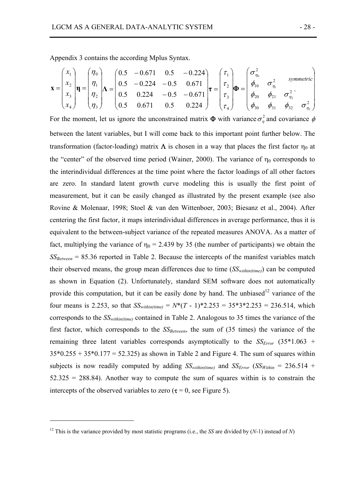Appendix 3 contains the according Mplus Syntax.

$$
\mathbf{x} = \begin{pmatrix} x_1 \\ x_2 \\ x_3 \\ x_4 \end{pmatrix} \mathbf{\eta} = \begin{pmatrix} \eta_0 \\ \eta_1 \\ \eta_2 \\ \eta_3 \end{pmatrix} \mathbf{\Lambda} = \begin{pmatrix} 0.5 & -0.671 & 0.5 & -0.224 \\ 0.5 & -0.224 & -0.5 & 0.671 \\ 0.5 & 0.224 & -0.5 & -0.671 \\ 0.5 & 0.671 & 0.5 & 0.224 \end{pmatrix} \mathbf{t} = \begin{pmatrix} \tau_1 \\ \tau_2 \\ \tau_3 \\ \tau_4 \end{pmatrix} \mathbf{\Phi} = \begin{pmatrix} \sigma_{\eta_0}^2 \\ \phi_{10} & \sigma_{\eta_1}^2 \\ \phi_{20} & \phi_{21} & \sigma_{\eta_2}^2 \\ \phi_{30} & \phi_{31} & \phi_{32} & \sigma_{\eta_3}^2 \end{pmatrix}
$$

For the moment, let us ignore the unconstrained matrix  $\Phi$  with variance  $\sigma_{\eta}^2$  and covariance  $\phi$ between the latent variables, but I will come back to this important point further below. The transformation (factor-loading) matrix  $Λ$  is chosen in a way that places the first factor  $η_0$  at the "center" of the observed time period (Wainer, 2000). The variance of  $\eta_0$  corresponds to the interindividual differences at the time point where the factor loadings of all other factors are zero. In standard latent growth curve modeling this is usually the first point of measurement, but it can be easily changed as illustrated by the present example (see also Rovine & Molenaar, 1998; Stoel & van den Wittenboer, 2003; Biesanz et al., 2004). After centering the first factor, it maps interindividual differences in average performance, thus it is equivalent to the between-subject variance of the repeated measures ANOVA. As a matter of fact, multiplying the variance of  $\eta_0 = 2.439$  by 35 (the number of participants) we obtain the *SSBetween* = 85.36 reported in Table 2. Because the intercepts of the manifest variables match their observed means, the group mean differences due to time (*SSwithin(time)*) can be computed as shown in Equation (2). Unfortunately, standard SEM software does not automatically provide this computation, but it can be easily done by hand. The unbiased $12$  variance of the four means is 2.253, so that  $SS_{within(time)} = N^*(T - 1)^*2.253 = 35*3*2.253 = 236.514$ , which corresponds to the *SSwithin(time)* contained in Table 2. Analogous to 35 times the variance of the first factor, which corresponds to the  $SS_{Between}$ , the sum of (35 times) the variance of the remaining three latent variables corresponds asymptotically to the  $SS<sub>Error</sub>$  (35\*1.063 +  $35*0.255 + 35*0.177 = 52.325$  as shown in Table 2 and Figure 4. The sum of squares within subjects is now readily computed by adding  $SS_{within(time)}$  and  $SS_{Error}$  ( $SS_{Within}$  = 236.514 +  $52.325 = 288.84$ ). Another way to compute the sum of squares within is to constrain the intercepts of the observed variables to zero ( $\tau = 0$ , see Figure 5).

 $\overline{a}$ 

<sup>&</sup>lt;sup>12</sup> This is the variance provided by most statistic programs (i.e., the *SS* are divided by  $(N-1)$  instead of *N*)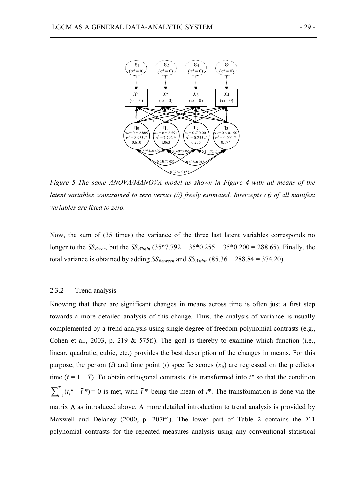

*Figure 5 The same ANOVA/MANOVA model as shown in Figure 4 with all means of the latent variables constrained to zero versus (//) freely estimated. Intercepts (*τ*) of all manifest variables are fixed to zero.* 

Now, the sum of (35 times) the variance of the three last latent variables corresponds no longer to the *SS<sub>Error*</sub>, but the *SS<sub>Within</sub>* (35\*7.792 + 35\*0.255 + 35\*0.200 = 288.65). Finally, the total variance is obtained by adding  $SS_{Between}$  and  $SS_{Within}$  (85.36 + 288.84 = 374.20).

#### 2.3.2 Trend analysis

Knowing that there are significant changes in means across time is often just a first step towards a more detailed analysis of this change. Thus, the analysis of variance is usually complemented by a trend analysis using single degree of freedom polynomial contrasts (e.g., Cohen et al., 2003, p. 219  $&$  575f.). The goal is thereby to examine which function (i.e., linear, quadratic, cubic, etc.) provides the best description of the changes in means. For this purpose, the person (*i*) and time point (*t*) specific scores  $(x_{it})$  are regressed on the predictor time  $(t = 1...T)$ . To obtain orthogonal contrasts, *t* is transformed into  $t^*$  so that the condition  $\sum_{t=1}^{T} (t_t^* - \bar{t}^*) = 0$  is met, with  $\bar{t}^*$  being the mean of  $t^*$ . The transformation is done via the matrix  $\Lambda$  as introduced above. A more detailed introduction to trend analysis is provided by Maxwell and Delaney (2000, p. 207ff.). The lower part of Table 2 contains the *T*-1 polynomial contrasts for the repeated measures analysis using any conventional statistical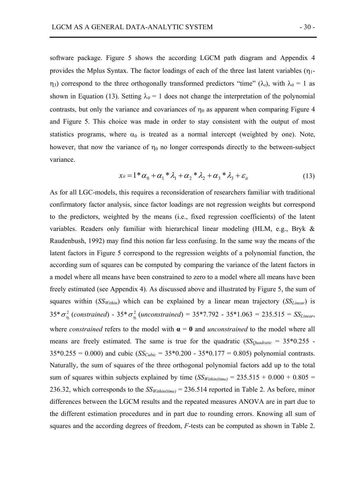software package. Figure 5 shows the according LGCM path diagram and Appendix 4 provides the Mplus Syntax. The factor loadings of each of the three last latent variables  $(\eta_1$  $η_3$ ) correspond to the three orthogonally transformed predictors "time" (λ<sub>t</sub>), with λ<sub>0</sub> = 1 as shown in Equation (13). Setting  $\lambda_0 = 1$  does not change the interpretation of the polynomial contrasts, but only the variance and covariances of  $\eta_0$  as apparent when comparing Figure 4 and Figure 5. This choice was made in order to stay consistent with the output of most statistics programs, where  $\alpha_0$  is treated as a normal intercept (weighted by one). Note, however, that now the variance of  $\eta_0$  no longer corresponds directly to the between-subject variance.

$$
x_{it} = 1^* \alpha_0 + \alpha_1^* \lambda_1 + \alpha_2^* \lambda_2 + \alpha_3^* \lambda_3 + \varepsilon_{it}
$$
 (13)

As for all LGC-models, this requires a reconsideration of researchers familiar with traditional confirmatory factor analysis, since factor loadings are not regression weights but correspond to the predictors, weighted by the means (i.e., fixed regression coefficients) of the latent variables. Readers only familiar with hierarchical linear modeling (HLM, e.g., Bryk & Raudenbush, 1992) may find this notion far less confusing. In the same way the means of the latent factors in Figure 5 correspond to the regression weights of a polynomial function, the according sum of squares can be computed by comparing the variance of the latent factors in a model where all means have been constrained to zero to a model where all means have been freely estimated (see Appendix 4). As discussed above and illustrated by Figure 5, the sum of squares within (*SS<sub>Within</sub>*) which can be explained by a linear mean trajectory (*SS<sub>Linear</sub>*) is  $35* \sigma_{\eta_1}^2$  (constrained) -  $35* \sigma_{\eta_1}^2$  (unconstrained) =  $35*7.792$  -  $35*1.063$  =  $235.515$  =  $SS_{Linear}$ , where *constrained* refers to the model with  $\alpha = 0$  and *unconstrained* to the model where all means are freely estimated. The same is true for the quadratic  $(SS_{Ouadratic} = 35*0.255 35*0.255 = 0.000$ ) and cubic  $(S_{Cubic} = 35*0.200 - 35*0.177 = 0.805)$  polynomial contrasts. Naturally, the sum of squares of the three orthogonal polynomial factors add up to the total sum of squares within subjects explained by time  $(SS<sub>Within(time)</sub> = 235.515 + 0.000 + 0.805 =$ 236.32, which corresponds to the  $SS<sub>Within(time)</sub> = 236.514$  reported in Table 2. As before, minor differences between the LGCM results and the repeated measures ANOVA are in part due to the different estimation procedures and in part due to rounding errors. Knowing all sum of squares and the according degrees of freedom, *F*-tests can be computed as shown in Table 2.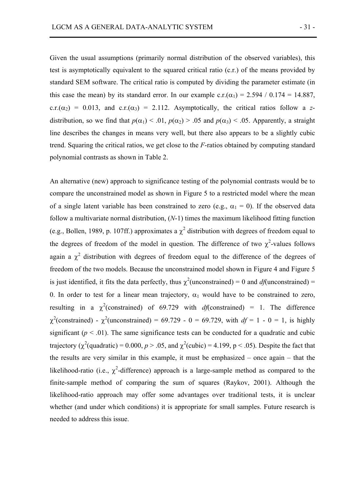Given the usual assumptions (primarily normal distribution of the observed variables), this test is asymptotically equivalent to the squared critical ratio (c.r.) of the means provided by standard SEM software. The critical ratio is computed by dividing the parameter estimate (in this case the mean) by its standard error. In our example c.r.( $\alpha_1$ ) = 2.594 / 0.174 = 14.887, c.r.( $\alpha_2$ ) = 0.013, and c.r.( $\alpha_3$ ) = 2.112. Asymptotically, the critical ratios follow a *z*distribution, so we find that  $p(\alpha_1) < 0.01$ ,  $p(\alpha_2) > 0.05$  and  $p(\alpha_3) < 0.05$ . Apparently, a straight line describes the changes in means very well, but there also appears to be a slightly cubic trend. Squaring the critical ratios, we get close to the *F*-ratios obtained by computing standard polynomial contrasts as shown in Table 2.

An alternative (new) approach to significance testing of the polynomial contrasts would be to compare the unconstrained model as shown in Figure 5 to a restricted model where the mean of a single latent variable has been constrained to zero (e.g.,  $\alpha_1 = 0$ ). If the observed data follow a multivariate normal distribution, (*N*-1) times the maximum likelihood fitting function (e.g., Bollen, 1989, p. 107ff.) approximates a  $\chi^2$  distribution with degrees of freedom equal to the degrees of freedom of the model in question. The difference of two  $\chi^2$ -values follows again a  $\chi^2$  distribution with degrees of freedom equal to the difference of the degrees of freedom of the two models. Because the unconstrained model shown in Figure 4 and Figure 5 is just identified, it fits the data perfectly, thus  $\chi^2$ (unconstrained) = 0 and *df*(unconstrained) = 0. In order to test for a linear mean trajectory,  $\alpha_1$  would have to be constrained to zero, resulting in a  $\chi^2$ (constrained) of 69.729 with *df*(constrained) = 1. The difference  $\chi^2$ (constrained) -  $\chi^2$ (unconstrained) = 69.729 - 0 = 69.729, with  $df = 1 - 0 = 1$ , is highly significant ( $p < .01$ ). The same significance tests can be conducted for a quadratic and cubic trajectory ( $\chi^2$ (quadratic) = 0.000,  $p > .05$ , and  $\chi^2$ (cubic) = 4.199, p < .05). Despite the fact that the results are very similar in this example, it must be emphasized – once again – that the likelihood-ratio (i.e.,  $\chi^2$ -difference) approach is a large-sample method as compared to the finite-sample method of comparing the sum of squares (Raykov, 2001). Although the likelihood-ratio approach may offer some advantages over traditional tests, it is unclear whether (and under which conditions) it is appropriate for small samples. Future research is needed to address this issue.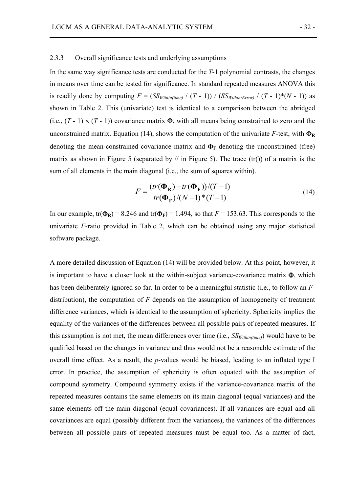## 2.3.3 Overall significance tests and underlying assumptions

In the same way significance tests are conducted for the *T*-1 polynomial contrasts, the changes in means over time can be tested for significance. In standard repeated measures ANOVA this is readily done by computing  $F = (SS_{Within (time)} / (T - 1)) / (SS_{Within (Error)} / (T - 1) * (N - 1))$  as shown in Table 2. This (univariate) test is identical to a comparison between the abridged (i.e.,  $(T - 1) \times (T - 1)$ ) covariance matrix  $\Phi$ , with all means being constrained to zero and the unconstrained matrix. Equation (14), shows the computation of the univariate  $F$ -test, with  $\Phi_R$ denoting the mean-constrained covariance matrix and  $\Phi_F$  denoting the unconstrained (free) matrix as shown in Figure 5 (separated by  $\pi$  in Figure 5). The trace (tr()) of a matrix is the sum of all elements in the main diagonal (i.e., the sum of squares within).

$$
F = \frac{(tr(\Phi_{\mathbf{R}}) - tr(\Phi_{\mathbf{F}}))/(T - 1)}{tr(\Phi_{\mathbf{F}})/(N - 1) \cdot (T - 1)}
$$
(14)

In our example,  $tr(\Phi_R) = 8.246$  and  $tr(\Phi_F) = 1.494$ , so that  $F = 153.63$ . This corresponds to the univariate *F*-ratio provided in Table 2, which can be obtained using any major statistical software package.

A more detailed discussion of Equation (14) will be provided below. At this point, however, it is important to have a closer look at the within-subject variance-covariance matrix  $\Phi$ , which has been deliberately ignored so far. In order to be a meaningful statistic (i.e., to follow an *F*distribution), the computation of *F* depends on the assumption of homogeneity of treatment difference variances, which is identical to the assumption of sphericity. Sphericity implies the equality of the variances of the differences between all possible pairs of repeated measures. If this assumption is not met, the mean differences over time  $(i.e., SS<sub>Within(time</sub>)$  would have to be qualified based on the changes in variance and thus would not be a reasonable estimate of the overall time effect. As a result, the *p*-values would be biased, leading to an inflated type I error. In practice, the assumption of sphericity is often equated with the assumption of compound symmetry. Compound symmetry exists if the variance-covariance matrix of the repeated measures contains the same elements on its main diagonal (equal variances) and the same elements off the main diagonal (equal covariances). If all variances are equal and all covariances are equal (possibly different from the variances), the variances of the differences between all possible pairs of repeated measures must be equal too. As a matter of fact,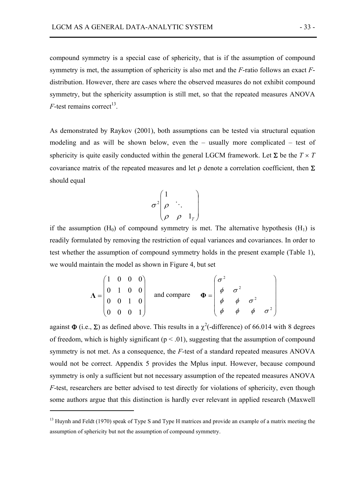compound symmetry is a special case of sphericity, that is if the assumption of compound symmetry is met, the assumption of sphericity is also met and the *F*-ratio follows an exact *F*distribution. However, there are cases where the observed measures do not exhibit compound symmetry, but the sphericity assumption is still met, so that the repeated measures ANOVA  $F$ -test remains correct<sup>13</sup>.

As demonstrated by Raykov (2001), both assumptions can be tested via structural equation modeling and as will be shown below, even the – usually more complicated – test of sphericity is quite easily conducted within the general LGCM framework. Let  $\Sigma$  be the  $T \times T$ covariance matrix of the repeated measures and let  $\rho$  denote a correlation coefficient, then  $\Sigma$ should equal

$$
\sigma^2 \begin{pmatrix} 1 & & \\ \rho & \ddots & \\ \rho & \rho & 1_r \end{pmatrix}
$$

if the assumption  $(H_0)$  of compound symmetry is met. The alternative hypothesis  $(H_1)$  is readily formulated by removing the restriction of equal variances and covariances. In order to test whether the assumption of compound symmetry holds in the present example (Table 1), we would maintain the model as shown in Figure 4, but set

$$
\Lambda = \begin{pmatrix} 1 & 0 & 0 & 0 \\ 0 & 1 & 0 & 0 \\ 0 & 0 & 1 & 0 \\ 0 & 0 & 0 & 1 \end{pmatrix} \quad \text{and compare} \quad \Phi = \begin{pmatrix} \sigma^2 \\ \phi & \sigma^2 \\ \phi & \phi & \sigma^2 \\ \phi & \phi & \phi & \sigma^2 \end{pmatrix}
$$

against  $\Phi$  (i.e.,  $\Sigma$ ) as defined above. This results in a  $\chi^2$  (-difference) of 66.014 with 8 degrees of freedom, which is highly significant ( $p < .01$ ), suggesting that the assumption of compound symmetry is not met. As a consequence, the *F*-test of a standard repeated measures ANOVA would not be correct. Appendix 5 provides the Mplus input. However, because compound symmetry is only a sufficient but not necessary assumption of the repeated measures ANOVA *F*-test, researchers are better advised to test directly for violations of sphericity, even though some authors argue that this distinction is hardly ever relevant in applied research (Maxwell

 $\overline{a}$ 

<sup>&</sup>lt;sup>13</sup> Huynh and Feldt (1970) speak of Type S and Type H matrices and provide an example of a matrix meeting the assumption of sphericity but not the assumption of compound symmetry.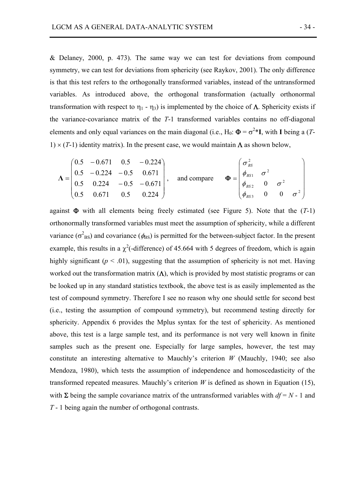& Delaney, 2000, p. 473). The same way we can test for deviations from compound symmetry, we can test for deviations from sphericity (see Raykov, 2001). The only difference is that this test refers to the orthogonally transformed variables, instead of the untransformed variables. As introduced above, the orthogonal transformation (actually orthonormal transformation with respect to  $η_1$  -  $η_3$ ) is implemented by the choice of  $Λ$ . Sphericity exists if the variance-covariance matrix of the *T*-1 transformed variables contains no off-diagonal elements and only equal variances on the main diagonal (i.e., H<sub>0</sub>:  $\Phi = \sigma^{2*}I$ , with I being a (*T*-1)  $\times$  (*T*-1) identity matrix). In the present case, we would maintain  $\Lambda$  as shown below,

$$
\Lambda = \begin{pmatrix} 0.5 & -0.671 & 0.5 & -0.224 \\ 0.5 & -0.224 & -0.5 & 0.671 \\ 0.5 & 0.224 & -0.5 & -0.671 \\ 0.5 & 0.671 & 0.5 & 0.224 \end{pmatrix}, \text{ and compare } \Phi = \begin{pmatrix} \sigma_{BS}^2 & & & \\ \phi_{BS1} & \sigma^2 & & \\ \phi_{BS2} & 0 & \sigma^2 & \\ \phi_{BS3} & 0 & 0 & \sigma^2 \end{pmatrix}
$$

against  $\Phi$  with all elements being freely estimated (see Figure 5). Note that the  $(T-1)$ orthonormally transformed variables must meet the assumption of sphericity, while a different variance ( $\sigma_{BS}^2$ ) and covariance ( $\phi_{BS}$ ) is permitted for the between-subject factor. In the present example, this results in a  $\chi^2$ (-difference) of 45.664 with 5 degrees of freedom, which is again highly significant ( $p < .01$ ), suggesting that the assumption of sphericity is not met. Having worked out the transformation matrix  $(\Lambda)$ , which is provided by most statistic programs or can be looked up in any standard statistics textbook, the above test is as easily implemented as the test of compound symmetry. Therefore I see no reason why one should settle for second best (i.e., testing the assumption of compound symmetry), but recommend testing directly for sphericity. Appendix 6 provides the Mplus syntax for the test of sphericity. As mentioned above, this test is a large sample test, and its performance is not very well known in finite samples such as the present one. Especially for large samples, however, the test may constitute an interesting alternative to Mauchly's criterion *W* (Mauchly, 1940; see also Mendoza, 1980), which tests the assumption of independence and homoscedasticity of the transformed repeated measures. Mauchly's criterion  $W$  is defined as shown in Equation (15), with  $\Sigma$  being the sample covariance matrix of the untransformed variables with  $df = N - 1$  and *T* - 1 being again the number of orthogonal contrasts.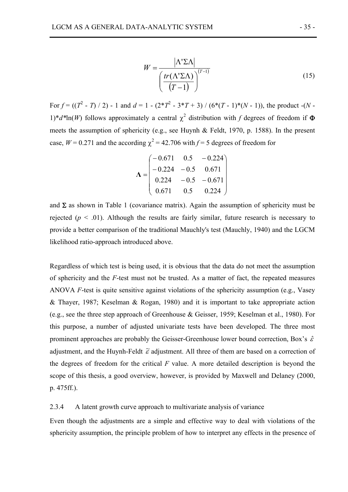$$
W = \frac{|\Lambda' \Sigma \Lambda|}{\left(\frac{tr(\Lambda' \Sigma \Lambda)}{(T-1)}\right)^{(T-1)}}
$$
(15)

For  $f = ((T^2 - T)/2)$  - 1 and  $d = 1 - (2 \cdot T^2 - 3 \cdot T + 3) / (6 \cdot (T - 1) \cdot (N - 1))$ , the product  $-(N - 1)$ 1)<sup>\*</sup> $d^*$ ln(*W*) follows approximately a central  $\chi^2$  distribution with *f* degrees of freedom if  $\Phi$ meets the assumption of sphericity (e.g., see Huynh & Feldt, 1970, p. 1588). In the present case,  $W = 0.271$  and the according  $\chi^2 = 42.706$  with  $f = 5$  degrees of freedom for

$$
\Lambda = \begin{pmatrix}\n-0.671 & 0.5 & -0.224 \\
-0.224 & -0.5 & 0.671 \\
0.224 & -0.5 & -0.671 \\
0.671 & 0.5 & 0.224\n\end{pmatrix}
$$

and  $\Sigma$  as shown in Table 1 (covariance matrix). Again the assumption of sphericity must be rejected ( $p < .01$ ). Although the results are fairly similar, future research is necessary to provide a better comparison of the traditional Mauchly's test (Mauchly, 1940) and the LGCM likelihood ratio-approach introduced above.

Regardless of which test is being used, it is obvious that the data do not meet the assumption of sphericity and the *F*-test must not be trusted. As a matter of fact, the repeated measures ANOVA *F*-test is quite sensitive against violations of the sphericity assumption (e.g., Vasey & Thayer, 1987; Keselman & Rogan, 1980) and it is important to take appropriate action (e.g., see the three step approach of Greenhouse & Geisser, 1959; Keselman et al., 1980). For this purpose, a number of adjusted univariate tests have been developed. The three most prominent approaches are probably the Geisser-Greenhouse lower bound correction, Box's  $\hat{\varepsilon}$ adjustment, and the Huynh-Feldt  $\tilde{\varepsilon}$  adjustment. All three of them are based on a correction of the degrees of freedom for the critical *F* value. A more detailed description is beyond the scope of this thesis, a good overview, however, is provided by Maxwell and Delaney (2000, p. 475ff.).

# 2.3.4 A latent growth curve approach to multivariate analysis of variance

Even though the adjustments are a simple and effective way to deal with violations of the sphericity assumption, the principle problem of how to interpret any effects in the presence of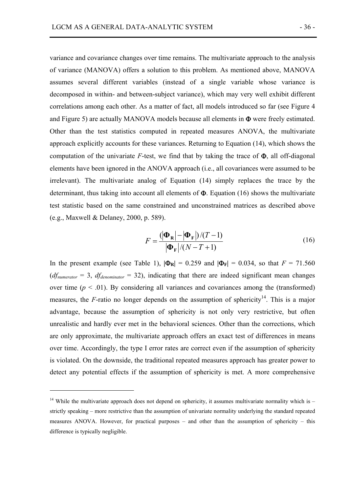variance and covariance changes over time remains. The multivariate approach to the analysis of variance (MANOVA) offers a solution to this problem. As mentioned above, MANOVA assumes several different variables (instead of a single variable whose variance is decomposed in within- and between-subject variance), which may very well exhibit different correlations among each other. As a matter of fact, all models introduced so far (see Figure 4 and Figure 5) are actually MANOVA models because all elements in Φ were freely estimated. Other than the test statistics computed in repeated measures ANOVA, the multivariate approach explicitly accounts for these variances. Returning to Equation (14), which shows the computation of the univariate  $F$ -test, we find that by taking the trace of  $\Phi$ , all off-diagonal elements have been ignored in the ANOVA approach (i.e., all covariances were assumed to be irrelevant). The multivariate analog of Equation (14) simply replaces the trace by the determinant, thus taking into account all elements of  $\Phi$ . Equation (16) shows the multivariate test statistic based on the same constrained and unconstrained matrices as described above (e.g., Maxwell & Delaney, 2000, p. 589).

$$
F = \frac{(|\mathbf{\Phi}_{\mathbf{R}}| - |\mathbf{\Phi}_{\mathbf{F}}|)/(T-1)}{|\mathbf{\Phi}_{\mathbf{F}}|/(N-T+1)}
$$
(16)

In the present example (see Table 1),  $|\Phi_{R}| = 0.259$  and  $|\Phi_{F}| = 0.034$ , so that  $F = 71.560$  $(df_{numerator} = 3, df_{denominator} = 32)$ , indicating that there are indeed significant mean changes over time  $(p < .01)$ . By considering all variances and covariances among the (transformed) measures, the  $F$ -ratio no longer depends on the assumption of sphericity<sup>14</sup>. This is a major advantage, because the assumption of sphericity is not only very restrictive, but often unrealistic and hardly ever met in the behavioral sciences. Other than the corrections, which are only approximate, the multivariate approach offers an exact test of differences in means over time. Accordingly, the type I error rates are correct even if the assumption of sphericity is violated. On the downside, the traditional repeated measures approach has greater power to detect any potential effects if the assumption of sphericity is met. A more comprehensive

 $\overline{a}$ 

<sup>&</sup>lt;sup>14</sup> While the multivariate approach does not depend on sphericity, it assumes multivariate normality which is  $$ strictly speaking – more restrictive than the assumption of univariate normality underlying the standard repeated measures ANOVA. However, for practical purposes – and other than the assumption of sphericity – this difference is typically negligible.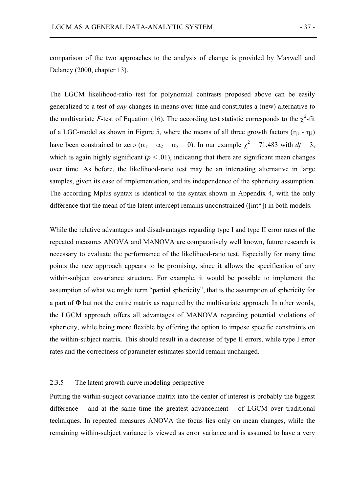The LGCM likelihood-ratio test for polynomial contrasts proposed above can be easily generalized to a test of *any* changes in means over time and constitutes a (new) alternative to the multivariate *F*-test of Equation (16). The according test statistic corresponds to the  $\chi^2$ -fit of a LGC-model as shown in Figure 5, where the means of all three growth factors  $(\eta_1 - \eta_3)$ have been constrained to zero ( $\alpha_1 = \alpha_2 = \alpha_3 = 0$ ). In our example  $\chi^2 = 71.483$  with  $df = 3$ , which is again highly significant ( $p \leq 0.01$ ), indicating that there are significant mean changes over time. As before, the likelihood-ratio test may be an interesting alternative in large samples, given its ease of implementation, and its independence of the sphericity assumption. The according Mplus syntax is identical to the syntax shown in Appendix 4, with the only difference that the mean of the latent intercept remains unconstrained ([int\*]) in both models.

While the relative advantages and disadvantages regarding type I and type II error rates of the repeated measures ANOVA and MANOVA are comparatively well known, future research is necessary to evaluate the performance of the likelihood-ratio test. Especially for many time points the new approach appears to be promising, since it allows the specification of any within-subject covariance structure. For example, it would be possible to implement the assumption of what we might term "partial sphericity", that is the assumption of sphericity for a part of Φ but not the entire matrix as required by the multivariate approach. In other words, the LGCM approach offers all advantages of MANOVA regarding potential violations of sphericity, while being more flexible by offering the option to impose specific constraints on the within-subject matrix. This should result in a decrease of type II errors, while type I error rates and the correctness of parameter estimates should remain unchanged.

## 2.3.5 The latent growth curve modeling perspective

Putting the within-subject covariance matrix into the center of interest is probably the biggest difference – and at the same time the greatest advancement – of LGCM over traditional techniques. In repeated measures ANOVA the focus lies only on mean changes, while the remaining within-subject variance is viewed as error variance and is assumed to have a very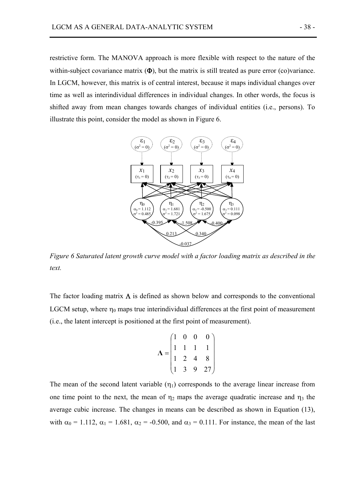restrictive form. The MANOVA approach is more flexible with respect to the nature of the within-subject covariance matrix  $(\Phi)$ , but the matrix is still treated as pure error (co)variance. In LGCM, however, this matrix is of central interest, because it maps individual changes over time as well as interindividual differences in individual changes. In other words, the focus is shifted away from mean changes towards changes of individual entities (i.e., persons). To illustrate this point, consider the model as shown in Figure 6.



*Figure 6 Saturated latent growth curve model with a factor loading matrix as described in the text.* 

The factor loading matrix  $\Lambda$  is defined as shown below and corresponds to the conventional LGCM setup, where  $\eta_0$  maps true interindividual differences at the first point of measurement (i.e., the latent intercept is positioned at the first point of measurement).

$$
\mathbf{\Lambda} = \begin{pmatrix} 1 & 0 & 0 & 0 \\ 1 & 1 & 1 & 1 \\ 1 & 2 & 4 & 8 \\ 1 & 3 & 9 & 27 \end{pmatrix}
$$

The mean of the second latent variable  $(\eta_1)$  corresponds to the average linear increase from one time point to the next, the mean of  $\eta_2$  maps the average quadratic increase and  $\eta_3$  the average cubic increase. The changes in means can be described as shown in Equation (13), with  $\alpha_0 = 1.112$ ,  $\alpha_1 = 1.681$ ,  $\alpha_2 = -0.500$ , and  $\alpha_3 = 0.111$ . For instance, the mean of the last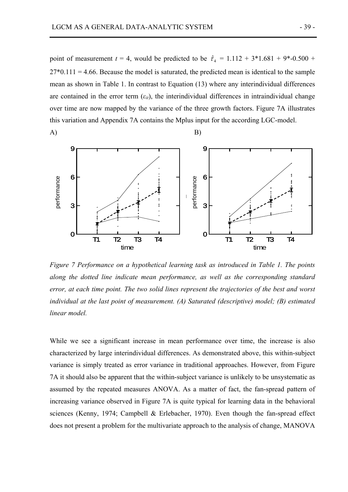$(A)$  B)

point of measurement  $t = 4$ , would be predicted to be  $\hat{\tau}_4 = 1.112 + 3*1.681 + 9*-0.500 +$  $27*0.111 = 4.66$ . Because the model is saturated, the predicted mean is identical to the sample mean as shown in Table 1. In contrast to Equation (13) where any interindividual differences are contained in the error term  $(\varepsilon_{it})$ , the interindividual differences in intraindividual change over time are now mapped by the variance of the three growth factors. Figure 7A illustrates this variation and Appendix 7A contains the Mplus input for the according LGC-model.



*Figure 7 Performance on a hypothetical learning task as introduced in Table 1. The points along the dotted line indicate mean performance, as well as the corresponding standard error, at each time point. The two solid lines represent the trajectories of the best and worst individual at the last point of measurement. (A) Saturated (descriptive) model; (B) estimated linear model.* 

While we see a significant increase in mean performance over time, the increase is also characterized by large interindividual differences. As demonstrated above, this within-subject variance is simply treated as error variance in traditional approaches. However, from Figure 7A it should also be apparent that the within-subject variance is unlikely to be unsystematic as assumed by the repeated measures ANOVA. As a matter of fact, the fan-spread pattern of increasing variance observed in Figure 7A is quite typical for learning data in the behavioral sciences (Kenny, 1974; Campbell & Erlebacher, 1970). Even though the fan-spread effect does not preformance on a hypothetical tearning task as introduced in Table 1. The points<br>along the dotted line indicate mean performance, as well as the corresponding standard<br>error, at each time point. The two solid lin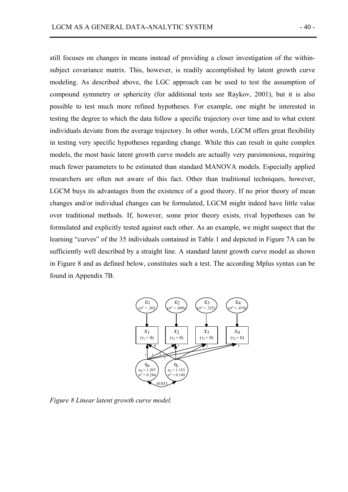still focuses on changes in means instead of providing a closer investigation of the withinsubject covariance matrix. This, however, is readily accomplished by latent growth curve modeling. As described above, the LGC approach can be used to test the assumption of compound symmetry or sphericity (for additional tests see Raykov, 2001), but it is also possible to test much more refined hypotheses. For example, one might be interested in testing the degree to which the data follow a specific trajectory over time and to what extent individuals deviate from the average trajectory. In other words, LGCM offers great flexibility in testing very specific hypotheses regarding change. While this can result in quite complex models, the most basic latent growth curve models are actually very parsimonious, requiring much fewer parameters to be estimated than standard MANOVA models. Especially applied researchers are often not aware of this fact. Other than traditional techniques, however, LGCM buys its advantages from the existence of a good theory. If no prior theory of mean changes and/or individual changes can be formulated, LGCM might indeed have little value over traditional methods. If, however, some prior theory exists, rival hypotheses can be formulated and explicitly tested against each other. As an example, we might suspect that the learning "curves" of the 35 individuals contained in Table 1 and depicted in Figure 7A can be sufficiently well described by a straight line. A standard latent growth curve model as shown in Figure 8 and as defined below, constitutes such a test. The according Mplus syntax can be found in Appendix 7B.



*Figure 8 Linear latent growth curve model.*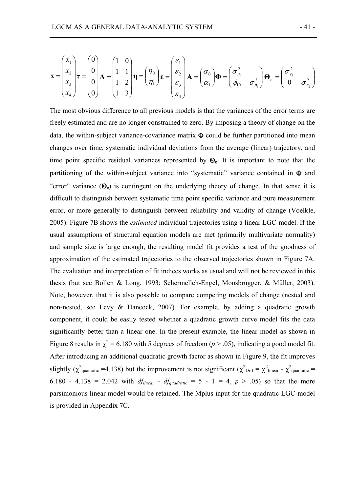$$
\mathbf{x} = \begin{pmatrix} x_1 \\ x_2 \\ x_3 \\ x_4 \end{pmatrix} \mathbf{r} = \begin{pmatrix} 0 \\ 0 \\ 0 \\ 0 \end{pmatrix} \mathbf{\Lambda} = \begin{pmatrix} 1 & 0 \\ 1 & 1 \\ 1 & 2 \\ 1 & 3 \end{pmatrix} \mathbf{\eta} = \begin{pmatrix} \eta_0 \\ \eta_1 \end{pmatrix} \mathbf{\varepsilon} = \begin{pmatrix} \varepsilon_1 \\ \varepsilon_2 \\ \varepsilon_3 \\ \varepsilon_4 \end{pmatrix} \mathbf{\Lambda} = \begin{pmatrix} \sigma_{\eta_0}^2 \\ \sigma_{\eta_0} \\ \sigma_{\eta_1} \end{pmatrix} \mathbf{\Phi} = \begin{pmatrix} \sigma_{\eta_0}^2 \\ \phi_{10} \\ \sigma_{\eta_1}^2 \end{pmatrix} \mathbf{\Theta}_{\varepsilon} = \begin{pmatrix} \sigma_{\varepsilon_1}^2 \\ 0 \\ \sigma_{\varepsilon_2} \end{pmatrix}
$$

The most obvious difference to all previous models is that the variances of the error terms are freely estimated and are no longer constrained to zero. By imposing a theory of change on the data, the within-subject variance-covariance matrix  $\Phi$  could be further partitioned into mean changes over time, systematic individual deviations from the average (linear) trajectory, and time point specific residual variances represented by  $\Theta_{\epsilon}$ . It is important to note that the partitioning of the within-subject variance into "systematic" variance contained in Φ and "error" variance  $(\Theta_{\epsilon})$  is contingent on the underlying theory of change. In that sense it is difficult to distinguish between systematic time point specific variance and pure measurement error, or more generally to distinguish between reliability and validity of change (Voelkle, 2005). Figure 7B shows the *estimated* individual trajectories using a linear LGC-model. If the usual assumptions of structural equation models are met (primarily multivariate normality) and sample size is large enough, the resulting model fit provides a test of the goodness of approximation of the estimated trajectories to the observed trajectories shown in Figure 7A. The evaluation and interpretation of fit indices works as usual and will not be reviewed in this thesis (but see Bollen & Long, 1993; Schermelleh-Engel, Moosbrugger, & Müller, 2003). Note, however, that it is also possible to compare competing models of change (nested and non-nested, see Levy & Hancock, 2007). For example, by adding a quadratic growth component, it could be easily tested whether a quadratic growth curve model fits the data significantly better than a linear one. In the present example, the linear model as shown in Figure 8 results in  $\chi^2$  = 6.180 with 5 degrees of freedom ( $p > .05$ ), indicating a good model fit. After introducing an additional quadratic growth factor as shown in Figure 9, the fit improves slightly ( $\chi^2$ <sub>quadratic</sub> =4.138) but the improvement is not significant ( $\chi^2$ <sub>Diff</sub> =  $\chi^2$ <sub>linear</sub> -  $\chi^2$ <sub>quadratic</sub> = 6.180 - 4.138 = 2.042 with *df*<sub>linear</sub> - *df*<sub>quadratic</sub> = 5 - 1 = 4,  $p > .05$ ) so that the more parsimonious linear model would be retained. The Mplus input for the quadratic LGC-model is provided in Appendix 7C.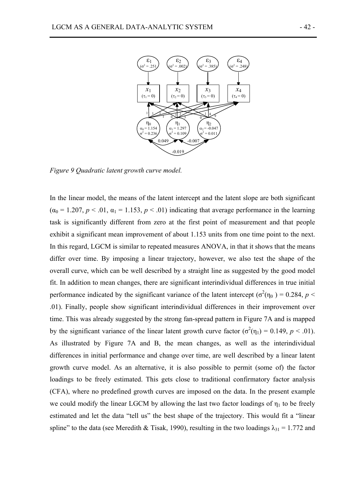

*Figure 9 Quadratic latent growth curve model.* 

In the linear model, the means of the latent intercept and the latent slope are both significant  $(\alpha_0 = 1.207, p < .01, \alpha_1 = 1.153, p < .01)$  indicating that average performance in the learning task is significantly different from zero at the first point of measurement and that people exhibit a significant mean improvement of about 1.153 units from one time point to the next. In this regard, LGCM is similar to repeated measures ANOVA, in that it shows that the means differ over time. By imposing a linear trajectory, however, we also test the shape of the overall curve, which can be well described by a straight line as suggested by the good model fit. In addition to mean changes, there are significant interindividual differences in true initial performance indicated by the significant variance of the latent intercept ( $\sigma^2(\eta_0) = 0.284$ ,  $p <$ .01). Finally, people show significant interindividual differences in their improvement over time. This was already suggested by the strong fan-spread pattern in Figure 7A and is mapped by the significant variance of the linear latent growth curve factor  $(\sigma^2(\eta_1) = 0.149, p < .01)$ . As illustrated by Figure 7A and B, the mean changes, as well as the interindividual differences in initial performance and change over time, are well described by a linear latent growth curve model. As an alternative, it is also possible to permit (some of) the factor loadings to be freely estimated. This gets close to traditional confirmatory factor analysis (CFA), where no predefined growth curves are imposed on the data. In the present example we could modify the linear LGCM by allowing the last two factor loadings of  $\eta_1$  to be freely estimated and let the data "tell us" the best shape of the trajectory. This would fit a "linear spline" to the data (see Meredith & Tisak, 1990), resulting in the two loadings  $\lambda_{31} = 1.772$  and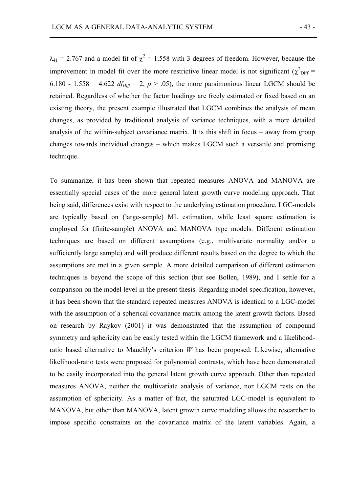$\lambda_{41}$  = 2.767 and a model fit of  $\chi^2$  = 1.558 with 3 degrees of freedom. However, because the improvement in model fit over the more restrictive linear model is not significant ( $\chi^2$ <sub>Diff</sub> = 6.180 - 1.558 = 4.622  $df_{Diff}$  = 2,  $p > .05$ ), the more parsimonious linear LGCM should be retained. Regardless of whether the factor loadings are freely estimated or fixed based on an existing theory, the present example illustrated that LGCM combines the analysis of mean changes, as provided by traditional analysis of variance techniques, with a more detailed analysis of the within-subject covariance matrix. It is this shift in focus – away from group changes towards individual changes – which makes LGCM such a versatile and promising technique.

To summarize, it has been shown that repeated measures ANOVA and MANOVA are essentially special cases of the more general latent growth curve modeling approach. That being said, differences exist with respect to the underlying estimation procedure. LGC-models are typically based on (large-sample) ML estimation, while least square estimation is employed for (finite-sample) ANOVA and MANOVA type models. Different estimation techniques are based on different assumptions (e.g., multivariate normality and/or a sufficiently large sample) and will produce different results based on the degree to which the assumptions are met in a given sample. A more detailed comparison of different estimation techniques is beyond the scope of this section (but see Bollen, 1989), and I settle for a comparison on the model level in the present thesis. Regarding model specification, however, it has been shown that the standard repeated measures ANOVA is identical to a LGC-model with the assumption of a spherical covariance matrix among the latent growth factors. Based on research by Raykov (2001) it was demonstrated that the assumption of compound symmetry and sphericity can be easily tested within the LGCM framework and a likelihoodratio based alternative to Mauchly's criterion *W* has been proposed. Likewise, alternative likelihood-ratio tests were proposed for polynomial contrasts, which have been demonstrated to be easily incorporated into the general latent growth curve approach. Other than repeated measures ANOVA, neither the multivariate analysis of variance, nor LGCM rests on the assumption of sphericity. As a matter of fact, the saturated LGC-model is equivalent to MANOVA, but other than MANOVA, latent growth curve modeling allows the researcher to impose specific constraints on the covariance matrix of the latent variables. Again, a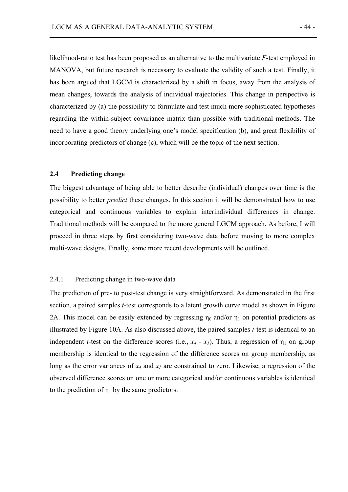likelihood-ratio test has been proposed as an alternative to the multivariate *F*-test employed in MANOVA, but future research is necessary to evaluate the validity of such a test. Finally, it has been argued that LGCM is characterized by a shift in focus, away from the analysis of mean changes, towards the analysis of individual trajectories. This change in perspective is characterized by (a) the possibility to formulate and test much more sophisticated hypotheses regarding the within-subject covariance matrix than possible with traditional methods. The need to have a good theory underlying one's model specification (b), and great flexibility of incorporating predictors of change (c), which will be the topic of the next section.

#### **2.4 Predicting change**

The biggest advantage of being able to better describe (individual) changes over time is the possibility to better *predict* these changes. In this section it will be demonstrated how to use categorical and continuous variables to explain interindividual differences in change. Traditional methods will be compared to the more general LGCM approach. As before, I will proceed in three steps by first considering two-wave data before moving to more complex multi-wave designs. Finally, some more recent developments will be outlined.

# 2.4.1 Predicting change in two-wave data

The prediction of pre- to post-test change is very straightforward. As demonstrated in the first section, a paired samples *t*-test corresponds to a latent growth curve model as shown in Figure 2A. This model can be easily extended by regressing  $\eta_0$  and/or  $\eta_1$  on potential predictors as illustrated by Figure 10A. As also discussed above, the paired samples *t*-test is identical to an independent *t*-test on the difference scores (i.e.,  $x_4 - x_1$ ). Thus, a regression of  $\eta_1$  on group membership is identical to the regression of the difference scores on group membership, as long as the error variances of *x4* and *x1* are constrained to zero. Likewise, a regression of the observed difference scores on one or more categorical and/or continuous variables is identical to the prediction of  $\eta_1$  by the same predictors.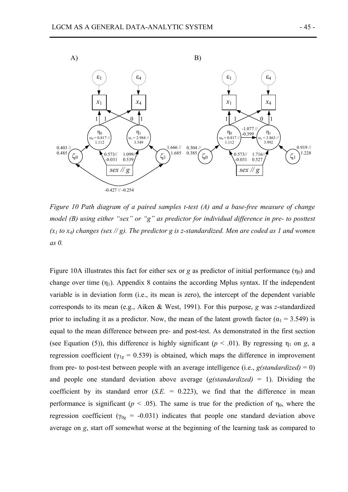

*Figure 10 Path diagram of a paired samples t-test (A) and a base-free measure of change model (B) using either "sex" or "g" as predictor for individual difference in pre- to posttest*   $(x_1$  to  $x_4$ ) changes (sex  $\frac{1}{2}$ ). The predictor g is z-standardized. Men are coded as 1 and women *as 0.* 

Figure 10A illustrates this fact for either sex or  $g$  as predictor of initial performance  $(\eta_0)$  and change over time  $(\eta_1)$ . Appendix 8 contains the according Mplus syntax. If the independent variable is in deviation form (i.e., its mean is zero), the intercept of the dependent variable corresponds to its mean (e.g., Aiken & West, 1991). For this purpose, *g* was *z*-standardized prior to including it as a predictor. Now, the mean of the latent growth factor ( $\alpha_1$  = 3.549) is equal to the mean difference between pre- and post-test. As demonstrated in the first section (see Equation (5)), this difference is highly significant ( $p < .01$ ). By regressing  $\eta_1$  on *g*, a regression coefficient ( $\gamma_{1g}$  = 0.539) is obtained, which maps the difference in improvement from pre- to post-test between people with an average intelligence (i.e.,  $g(t \nland \text{and} \text{ar}{\text{d}t} = 0)$ ) and people one standard deviation above average (*g(standardized)* = 1). Dividing the coefficient by its standard error  $(S.E. = 0.223)$ , we find that the difference in mean performance is significant ( $p < .05$ ). The same is true for the prediction of  $\eta_0$ , where the regression coefficient ( $\gamma_{0g}$  = -0.031) indicates that people one standard deviation above average on *g*, start off somewhat worse at the beginning of the learning task as compared to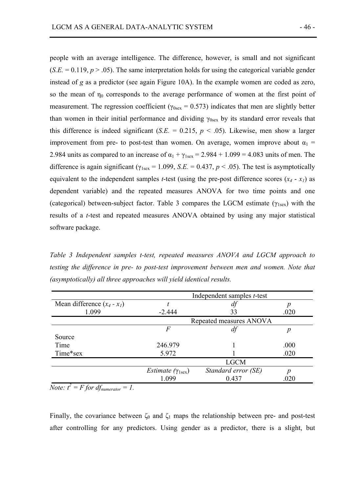people with an average intelligence. The difference, however, is small and not significant  $(S.E. = 0.119, p > .05)$ . The same interpretation holds for using the categorical variable gender instead of *g* as a predictor (see again Figure 10A). In the example women are coded as zero, so the mean of  $\eta_0$  corresponds to the average performance of women at the first point of measurement. The regression coefficient ( $\gamma_{0sex}$  = 0.573) indicates that men are slightly better than women in their initial performance and dividing  $\gamma_{0$ sex by its standard error reveals that this difference is indeed significant (*S.E.* = 0.215,  $p < .05$ ). Likewise, men show a larger improvement from pre- to post-test than women. On average, women improve about  $\alpha_1$  = 2.984 units as compared to an increase of  $\alpha_1 + \gamma_{\text{1sex}} = 2.984 + 1.099 = 4.083$  units of men. The difference is again significant ( $\gamma_{1\text{sex}} = 1.099$ , *S.E.* = 0.437, *p* < .05). The test is asymptotically equivalent to the independent samples *t*-test (using the pre-post difference scores  $(x_4 - x_1)$  as dependent variable) and the repeated measures ANOVA for two time points and one (categorical) between-subject factor. Table 3 compares the LGCM estimate  $(\gamma_{1\text{sex}})$  with the results of a *t*-test and repeated measures ANOVA obtained by using any major statistical software package.

*Table 3 Independent samples t-test, repeated measures ANOVA and LGCM approach to testing the difference in pre- to post-test improvement between men and women. Note that (asymptotically) all three approaches will yield identical results.* 

|                               | Independent samples <i>t</i> -test         |                     |      |  |  |
|-------------------------------|--------------------------------------------|---------------------|------|--|--|
| Mean difference $(x_4 - x_1)$ |                                            | df                  |      |  |  |
| 1.099                         | $-2.444$                                   | 33                  | .020 |  |  |
|                               | Repeated measures ANOVA                    |                     |      |  |  |
|                               | F                                          | df                  |      |  |  |
| Source                        |                                            |                     |      |  |  |
| Time                          | 246.979                                    |                     | .000 |  |  |
| Time*sex                      | 5.972                                      |                     | .020 |  |  |
|                               |                                            | <b>LGCM</b>         |      |  |  |
|                               | <i>Estimate</i> ( $\gamma_{1\text{sex}}$ ) | Standard error (SE) | р    |  |  |
| Ā                             | 1.099                                      | 0.437               | .020 |  |  |

*Note:*  $t^2 = F$  *for df*<sub>numerator</sub> = 1.

Finally, the covariance between  $\zeta_0$  and  $\zeta_1$  maps the relationship between pre- and post-test after controlling for any predictors. Using gender as a predictor, there is a slight, but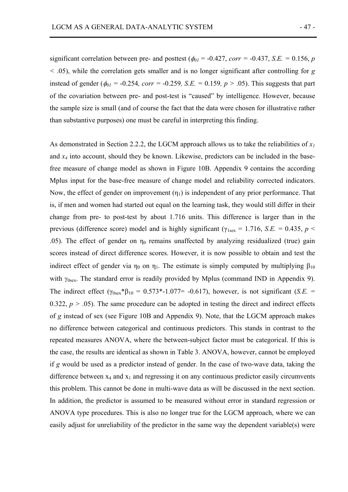significant correlation between pre- and posttest ( $\phi_{0I}$  = -0.427, *corr* = -0.437, *S.E.* = 0.156, *p <* .05), while the correlation gets smaller and is no longer significant after controlling for *g* instead of gender ( $\phi_{01}$  = -0.254*, corr* = -0.259*, S.E.* = 0.159*, p* > .05). This suggests that part of the covariation between pre- and post-test is "caused" by intelligence. However, because the sample size is small (and of course the fact that the data were chosen for illustrative rather than substantive purposes) one must be careful in interpreting this finding.

As demonstrated in Section 2.2.2, the LGCM approach allows us to take the reliabilities of  $x_1$ and *x4* into account, should they be known. Likewise, predictors can be included in the basefree measure of change model as shown in Figure 10B. Appendix 9 contains the according Mplus input for the base-free measure of change model and reliability corrected indicators. Now, the effect of gender on improvement  $(\eta_1)$  is independent of any prior performance. That is, if men and women had started out equal on the learning task, they would still differ in their change from pre- to post-test by about 1.716 units. This difference is larger than in the previous (difference score) model and is highly significant ( $\gamma_{1\text{sex}} = 1.716$ , *S.E.* = 0.435, *p* < .05). The effect of gender on  $\eta_0$  remains unaffected by analyzing residualized (true) gain scores instead of direct difference scores. However, it is now possible to obtain and test the indirect effect of gender via  $η_0$  on  $η_1$ . The estimate is simply computed by multiplying  $β_{10}$ with  $\gamma_{0sex}$ . The standard error is readily provided by Mplus (command IND in Appendix 9). The indirect effect ( $\gamma_{0sex}$ <sup>\*</sup> $\beta_{10}$  = 0.573<sup>\*</sup>-1.077= -0.617), however, is not significant (*S.E.* = 0.322,  $p > 0.05$ ). The same procedure can be adopted in testing the direct and indirect effects of *g* instead of sex (see Figure 10B and Appendix 9). Note, that the LGCM approach makes no difference between categorical and continuous predictors. This stands in contrast to the repeated measures ANOVA, where the between-subject factor must be categorical. If this is the case, the results are identical as shown in Table 3. ANOVA, however, cannot be employed if *g* would be used as a predictor instead of gender. In the case of two-wave data, taking the difference between  $x_4$  and  $x_1$  and regressing it on any continuous predictor easily circumvents this problem. This cannot be done in multi-wave data as will be discussed in the next section. In addition, the predictor is assumed to be measured without error in standard regression or ANOVA type procedures. This is also no longer true for the LGCM approach, where we can easily adjust for unreliability of the predictor in the same way the dependent variable(s) were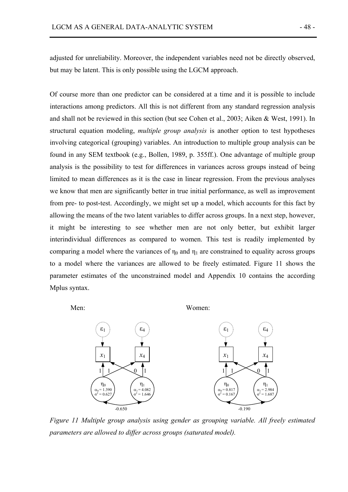adjusted for unreliability. Moreover, the independent variables need not be directly observed, but may be latent. This is only possible using the LGCM approach.

Of course more than one predictor can be considered at a time and it is possible to include interactions among predictors. All this is not different from any standard regression analysis and shall not be reviewed in this section (but see Cohen et al., 2003; Aiken & West, 1991). In structural equation modeling, *multiple group analysis* is another option to test hypotheses involving categorical (grouping) variables. An introduction to multiple group analysis can be found in any SEM textbook (e.g., Bollen, 1989, p. 355ff.). One advantage of multiple group analysis is the possibility to test for differences in variances across groups instead of being limited to mean differences as it is the case in linear regression. From the previous analyses we know that men are significantly better in true initial performance, as well as improvement from pre- to post-test. Accordingly, we might set up a model, which accounts for this fact by allowing the means of the two latent variables to differ across groups. In a next step, however, it might be interesting to see whether men are not only better, but exhibit larger interindividual differences as compared to women. This test is readily implemented by comparing a model where the variances of  $\eta_0$  and  $\eta_1$  are constrained to equality across groups to a model where the variances are allowed to be freely estimated. Figure 11 shows the parameter estimates of the unconstrained model and Appendix 10 contains the according Mplus syntax.

Men: Women:



*Figure 11 Multiple group analysis using gender as grouping variable. All freely estimated parameters are allowed to differ across groups (saturated model).*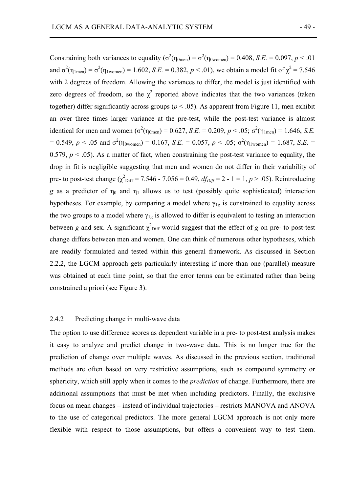Constraining both variances to equality ( $\sigma^2(\eta_{\text{0men}}) = \sigma^2(\eta_{\text{0women}}) = 0.408$ , *S.E.* = 0.097, *p* < .01 and  $\sigma^2(\eta_{1men}) = \sigma^2(\eta_{1women}) = 1.602$ , *S.E.* = 0.382, *p* < .01), we obtain a model fit of  $\chi^2 = 7.546$ with 2 degrees of freedom. Allowing the variances to differ, the model is just identified with zero degrees of freedom, so the  $\chi^2$  reported above indicates that the two variances (taken together) differ significantly across groups ( $p < .05$ ). As apparent from Figure 11, men exhibit an over three times larger variance at the pre-test, while the post-test variance is almost identical for men and women ( $\sigma^2(\eta_{\text{0men}}) = 0.627$ , *S.E.* = 0.209,  $p < .05$ ;  $\sigma^2(\eta_{\text{1men}}) = 1.646$ , *S.E.*  $= 0.549, p < .05$  and  $\sigma^2(\eta_{0women}) = 0.167, S.E. = 0.057, p < .05; \sigma^2(\eta_{1women}) = 1.687, S.E. = 0.057$ 0.579,  $p < 0.05$ ). As a matter of fact, when constraining the post-test variance to equality, the drop in fit is negligible suggesting that men and women do not differ in their variability of pre- to post-test change  $(\chi^2_{\text{Diff}} = 7.546 - 7.056 = 0.49, df_{\text{Diff}} = 2 - 1 = 1, p > .05)$ . Reintroducing *g* as a predictor of  $\eta_0$  and  $\eta_1$  allows us to test (possibly quite sophisticated) interaction hypotheses. For example, by comparing a model where  $\gamma_{1g}$  is constrained to equality across the two groups to a model where  $\gamma_{1g}$  is allowed to differ is equivalent to testing an interaction between *g* and sex. A significant  $\chi^2_{\text{Diff}}$  would suggest that the effect of *g* on pre- to post-test change differs between men and women. One can think of numerous other hypotheses, which are readily formulated and tested within this general framework. As discussed in Section 2.2.2, the LGCM approach gets particularly interesting if more than one (parallel) measure was obtained at each time point, so that the error terms can be estimated rather than being constrained a priori (see Figure 3).

## 2.4.2 Predicting change in multi-wave data

The option to use difference scores as dependent variable in a pre- to post-test analysis makes it easy to analyze and predict change in two-wave data. This is no longer true for the prediction of change over multiple waves. As discussed in the previous section, traditional methods are often based on very restrictive assumptions, such as compound symmetry or sphericity, which still apply when it comes to the *prediction* of change. Furthermore, there are additional assumptions that must be met when including predictors. Finally, the exclusive focus on mean changes – instead of individual trajectories – restricts MANOVA and ANOVA to the use of categorical predictors. The more general LGCM approach is not only more flexible with respect to those assumptions, but offers a convenient way to test them.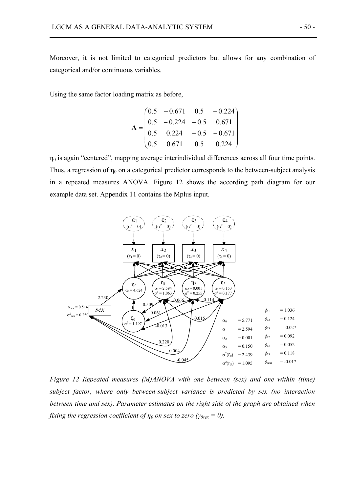Moreover, it is not limited to categorical predictors but allows for any combination of categorical and/or continuous variables.

Using the same factor loading matrix as before,

$$
\mathbf{\Lambda} = \begin{pmatrix} 0.5 & -0.671 & 0.5 & -0.224 \\ 0.5 & -0.224 & -0.5 & 0.671 \\ 0.5 & 0.224 & -0.5 & -0.671 \\ 0.5 & 0.671 & 0.5 & 0.224 \end{pmatrix}
$$

 $\eta_0$  is again "centered", mapping average interindividual differences across all four time points. Thus, a regression of  $\eta_0$  on a categorical predictor corresponds to the between-subject analysis in a repeated measures ANOVA. Figure 12 shows the according path diagram for our example data set. Appendix 11 contains the Mplus input.



*Figure 12 Repeated measures (M)ANOVA with one between (sex) and one within (time) subject factor, where only between-subject variance is predicted by sex (no interaction between time and sex). Parameter estimates on the right side of the graph are obtained when fixing the regression coefficient of*  $\eta_0$  *on sex to zero (* $\gamma_{0sex} = 0$ *).*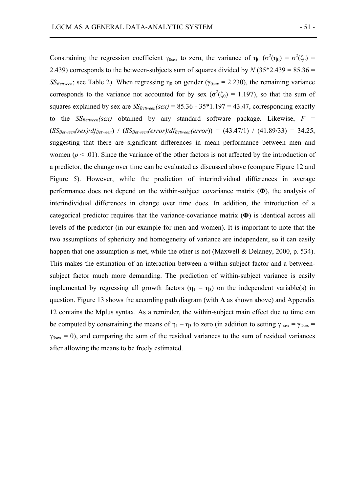after allowing the means to be freely estimated.

Constraining the regression coefficient  $\gamma_{0sex}$  to zero, the variance of  $\eta_0$  ( $\sigma^2(\eta_0) = \sigma^2(\zeta_0)$ ) 2.439) corresponds to the between-subjects sum of squares divided by  $N(35*2.439 = 85.36 =$ *SS<sub>Between</sub>*; see Table 2). When regressing  $\eta_0$  on gender ( $\gamma_{0sex}$  = 2.230), the remaining variance corresponds to the variance not accounted for by sex ( $\sigma^2(\zeta_0) = 1.197$ ), so that the sum of squares explained by sex are  $SS_{Beween}(sex) = 85.36 - 35*1.197 = 43.47$ , corresponding exactly to the  $SS_{Between}(sex)$  obtained by any standard software package. Likewise,  $F =$  $(SS_{Between}(sex)/df_{Between})$  /  $(SS_{Between}(error)/df_{Between}(error)) = (43.47/1)$  /  $(41.89/33) = 34.25$ , suggesting that there are significant differences in mean performance between men and women ( $p < .01$ ). Since the variance of the other factors is not affected by the introduction of a predictor, the change over time can be evaluated as discussed above (compare Figure 12 and Figure 5). However, while the prediction of interindividual differences in average performance does not depend on the within-subject covariance matrix (**Φ**), the analysis of interindividual differences in change over time does. In addition, the introduction of a categorical predictor requires that the variance-covariance matrix (**Φ**) is identical across all levels of the predictor (in our example for men and women). It is important to note that the two assumptions of sphericity and homogeneity of variance are independent, so it can easily happen that one assumption is met, while the other is not (Maxwell & Delaney, 2000, p. 534). This makes the estimation of an interaction between a within-subject factor and a betweensubject factor much more demanding. The prediction of within-subject variance is easily implemented by regressing all growth factors  $(\eta_1 - \eta_3)$  on the independent variable(s) in question. Figure 13 shows the according path diagram (with **Λ** as shown above) and Appendix 12 contains the Mplus syntax. As a reminder, the within-subject main effect due to time can be computed by constraining the means of  $\eta_1 - \eta_3$  to zero (in addition to setting  $\gamma_{1sex} = \gamma_{2sex}$  $\gamma_{3sex} = 0$ ), and comparing the sum of the residual variances to the sum of residual variances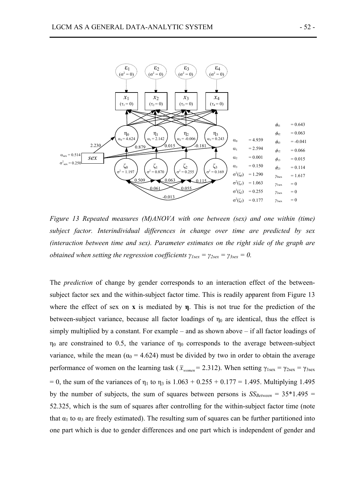

*Figure 13 Repeated measures (M)ANOVA with one between (sex) and one within (time) subject factor. Interindividual differences in change over time are predicted by sex (interaction between time and sex). Parameter estimates on the right side of the graph are obtained when setting the regression coefficients*  $\gamma_{Isex} = \gamma_{2sex} = \gamma_{3sex} = 0$ *.* 

The *prediction* of change by gender corresponds to an interaction effect of the betweensubject factor sex and the within-subject factor time. This is readily apparent from Figure 13 where the effect of sex on **x** is mediated by **η**. This is not true for the prediction of the between-subject variance, because all factor loadings of  $\eta_0$  are identical, thus the effect is simply multiplied by a constant. For example – and as shown above – if all factor loadings of  $η<sub>0</sub>$  are constrained to 0.5, the variance of  $η<sub>0</sub>$  corresponds to the average between-subject variance, while the mean ( $\alpha_0$  = 4.624) must be divided by two in order to obtain the average performance of women on the learning task ( $\bar{x}_{vomen} = 2.312$ ). When setting  $\gamma_{1sex} = \gamma_{2sex} = \gamma_{3sex}$  $= 0$ , the sum of the variances of  $n_1$  to  $n_3$  is  $1.063 + 0.255 + 0.177 = 1.495$ . Multiplying 1.495 by the number of subjects, the sum of squares between persons is  $SS_{Between} = 35*1.495$  = 52.325, which is the sum of squares after controlling for the within-subject factor time (note that  $\alpha_1$  to  $\alpha_3$  are freely estimated). The resulting sum of squares can be further partitioned into one part which is due to gender differences and one part which is independent of gender and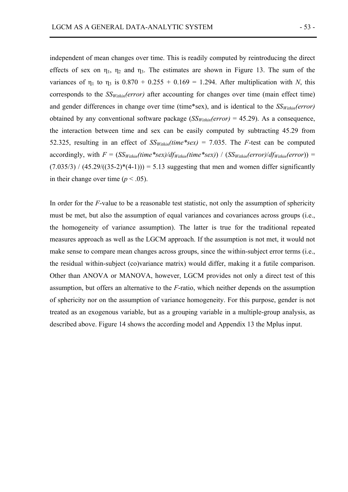independent of mean changes over time. This is readily computed by reintroducing the direct effects of sex on  $\eta_1$ ,  $\eta_2$  and  $\eta_3$ . The estimates are shown in Figure 13. The sum of the variances of  $\eta_1$  to  $\eta_3$  is 0.870 + 0.255 + 0.169 = 1.294. After multiplication with *N*, this corresponds to the *SSWithin(error)* after accounting for changes over time (main effect time) and gender differences in change over time (time\*sex), and is identical to the  $SS<sub>Within</sub>(error)$ obtained by any conventional software package  $(S\mathcal{S}_{\text{Within}}(error) = 45.29)$ . As a consequence, the interaction between time and sex can be easily computed by subtracting 45.29 from 52.325, resulting in an effect of  $SS<sub>Within</sub>(time*sex) = 7.035$ . The *F*-test can be computed accordingly, with  $F = (SS_{Within}(time * sex)/df_{Within}(time * sex)) / (SS_{Within}(error)/df_{Within}(error)) =$  $(7.035/3) / (45.29/((35-2)*(4-1))) = 5.13$  suggesting that men and women differ significantly in their change over time ( $p < .05$ ).

In order for the *F*-value to be a reasonable test statistic, not only the assumption of sphericity must be met, but also the assumption of equal variances and covariances across groups (i.e., the homogeneity of variance assumption). The latter is true for the traditional repeated measures approach as well as the LGCM approach. If the assumption is not met, it would not make sense to compare mean changes across groups, since the within-subject error terms (i.e., the residual within-subject (co)variance matrix) would differ, making it a futile comparison. Other than ANOVA or MANOVA, however, LGCM provides not only a direct test of this assumption, but offers an alternative to the *F*-ratio, which neither depends on the assumption of sphericity nor on the assumption of variance homogeneity. For this purpose, gender is not treated as an exogenous variable, but as a grouping variable in a multiple-group analysis, as described above. Figure 14 shows the according model and Appendix 13 the Mplus input.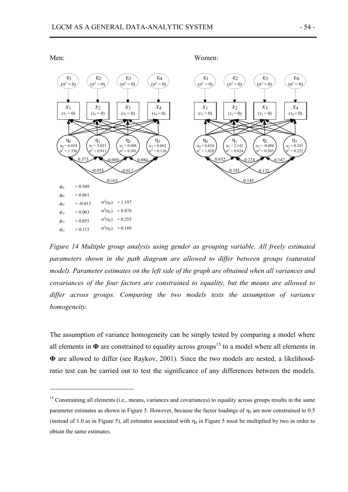

*Figure 14 Multiple group analysis using gender as grouping variable. All freely estimated parameters shown in the path diagram are allowed to differ between groups (saturated model). Parameter estimates on the left side of the graph are obtained when all variances and covariances of the four factors are constrained to equality, but the means are allowed to differ across groups. Comparing the two models tests the assumption of variance homogeneity.* 

The assumption of variance homogeneity can be simply tested by comparing a model where all elements in  $\Phi$  are constrained to equality across groups<sup>15</sup> to a model where all elements in **Φ** are allowed to differ (see Raykov, 2001). Since the two models are nested, a likelihoodratio test can be carried out to test the significance of any differences between the models.

Men: Women:

 $\overline{a}$ 

<sup>&</sup>lt;sup>15</sup> Constraining all elements (i.e., means, variances and covariances) to equality across groups results in the same parameter estimates as shown in Figure 5. However, because the factor loadings of  $\eta_0$  are now constrained to 0.5 (instead of 1.0 as in Figure 5), all estimates associated with  $\eta_0$  in Figure 5 must be multiplied by two in order to obtain the same estimates.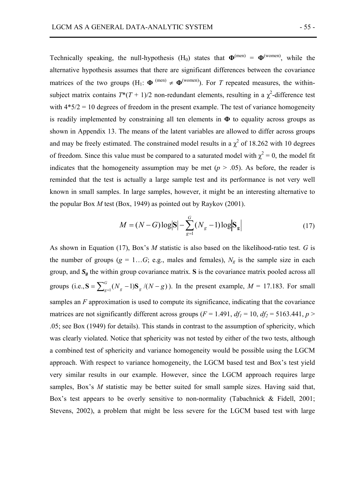Technically speaking, the null-hypothesis  $(H_0)$  states that  $\Phi^{(men)} = \Phi^{(women)}$ , while the alternative hypothesis assumes that there are significant differences between the covariance matrices of the two groups (H<sub>1</sub>:  $\Phi^{(men)} \neq \Phi^{(women)}$ ). For *T* repeated measures, the withinsubject matrix contains  $T^*(T+1)/2$  non-redundant elements, resulting in a  $\chi^2$ -difference test with  $4*5/2 = 10$  degrees of freedom in the present example. The test of variance homogeneity is readily implemented by constraining all ten elements in **Φ** to equality across groups as shown in Appendix 13. The means of the latent variables are allowed to differ across groups and may be freely estimated. The constrained model results in a  $\chi^2$  of 18.262 with 10 degrees of freedom. Since this value must be compared to a saturated model with  $\chi^2 = 0$ , the model fit indicates that the homogeneity assumption may be met  $(p > .05)$ . As before, the reader is reminded that the test is actually a large sample test and its performance is not very well known in small samples. In large samples, however, it might be an interesting alternative to the popular Box *M* test (Box, 1949) as pointed out by Raykov (2001).

$$
M = (N - G)\log|\mathbf{S}| - \sum_{g=1}^{G} (N_g - 1)\log|\mathbf{S}_g|
$$
 (17)

As shown in Equation (17), Box's *M* statistic is also based on the likelihood-ratio test. *G* is the number of groups ( $g = 1...G$ ; e.g., males and females),  $N_g$  is the sample size in each group, and  $S_g$  the within group covariance matrix. S is the covariance matrix pooled across all groups (i.e.,  $S = \sum_{g=1}^{G} (N_g - 1) S_g / (N - g)$ ). In the present example,  $M = 17.183$ . For small samples an *F* approximation is used to compute its significance, indicating that the covariance matrices are not significantly different across groups ( $F = 1.491$ ,  $df_1 = 10$ ,  $df_2 = 5163.441$ ,  $p >$ .05; see Box (1949) for details). This stands in contrast to the assumption of sphericity, which was clearly violated. Notice that sphericity was not tested by either of the two tests, although a combined test of sphericity and variance homogeneity would be possible using the LGCM approach. With respect to variance homogeneity, the LGCM based test and Box's test yield very similar results in our example. However, since the LGCM approach requires large samples, Box's *M* statistic may be better suited for small sample sizes. Having said that, Box's test appears to be overly sensitive to non-normality (Tabachnick & Fidell, 2001; Stevens, 2002), a problem that might be less severe for the LGCM based test with large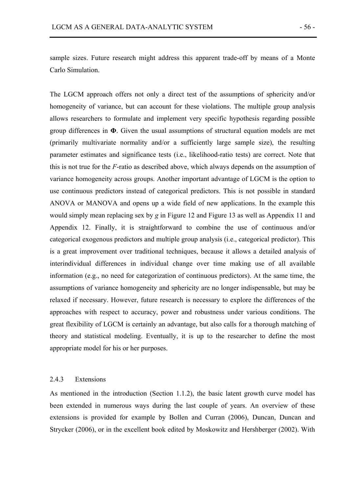sample sizes. Future research might address this apparent trade-off by means of a Monte Carlo Simulation.

The LGCM approach offers not only a direct test of the assumptions of sphericity and/or homogeneity of variance, but can account for these violations. The multiple group analysis allows researchers to formulate and implement very specific hypothesis regarding possible group differences in **Φ**. Given the usual assumptions of structural equation models are met (primarily multivariate normality and/or a sufficiently large sample size), the resulting parameter estimates and significance tests (i.e., likelihood-ratio tests) are correct. Note that this is not true for the *F*-ratio as described above, which always depends on the assumption of variance homogeneity across groups. Another important advantage of LGCM is the option to use continuous predictors instead of categorical predictors. This is not possible in standard ANOVA or MANOVA and opens up a wide field of new applications. In the example this would simply mean replacing sex by *g* in Figure 12 and Figure 13 as well as Appendix 11 and Appendix 12. Finally, it is straightforward to combine the use of continuous and/or categorical exogenous predictors and multiple group analysis (i.e., categorical predictor). This is a great improvement over traditional techniques, because it allows a detailed analysis of interindividual differences in individual change over time making use of all available information (e.g., no need for categorization of continuous predictors). At the same time, the assumptions of variance homogeneity and sphericity are no longer indispensable, but may be relaxed if necessary. However, future research is necessary to explore the differences of the approaches with respect to accuracy, power and robustness under various conditions. The great flexibility of LGCM is certainly an advantage, but also calls for a thorough matching of theory and statistical modeling. Eventually, it is up to the researcher to define the most appropriate model for his or her purposes.

### 2.4.3 Extensions

As mentioned in the introduction (Section 1.1.2), the basic latent growth curve model has been extended in numerous ways during the last couple of years. An overview of these extensions is provided for example by Bollen and Curran (2006), Duncan, Duncan and Strycker (2006), or in the excellent book edited by Moskowitz and Hershberger (2002). With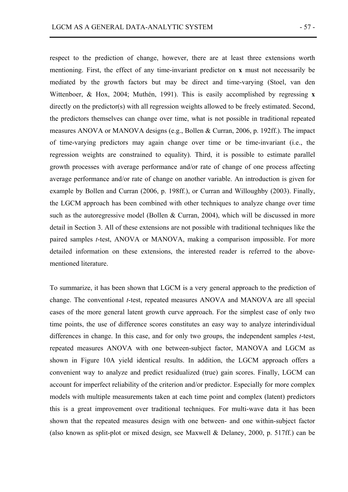respect to the prediction of change, however, there are at least three extensions worth mentioning. First, the effect of any time-invariant predictor on **x** must not necessarily be mediated by the growth factors but may be direct and time-varying (Stoel, van den Wittenboer, & Hox, 2004; Muthén, 1991). This is easily accomplished by regressing **x** directly on the predictor(s) with all regression weights allowed to be freely estimated. Second, the predictors themselves can change over time, what is not possible in traditional repeated measures ANOVA or MANOVA designs (e.g., Bollen & Curran, 2006, p. 192ff.). The impact of time-varying predictors may again change over time or be time-invariant (i.e., the regression weights are constrained to equality). Third, it is possible to estimate parallel growth processes with average performance and/or rate of change of one process affecting average performance and/or rate of change on another variable. An introduction is given for example by Bollen and Curran (2006, p. 198ff.), or Curran and Willoughby (2003). Finally, the LGCM approach has been combined with other techniques to analyze change over time such as the autoregressive model (Bollen & Curran, 2004), which will be discussed in more detail in Section 3. All of these extensions are not possible with traditional techniques like the paired samples *t*-test, ANOVA or MANOVA, making a comparison impossible. For more detailed information on these extensions, the interested reader is referred to the abovementioned literature.

To summarize, it has been shown that LGCM is a very general approach to the prediction of change. The conventional *t*-test, repeated measures ANOVA and MANOVA are all special cases of the more general latent growth curve approach. For the simplest case of only two time points, the use of difference scores constitutes an easy way to analyze interindividual differences in change. In this case, and for only two groups, the independent samples *t*-test, repeated measures ANOVA with one between-subject factor, MANOVA and LGCM as shown in Figure 10A yield identical results. In addition, the LGCM approach offers a convenient way to analyze and predict residualized (true) gain scores. Finally, LGCM can account for imperfect reliability of the criterion and/or predictor. Especially for more complex models with multiple measurements taken at each time point and complex (latent) predictors this is a great improvement over traditional techniques. For multi-wave data it has been shown that the repeated measures design with one between- and one within-subject factor (also known as split-plot or mixed design, see Maxwell & Delaney, 2000, p. 517ff.) can be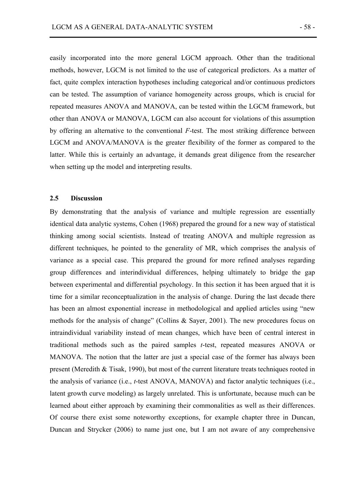easily incorporated into the more general LGCM approach. Other than the traditional methods, however, LGCM is not limited to the use of categorical predictors. As a matter of fact, quite complex interaction hypotheses including categorical and/or continuous predictors can be tested. The assumption of variance homogeneity across groups, which is crucial for repeated measures ANOVA and MANOVA, can be tested within the LGCM framework, but other than ANOVA or MANOVA, LGCM can also account for violations of this assumption by offering an alternative to the conventional *F*-test. The most striking difference between LGCM and ANOVA/MANOVA is the greater flexibility of the former as compared to the latter. While this is certainly an advantage, it demands great diligence from the researcher when setting up the model and interpreting results.

# **2.5 Discussion**

By demonstrating that the analysis of variance and multiple regression are essentially identical data analytic systems, Cohen (1968) prepared the ground for a new way of statistical thinking among social scientists. Instead of treating ANOVA and multiple regression as different techniques, he pointed to the generality of MR, which comprises the analysis of variance as a special case. This prepared the ground for more refined analyses regarding group differences and interindividual differences, helping ultimately to bridge the gap between experimental and differential psychology. In this section it has been argued that it is time for a similar reconceptualization in the analysis of change. During the last decade there has been an almost exponential increase in methodological and applied articles using "new methods for the analysis of change" (Collins & Sayer, 2001). The new procedures focus on intraindividual variability instead of mean changes, which have been of central interest in traditional methods such as the paired samples *t*-test, repeated measures ANOVA or MANOVA. The notion that the latter are just a special case of the former has always been present (Meredith & Tisak, 1990), but most of the current literature treats techniques rooted in the analysis of variance (i.e., *t*-test ANOVA, MANOVA) and factor analytic techniques (i.e., latent growth curve modeling) as largely unrelated. This is unfortunate, because much can be learned about either approach by examining their commonalities as well as their differences. Of course there exist some noteworthy exceptions, for example chapter three in Duncan, Duncan and Strycker (2006) to name just one, but I am not aware of any comprehensive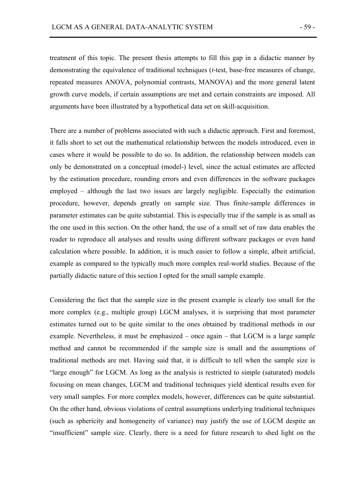treatment of this topic. The present thesis attempts to fill this gap in a didactic manner by demonstrating the equivalence of traditional techniques (*t*-test, base-free measures of change, repeated measures ANOVA, polynomial contrasts, MANOVA) and the more general latent growth curve models, if certain assumptions are met and certain constraints are imposed. All arguments have been illustrated by a hypothetical data set on skill-acquisition.

There are a number of problems associated with such a didactic approach. First and foremost, it falls short to set out the mathematical relationship between the models introduced, even in cases where it would be possible to do so. In addition, the relationship between models can only be demonstrated on a conceptual (model-) level, since the actual estimates are affected by the estimation procedure, rounding errors and even differences in the software packages employed – although the last two issues are largely negligible. Especially the estimation procedure, however, depends greatly on sample size. Thus finite-sample differences in parameter estimates can be quite substantial. This is especially true if the sample is as small as the one used in this section. On the other hand, the use of a small set of raw data enables the reader to reproduce all analyses and results using different software packages or even hand calculation where possible. In addition, it is much easier to follow a simple, albeit artificial, example as compared to the typically much more complex real-world studies. Because of the partially didactic nature of this section I opted for the small sample example.

Considering the fact that the sample size in the present example is clearly too small for the more complex (e.g., multiple group) LGCM analyses, it is surprising that most parameter estimates turned out to be quite similar to the ones obtained by traditional methods in our example. Nevertheless, it must be emphasized – once again – that LGCM is a large sample method and cannot be recommended if the sample size is small and the assumptions of traditional methods are met. Having said that, it is difficult to tell when the sample size is "large enough" for LGCM. As long as the analysis is restricted to simple (saturated) models focusing on mean changes, LGCM and traditional techniques yield identical results even for very small samples. For more complex models, however, differences can be quite substantial. On the other hand, obvious violations of central assumptions underlying traditional techniques (such as sphericity and homogeneity of variance) may justify the use of LGCM despite an "insufficient" sample size. Clearly, there is a need for future research to shed light on the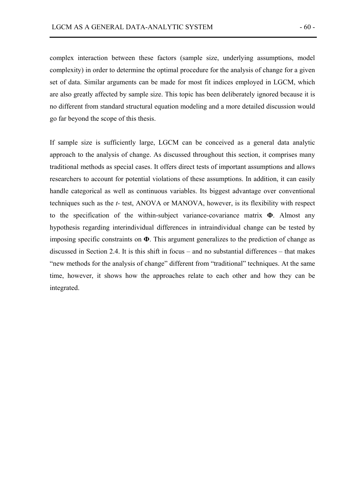complex interaction between these factors (sample size, underlying assumptions, model complexity) in order to determine the optimal procedure for the analysis of change for a given set of data. Similar arguments can be made for most fit indices employed in LGCM, which are also greatly affected by sample size. This topic has been deliberately ignored because it is no different from standard structural equation modeling and a more detailed discussion would go far beyond the scope of this thesis.

If sample size is sufficiently large, LGCM can be conceived as a general data analytic approach to the analysis of change. As discussed throughout this section, it comprises many traditional methods as special cases. It offers direct tests of important assumptions and allows researchers to account for potential violations of these assumptions. In addition, it can easily handle categorical as well as continuous variables. Its biggest advantage over conventional techniques such as the *t-* test, ANOVA or MANOVA, however, is its flexibility with respect to the specification of the within-subject variance-covariance matrix **Φ**. Almost any hypothesis regarding interindividual differences in intraindividual change can be tested by imposing specific constraints on **Φ**. This argument generalizes to the prediction of change as discussed in Section 2.4. It is this shift in focus – and no substantial differences – that makes "new methods for the analysis of change" different from "traditional" techniques. At the same time, however, it shows how the approaches relate to each other and how they can be integrated.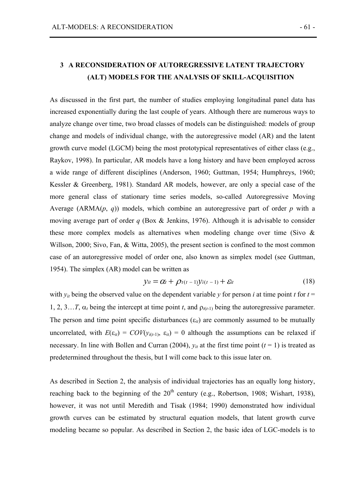# **3 A RECONSIDERATION OF AUTOREGRESSIVE LATENT TRAJECTORY (ALT) MODELS FOR THE ANALYSIS OF SKILL-ACQUISITION**

As discussed in the first part, the number of studies employing longitudinal panel data has increased exponentially during the last couple of years. Although there are numerous ways to analyze change over time, two broad classes of models can be distinguished: models of group change and models of individual change, with the autoregressive model (AR) and the latent growth curve model (LGCM) being the most prototypical representatives of either class (e.g., Raykov, 1998). In particular, AR models have a long history and have been employed across a wide range of different disciplines (Anderson, 1960; Guttman, 1954; Humphreys, 1960; Kessler & Greenberg, 1981). Standard AR models, however, are only a special case of the more general class of stationary time series models, so-called Autoregressive Moving Average (ARMA(*p*, *q*)) models, which combine an autoregressive part of order *p* with a moving average part of order *q* (Box & Jenkins, 1976). Although it is advisable to consider these more complex models as alternatives when modeling change over time (Sivo  $\&$ Willson, 2000; Sivo, Fan, & Witta, 2005), the present section is confined to the most common case of an autoregressive model of order one, also known as simplex model (see Guttman, 1954). The simplex (AR) model can be written as

$$
y_{it} = \alpha_t + \rho_{t(t-1)}y_{i(t-1)} + \varepsilon_{it}
$$
\n(18)

with  $y_{it}$  being the observed value on the dependent variable *y* for person *i* at time point *t* for  $t =$ 1, 2, 3... T,  $\alpha_t$  being the intercept at time point *t*, and  $\rho_{t(t-1)}$  being the autoregressive parameter. The person and time point specific disturbances  $(\varepsilon_i)$  are commonly assumed to be mutually uncorrelated, with  $E(\varepsilon_{it}) = \frac{COV(y_{i(t-1)}, \varepsilon_{it})}{\varepsilon_{it}} = 0$  although the assumptions can be relaxed if necessary. In line with Bollen and Curran (2004),  $y_{it}$  at the first time point ( $t = 1$ ) is treated as predetermined throughout the thesis, but I will come back to this issue later on.

As described in Section 2, the analysis of individual trajectories has an equally long history, reaching back to the beginning of the  $20<sup>th</sup>$  century (e.g., Robertson, 1908; Wishart, 1938), however, it was not until Meredith and Tisak (1984; 1990) demonstrated how individual growth curves can be estimated by structural equation models, that latent growth curve modeling became so popular. As described in Section 2, the basic idea of LGC-models is to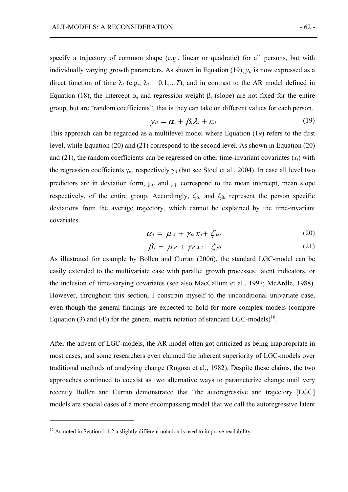specify a trajectory of common shape (e.g., linear or quadratic) for all persons, but with individually varying growth parameters. As shown in Equation  $(19)$ ,  $y_{it}$  is now expressed as a direct function of time  $\lambda_t$  (e.g.,  $\lambda_t = 0,1,...T$ ), and in contrast to the AR model defined in Equation (18), the intercept  $\alpha_i$  and regression weight  $\beta_i$  (slope) are not fixed for the entire group, but are "random coefficients", that is they can take on different values for each person.

$$
y_{it} = \alpha_i + \beta_i \lambda_t + \varepsilon_{it} \tag{19}
$$

This approach can be regarded as a multilevel model where Equation (19) refers to the first level, while Equation (20) and (21) correspond to the second level. As shown in Equation (20) and  $(21)$ , the random coefficients can be regressed on other time-invariant covariates  $(x<sub>i</sub>)$  with the regression coefficients  $\gamma_{\alpha}$ , respectively  $\gamma_{\beta}$  (but see Stoel et al., 2004). In case all level two predictors are in deviation form,  $\mu_{\alpha}$  and  $\mu_{\beta}$  correspond to the mean intercept, mean slope respectively, of the entire group. Accordingly, ζα*i* and ζβ*i* represent the person specific deviations from the average trajectory, which cannot be explained by the time-invariant covariates.

$$
\alpha_i = \mu_a + \gamma_a x_i + \zeta_{ai} \tag{20}
$$

$$
\beta_i = \mu_\beta + \gamma_\beta x_i + \zeta_{\beta i} \tag{21}
$$

As illustrated for example by Bollen and Curran (2006), the standard LGC-model can be easily extended to the multivariate case with parallel growth processes, latent indicators, or the inclusion of time-varying covariates (see also MacCallum et al., 1997; McArdle, 1988). However, throughout this section, I constrain myself to the unconditional univariate case, even though the general findings are expected to hold for more complex models (compare Equation (3) and (4)) for the general matrix notation of standard LGC-models)<sup>16</sup>.

After the advent of LGC-models, the AR model often got criticized as being inappropriate in most cases, and some researchers even claimed the inherent superiority of LGC-models over traditional methods of analyzing change (Rogosa et al., 1982). Despite these claims, the two approaches continued to coexist as two alternative ways to parameterize change until very recently Bollen and Curran demonstrated that "the autoregressive and trajectory [LGC] models are special cases of a more encompassing model that we call the autoregressive latent

 $\overline{a}$ 

 $16$  As noted in Section 1.1.2 a slightly different notation is used to improve readability.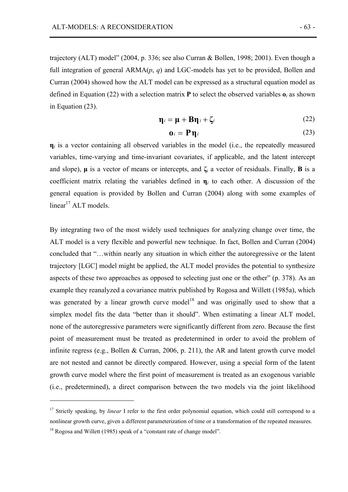trajectory (ALT) model" (2004, p. 336; see also Curran & Bollen, 1998; 2001). Even though a full integration of general ARMA(*p*, *q*) and LGC-models has yet to be provided, Bollen and Curran (2004) showed how the ALT model can be expressed as a structural equation model as defined in Equation (22) with a selection matrix **P** to select the observed variables  $\mathbf{o}_i$  as shown in Equation (23).

$$
\mathbf{\eta}_i = \mathbf{\mu} + \mathbf{B} \mathbf{\eta}_i + \zeta_i \tag{22}
$$

$$
\mathbf{0}_i = \mathbf{P} \mathbf{\eta}_i \tag{23}
$$

 $\eta_i$  is a vector containing all observed variables in the model (i.e., the repeatedly measured variables, time-varying and time-invariant covariates, if applicable, and the latent intercept and slope), **µ** is a vector of means or intercepts, and **ζ***i* a vector of residuals. Finally, **Β** is a coefficient matrix relating the variables defined in **η***i* to each other. A discussion of the general equation is provided by Bollen and Curran (2004) along with some examples of  $linear<sup>17</sup>$  ALT models.

By integrating two of the most widely used techniques for analyzing change over time, the ALT model is a very flexible and powerful new technique. In fact, Bollen and Curran (2004) concluded that "…within nearly any situation in which either the autoregressive or the latent trajectory [LGC] model might be applied, the ALT model provides the potential to synthesize aspects of these two approaches as opposed to selecting just one or the other" (p. 378). As an example they reanalyzed a covariance matrix published by Rogosa and Willett (1985a), which was generated by a linear growth curve model<sup>18</sup> and was originally used to show that a simplex model fits the data "better than it should". When estimating a linear ALT model, none of the autoregressive parameters were significantly different from zero. Because the first point of measurement must be treated as predetermined in order to avoid the problem of infinite regress (e.g., Bollen & Curran, 2006, p. 211), the AR and latent growth curve model are not nested and cannot be directly compared. However, using a special form of the latent growth curve model where the first point of measurement is treated as an exogenous variable (i.e., predetermined), a direct comparison between the two models via the joint likelihood

 $\overline{a}$ 

<sup>&</sup>lt;sup>17</sup> Strictly speaking, by *linear* I refer to the first order polynomial equation, which could still correspond to a nonlinear growth curve, given a different parameterization of time or a transformation of the repeated measures.

<sup>&</sup>lt;sup>18</sup> Rogosa and Willett (1985) speak of a "constant rate of change model".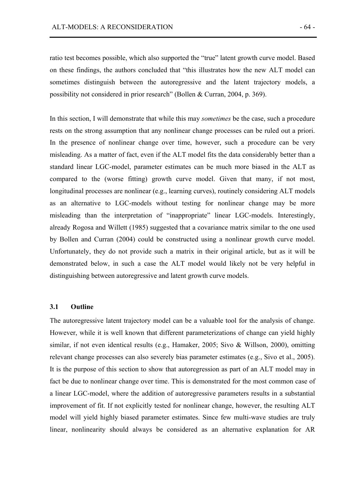ratio test becomes possible, which also supported the "true" latent growth curve model. Based on these findings, the authors concluded that "this illustrates how the new ALT model can sometimes distinguish between the autoregressive and the latent trajectory models, a possibility not considered in prior research" (Bollen & Curran, 2004, p. 369).

In this section, I will demonstrate that while this may *sometimes* be the case, such a procedure rests on the strong assumption that any nonlinear change processes can be ruled out a priori. In the presence of nonlinear change over time, however, such a procedure can be very misleading. As a matter of fact, even if the ALT model fits the data considerably better than a standard linear LGC-model, parameter estimates can be much more biased in the ALT as compared to the (worse fitting) growth curve model. Given that many, if not most, longitudinal processes are nonlinear (e.g., learning curves), routinely considering ALT models as an alternative to LGC-models without testing for nonlinear change may be more misleading than the interpretation of "inappropriate" linear LGC-models. Interestingly, already Rogosa and Willett (1985) suggested that a covariance matrix similar to the one used by Bollen and Curran (2004) could be constructed using a nonlinear growth curve model. Unfortunately, they do not provide such a matrix in their original article, but as it will be demonstrated below, in such a case the ALT model would likely not be very helpful in distinguishing between autoregressive and latent growth curve models.

## **3.1 Outline**

The autoregressive latent trajectory model can be a valuable tool for the analysis of change. However, while it is well known that different parameterizations of change can yield highly similar, if not even identical results (e.g., Hamaker, 2005; Sivo & Willson, 2000), omitting relevant change processes can also severely bias parameter estimates (e.g., Sivo et al., 2005). It is the purpose of this section to show that autoregression as part of an ALT model may in fact be due to nonlinear change over time. This is demonstrated for the most common case of a linear LGC-model, where the addition of autoregressive parameters results in a substantial improvement of fit. If not explicitly tested for nonlinear change, however, the resulting ALT model will yield highly biased parameter estimates. Since few multi-wave studies are truly linear, nonlinearity should always be considered as an alternative explanation for AR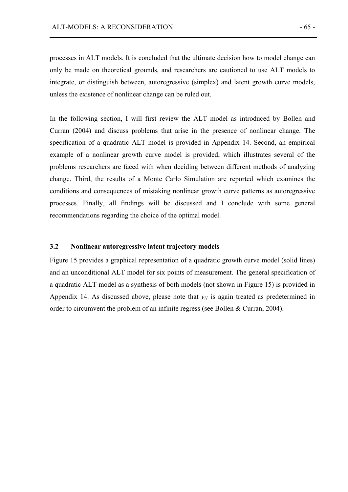processes in ALT models. It is concluded that the ultimate decision how to model change can only be made on theoretical grounds, and researchers are cautioned to use ALT models to integrate, or distinguish between, autoregressive (simplex) and latent growth curve models, unless the existence of nonlinear change can be ruled out.

In the following section, I will first review the ALT model as introduced by Bollen and Curran (2004) and discuss problems that arise in the presence of nonlinear change. The specification of a quadratic ALT model is provided in Appendix 14. Second, an empirical example of a nonlinear growth curve model is provided, which illustrates several of the problems researchers are faced with when deciding between different methods of analyzing change. Third, the results of a Monte Carlo Simulation are reported which examines the conditions and consequences of mistaking nonlinear growth curve patterns as autoregressive processes. Finally, all findings will be discussed and I conclude with some general recommendations regarding the choice of the optimal model.

# **3.2 Nonlinear autoregressive latent trajectory models**

Figure 15 provides a graphical representation of a quadratic growth curve model (solid lines) and an unconditional ALT model for six points of measurement. The general specification of a quadratic ALT model as a synthesis of both models (not shown in Figure 15) is provided in Appendix 14. As discussed above, please note that  $y_{il}$  is again treated as predetermined in order to circumvent the problem of an infinite regress (see Bollen & Curran, 2004).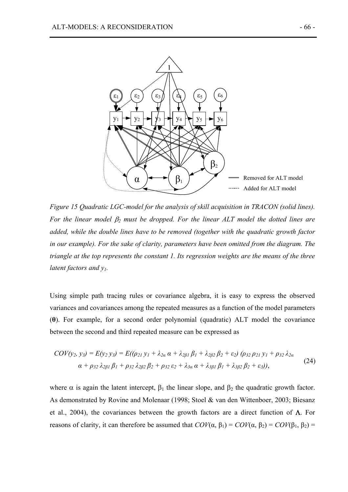

*Figure 15 Quadratic LGC-model for the analysis of skill acquisition in TRACON (solid lines). For the linear model* β*2 must be dropped. For the linear ALT model the dotted lines are added, while the double lines have to be removed (together with the quadratic growth factor in our example). For the sake of clarity, parameters have been omitted from the diagram. The triangle at the top represents the constant 1. Its regression weights are the means of the three latent factors and y1.* 

Using simple path tracing rules or covariance algebra, it is easy to express the observed variances and covariances among the repeated measures as a function of the model parameters (**θ**). For example, for a second order polynomial (quadratic) ALT model the covariance between the second and third repeated measure can be expressed as

$$
COV(y_2, y_3) = E(y_2 y_3) = E((\rho_{21} y_1 + \lambda_{2\alpha} \alpha + \lambda_{2\beta 1} \beta_1 + \lambda_{2\beta 2} \beta_2 + \varepsilon_2) (\rho_{32} \rho_{21} y_1 + \rho_{32} \lambda_{2\alpha} \alpha + \rho_{32} \lambda_{2\beta 1} \beta_1 + \rho_{32} \lambda_{2\beta 2} \beta_2 + \rho_{32} \varepsilon_2 + \lambda_{3\alpha} \alpha + \lambda_{3\beta 1} \beta_1 + \lambda_{3\beta 2} \beta_2 + \varepsilon_3)),
$$
\n(24)

where  $\alpha$  is again the latent intercept,  $\beta_1$  the linear slope, and  $\beta_2$  the quadratic growth factor. As demonstrated by Rovine and Molenaar (1998; Stoel & van den Wittenboer, 2003; Biesanz et al., 2004), the covariances between the growth factors are a direct function of  $\Lambda$ . For reasons of clarity, it can therefore be assumed that  $COV$ (α, β<sub>1</sub>) =  $COV$ (α, β<sub>2</sub>) =  $COV$ (β<sub>1</sub>, β<sub>2</sub>) =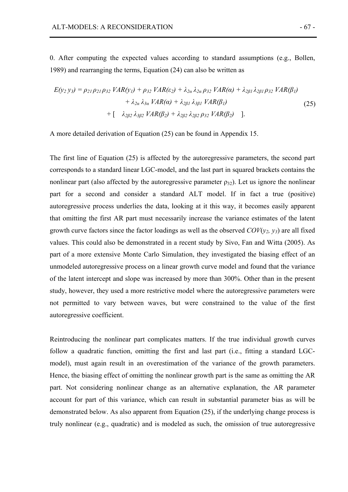0. After computing the expected values according to standard assumptions (e.g., Bollen, 1989) and rearranging the terms, Equation (24) can also be written as

$$
E(y_2 y_3) = \rho_{21} \rho_{21} \rho_{32} \, VAR(y_1) + \rho_{32} \, VAR(\varepsilon_2) + \lambda_{2\alpha} \, \lambda_{2\alpha} \, \rho_{32} \, VAR(\alpha) + \lambda_{2\beta 1} \, \lambda_{2\beta 1} \, \rho_{32} \, VAR(\beta_1) \\
+ \lambda_{2\alpha} \, \lambda_{3\alpha} \, VAR(\alpha) + \lambda_{2\beta 1} \, \lambda_{3\beta 1} \, VAR(\beta_1) \\
+ \left[ \lambda_{2\beta 2} \, \lambda_{3\beta 2} \, VAR(\beta_2) + \lambda_{2\beta 2} \, \lambda_{2\beta 2} \, \rho_{32} \, VAR(\beta_2) \right].
$$
\n(25)

A more detailed derivation of Equation (25) can be found in Appendix 15.

The first line of Equation (25) is affected by the autoregressive parameters, the second part corresponds to a standard linear LGC-model, and the last part in squared brackets contains the nonlinear part (also affected by the autoregressive parameter  $\rho_{32}$ ). Let us ignore the nonlinear part for a second and consider a standard ALT model. If in fact a true (positive) autoregressive process underlies the data, looking at it this way, it becomes easily apparent that omitting the first AR part must necessarily increase the variance estimates of the latent growth curve factors since the factor loadings as well as the observed  $COV(y_2, y_3)$  are all fixed values. This could also be demonstrated in a recent study by Sivo, Fan and Witta (2005). As part of a more extensive Monte Carlo Simulation, they investigated the biasing effect of an unmodeled autoregressive process on a linear growth curve model and found that the variance of the latent intercept and slope was increased by more than 300%. Other than in the present study, however, they used a more restrictive model where the autoregressive parameters were not permitted to vary between waves, but were constrained to the value of the first autoregressive coefficient.

Reintroducing the nonlinear part complicates matters. If the true individual growth curves follow a quadratic function, omitting the first and last part (i.e., fitting a standard LGCmodel), must again result in an overestimation of the variance of the growth parameters. Hence, the biasing effect of omitting the nonlinear growth part is the same as omitting the AR part. Not considering nonlinear change as an alternative explanation, the AR parameter account for part of this variance, which can result in substantial parameter bias as will be demonstrated below. As also apparent from Equation (25), if the underlying change process is truly nonlinear (e.g., quadratic) and is modeled as such, the omission of true autoregressive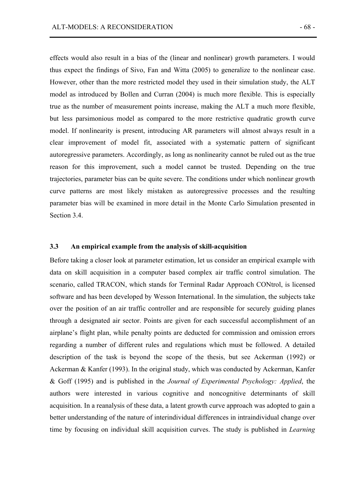effects would also result in a bias of the (linear and nonlinear) growth parameters. I would thus expect the findings of Sivo, Fan and Witta (2005) to generalize to the nonlinear case. However, other than the more restricted model they used in their simulation study, the ALT model as introduced by Bollen and Curran (2004) is much more flexible. This is especially true as the number of measurement points increase, making the ALT a much more flexible, but less parsimonious model as compared to the more restrictive quadratic growth curve model. If nonlinearity is present, introducing AR parameters will almost always result in a clear improvement of model fit, associated with a systematic pattern of significant autoregressive parameters. Accordingly, as long as nonlinearity cannot be ruled out as the true reason for this improvement, such a model cannot be trusted. Depending on the true trajectories, parameter bias can be quite severe. The conditions under which nonlinear growth curve patterns are most likely mistaken as autoregressive processes and the resulting parameter bias will be examined in more detail in the Monte Carlo Simulation presented in Section 3.4

# **3.3 An empirical example from the analysis of skill-acquisition**

Before taking a closer look at parameter estimation, let us consider an empirical example with data on skill acquisition in a computer based complex air traffic control simulation. The scenario, called TRACON, which stands for Terminal Radar Approach CONtrol, is licensed software and has been developed by Wesson International. In the simulation, the subjects take over the position of an air traffic controller and are responsible for securely guiding planes through a designated air sector. Points are given for each successful accomplishment of an airplane's flight plan, while penalty points are deducted for commission and omission errors regarding a number of different rules and regulations which must be followed. A detailed description of the task is beyond the scope of the thesis, but see Ackerman (1992) or Ackerman & Kanfer (1993). In the original study, which was conducted by Ackerman, Kanfer & Goff (1995) and is published in the *Journal of Experimental Psychology: Applied*, the authors were interested in various cognitive and noncognitive determinants of skill acquisition. In a reanalysis of these data, a latent growth curve approach was adopted to gain a better understanding of the nature of interindividual differences in intraindividual change over time by focusing on individual skill acquisition curves. The study is published in *Learning*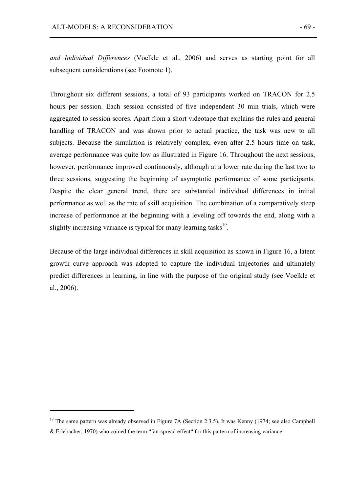*and Individual Differences* (Voelkle et al., 2006) and serves as starting point for all subsequent considerations (see Footnote 1).

Throughout six different sessions, a total of 93 participants worked on TRACON for 2.5 hours per session. Each session consisted of five independent 30 min trials, which were aggregated to session scores. Apart from a short videotape that explains the rules and general handling of TRACON and was shown prior to actual practice, the task was new to all subjects. Because the simulation is relatively complex, even after 2.5 hours time on task, average performance was quite low as illustrated in Figure 16. Throughout the next sessions, however, performance improved continuously, although at a lower rate during the last two to three sessions, suggesting the beginning of asymptotic performance of some participants. Despite the clear general trend, there are substantial individual differences in initial performance as well as the rate of skill acquisition. The combination of a comparatively steep increase of performance at the beginning with a leveling off towards the end, along with a slightly increasing variance is typical for many learning tasks<sup>19</sup>.

Because of the large individual differences in skill acquisition as shown in Figure 16, a latent growth curve approach was adopted to capture the individual trajectories and ultimately predict differences in learning, in line with the purpose of the original study (see Voelkle et al., 2006).

 $\overline{a}$ 

<sup>&</sup>lt;sup>19</sup> The same pattern was already observed in Figure 7A (Section 2.3.5). It was Kenny (1974; see also Campbell & Erlebacher, 1970) who coined the term "fan-spread effect" for this pattern of increasing variance.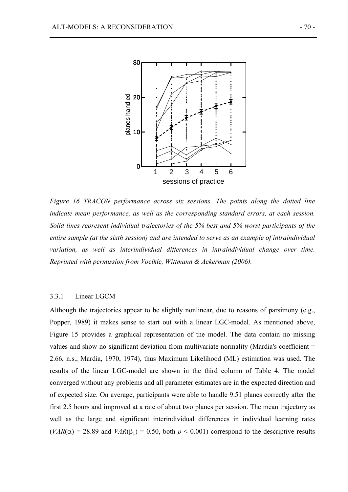

*Figure 16 TRACON performance across six sessions. The points along the dotted line indicate mean performance, as well as the corresponding standard errors, at each session. Solid lines represent individual trajectories of the 5% best and 5% worst participants of the entire sample (at the sixth session) and are intended to serve as an example of intraindividual*  variation, as well as interindividual differences in intraindividual change over time. *Reprinted with permission from Voelkle, Wittmann & Ackerman (2006).* 

### 3.3.1 Linear LGCM

Although the trajectories appear to be slightly nonlinear, due to reasons of parsimony (e.g., Popper, 1989) it makes sense to start out with a linear LGC-model. As mentioned above, Figure 15 provides a graphical representation of the model. The data contain no missing values and show no significant deviation from multivariate normality (Mardia's coefficient = 2.66, n.s., Mardia, 1970, 1974), thus Maximum Likelihood (ML) estimation was used. The results of the linear LGC-model are shown in the third column of Table 4. The model converged without any problems and all parameter estimates are in the expected direction and of expected size. On average, participants were able to handle 9.51 planes correctly after the first 2.5 hours and improved at a rate of about two planes per session. The mean trajectory as well as the large and significant interindividual differences in individual learning rates  $(VAR(\alpha) = 28.89$  and  $VAR(\beta_1) = 0.50$ , both  $p \le 0.001$ ) correspond to the descriptive results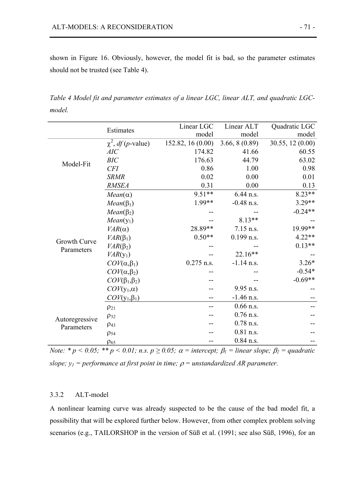shown in Figure 16. Obviously, however, the model fit is bad, so the parameter estimates should not be trusted (see Table 4).

*Table 4 Model fit and parameter estimates of a linear LGC, linear ALT, and quadratic LGCmodel.* 

|                            |                                         | Linear LGC        | Linear ALT    | Quadratic LGC    |
|----------------------------|-----------------------------------------|-------------------|---------------|------------------|
|                            | Estimates                               | model             | model         | model            |
|                            | $\chi^2$ , <i>df</i> ( <i>p</i> -value) | 152.82, 16 (0.00) | 3.66, 8(0.89) | 30.55, 12 (0.00) |
|                            | AIC                                     | 174.82            | 41.66         | 60.55            |
| Model-Fit                  | BIC                                     | 176.63            | 44.79         | 63.02            |
|                            | <b>CFI</b>                              | 0.86              | 1.00          | 0.98             |
|                            | <b>SRMR</b>                             | 0.02              | 0.00          | 0.01             |
|                            | <b>RMSEA</b>                            | 0.31              | 0.00          | 0.13             |
|                            | $Mean(\alpha)$                          | 9.51**            | 6.44 n.s.     | $8.23**$         |
|                            | $Mean(\beta_1)$                         | 1.99**            | $-0.48$ n.s.  | $3.29**$         |
|                            | $Mean(\beta_2)$                         |                   |               | $-0.24**$        |
| Growth Curve<br>Parameters | $Mean(y_1)$                             |                   | $8.13**$      |                  |
|                            | $VAR(\alpha)$                           | 28.89**           | 7.15 n.s.     | 19.99**          |
|                            | $VAR(\beta_1)$                          | $0.50**$          | $0.199$ n.s.  | $4.22**$         |
|                            | $VAR(\beta_2)$                          |                   |               | $0.13**$         |
|                            | $VAR(y_1)$                              |                   | $22.16**$     |                  |
|                            | $COV(\alpha, \beta_1)$                  | $0.275$ n.s.      | $-1.14$ n.s.  | $3.26*$          |
|                            | $COV(\alpha,\beta_2)$                   |                   |               | $-0.54*$         |
|                            | $COV(\beta_1,\beta_2)$                  |                   |               | $-0.69**$        |
|                            | $COV(y_1, \alpha)$                      |                   | 9.95 n.s.     |                  |
|                            | $COV(y_1, \beta_1)$                     |                   | $-1.46$ n.s.  |                  |
|                            | $\rho_{21}$                             |                   | $0.66$ n.s.   |                  |
|                            | $\rho_{32}$                             |                   | $0.76$ n.s.   |                  |
| Autoregressive             | $\rho_{43}$                             |                   | $0.78$ n.s.   |                  |
| Parameters                 | $\rho_{54}$                             |                   | $0.81$ n.s.   |                  |
|                            | $\rho_{65}$                             |                   | $0.84$ n.s.   |                  |

*Note:*  $* p \lt 0.05$ ;  $** p \lt 0.01$ ; n.s.  $p \ge 0.05$ ;  $\alpha$  = intercept;  $\beta_1$  = linear slope;  $\beta_2$  = quadratic *slope;*  $y_1$  = *performance at first point in time;*  $\rho$  = *unstandardized AR parameter.* 

## 3.3.2 ALT-model

A nonlinear learning curve was already suspected to be the cause of the bad model fit, a possibility that will be explored further below. However, from other complex problem solving scenarios (e.g., TAILORSHOP in the version of Süß et al. (1991; see also Süß, 1996), for an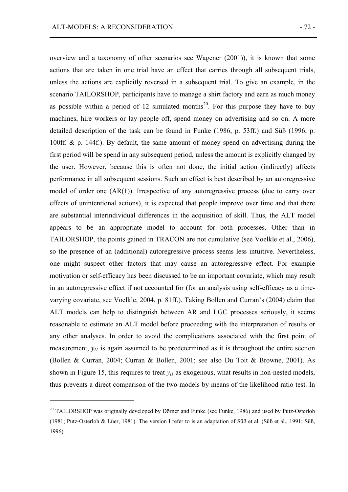$\overline{a}$ 

overview and a taxonomy of other scenarios see Wagener (2001)), it is known that some actions that are taken in one trial have an effect that carries through all subsequent trials, unless the actions are explicitly reversed in a subsequent trial. To give an example, in the scenario TAILORSHOP, participants have to manage a shirt factory and earn as much money as possible within a period of 12 simulated months<sup>20</sup>. For this purpose they have to buy machines, hire workers or lay people off, spend money on advertising and so on. A more detailed description of the task can be found in Funke (1986, p. 53ff.) and Süß (1996, p. 100ff. & p. 144f.). By default, the same amount of money spend on advertising during the first period will be spend in any subsequent period, unless the amount is explicitly changed by the user. However, because this is often not done, the initial action (indirectly) affects performance in all subsequent sessions. Such an effect is best described by an autoregressive model of order one (AR(1)). Irrespective of any autoregressive process (due to carry over effects of unintentional actions), it is expected that people improve over time and that there are substantial interindividual differences in the acquisition of skill. Thus, the ALT model appears to be an appropriate model to account for both processes. Other than in TAILORSHOP, the points gained in TRACON are not cumulative (see Voelkle et al., 2006), so the presence of an (additional) autoregressive process seems less intuitive. Nevertheless, one might suspect other factors that may cause an autoregressive effect. For example motivation or self-efficacy has been discussed to be an important covariate, which may result in an autoregressive effect if not accounted for (for an analysis using self-efficacy as a timevarying covariate, see Voelkle, 2004, p. 81ff.). Taking Bollen and Curran's (2004) claim that ALT models can help to distinguish between AR and LGC processes seriously, it seems reasonable to estimate an ALT model before proceeding with the interpretation of results or any other analyses. In order to avoid the complications associated with the first point of measurement,  $y_{ij}$  is again assumed to be predetermined as it is throughout the entire section (Bollen & Curran, 2004; Curran & Bollen, 2001; see also Du Toit & Browne, 2001). As shown in Figure 15, this requires to treat  $y_{ij}$  as exogenous, what results in non-nested models, thus prevents a direct comparison of the two models by means of the likelihood ratio test. In

<sup>&</sup>lt;sup>20</sup> TAILORSHOP was originally developed by Dörner and Funke (see Funke, 1986) and used by Putz-Osterloh (1981; Putz-Osterloh & Lüer, 1981). The version I refer to is an adaptation of Süß et al. (Süß et al., 1991; Süß, 1996).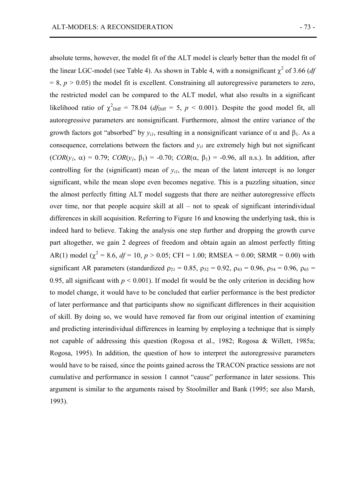absolute terms, however, the model fit of the ALT model is clearly better than the model fit of the linear LGC-model (see Table 4). As shown in Table 4, with a nonsignificant  $\chi^2$  of 3.66 (*df*  $= 8$ ,  $p > 0.05$ ) the model fit is excellent. Constraining all autoregressive parameters to zero, the restricted model can be compared to the ALT model, what also results in a significant likelihood ratio of  $\chi^2$ <sub>Diff</sub> = 78.04 (*df*<sub>Diff</sub> = 5, *p* < 0.001). Despite the good model fit, all autoregressive parameters are nonsignificant. Furthermore, almost the entire variance of the growth factors got "absorbed" by  $y_{il}$ , resulting in a nonsignificant variance of  $\alpha$  and  $\beta_1$ . As a consequence, correlations between the factors and  $y_{i1}$  are extremely high but not significant (*COR*(*y1*, α) = 0.79; *COR*(*y1*, β1) = -0.70; *COR*(α, β1) = -0.96, all n.s.). In addition, after controlling for the (significant) mean of  $y_{ij}$ , the mean of the latent intercept is no longer significant, while the mean slope even becomes negative. This is a puzzling situation, since the almost perfectly fitting ALT model suggests that there are neither autoregressive effects over time, nor that people acquire skill at all – not to speak of significant interindividual differences in skill acquisition. Referring to Figure 16 and knowing the underlying task, this is indeed hard to believe. Taking the analysis one step further and dropping the growth curve part altogether, we gain 2 degrees of freedom and obtain again an almost perfectly fitting AR(1) model ( $\chi^2 = 8.6$ ,  $df = 10$ ,  $p > 0.05$ ; CFI = 1.00; RMSEA = 0.00; SRMR = 0.00) with significant AR parameters (standardized  $\rho_{21} = 0.85$ ,  $\rho_{32} = 0.92$ ,  $\rho_{43} = 0.96$ ,  $\rho_{54} = 0.96$ ,  $\rho_{65} =$ 0.95, all significant with  $p \le 0.001$ ). If model fit would be the only criterion in deciding how to model change, it would have to be concluded that earlier performance is the best predictor of later performance and that participants show no significant differences in their acquisition of skill. By doing so, we would have removed far from our original intention of examining and predicting interindividual differences in learning by employing a technique that is simply not capable of addressing this question (Rogosa et al., 1982; Rogosa & Willett, 1985a; Rogosa, 1995). In addition, the question of how to interpret the autoregressive parameters would have to be raised, since the points gained across the TRACON practice sessions are not cumulative and performance in session 1 cannot "cause" performance in later sessions. This argument is similar to the arguments raised by Stoolmiller and Bank (1995; see also Marsh, 1993).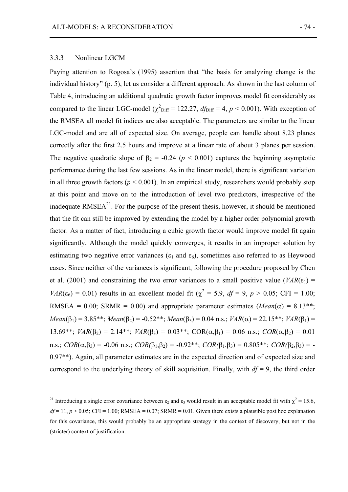#### 3.3.3 Nonlinear LGCM

 $\overline{a}$ 

Paying attention to Rogosa's (1995) assertion that "the basis for analyzing change is the individual history" (p. 5), let us consider a different approach. As shown in the last column of Table 4, introducing an additional quadratic growth factor improves model fit considerably as compared to the linear LGC-model ( $\chi^2$ <sub>Diff</sub> = 122.27,  $df_{\text{Diff}}$  = 4,  $p < 0.001$ ). With exception of the RMSEA all model fit indices are also acceptable. The parameters are similar to the linear LGC-model and are all of expected size. On average, people can handle about 8.23 planes correctly after the first 2.5 hours and improve at a linear rate of about 3 planes per session. The negative quadratic slope of  $\beta_2 = -0.24$  ( $p < 0.001$ ) captures the beginning asymptotic performance during the last few sessions. As in the linear model, there is significant variation in all three growth factors ( $p \le 0.001$ ). In an empirical study, researchers would probably stop at this point and move on to the introduction of level two predictors, irrespective of the inadequate  $RMSEA<sup>21</sup>$ . For the purpose of the present thesis, however, it should be mentioned that the fit can still be improved by extending the model by a higher order polynomial growth factor. As a matter of fact, introducing a cubic growth factor would improve model fit again significantly. Although the model quickly converges, it results in an improper solution by estimating two negative error variances ( $\varepsilon_1$  and  $\varepsilon_6$ ), sometimes also referred to as Heywood cases. Since neither of the variances is significant, following the procedure proposed by Chen et al. (2001) and constraining the two error variances to a small positive value ( $VAR(\epsilon_1)$  =  $VAR(\epsilon_6) = 0.01$ ) results in an excellent model fit ( $\chi^2 = 5.9$ , *df* = 9, *p* > 0.05; CFI = 1.00; RMSEA = 0.00; SRMR = 0.00) and appropriate parameter estimates ( $Mean(\alpha) = 8.13$ <sup>\*\*</sup>;  $Mean(\beta_1) = 3.85^{**}$ ;  $Mean(\beta_2) = -0.52^{**}$ ;  $Mean(\beta_3) = 0.04$  n.s.;  $VAR(\alpha) = 22.15^{**}$ ;  $VAR(\beta_1) =$ 13.69\*\*; *VAR*( $\beta_2$ ) = 2.14\*\*; *VAR*( $\beta_3$ ) = 0.03\*\*; *COR*( $\alpha$ , $\beta_1$ ) = 0.06 n.s.; *COR*( $\alpha$ , $\beta_2$ ) = 0.01 n.s.;  $COR(\alpha, \beta_3) = -0.06$  n.s.;  $COR(\beta_1, \beta_2) = -0.92^{**}$ ;  $COR(\beta_1, \beta_3) = 0.805^{**}$ ;  $COR(\beta_2, \beta_3) = -0.92^{**}$ 0.97\*\*). Again, all parameter estimates are in the expected direction and of expected size and correspond to the underlying theory of skill acquisition. Finally, with  $df = 9$ , the third order

<sup>&</sup>lt;sup>21</sup> Introducing a single error covariance between  $\epsilon_2$  and  $\epsilon_3$  would result in an acceptable model fit with  $\chi^2$  = 15.6,  $df = 11$ ,  $p > 0.05$ ; CFI = 1.00; RMSEA = 0.07; SRMR = 0.01. Given there exists a plausible post hoc explanation for this covariance, this would probably be an appropriate strategy in the context of discovery, but not in the (stricter) context of justification.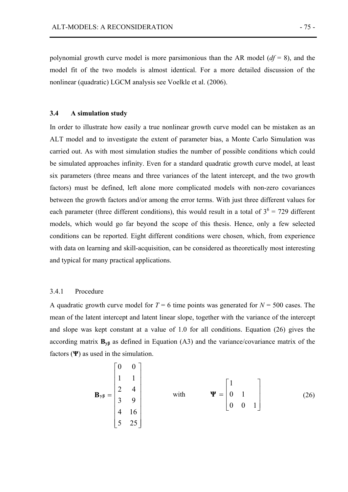polynomial growth curve model is more parsimonious than the AR model (*df* = 8), and the model fit of the two models is almost identical. For a more detailed discussion of the nonlinear (quadratic) LGCM analysis see Voelkle et al. (2006).

#### **3.4 A simulation study**

In order to illustrate how easily a true nonlinear growth curve model can be mistaken as an ALT model and to investigate the extent of parameter bias, a Monte Carlo Simulation was carried out. As with most simulation studies the number of possible conditions which could be simulated approaches infinity. Even for a standard quadratic growth curve model, at least six parameters (three means and three variances of the latent intercept, and the two growth factors) must be defined, left alone more complicated models with non-zero covariances between the growth factors and/or among the error terms. With just three different values for each parameter (three different conditions), this would result in a total of  $3^6 = 729$  different models, which would go far beyond the scope of this thesis. Hence, only a few selected conditions can be reported. Eight different conditions were chosen, which, from experience with data on learning and skill-acquisition, can be considered as theoretically most interesting and typical for many practical applications.

## 3.4.1 Procedure

A quadratic growth curve model for  $T = 6$  time points was generated for  $N = 500$  cases. The mean of the latent intercept and latent linear slope, together with the variance of the intercept and slope was kept constant at a value of 1.0 for all conditions. Equation (26) gives the according matrix  $\mathbf{B}_{\nu\beta}$  as defined in Equation (A3) and the variance/covariance matrix of the factors (**Ψ**) as used in the simulation.

$$
\mathbf{B}_{y\beta} = \begin{bmatrix} 0 & 0 \\ 1 & 1 \\ 2 & 4 \\ 3 & 9 \\ 4 & 16 \\ 5 & 25 \end{bmatrix} \quad \text{with} \quad \Psi = \begin{bmatrix} 1 \\ 0 & 1 \\ 0 & 0 & 1 \end{bmatrix} \quad (26)
$$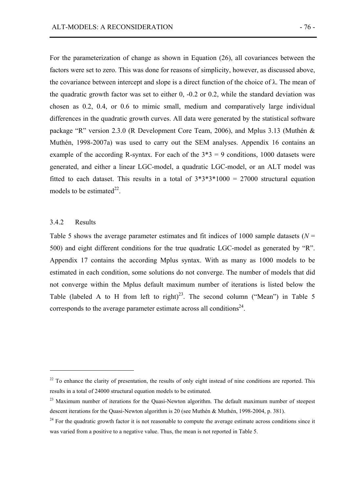For the parameterization of change as shown in Equation (26), all covariances between the factors were set to zero. This was done for reasons of simplicity, however, as discussed above, the covariance between intercept and slope is a direct function of the choice of  $\lambda$ . The mean of the quadratic growth factor was set to either 0, -0.2 or 0.2, while the standard deviation was chosen as 0.2, 0.4, or 0.6 to mimic small, medium and comparatively large individual differences in the quadratic growth curves. All data were generated by the statistical software package "R" version 2.3.0 (R Development Core Team, 2006), and Mplus 3.13 (Muthén & Muthén, 1998-2007a) was used to carry out the SEM analyses. Appendix 16 contains an example of the according R-syntax. For each of the  $3*3 = 9$  conditions, 1000 datasets were generated, and either a linear LGC-model, a quadratic LGC-model, or an ALT model was fitted to each dataset. This results in a total of  $3*3*3*1000 = 27000$  structural equation models to be estimated<sup>22</sup>.

## 3.4.2 Results

 $\overline{a}$ 

Table 5 shows the average parameter estimates and fit indices of 1000 sample datasets ( $N =$ 500) and eight different conditions for the true quadratic LGC-model as generated by "R". Appendix 17 contains the according Mplus syntax. With as many as 1000 models to be estimated in each condition, some solutions do not converge. The number of models that did not converge within the Mplus default maximum number of iterations is listed below the Table (labeled A to H from left to right)<sup>23</sup>. The second column ("Mean") in Table 5 corresponds to the average parameter estimate across all conditions<sup>24</sup>.

 $^{22}$  To enhance the clarity of presentation, the results of only eight instead of nine conditions are reported. This results in a total of 24000 structural equation models to be estimated.

<sup>&</sup>lt;sup>23</sup> Maximum number of iterations for the Quasi-Newton algorithm. The default maximum number of steepest descent iterations for the Quasi-Newton algorithm is 20 (see Muthén & Muthén, 1998-2004, p. 381).

 $24$  For the quadratic growth factor it is not reasonable to compute the average estimate across conditions since it was varied from a positive to a negative value. Thus, the mean is not reported in Table 5.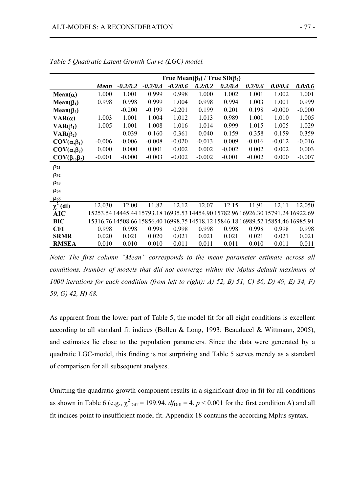|                        | True Mean( $\beta_2$ ) / True SD( $\beta_2$ ) |                                                                                  |            |            |          |          |          |          |          |
|------------------------|-----------------------------------------------|----------------------------------------------------------------------------------|------------|------------|----------|----------|----------|----------|----------|
|                        | <b>Mean</b>                                   | $-0.2/0.2$                                                                       | $-0.2/0.4$ | $-0.2/0.6$ | 0.2/0.2  | 0.2/0.4  | 0.2/0.6  | 0.0/0.4  | 0.0/0.6  |
| $Mean(\alpha)$         | 1.000                                         | 1.001                                                                            | 0.999      | 0.998      | 1.000    | 1.002    | 1.001    | 1.002    | 1.001    |
| $Mean(\beta_1)$        | 0.998                                         | 0.998                                                                            | 0.999      | 1.004      | 0.998    | 0.994    | 1.003    | 1.001    | 0.999    |
| $Mean(\beta_2)$        |                                               | $-0.200$                                                                         | $-0.199$   | $-0.201$   | 0.199    | 0.201    | 0.198    | $-0.000$ | $-0.000$ |
| $VAR(\alpha)$          | 1.003                                         | 1.001                                                                            | 1.004      | 1.012      | 1.013    | 0.989    | 1.001    | 1.010    | 1.005    |
| $VAR(\beta_1)$         | 1.005                                         | 1.001                                                                            | 1.008      | 1.016      | 1.014    | 0.999    | 1.015    | 1.005    | 1.029    |
| $VAR(\beta_2)$         |                                               | 0.039                                                                            | 0.160      | 0.361      | 0.040    | 0.159    | 0.358    | 0.159    | 0.359    |
| $COV(\alpha, \beta_1)$ | $-0.006$                                      | $-0.006$                                                                         | $-0.008$   | $-0.020$   | $-0.013$ | 0.009    | $-0.016$ | $-0.012$ | $-0.016$ |
| $COV(\alpha, \beta_2)$ | 0.000                                         | 0.000                                                                            | 0.001      | 0.002      | 0.002    | $-0.002$ | 0.002    | 0.002    | 0.003    |
| $COV(\beta_1,\beta_2)$ | $-0.001$                                      | $-0.000$                                                                         | $-0.003$   | $-0.002$   | $-0.002$ | $-0.001$ | $-0.002$ | 0.000    | $-0.007$ |
| $\rho_{21}$            |                                               |                                                                                  |            |            |          |          |          |          |          |
| $\rho_{32}$            |                                               |                                                                                  |            |            |          |          |          |          |          |
| $\rho_{43}$            |                                               |                                                                                  |            |            |          |          |          |          |          |
| $\rho_{54}$            |                                               |                                                                                  |            |            |          |          |          |          |          |
| $\rho_{65}$            |                                               |                                                                                  |            |            |          |          |          |          |          |
| $\chi^2$ (df)          | 12.030                                        | 12.00                                                                            | 11.82      | 12.12      | 12.07    | 12.15    | 11.91    | 12.11    | 12.050   |
| <b>AIC</b>             |                                               | 15253.54 14445.44 15793.18 16935.53 14454.90 15782.96 16926.30 15791.24 16922.69 |            |            |          |          |          |          |          |
| BIC                    |                                               | 15316.76 14508.66 15856.40 16998.75 14518.12 15846.18 16989.52 15854.46 16985.91 |            |            |          |          |          |          |          |
| <b>CFI</b>             | 0.998                                         | 0.998                                                                            | 0.998      | 0.998      | 0.998    | 0.998    | 0.998    | 0.998    | 0.998    |
| <b>SRMR</b>            | 0.020                                         | 0.021                                                                            | 0.020      | 0.021      | 0.021    | 0.021    | 0.021    | 0.021    | 0.021    |
| <b>RMSEA</b>           | 0.010                                         | 0.010                                                                            | 0.010      | 0.011      | 0.011    | 0.011    | 0.010    | 0.011    | 0.011    |

*Table 5 Quadratic Latent Growth Curve (LGC) model.* 

*Note: The first column "Mean" corresponds to the mean parameter estimate across all conditions. Number of models that did not converge within the Mplus default maximum of 1000 iterations for each condition (from left to right): A) 52, B) 51, C) 86, D) 49, E) 34, F) 59, G) 42, H) 68.* 

As apparent from the lower part of Table 5, the model fit for all eight conditions is excellent according to all standard fit indices (Bollen & Long, 1993; Beauducel & Wittmann, 2005), and estimates lie close to the population parameters. Since the data were generated by a quadratic LGC-model, this finding is not surprising and Table 5 serves merely as a standard of comparison for all subsequent analyses.

Omitting the quadratic growth component results in a significant drop in fit for all conditions as shown in Table 6 (e.g.,  $\chi^2$ <sub>Diff</sub> = 199.94,  $df_{\text{Diff}} = 4$ ,  $p < 0.001$  for the first condition A) and all fit indices point to insufficient model fit. Appendix 18 contains the according Mplus syntax.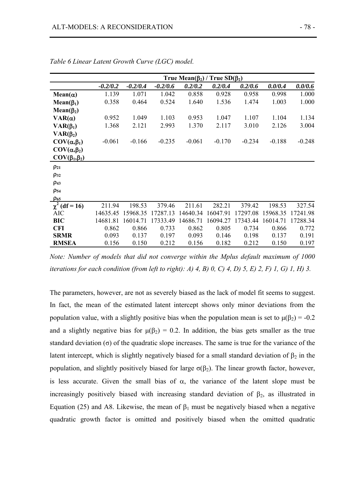|                        | True Mean( $\beta_2$ ) / True SD( $\beta_2$ ) |            |            |          |          |          |          |          |  |
|------------------------|-----------------------------------------------|------------|------------|----------|----------|----------|----------|----------|--|
|                        | $-0.2/0.2$                                    | $-0.2/0.4$ | $-0.2/0.6$ | 0.2/0.2  | 0.2/0.4  | 0.2/0.6  | 0.0/0.4  | 0.0/0.6  |  |
| $Mean(\alpha)$         | 1.139                                         | 1.071      | 1.042      | 0.858    | 0.928    | 0.958    | 0.998    | 1.000    |  |
| $Mean(\beta_1)$        | 0.358                                         | 0.464      | 0.524      | 1.640    | 1.536    | 1.474    | 1.003    | 1.000    |  |
| Mean( $\beta_2$ )      |                                               |            |            |          |          |          |          |          |  |
| $VAR(\alpha)$          | 0.952                                         | 1.049      | 1.103      | 0.953    | 1.047    | 1.107    | 1.104    | 1.134    |  |
| $VAR(\beta_1)$         | 1.368                                         | 2.121      | 2.993      | 1.370    | 2.117    | 3.010    | 2.126    | 3.004    |  |
| $VAR(\beta_2)$         |                                               |            |            |          |          |          |          |          |  |
| $COV(\alpha,\beta_1)$  | $-0.061$                                      | $-0.166$   | $-0.235$   | $-0.061$ | $-0.170$ | $-0.234$ | $-0.188$ | $-0.248$ |  |
| $COV(\alpha, \beta_2)$ |                                               |            |            |          |          |          |          |          |  |
| $COV(\beta_1,\beta_2)$ |                                               |            |            |          |          |          |          |          |  |
| $\rho_{21}$            |                                               |            |            |          |          |          |          |          |  |
| $\rho_{32}$            |                                               |            |            |          |          |          |          |          |  |
| $\rho_{43}$            |                                               |            |            |          |          |          |          |          |  |
| $\rho_{54}$            |                                               |            |            |          |          |          |          |          |  |
| $\rho_{65}$            |                                               |            |            |          |          |          |          |          |  |
| $\chi^2$ (df = 16)     | 211.94                                        | 198.53     | 379.46     | 211.61   | 282.21   | 379.42   | 198.53   | 327.54   |  |
| <b>AIC</b>             | 14635.45                                      | 15968.35   | 17287.13   | 14640.34 | 16047.91 | 17297.08 | 15968.35 | 17241.98 |  |
| <b>BIC</b>             | 14681.81                                      | 16014.71   | 17333.49   | 14686.71 | 16094.27 | 17343.44 | 16014.71 | 17288.34 |  |
| <b>CFI</b>             | 0.862                                         | 0.866      | 0.733      | 0.862    | 0.805    | 0.734    | 0.866    | 0.772    |  |
| <b>SRMR</b>            | 0.093                                         | 0.137      | 0.197      | 0.093    | 0.146    | 0.198    | 0.137    | 0.191    |  |
| <b>RMSEA</b>           | 0.156                                         | 0.150      | 0.212      | 0.156    | 0.182    | 0.212    | 0.150    | 0.197    |  |

*Table 6 Linear Latent Growth Curve (LGC) model.* 

*Note: Number of models that did not converge within the Mplus default maximum of 1000 iterations for each condition (from left to right): A) 4, B) 0, C) 4, D) 5, E) 2, F) 1, G) 1, H) 3.* 

The parameters, however, are not as severely biased as the lack of model fit seems to suggest. In fact, the mean of the estimated latent intercept shows only minor deviations from the population value, with a slightly positive bias when the population mean is set to  $\mu(\beta_2) = -0.2$ and a slightly negative bias for  $\mu(\beta_2) = 0.2$ . In addition, the bias gets smaller as the true standard deviation  $(\sigma)$  of the quadratic slope increases. The same is true for the variance of the latent intercept, which is slightly negatively biased for a small standard deviation of  $\beta_2$  in the population, and slightly positively biased for large  $\sigma(\beta_2)$ . The linear growth factor, however, is less accurate. Given the small bias of  $\alpha$ , the variance of the latent slope must be increasingly positively biased with increasing standard deviation of  $\beta_2$ , as illustrated in Equation (25) and A8. Likewise, the mean of  $β_1$  must be negatively biased when a negative quadratic growth factor is omitted and positively biased when the omitted quadratic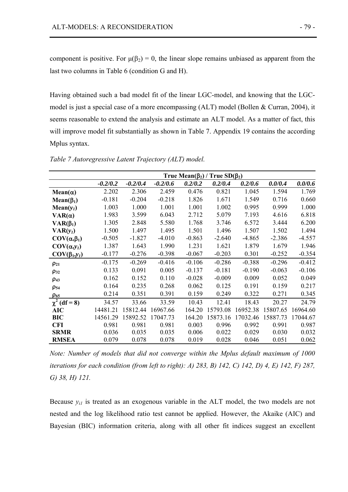component is positive. For  $\mu(\beta_2) = 0$ , the linear slope remains unbiased as apparent from the last two columns in Table 6 (condition G and H).

Having obtained such a bad model fit of the linear LGC-model, and knowing that the LGCmodel is just a special case of a more encompassing (ALT) model (Bollen & Curran, 2004), it seems reasonable to extend the analysis and estimate an ALT model. As a matter of fact, this will improve model fit substantially as shown in Table 7. Appendix 19 contains the according Mplus syntax.

|                        | True Mean( $\beta_2$ ) / True SD( $\beta_2$ ) |            |            |          |          |          |          |          |  |
|------------------------|-----------------------------------------------|------------|------------|----------|----------|----------|----------|----------|--|
|                        | $-0.2/0.2$                                    | $-0.2/0.4$ | $-0.2/0.6$ | 0.2/0.2  | 0.2/0.4  | 0.2/0.6  | 0.0/0.4  | 0.0/0.6  |  |
| $Mean(\alpha)$         | 2.202                                         | 2.306      | 2.459      | 0.476    | 0.821    | 1.045    | 1.594    | 1.769    |  |
| $Mean(\beta_1)$        | $-0.181$                                      | $-0.204$   | $-0.218$   | 1.826    | 1.671    | 1.549    | 0.716    | 0.660    |  |
| $Mean(y_1)$            | 1.003                                         | 1.000      | 1.001      | 1.001    | 1.002    | 0.995    | 0.999    | 1.000    |  |
| $VAR(\alpha)$          | 1.983                                         | 3.599      | 6.043      | 2.712    | 5.079    | 7.193    | 4.616    | 6.818    |  |
| $VAR(\beta_1)$         | 1.305                                         | 2.848      | 5.580      | 1.768    | 3.746    | 6.572    | 3.444    | 6.200    |  |
| $VAR(y_1)$             | 1.500                                         | 1.497      | 1.495      | 1.501    | 1.496    | 1.507    | 1.502    | 1.494    |  |
| $COV(\alpha, \beta_1)$ | $-0.505$                                      | $-1.827$   | $-4.010$   | $-0.863$ | $-2.640$ | $-4.865$ | $-2.386$ | $-4.557$ |  |
| $COV(\alpha, y_1)$     | 1.387                                         | 1.643      | 1.990      | 1.231    | 1.621    | 1.879    | 1.679    | 1.946    |  |
| $COV(\beta_1, y_1)$    | $-0.177$                                      | $-0.276$   | $-0.398$   | $-0.067$ | $-0.203$ | 0.301    | $-0.252$ | $-0.354$ |  |
| $\rho_{21}$            | $-0.175$                                      | $-0.269$   | $-0.416$   | $-0.106$ | $-0.286$ | $-0.388$ | $-0.296$ | $-0.412$ |  |
| $\rho_{32}$            | 0.133                                         | 0.091      | 0.005      | $-0.137$ | $-0.181$ | $-0.190$ | $-0.063$ | $-0.106$ |  |
| $\rho_{43}$            | 0.162                                         | 0.152      | 0.110      | $-0.028$ | $-0.009$ | 0.009    | 0.052    | 0.049    |  |
| $\rho_{54}$            | 0.164                                         | 0.235      | 0.268      | 0.062    | 0.125    | 0.191    | 0.159    | 0.217    |  |
| $\rho_{65}$            | 0.214                                         | 0.351      | 0.391      | 0.159    | 0.249    | 0.322    | 0.271    | 0.345    |  |
| $\chi^2$ (df = 8)      | 34.57                                         | 33.66      | 33.59      | 10.43    | 12.41    | 18.43    | 20.27    | 24.79    |  |
| <b>AIC</b>             | 14481.21                                      | 15812.44   | 16967.66   | 164.20   | 15793.08 | 16952.38 | 15807.65 | 16964.60 |  |
| <b>BIC</b>             | 14561.29                                      | 15892.52   | 17047.73   | 164.20   | 15873.16 | 17032.46 | 15887.73 | 17044.67 |  |
| <b>CFI</b>             | 0.981                                         | 0.981      | 0.981      | 0.003    | 0.996    | 0.992    | 0.991    | 0.987    |  |
| <b>SRMR</b>            | 0.036                                         | 0.035      | 0.035      | 0.006    | 0.022    | 0.029    | 0.030    | 0.032    |  |
| <b>RMSEA</b>           | 0.079                                         | 0.078      | 0.078      | 0.019    | 0.028    | 0.046    | 0.051    | 0.062    |  |

*Table 7 Autoregressive Latent Trajectory (ALT) model.* 

*Note: Number of models that did not converge within the Mplus default maximum of 1000 iterations for each condition (from left to right): A) 283, B) 142, C) 142, D) 4, E) 142, F) 287, G) 38, H) 121.* 

Because  $y_{i,j}$  is treated as an exogenous variable in the ALT model, the two models are not nested and the log likelihood ratio test cannot be applied. However, the Akaike (AIC) and Bayesian (BIC) information criteria, along with all other fit indices suggest an excellent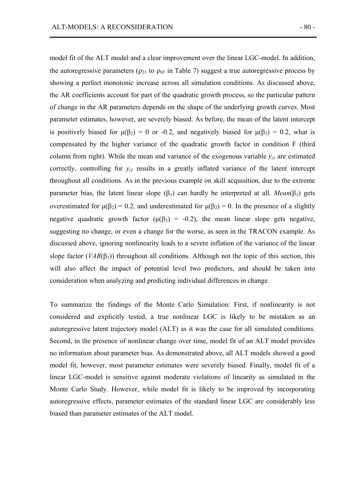model fit of the ALT model and a clear improvement over the linear LGC-model. In addition, the autoregressive parameters ( $\rho_{21}$  to  $\rho_{65}$  in Table 7) suggest a true autoregressive process by showing a perfect monotonic increase across all simulation conditions. As discussed above, the AR coefficients account for part of the quadratic growth process, so the particular pattern of change in the AR parameters depends on the shape of the underlying growth curves. Most parameter estimates, however, are severely biased. As before, the mean of the latent intercept is positively biased for  $\mu(\beta_2) = 0$  or -0.2, and negatively biased for  $\mu(\beta_2) = 0.2$ , what is compensated by the higher variance of the quadratic growth factor in condition F (third column from right). While the mean and variance of the exogenous variable  $y_{i}$  are estimated correctly, controlling for  $y_{i1}$  results in a greatly inflated variance of the latent intercept throughout all conditions. As in the previous example on skill acquisition, due to the extreme parameter bias, the latent linear slope  $(\beta_1)$  can hardly be interpreted at all. *Mean*( $\beta_1$ ) gets overestimated for  $\mu(\beta_2) = 0.2$ , and underestimated for  $\mu(\beta_2) = 0$ . In the presence of a slightly negative quadratic growth factor  $(\mu(\beta_2) = -0.2)$ , the mean linear slope gets negative, suggesting no change, or even a change for the worse, as seen in the TRACON example. As discussed above, ignoring nonlinearity leads to a severe inflation of the variance of the linear slope factor ( $VAR(\beta_1)$ ) throughout all conditions. Although not the topic of this section, this will also affect the impact of potential level two predictors, and should be taken into consideration when analyzing and predicting individual differences in change.

To summarize the findings of the Monte Carlo Simulation: First, if nonlinearity is not considered and explicitly tested, a true nonlinear LGC is likely to be mistaken as an autoregressive latent trajectory model (ALT) as it was the case for all simulated conditions. Second, in the presence of nonlinear change over time, model fit of an ALT model provides no information about parameter bias. As demonstrated above, all ALT models showed a good model fit, however, most parameter estimates were severely biased. Finally, model fit of a linear LGC-model is sensitive against moderate violations of linearity as simulated in the Monte Carlo Study. However, while model fit is likely to be improved by incorporating autoregressive effects, parameter estimates of the standard linear LGC are considerably less biased than parameter estimates of the ALT model.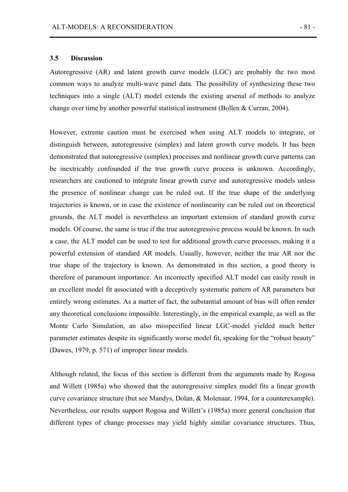#### **3.5 Discussion**

Autoregressive (AR) and latent growth curve models (LGC) are probably the two most common ways to analyze multi-wave panel data. The possibility of synthesizing these two techniques into a single (ALT) model extends the existing arsenal of methods to analyze change over time by another powerful statistical instrument (Bollen & Curran, 2004).

However, extreme caution must be exercised when using ALT models to integrate, or distinguish between, autoregressive (simplex) and latent growth curve models. It has been demonstrated that autoregressive (simplex) processes and nonlinear growth curve patterns can be inextricably confounded if the true growth curve process is unknown. Accordingly, researchers are cautioned to integrate linear growth curve and autoregressive models unless the presence of nonlinear change can be ruled out. If the true shape of the underlying trajectories is known, or in case the existence of nonlinearity can be ruled out on theoretical grounds, the ALT model is nevertheless an important extension of standard growth curve models. Of course, the same is true if the true autoregressive process would be known. In such a case, the ALT model can be used to test for additional growth curve processes, making it a powerful extension of standard AR models. Usually, however, neither the true AR nor the true shape of the trajectory is known. As demonstrated in this section, a good theory is therefore of paramount importance. An incorrectly specified ALT model can easily result in an excellent model fit associated with a deceptively systematic pattern of AR parameters but entirely wrong estimates. As a matter of fact, the substantial amount of bias will often render any theoretical conclusions impossible. Interestingly, in the empirical example, as well as the Monte Carlo Simulation, an also misspecified linear LGC-model yielded much better parameter estimates despite its significantly worse model fit, speaking for the "robust beauty" (Dawes, 1979, p. 571) of improper linear models.

Although related, the focus of this section is different from the arguments made by Rogosa and Willett (1985a) who showed that the autoregressive simplex model fits a linear growth curve covariance structure (but see Mandys, Dolan, & Molenaar, 1994, for a counterexample). Nevertheless, our results support Rogosa and Willett's (1985a) more general conclusion that different types of change processes may yield highly similar covariance structures. Thus,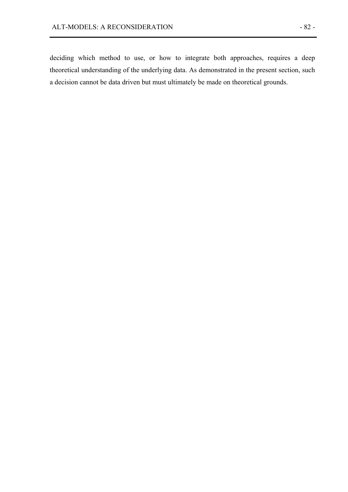deciding which method to use, or how to integrate both approaches, requires a deep theoretical understanding of the underlying data. As demonstrated in the present section, such a decision cannot be data driven but must ultimately be made on theoretical grounds.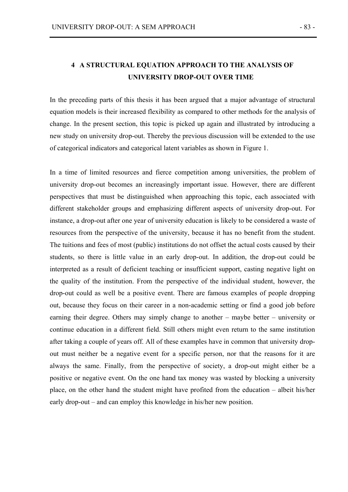# **4 A STRUCTURAL EQUATION APPROACH TO THE ANALYSIS OF UNIVERSITY DROP-OUT OVER TIME**

In the preceding parts of this thesis it has been argued that a major advantage of structural equation models is their increased flexibility as compared to other methods for the analysis of change. In the present section, this topic is picked up again and illustrated by introducing a new study on university drop-out. Thereby the previous discussion will be extended to the use of categorical indicators and categorical latent variables as shown in Figure 1.

In a time of limited resources and fierce competition among universities, the problem of university drop-out becomes an increasingly important issue. However, there are different perspectives that must be distinguished when approaching this topic, each associated with different stakeholder groups and emphasizing different aspects of university drop-out. For instance, a drop-out after one year of university education is likely to be considered a waste of resources from the perspective of the university, because it has no benefit from the student. The tuitions and fees of most (public) institutions do not offset the actual costs caused by their students, so there is little value in an early drop-out. In addition, the drop-out could be interpreted as a result of deficient teaching or insufficient support, casting negative light on the quality of the institution. From the perspective of the individual student, however, the drop-out could as well be a positive event. There are famous examples of people dropping out, because they focus on their career in a non-academic setting or find a good job before earning their degree. Others may simply change to another – maybe better – university or continue education in a different field. Still others might even return to the same institution after taking a couple of years off. All of these examples have in common that university dropout must neither be a negative event for a specific person, nor that the reasons for it are always the same. Finally, from the perspective of society, a drop-out might either be a positive or negative event. On the one hand tax money was wasted by blocking a university place, on the other hand the student might have profited from the education – albeit his/her early drop-out – and can employ this knowledge in his/her new position.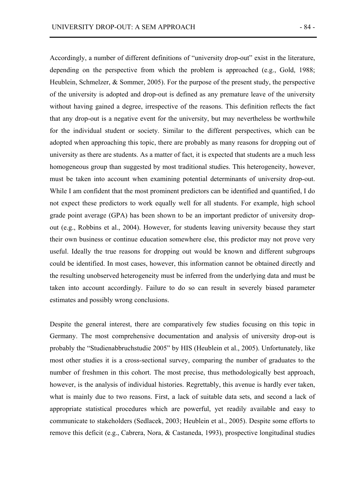Accordingly, a number of different definitions of "university drop-out" exist in the literature, depending on the perspective from which the problem is approached (e.g., Gold, 1988; Heublein, Schmelzer, & Sommer, 2005). For the purpose of the present study, the perspective of the university is adopted and drop-out is defined as any premature leave of the university without having gained a degree, irrespective of the reasons. This definition reflects the fact that any drop-out is a negative event for the university, but may nevertheless be worthwhile for the individual student or society. Similar to the different perspectives, which can be adopted when approaching this topic, there are probably as many reasons for dropping out of university as there are students. As a matter of fact, it is expected that students are a much less homogeneous group than suggested by most traditional studies. This heterogeneity, however, must be taken into account when examining potential determinants of university drop-out. While I am confident that the most prominent predictors can be identified and quantified, I do not expect these predictors to work equally well for all students. For example, high school grade point average (GPA) has been shown to be an important predictor of university dropout (e.g., Robbins et al., 2004). However, for students leaving university because they start their own business or continue education somewhere else, this predictor may not prove very useful. Ideally the true reasons for dropping out would be known and different subgroups could be identified. In most cases, however, this information cannot be obtained directly and the resulting unobserved heterogeneity must be inferred from the underlying data and must be taken into account accordingly. Failure to do so can result in severely biased parameter estimates and possibly wrong conclusions.

Despite the general interest, there are comparatively few studies focusing on this topic in Germany. The most comprehensive documentation and analysis of university drop-out is probably the "Studienabbruchstudie 2005" by HIS (Heublein et al., 2005). Unfortunately, like most other studies it is a cross-sectional survey, comparing the number of graduates to the number of freshmen in this cohort. The most precise, thus methodologically best approach, however, is the analysis of individual histories. Regrettably, this avenue is hardly ever taken, what is mainly due to two reasons. First, a lack of suitable data sets, and second a lack of appropriate statistical procedures which are powerful, yet readily available and easy to communicate to stakeholders (Sedlacek, 2003; Heublein et al., 2005). Despite some efforts to remove this deficit (e.g., Cabrera, Nora, & Castaneda, 1993), prospective longitudinal studies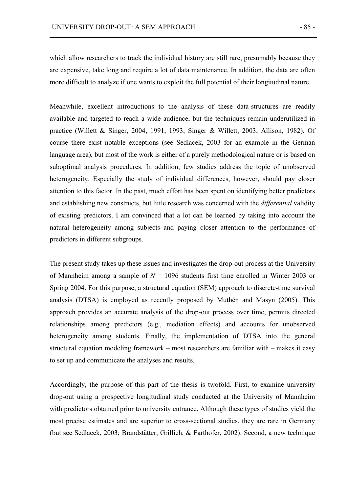which allow researchers to track the individual history are still rare, presumably because they are expensive, take long and require a lot of data maintenance. In addition, the data are often more difficult to analyze if one wants to exploit the full potential of their longitudinal nature.

Meanwhile, excellent introductions to the analysis of these data-structures are readily available and targeted to reach a wide audience, but the techniques remain underutilized in practice (Willett & Singer, 2004, 1991, 1993; Singer & Willett, 2003; Allison, 1982). Of course there exist notable exceptions (see Sedlacek, 2003 for an example in the German language area), but most of the work is either of a purely methodological nature or is based on suboptimal analysis procedures. In addition, few studies address the topic of unobserved heterogeneity. Especially the study of individual differences, however, should pay closer attention to this factor. In the past, much effort has been spent on identifying better predictors and establishing new constructs, but little research was concerned with the *differential* validity of existing predictors. I am convinced that a lot can be learned by taking into account the natural heterogeneity among subjects and paying closer attention to the performance of predictors in different subgroups.

The present study takes up these issues and investigates the drop-out process at the University of Mannheim among a sample of  $N = 1096$  students first time enrolled in Winter 2003 or Spring 2004. For this purpose, a structural equation (SEM) approach to discrete-time survival analysis (DTSA) is employed as recently proposed by Muthén and Masyn (2005). This approach provides an accurate analysis of the drop-out process over time, permits directed relationships among predictors (e.g., mediation effects) and accounts for unobserved heterogeneity among students. Finally, the implementation of DTSA into the general structural equation modeling framework – most researchers are familiar with – makes it easy to set up and communicate the analyses and results.

Accordingly, the purpose of this part of the thesis is twofold. First, to examine university drop-out using a prospective longitudinal study conducted at the University of Mannheim with predictors obtained prior to university entrance. Although these types of studies yield the most precise estimates and are superior to cross-sectional studies, they are rare in Germany (but see Sedlacek, 2003; Brandstätter, Grillich, & Farthofer, 2002). Second, a new technique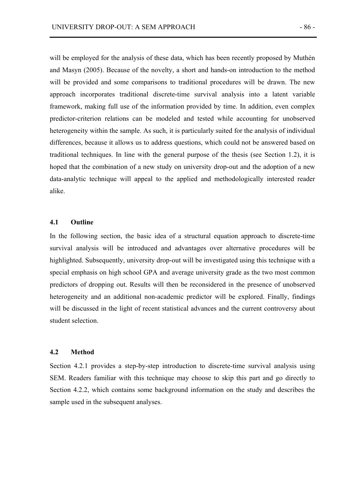will be employed for the analysis of these data, which has been recently proposed by Muthén and Masyn (2005). Because of the novelty, a short and hands-on introduction to the method will be provided and some comparisons to traditional procedures will be drawn. The new approach incorporates traditional discrete-time survival analysis into a latent variable framework, making full use of the information provided by time. In addition, even complex predictor-criterion relations can be modeled and tested while accounting for unobserved heterogeneity within the sample. As such, it is particularly suited for the analysis of individual differences, because it allows us to address questions, which could not be answered based on traditional techniques. In line with the general purpose of the thesis (see Section 1.2), it is hoped that the combination of a new study on university drop-out and the adoption of a new data-analytic technique will appeal to the applied and methodologically interested reader alike.

## **4.1 Outline**

In the following section, the basic idea of a structural equation approach to discrete-time survival analysis will be introduced and advantages over alternative procedures will be highlighted. Subsequently, university drop-out will be investigated using this technique with a special emphasis on high school GPA and average university grade as the two most common predictors of dropping out. Results will then be reconsidered in the presence of unobserved heterogeneity and an additional non-academic predictor will be explored. Finally, findings will be discussed in the light of recent statistical advances and the current controversy about student selection.

## **4.2 Method**

Section 4.2.1 provides a step-by-step introduction to discrete-time survival analysis using SEM. Readers familiar with this technique may choose to skip this part and go directly to Section 4.2.2, which contains some background information on the study and describes the sample used in the subsequent analyses.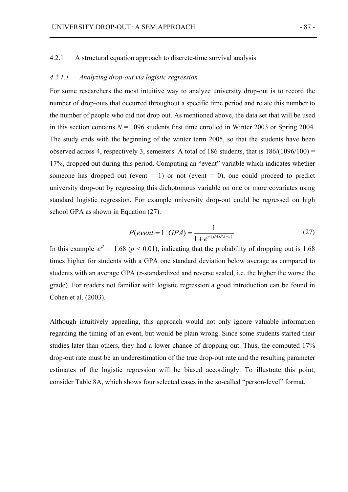## 4.2.1 A structural equation approach to discrete-time survival analysis

#### *4.2.1.1 Analyzing drop-out via logistic regression*

For some researchers the most intuitive way to analyze university drop-out is to record the number of drop-outs that occurred throughout a specific time period and relate this number to the number of people who did not drop out. As mentioned above, the data set that will be used in this section contains  $N = 1096$  students first time enrolled in Winter 2003 or Spring 2004. The study ends with the beginning of the winter term 2005, so that the students have been observed across 4, respectively 3, semesters. A total of 186 students, that is  $186/(1096/100) =$ 17%, dropped out during this period. Computing an "event" variable which indicates whether someone has dropped out (event  $= 1$ ) or not (event  $= 0$ ), one could proceed to predict university drop-out by regressing this dichotomous variable on one or more covariates using standard logistic regression. For example university drop-out could be regressed on high school GPA as shown in Equation (27).

$$
P(event = 1 | GPA) = \frac{1}{1 + e^{-(\beta \cdot GPA + c)}}
$$
(27)

In this example  $e^{\beta} = 1.68$  ( $p < 0.01$ ), indicating that the probability of dropping out is 1.68 times higher for students with a GPA one standard deviation below average as compared to students with an average GPA (*z*-standardized and reverse scaled, i.e. the higher the worse the grade). For readers not familiar with logistic regression a good introduction can be found in Cohen et al. (2003).

Although intuitively appealing, this approach would not only ignore valuable information regarding the timing of an event, but would be plain wrong. Since some students started their studies later than others, they had a lower chance of dropping out. Thus, the computed 17% drop-out rate must be an underestimation of the true drop-out rate and the resulting parameter estimates of the logistic regression will be biased accordingly. To illustrate this point, consider Table 8A, which shows four selected cases in the so-called "person-level" format.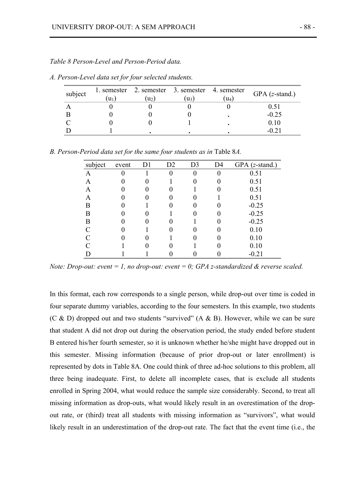| subject | $u_1$ | 1. semester 2. semester 3. semester 4. semester<br>u <sub>2</sub> | $ u_3 $ | $\left( \mathrm{u}_{4}\right)$ | GPA $(z$ -stand.) |
|---------|-------|-------------------------------------------------------------------|---------|--------------------------------|-------------------|
|         |       |                                                                   |         |                                |                   |
|         |       |                                                                   |         |                                | $-0.25$           |
|         |       |                                                                   |         |                                | 0 10              |
|         |       |                                                                   |         |                                |                   |

*A. Person-Level data set for four selected students.*

|  | B. Person-Period data set for the same four students as in Table 8A. |  |
|--|----------------------------------------------------------------------|--|
|--|----------------------------------------------------------------------|--|

| subject | event | D <sub>1</sub> | D <sub>2</sub> | D <sub>3</sub> | D <sub>4</sub> | <b>GPA</b><br>$(z$ -stand.) |
|---------|-------|----------------|----------------|----------------|----------------|-----------------------------|
| A       |       |                | $\theta$       |                | 0              | 0.51                        |
| A       |       |                |                |                |                | 0.51                        |
| Α       |       |                |                |                |                | 0.51                        |
| Α       |       |                | 0              |                |                | 0.51                        |
| В       |       |                | 0              |                |                | $-0.25$                     |
| В       |       |                |                |                |                | $-0.25$                     |
| В       |       |                |                |                |                | $-0.25$                     |
|         |       |                |                |                |                | 0.10                        |
|         |       |                |                |                |                | 0.10                        |
|         |       |                |                |                |                | 0.10                        |
|         |       |                |                |                |                | $-0.21$                     |

*Note: Drop-out: event = 1, no drop-out: event = 0; GPA z-standardized & reverse scaled.* 

In this format, each row corresponds to a single person, while drop-out over time is coded in four separate dummy variables, according to the four semesters. In this example, two students (C & D) dropped out and two students "survived" (A & B). However, while we can be sure that student A did not drop out during the observation period, the study ended before student B entered his/her fourth semester, so it is unknown whether he/she might have dropped out in this semester. Missing information (because of prior drop-out or later enrollment) is represented by dots in Table 8A. One could think of three ad-hoc solutions to this problem, all three being inadequate. First, to delete all incomplete cases, that is exclude all students enrolled in Spring 2004, what would reduce the sample size considerably. Second, to treat all missing information as drop-outs, what would likely result in an overestimation of the dropout rate, or (third) treat all students with missing information as "survivors", what would likely result in an underestimation of the drop-out rate. The fact that the event time (i.e., the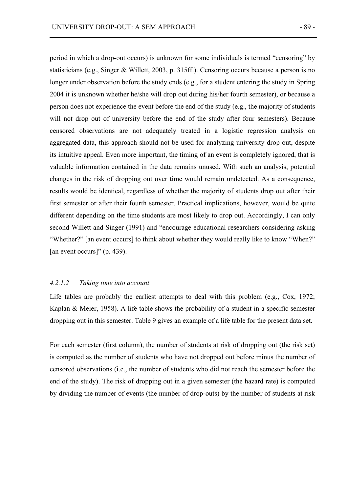period in which a drop-out occurs) is unknown for some individuals is termed "censoring" by statisticians (e.g., Singer & Willett, 2003, p. 315ff.). Censoring occurs because a person is no longer under observation before the study ends (e.g., for a student entering the study in Spring 2004 it is unknown whether he/she will drop out during his/her fourth semester), or because a person does not experience the event before the end of the study (e.g., the majority of students will not drop out of university before the end of the study after four semesters). Because censored observations are not adequately treated in a logistic regression analysis on aggregated data, this approach should not be used for analyzing university drop-out, despite its intuitive appeal. Even more important, the timing of an event is completely ignored, that is valuable information contained in the data remains unused. With such an analysis, potential changes in the risk of dropping out over time would remain undetected. As a consequence, results would be identical, regardless of whether the majority of students drop out after their first semester or after their fourth semester. Practical implications, however, would be quite different depending on the time students are most likely to drop out. Accordingly, I can only second Willett and Singer (1991) and "encourage educational researchers considering asking "Whether?" [an event occurs] to think about whether they would really like to know "When?" [an event occurs]" (p. 439).

#### *4.2.1.2 Taking time into account*

Life tables are probably the earliest attempts to deal with this problem (e.g., Cox, 1972; Kaplan & Meier, 1958). A life table shows the probability of a student in a specific semester dropping out in this semester. Table 9 gives an example of a life table for the present data set.

For each semester (first column), the number of students at risk of dropping out (the risk set) is computed as the number of students who have not dropped out before minus the number of censored observations (i.e., the number of students who did not reach the semester before the end of the study). The risk of dropping out in a given semester (the hazard rate) is computed by dividing the number of events (the number of drop-outs) by the number of students at risk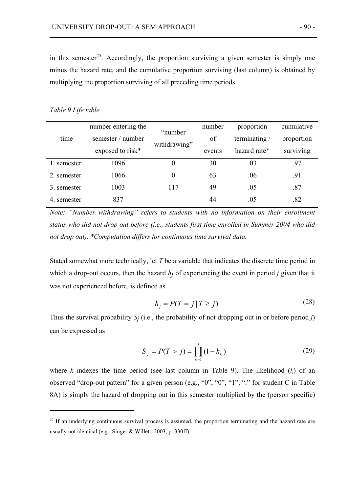in this semester<sup>25</sup>. Accordingly, the proportion surviving a given semester is simply one minus the hazard rate, and the cumulative proportion surviving (last column) is obtained by multiplying the proportion surviving of all preceding time periods.

#### *Table 9 Life table.*

 $\overline{a}$ 

|             | number entering the | "number      | number | proportion   | cumulative |
|-------------|---------------------|--------------|--------|--------------|------------|
| time        | semester / number   |              | of     | terminating/ | proportion |
|             | exposed to risk*    | withdrawing" | events | hazard rate* | surviving  |
| 1. semester | 1096                | $\theta$     | 30     | .03          | .97        |
| 2. semester | 1066                | $\theta$     | 63     | .06          | .91        |
| 3. semester | 1003                | 117          | 49     | .05          | .87        |
| 4. semester | 837                 |              | 44     | .05          | .82        |

*Note: "Number withdrawing" refers to students with no information on their enrollment status who did not drop out before (i.e., students first time enrolled in Summer 2004 who did not drop out). \*Computation differs for continuous time survival data.* 

Stated somewhat more technically, let *T* be a variable that indicates the discrete time period in which a drop-out occurs, then the hazard *hj* of experiencing the event in period *j* given that it was not experienced before, is defined as

$$
h_j = P(T = j | T \ge j)
$$
\n<sup>(28)</sup>

Thus the survival probability  $S_j$  (i.e., the probability of not dropping out in or before period *j*) can be expressed as

$$
S_j = P(T > j) = \prod_{k=1}^{j} (1 - h_k)
$$
 (29)

where *k* indexes the time period (see last column in Table 9). The likelihood  $(l_i)$  of an observed "drop-out pattern" for a given person (e.g., "0", "0", "1", "." for student C in Table 8A) is simply the hazard of dropping out in this semester multiplied by the (person specific)

<sup>&</sup>lt;sup>25</sup> If an underlying continuous survival process is assumed, the proportion terminating and the hazard rate are usually not identical (e.g., Singer & Willett, 2003, p. 330ff).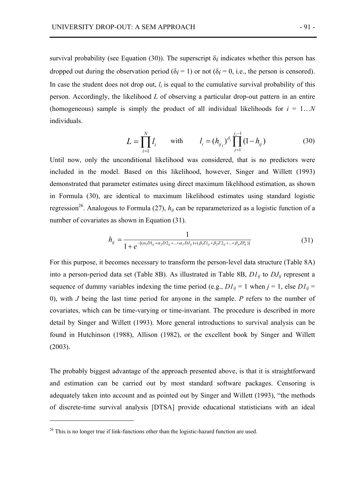survival probability (see Equation (30)). The superscript  $\delta_i$  indicates whether this person has dropped out during the observation period ( $\delta$ *i* = 1) or not ( $\delta$ *i* = 0, i.e., the person is censored). In case the student does not drop out,  $l_i$  is equal to the cumulative survival probability of this person. Accordingly, the likelihood *L* of observing a particular drop-out pattern in an entire (homogeneous) sample is simply the product of all individual likelihoods for  $i = 1...N$ individuals.

$$
L = \prod_{i=1}^{N} l_i \quad \text{with} \quad l_i = (h_{ij_i})^{\delta_i} \prod_{j=1}^{j_i - 1} (1 - h_{ij}) \quad (30)
$$

Until now, only the unconditional likelihood was considered, that is no predictors were included in the model. Based on this likelihood, however, Singer and Willett (1993) demonstrated that parameter estimates using direct maximum likelihood estimation, as shown in Formula (30), are identical to maximum likelihood estimates using standard logistic regression<sup>26</sup>. Analogous to Formula (27),  $h_{ij}$  can be reparameterized as a logistic function of a number of covariates as shown in Equation (31).

$$
h_{ij} = \frac{1}{1 + e^{-[(\alpha_1 D1_{ij} + \alpha_2 D2_{ij} + \dots + \alpha_J DJ_{ij}) + (\beta_1 Z1_{ij} + \beta_2 Z2_{ij} + \dots + \beta_p ZP_{ij})]}}
$$
(31)

For this purpose, it becomes necessary to transform the person-level data structure (Table 8A) into a person-period data set (Table 8B). As illustrated in Table 8B, *D1ij* to *DJij* represent a sequence of dummy variables indexing the time period (e.g.,  $DI_{ii} = 1$  when  $j = 1$ , else  $DI_{ii} =$ 0), with *J* being the last time period for anyone in the sample. *P* refers to the number of covariates, which can be time-varying or time-invariant. The procedure is described in more detail by Singer and Willett (1993). More general introductions to survival analysis can be found in Hutchinson (1988), Allison (1982), or the excellent book by Singer and Willett (2003).

The probably biggest advantage of the approach presented above, is that it is straightforward and estimation can be carried out by most standard software packages. Censoring is adequately taken into account and as pointed out by Singer and Willett (1993), "the methods of discrete-time survival analysis [DTSA] provide educational statisticians with an ideal

 $\overline{a}$ 

 $26$  This is no longer true if link-functions other than the logistic-hazard function are used.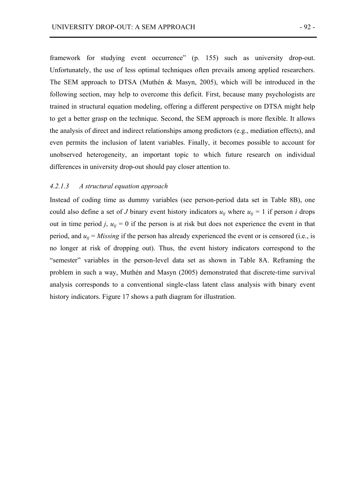framework for studying event occurrence" (p. 155) such as university drop-out. Unfortunately, the use of less optimal techniques often prevails among applied researchers. The SEM approach to DTSA (Muthén & Masyn, 2005), which will be introduced in the following section, may help to overcome this deficit. First, because many psychologists are trained in structural equation modeling, offering a different perspective on DTSA might help to get a better grasp on the technique. Second, the SEM approach is more flexible. It allows the analysis of direct and indirect relationships among predictors (e.g., mediation effects), and even permits the inclusion of latent variables. Finally, it becomes possible to account for unobserved heterogeneity, an important topic to which future research on individual differences in university drop-out should pay closer attention to.

#### *4.2.1.3 A structural equation approach*

Instead of coding time as dummy variables (see person-period data set in Table 8B), one could also define a set of *J* binary event history indicators  $u_{ij}$  where  $u_{ij} = 1$  if person *i* drops out in time period *j*,  $u_{ij} = 0$  if the person is at risk but does not experience the event in that period, and  $u_{ij} = M$ *issing* if the person has already experienced the event or is censored (i.e., is no longer at risk of dropping out). Thus, the event history indicators correspond to the "semester" variables in the person-level data set as shown in Table 8A. Reframing the problem in such a way, Muthén and Masyn (2005) demonstrated that discrete-time survival analysis corresponds to a conventional single-class latent class analysis with binary event history indicators. Figure 17 shows a path diagram for illustration.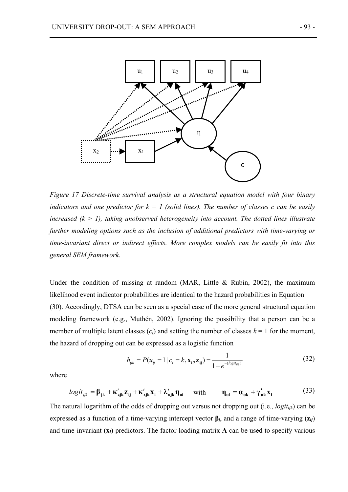

*Figure 17 Discrete-time survival analysis as a structural equation model with four binary indicators and one predictor for*  $k = 1$  (solid lines). The number of classes c can be easily *increased (k > 1), taking unobserved heterogeneity into account. The dotted lines illustrate further modeling options such as the inclusion of additional predictors with time-varying or time-invariant direct or indirect effects. More complex models can be easily fit into this general SEM framework.* 

Under the condition of missing at random (MAR, Little & Rubin, 2002), the maximum likelihood event indicator probabilities are identical to the hazard probabilities in Equation (30). Accordingly, DTSA can be seen as a special case of the more general structural equation modeling framework (e.g., Muthén, 2002). Ignoring the possibility that a person can be a member of multiple latent classes  $(c_i)$  and setting the number of classes  $k = 1$  for the moment, the hazard of dropping out can be expressed as a logistic function

$$
h_{ijk} = P(u_{ij} = 1 | c_i = k, \mathbf{x_i}, \mathbf{z_{ij}}) = \frac{1}{1 + e^{-(\log u_{ijk})}}
$$
(32)

where

$$
logit_{ijk} = \beta_{jk} + \kappa'_{ijk} z_{ij} + \kappa'_{ijk} x_i + \lambda'_{ijk} \eta_{ui} \quad \text{with} \quad \eta_{ui} = \alpha_{uk} + \gamma'_{uk} x_i \tag{33}
$$

The natural logarithm of the odds of dropping out versus not dropping out (i.e., *logitijk*) can be expressed as a function of a time-varying intercept vector **β***j*, and a range of time-varying (**z***ij*) and time-invariant  $(\mathbf{x}_i)$  predictors. The factor loading matrix  $\Lambda$  can be used to specify various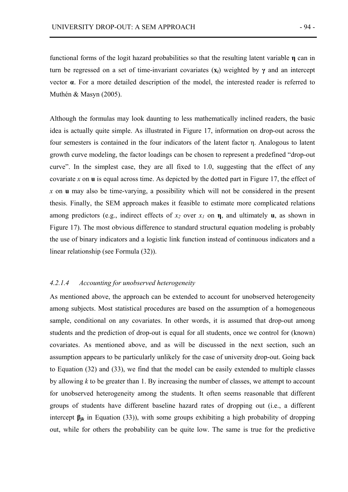functional forms of the logit hazard probabilities so that the resulting latent variable **η** can in turn be regressed on a set of time-invariant covariates  $(x_i)$  weighted by  $\gamma$  and an intercept vector **α**. For a more detailed description of the model, the interested reader is referred to Muthén & Masyn (2005).

Although the formulas may look daunting to less mathematically inclined readers, the basic idea is actually quite simple. As illustrated in Figure 17, information on drop-out across the four semesters is contained in the four indicators of the latent factor η. Analogous to latent growth curve modeling, the factor loadings can be chosen to represent a predefined "drop-out curve". In the simplest case, they are all fixed to 1.0, suggesting that the effect of any covariate *x* on **u** is equal across time. As depicted by the dotted part in Figure 17, the effect of *x* on **u** may also be time-varying, a possibility which will not be considered in the present thesis. Finally, the SEM approach makes it feasible to estimate more complicated relations among predictors (e.g., indirect effects of  $x_2$  over  $x_1$  on **η**, and ultimately **u**, as shown in Figure 17). The most obvious difference to standard structural equation modeling is probably the use of binary indicators and a logistic link function instead of continuous indicators and a linear relationship (see Formula (32)).

## *4.2.1.4 Accounting for unobserved heterogeneity*

As mentioned above, the approach can be extended to account for unobserved heterogeneity among subjects. Most statistical procedures are based on the assumption of a homogeneous sample, conditional on any covariates. In other words, it is assumed that drop-out among students and the prediction of drop-out is equal for all students, once we control for (known) covariates. As mentioned above, and as will be discussed in the next section, such an assumption appears to be particularly unlikely for the case of university drop-out. Going back to Equation (32) and (33), we find that the model can be easily extended to multiple classes by allowing *k* to be greater than 1. By increasing the number of classes, we attempt to account for unobserved heterogeneity among the students. It often seems reasonable that different groups of students have different baseline hazard rates of dropping out (i.e., a different intercept  $\beta_{ik}$  in Equation (33)), with some groups exhibiting a high probability of dropping out, while for others the probability can be quite low. The same is true for the predictive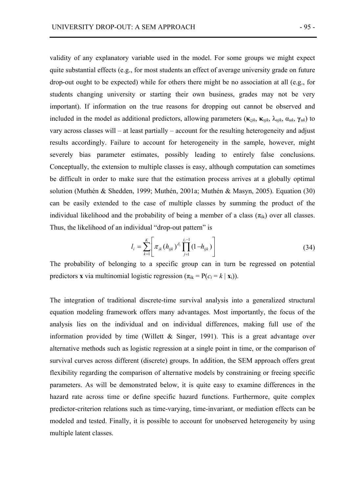validity of any explanatory variable used in the model. For some groups we might expect quite substantial effects (e.g., for most students an effect of average university grade on future drop-out ought to be expected) while for others there might be no association at all (e.g., for students changing university or starting their own business, grades may not be very important). If information on the true reasons for dropping out cannot be observed and included in the model as additional predictors, allowing parameters ( $\kappa_{zik}$ ,  $\kappa_{xik}$ ,  $\lambda_{uik}$ ,  $\alpha_{uk}$ ,  $\gamma_{uk}$ ) to vary across classes will – at least partially – account for the resulting heterogeneity and adjust results accordingly. Failure to account for heterogeneity in the sample, however, might severely bias parameter estimates, possibly leading to entirely false conclusions. Conceptually, the extension to multiple classes is easy, although computation can sometimes be difficult in order to make sure that the estimation process arrives at a globally optimal solution (Muthén & Shedden, 1999; Muthén, 2001a; Muthén & Masyn, 2005). Equation (30) can be easily extended to the case of multiple classes by summing the product of the individual likelihood and the probability of being a member of a class  $(\pi_{ik})$  over all classes. Thus, the likelihood of an individual "drop-out pattern" is

$$
l_{i} = \sum_{k=1}^{K} \left[ \pi_{ik} (h_{ijk})^{\delta_{i}} \prod_{j=1}^{j_{i}-1} (1 - h_{ijk}) \right]
$$
 (34)

The probability of belonging to a specific group can in turn be regressed on potential predictors **x** via multinomial logistic regression  $(\pi_{ik} = P(c_i = k | \mathbf{x}_i))$ .

The integration of traditional discrete-time survival analysis into a generalized structural equation modeling framework offers many advantages. Most importantly, the focus of the analysis lies on the individual and on individual differences, making full use of the information provided by time (Willett  $\&$  Singer, 1991). This is a great advantage over alternative methods such as logistic regression at a single point in time, or the comparison of survival curves across different (discrete) groups. In addition, the SEM approach offers great flexibility regarding the comparison of alternative models by constraining or freeing specific parameters. As will be demonstrated below, it is quite easy to examine differences in the hazard rate across time or define specific hazard functions. Furthermore, quite complex predictor-criterion relations such as time-varying, time-invariant, or mediation effects can be modeled and tested. Finally, it is possible to account for unobserved heterogeneity by using multiple latent classes.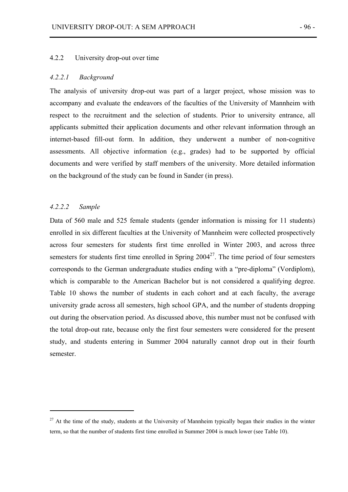### 4.2.2 University drop-out over time

#### *4.2.2.1 Background*

The analysis of university drop-out was part of a larger project, whose mission was to accompany and evaluate the endeavors of the faculties of the University of Mannheim with respect to the recruitment and the selection of students. Prior to university entrance, all applicants submitted their application documents and other relevant information through an internet-based fill-out form. In addition, they underwent a number of non-cognitive assessments. All objective information (e.g., grades) had to be supported by official documents and were verified by staff members of the university. More detailed information on the background of the study can be found in Sander (in press).

### *4.2.2.2 Sample*

 $\overline{a}$ 

Data of 560 male and 525 female students (gender information is missing for 11 students) enrolled in six different faculties at the University of Mannheim were collected prospectively across four semesters for students first time enrolled in Winter 2003, and across three semesters for students first time enrolled in Spring  $2004^{27}$ . The time period of four semesters corresponds to the German undergraduate studies ending with a "pre-diploma" (Vordiplom), which is comparable to the American Bachelor but is not considered a qualifying degree. Table 10 shows the number of students in each cohort and at each faculty, the average university grade across all semesters, high school GPA, and the number of students dropping out during the observation period. As discussed above, this number must not be confused with the total drop-out rate, because only the first four semesters were considered for the present study, and students entering in Summer 2004 naturally cannot drop out in their fourth semester.

 $27$  At the time of the study, students at the University of Mannheim typically began their studies in the winter term, so that the number of students first time enrolled in Summer 2004 is much lower (see Table 10).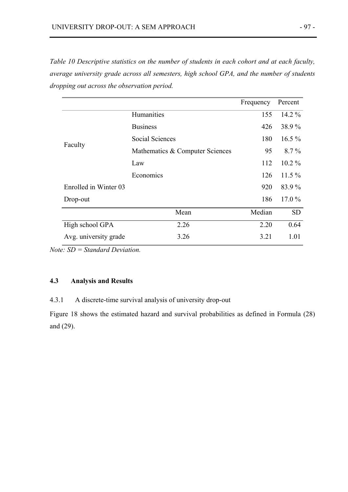*Table 10 Descriptive statistics on the number of students in each cohort and at each faculty, average university grade across all semesters, high school GPA, and the number of students dropping out across the observation period.* 

|                       |                                 | Frequency | Percent   |
|-----------------------|---------------------------------|-----------|-----------|
| Faculty               | Humanities                      | 155       | $14.2\%$  |
|                       | <b>Business</b>                 | 426       | 38.9%     |
|                       | <b>Social Sciences</b>          | 180       | $16.5\%$  |
|                       | Mathematics & Computer Sciences | 95        | $8.7\%$   |
|                       | Law                             | 112       | $10.2\%$  |
|                       | Economics                       | 126       | $11.5\%$  |
| Enrolled in Winter 03 |                                 | 920       | 83.9%     |
| Drop-out              |                                 | 186       | $17.0\%$  |
|                       | Mean                            | Median    | <b>SD</b> |
| High school GPA       | 2.26                            | 2.20      | 0.64      |
| Avg. university grade | 3.26                            | 3.21      | 1.01      |

*Note: SD = Standard Deviation.* 

# **4.3 Analysis and Results**

4.3.1 A discrete-time survival analysis of university drop-out

Figure 18 shows the estimated hazard and survival probabilities as defined in Formula (28) and (29).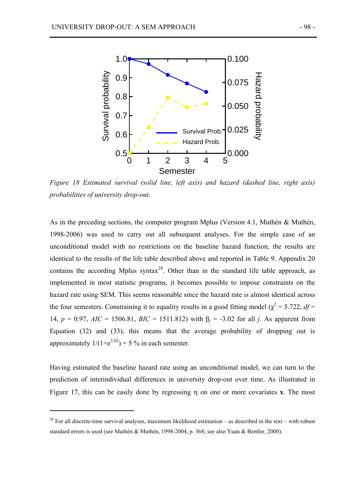

*Figure 18 Estimated survival (solid line, left axis) and hazard (dashed line, right axis) probabilities of university drop-out.* 

As in the preceding sections, the computer program Mplus (Version 4.1, Muthén & Muthén, 1998-2006) was used to carry out all subsequent analyses. For the simple case of an unconditional model with no restrictions on the baseline hazard function, the results are identical to the results of the life table described above and reported in Table 9. Appendix 20 contains the according Mplus syntax<sup>28</sup>. Other than in the standard life table approach, as implemented in most statistic programs, it becomes possible to impose constraints on the hazard rate using SEM. This seems reasonable since the hazard rate is almost identical across the four semesters. Constraining it to equality results in a good fitting model ( $\chi^2$  = 5.722, *df* = 14,  $p = 0.97$ ,  $AIC = 1506.81$ ,  $BIC = 1511.812$ ) with  $\beta_i = -3.02$  for all *j*. As apparent from Equation (32) and (33), this means that the average probability of dropping out is approximately  $1/(1+e^{3.02}) = 5\%$  in each semester.

Having estimated the baseline hazard rate using an unconditional model, we can turn to the prediction of interindividual differences in university drop-out over time. As illustrated in Figure 17, this can be easily done by regressing η on one or more covariates **x**. The most

 $\overline{a}$ 

<sup>&</sup>lt;sup>28</sup> For all discrete-time survival analyses, maximum likelihood estimation – as described in the text – with robust standard errors is used (see Muthén & Muthén, 1998-2004, p. 368; see also Yuan & Bentler, 2000).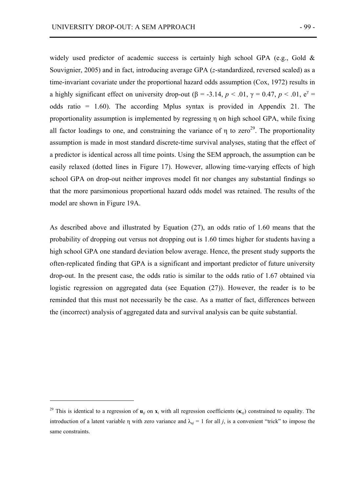widely used predictor of academic success is certainly high school GPA (e.g., Gold  $\&$ Souvignier, 2005) and in fact, introducing average GPA (*z*-standardized, reversed scaled) as a time-invariant covariate under the proportional hazard odds assumption (Cox, 1972) results in a highly significant effect on university drop-out ( $\beta$  = -3.14,  $p < .01$ ,  $\gamma$  = 0.47,  $p < .01$ ,  $e^{\gamma}$  = odds ratio = 1.60). The according Mplus syntax is provided in Appendix 21. The proportionality assumption is implemented by regressing η on high school GPA, while fixing all factor loadings to one, and constraining the variance of  $\eta$  to zero<sup>29</sup>. The proportionality assumption is made in most standard discrete-time survival analyses, stating that the effect of a predictor is identical across all time points. Using the SEM approach, the assumption can be easily relaxed (dotted lines in Figure 17). However, allowing time-varying effects of high school GPA on drop-out neither improves model fit nor changes any substantial findings so that the more parsimonious proportional hazard odds model was retained. The results of the model are shown in Figure 19A.

As described above and illustrated by Equation (27), an odds ratio of 1.60 means that the probability of dropping out versus not dropping out is 1.60 times higher for students having a high school GPA one standard deviation below average. Hence, the present study supports the often-replicated finding that GPA is a significant and important predictor of future university drop-out. In the present case, the odds ratio is similar to the odds ratio of 1.67 obtained via logistic regression on aggregated data (see Equation (27)). However, the reader is to be reminded that this must not necessarily be the case. As a matter of fact, differences between the (incorrect) analysis of aggregated data and survival analysis can be quite substantial.

 $\overline{a}$ 

<sup>&</sup>lt;sup>29</sup> This is identical to a regression of  $\mathbf{u}_i$  on  $\mathbf{x}_i$  with all regression coefficients  $(\mathbf{x}_i)$  constrained to equality. The introduction of a latent variable η with zero variance and  $\lambda_{ui} = 1$  for all *j*, is a convenient "trick" to impose the same constraints.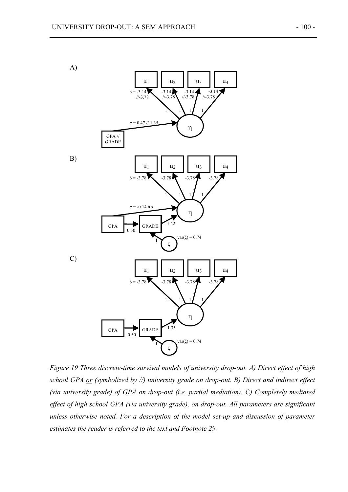

*Figure 19 Three discrete-time survival models of university drop-out. A) Direct effect of high school GPA or (symbolized by //) university grade on drop-out. B) Direct and indirect effect (via university grade) of GPA on drop-out (i.e. partial mediation). C) Completely mediated effect of high school GPA (via university grade), on drop-out. All parameters are significant unless otherwise noted. For a description of the model set-up and discussion of parameter estimates the reader is referred to the text and Footnote 29.*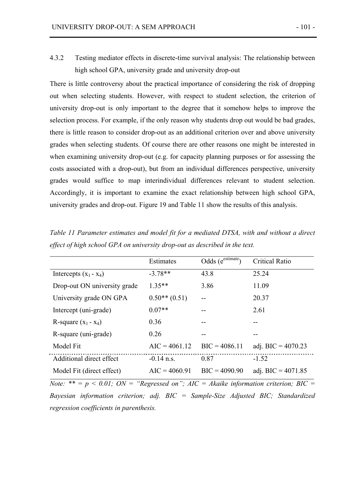4.3.2 Testing mediator effects in discrete-time survival analysis: The relationship between high school GPA, university grade and university drop-out

There is little controversy about the practical importance of considering the risk of dropping out when selecting students. However, with respect to student selection, the criterion of university drop-out is only important to the degree that it somehow helps to improve the selection process. For example, if the only reason why students drop out would be bad grades, there is little reason to consider drop-out as an additional criterion over and above university grades when selecting students. Of course there are other reasons one might be interested in when examining university drop-out (e.g. for capacity planning purposes or for assessing the costs associated with a drop-out), but from an individual differences perspective, university grades would suffice to map interindividual differences relevant to student selection. Accordingly, it is important to examine the exact relationship between high school GPA, university grades and drop-out. Figure 19 and Table 11 show the results of this analysis.

|                              | Estimates       | Odds (e <sup>estimate</sup> ) | Critical Ratio       |
|------------------------------|-----------------|-------------------------------|----------------------|
| Intercepts $(x_1 - x_4)$     | $-3.78**$       | 43.8                          | 25.24                |
| Drop-out ON university grade | $1.35**$        | 3.86                          | 11.09                |
| University grade ON GPA      | $0.50**$ (0.51) |                               | 20.37                |
| Intercept (uni-grade)        | $0.07**$        |                               | 2.61                 |
| R-square $(x_1 - x_4)$       | 0.36            | --                            | --                   |
| R-square (uni-grade)         | 0.26            |                               |                      |
| Model Fit                    | $AIC = 4061.12$ | $BIC = 4086.11$               | adj. BIC = $4070.23$ |
| Additional direct effect     | $-0.14$ n.s.    | 0.87                          | $-1.52$              |
| Model Fit (direct effect)    | $AIC = 4060.91$ | $BIC = 4090.90$               | adj. BIC = $4071.85$ |

*Table 11 Parameter estimates and model fit for a mediated DTSA, with and without a direct effect of high school GPA on university drop-out as described in the text.* 

*Note:* \*\* =  $p < 0.01$ ; *ON* = "Regressed on"; *AIC* = *Akaike information criterion; BIC* = *Bayesian information criterion; adj. BIC = Sample-Size Adjusted BIC; Standardized regression coefficients in parenthesis.*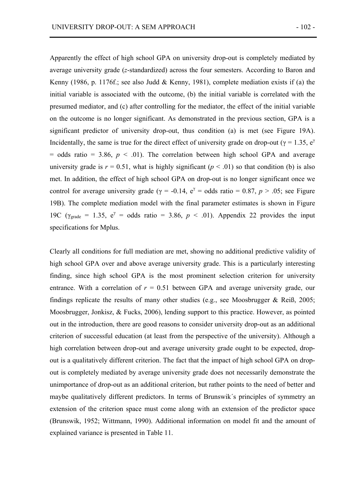Apparently the effect of high school GPA on university drop-out is completely mediated by average university grade (*z*-standardized) across the four semesters. According to Baron and Kenny (1986, p. 1176f.; see also Judd & Kenny, 1981), complete mediation exists if (a) the initial variable is associated with the outcome, (b) the initial variable is correlated with the presumed mediator, and (c) after controlling for the mediator, the effect of the initial variable on the outcome is no longer significant. As demonstrated in the previous section, GPA is a significant predictor of university drop-out, thus condition (a) is met (see Figure 19A). Incidentally, the same is true for the direct effect of university grade on drop-out ( $\gamma = 1.35$ ,  $e^{\gamma}$  $=$  odds ratio  $=$  3.86,  $p < .01$ ). The correlation between high school GPA and average university grade is  $r = 0.51$ , what is highly significant ( $p < .01$ ) so that condition (b) is also met. In addition, the effect of high school GPA on drop-out is no longer significant once we control for average university grade ( $\gamma$  = -0.14,  $e^{\gamma}$  = odds ratio = 0.87, *p* > .05; see Figure 19B). The complete mediation model with the final parameter estimates is shown in Figure 19C ( $\gamma_{\text{grade}} = 1.35$ ,  $e^{\gamma} = \text{odds ratio} = 3.86$ ,  $p < .01$ ). Appendix 22 provides the input specifications for Mplus.

Clearly all conditions for full mediation are met, showing no additional predictive validity of high school GPA over and above average university grade. This is a particularly interesting finding, since high school GPA is the most prominent selection criterion for university entrance. With a correlation of  $r = 0.51$  between GPA and average university grade, our findings replicate the results of many other studies (e.g., see Moosbrugger & Reiß, 2005; Moosbrugger, Jonkisz, & Fucks, 2006), lending support to this practice. However, as pointed out in the introduction, there are good reasons to consider university drop-out as an additional criterion of successful education (at least from the perspective of the university). Although a high correlation between drop-out and average university grade ought to be expected, dropout is a qualitatively different criterion. The fact that the impact of high school GPA on dropout is completely mediated by average university grade does not necessarily demonstrate the unimportance of drop-out as an additional criterion, but rather points to the need of better and maybe qualitatively different predictors. In terms of Brunswik´s principles of symmetry an extension of the criterion space must come along with an extension of the predictor space (Brunswik, 1952; Wittmann, 1990). Additional information on model fit and the amount of explained variance is presented in Table 11.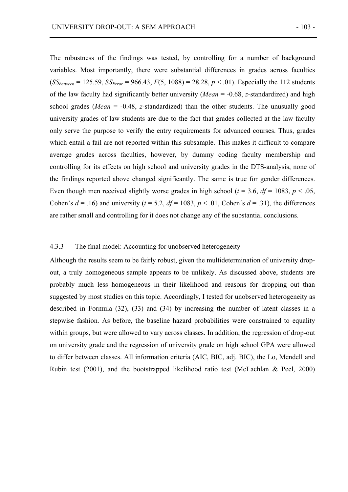The robustness of the findings was tested, by controlling for a number of background variables. Most importantly, there were substantial differences in grades across faculties  $(SS_{between} = 125.59, SS_{Error} = 966.43, F(5, 1088) = 28.28, p < .01)$ . Especially the 112 students of the law faculty had significantly better university (*Mean* = -0.68, *z*-standardized) and high school grades (*Mean* = -0.48, *z*-standardized) than the other students. The unusually good university grades of law students are due to the fact that grades collected at the law faculty only serve the purpose to verify the entry requirements for advanced courses. Thus, grades which entail a fail are not reported within this subsample. This makes it difficult to compare average grades across faculties, however, by dummy coding faculty membership and controlling for its effects on high school and university grades in the DTS-analysis, none of the findings reported above changed significantly. The same is true for gender differences. Even though men received slightly worse grades in high school ( $t = 3.6$ ,  $df = 1083$ ,  $p < .05$ , Cohen's  $d = .16$ ) and university ( $t = 5.2$ ,  $df = 1083$ ,  $p < .01$ , Cohen's  $d = .31$ ), the differences are rather small and controlling for it does not change any of the substantial conclusions.

### 4.3.3 The final model: Accounting for unobserved heterogeneity

Although the results seem to be fairly robust, given the multidetermination of university dropout, a truly homogeneous sample appears to be unlikely. As discussed above, students are probably much less homogeneous in their likelihood and reasons for dropping out than suggested by most studies on this topic. Accordingly, I tested for unobserved heterogeneity as described in Formula (32), (33) and (34) by increasing the number of latent classes in a stepwise fashion. As before, the baseline hazard probabilities were constrained to equality within groups, but were allowed to vary across classes. In addition, the regression of drop-out on university grade and the regression of university grade on high school GPA were allowed to differ between classes. All information criteria (AIC, BIC, adj. BIC), the Lo, Mendell and Rubin test (2001), and the bootstrapped likelihood ratio test (McLachlan & Peel, 2000)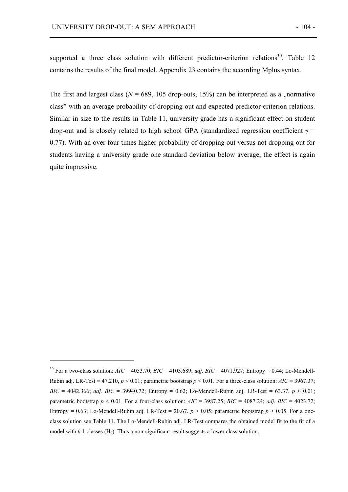$\overline{a}$ 

supported a three class solution with different predictor-criterion relations<sup>30</sup>. Table 12 contains the results of the final model. Appendix 23 contains the according Mplus syntax.

The first and largest class ( $N = 689$ , 105 drop-outs, 15%) can be interpreted as a "normative class" with an average probability of dropping out and expected predictor-criterion relations. Similar in size to the results in Table 11, university grade has a significant effect on student drop-out and is closely related to high school GPA (standardized regression coefficient  $γ =$ 0.77). With an over four times higher probability of dropping out versus not dropping out for students having a university grade one standard deviation below average, the effect is again quite impressive.

<sup>&</sup>lt;sup>30</sup> For a two-class solution:  $AIC = 4053.70$ ;  $BIC = 4103.689$ ; *adj.*  $BIC = 4071.927$ ; Entropy = 0.44; Lo-Mendell-Rubin adj. LR-Test = 47.210,  $p < 0.01$ ; parametric bootstrap  $p < 0.01$ . For a three-class solution:  $AIC = 3967.37$ ; *BIC* = 4042.366; *adj. BIC* = 39940.72; Entropy = 0.62; Lo-Mendell-Rubin adj. LR-Test = 63.37,  $p < 0.01$ ; parametric bootstrap  $p \le 0.01$ . For a four-class solution:  $AIC = 3987.25$ ;  $BIC = 4087.24$ ; *adj.*  $BIC = 4023.72$ ; Entropy = 0.63; Lo-Mendell-Rubin adj. LR-Test = 20.67,  $p > 0.05$ ; parametric bootstrap  $p > 0.05$ . For a oneclass solution see Table 11. The Lo-Mendell-Rubin adj. LR-Test compares the obtained model fit to the fit of a model with  $k-1$  classes  $(H_0)$ . Thus a non-significant result suggests a lower class solution.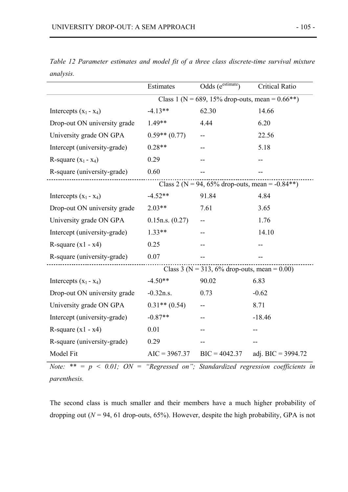|                              | Estimates                                          | Odds $(e^{estimate})$                               | <b>Critical Ratio</b> |
|------------------------------|----------------------------------------------------|-----------------------------------------------------|-----------------------|
|                              | Class 1 (N = 689, 15% drop-outs, mean = $0.66**$ ) |                                                     |                       |
| Intercepts $(x_1 - x_4)$     | $-4.13**$                                          | 62.30                                               | 14.66                 |
| Drop-out ON university grade | $1.49**$                                           | 4.44                                                | 6.20                  |
| University grade ON GPA      | $0.59**$ (0.77)                                    |                                                     | 22.56                 |
| Intercept (university-grade) | $0.28**$                                           |                                                     | 5.18                  |
| R-square $(x_1 - x_4)$       | 0.29                                               |                                                     |                       |
| R-square (university-grade)  | 0.60                                               |                                                     |                       |
|                              |                                                    | Class 2 ( $N = 94$ , 65% drop-outs, mean = -0.84**) |                       |
| Intercepts $(x_1 - x_4)$     | $-4.52**$                                          | 91.84                                               | 4.84                  |
| Drop-out ON university grade | $2.03**$                                           | 7.61                                                | 3.65                  |
| University grade ON GPA      | 0.15n.s. (0.27)                                    |                                                     | 1.76                  |
| Intercept (university-grade) | $1.33**$                                           |                                                     | 14.10                 |
| R-square $(x1 - x4)$         | 0.25                                               |                                                     |                       |
| R-square (university-grade)  | 0.07                                               |                                                     |                       |
|                              |                                                    | Class 3 ( $N = 313$ , 6% drop-outs, mean = 0.00)    |                       |
| Intercepts $(x_1 - x_4)$     | $-4.50**$                                          | 90.02                                               | 6.83                  |
| Drop-out ON university grade | $-0.32n.s.$                                        | 0.73                                                | $-0.62$               |
| University grade ON GPA      | $0.31**$ (0.54)                                    |                                                     | 8.71                  |
| Intercept (university-grade) | $-0.87**$                                          |                                                     | $-18.46$              |
| R-square $(x1 - x4)$         | 0.01                                               |                                                     |                       |
| R-square (university-grade)  | 0.29                                               |                                                     |                       |
| Model Fit                    | $AIC = 3967.37$                                    | $BIC = 4042.37$                                     | adj. BIC = $3994.72$  |

*Table 12 Parameter estimates and model fit of a three class discrete-time survival mixture analysis.*

*Note:* \*\* =  $p < 0.01$ ; *ON* = "Regressed on"; *Standardized regression coefficients in parenthesis.* 

The second class is much smaller and their members have a much higher probability of dropping out ( $N = 94$ , 61 drop-outs, 65%). However, despite the high probability, GPA is not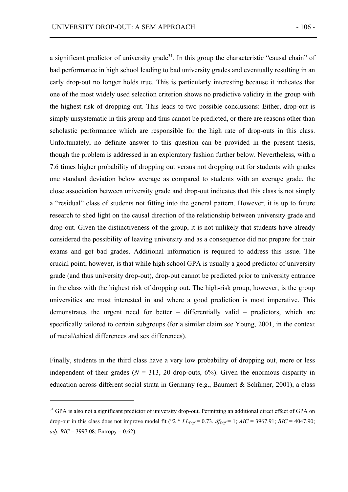a significant predictor of university grade<sup>31</sup>. In this group the characteristic "causal chain" of bad performance in high school leading to bad university grades and eventually resulting in an early drop-out no longer holds true. This is particularly interesting because it indicates that one of the most widely used selection criterion shows no predictive validity in the group with the highest risk of dropping out. This leads to two possible conclusions: Either, drop-out is simply unsystematic in this group and thus cannot be predicted, or there are reasons other than scholastic performance which are responsible for the high rate of drop-outs in this class. Unfortunately, no definite answer to this question can be provided in the present thesis, though the problem is addressed in an exploratory fashion further below. Nevertheless, with a 7.6 times higher probability of dropping out versus not dropping out for students with grades one standard deviation below average as compared to students with an average grade, the close association between university grade and drop-out indicates that this class is not simply a "residual" class of students not fitting into the general pattern. However, it is up to future research to shed light on the causal direction of the relationship between university grade and drop-out. Given the distinctiveness of the group, it is not unlikely that students have already considered the possibility of leaving university and as a consequence did not prepare for their exams and got bad grades. Additional information is required to address this issue. The crucial point, however, is that while high school GPA is usually a good predictor of university grade (and thus university drop-out), drop-out cannot be predicted prior to university entrance in the class with the highest risk of dropping out. The high-risk group, however, is the group universities are most interested in and where a good prediction is most imperative. This demonstrates the urgent need for better – differentially valid – predictors, which are specifically tailored to certain subgroups (for a similar claim see Young, 2001, in the context of racial/ethical differences and sex differences).

Finally, students in the third class have a very low probability of dropping out, more or less independent of their grades ( $N = 313$ , 20 drop-outs, 6%). Given the enormous disparity in education across different social strata in Germany (e.g., Baumert & Schümer, 2001), a class

 $\overline{a}$ 

<sup>&</sup>lt;sup>31</sup> GPA is also not a significant predictor of university drop-out. Permitting an additional direct effect of GPA on drop-out in this class does not improve model fit (" $2 * LL_{Diff} = 0.73$ ,  $df_{Diff} = 1$ ;  $AIC = 3967.91$ ;  $BIC = 4047.90$ ; *adj. BIC* = 3997.08; Entropy = 0.62).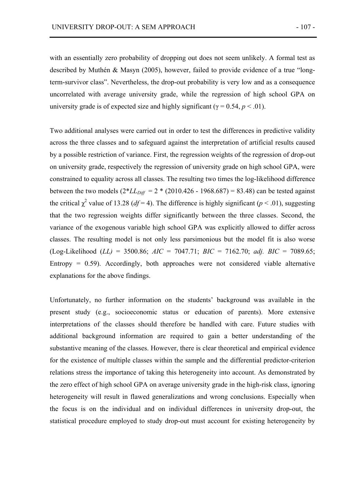with an essentially zero probability of dropping out does not seem unlikely. A formal test as described by Muthén & Masyn (2005), however, failed to provide evidence of a true "longterm-survivor class". Nevertheless, the drop-out probability is very low and as a consequence uncorrelated with average university grade, while the regression of high school GPA on university grade is of expected size and highly significant ( $\gamma = 0.54$ ,  $p < .01$ ).

Two additional analyses were carried out in order to test the differences in predictive validity across the three classes and to safeguard against the interpretation of artificial results caused by a possible restriction of variance. First, the regression weights of the regression of drop-out on university grade, respectively the regression of university grade on high school GPA, were constrained to equality across all classes. The resulting two times the log-likelihood difference between the two models  $(2 * LL_{Diff} = 2 * (2010.426 - 1968.687) = 83.48)$  can be tested against the critical  $\chi^2$  value of 13.28 (*df* = 4). The difference is highly significant (*p* < .01), suggesting that the two regression weights differ significantly between the three classes. Second, the variance of the exogenous variable high school GPA was explicitly allowed to differ across classes. The resulting model is not only less parsimonious but the model fit is also worse (Log-Likelihood (*LL)* = 3500.86; *AIC* = 7047.71; *BIC* = 7162.70; *adj. BIC* = 7089.65; Entropy  $= 0.59$ ). Accordingly, both approaches were not considered viable alternative explanations for the above findings.

Unfortunately, no further information on the students' background was available in the present study (e.g., socioeconomic status or education of parents). More extensive interpretations of the classes should therefore be handled with care. Future studies with additional background information are required to gain a better understanding of the substantive meaning of the classes. However, there is clear theoretical and empirical evidence for the existence of multiple classes within the sample and the differential predictor-criterion relations stress the importance of taking this heterogeneity into account. As demonstrated by the zero effect of high school GPA on average university grade in the high-risk class, ignoring heterogeneity will result in flawed generalizations and wrong conclusions. Especially when the focus is on the individual and on individual differences in university drop-out, the statistical procedure employed to study drop-out must account for existing heterogeneity by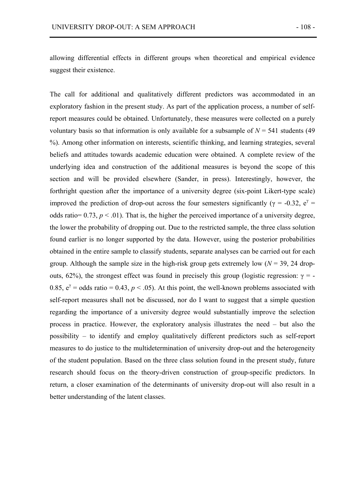allowing differential effects in different groups when theoretical and empirical evidence suggest their existence.

The call for additional and qualitatively different predictors was accommodated in an exploratory fashion in the present study. As part of the application process, a number of selfreport measures could be obtained. Unfortunately, these measures were collected on a purely voluntary basis so that information is only available for a subsample of  $N = 541$  students (49) %). Among other information on interests, scientific thinking, and learning strategies, several beliefs and attitudes towards academic education were obtained. A complete review of the underlying idea and construction of the additional measures is beyond the scope of this section and will be provided elsewhere (Sander, in press). Interestingly, however, the forthright question after the importance of a university degree (six-point Likert-type scale) improved the prediction of drop-out across the four semesters significantly ( $\gamma = -0.32$ ,  $e^{\gamma} =$ odds ratio=  $0.73$ ,  $p < 0.01$ ). That is, the higher the perceived importance of a university degree, the lower the probability of dropping out. Due to the restricted sample, the three class solution found earlier is no longer supported by the data. However, using the posterior probabilities obtained in the entire sample to classify students, separate analyses can be carried out for each group. Although the sample size in the high-risk group gets extremely low  $(N = 39, 24$  dropouts, 62%), the strongest effect was found in precisely this group (logistic regression: γ = -0.85,  $e^{\gamma}$  = odds ratio = 0.43,  $p < .05$ ). At this point, the well-known problems associated with self-report measures shall not be discussed, nor do I want to suggest that a simple question regarding the importance of a university degree would substantially improve the selection process in practice. However, the exploratory analysis illustrates the need – but also the possibility – to identify and employ qualitatively different predictors such as self-report measures to do justice to the multidetermination of university drop-out and the heterogeneity of the student population. Based on the three class solution found in the present study, future research should focus on the theory-driven construction of group-specific predictors. In return, a closer examination of the determinants of university drop-out will also result in a better understanding of the latent classes.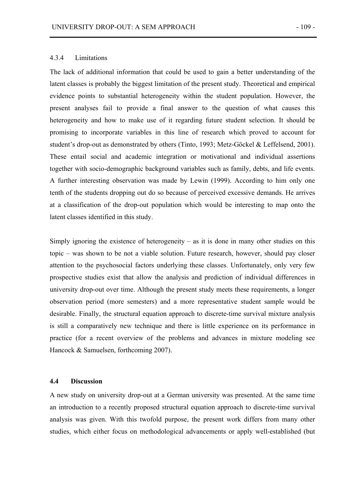# 4.3.4 Limitations

The lack of additional information that could be used to gain a better understanding of the latent classes is probably the biggest limitation of the present study. Theoretical and empirical evidence points to substantial heterogeneity within the student population. However, the present analyses fail to provide a final answer to the question of what causes this heterogeneity and how to make use of it regarding future student selection. It should be promising to incorporate variables in this line of research which proved to account for student's drop-out as demonstrated by others (Tinto, 1993; Metz-Göckel & Leffelsend, 2001). These entail social and academic integration or motivational and individual assertions together with socio-demographic background variables such as family, debts, and life events. A further interesting observation was made by Lewin (1999). According to him only one tenth of the students dropping out do so because of perceived excessive demands. He arrives at a classification of the drop-out population which would be interesting to map onto the latent classes identified in this study.

Simply ignoring the existence of heterogeneity – as it is done in many other studies on this topic – was shown to be not a viable solution. Future research, however, should pay closer attention to the psychosocial factors underlying these classes. Unfortunately, only very few prospective studies exist that allow the analysis and prediction of individual differences in university drop-out over time. Although the present study meets these requirements, a longer observation period (more semesters) and a more representative student sample would be desirable. Finally, the structural equation approach to discrete-time survival mixture analysis is still a comparatively new technique and there is little experience on its performance in practice (for a recent overview of the problems and advances in mixture modeling see Hancock & Samuelsen, forthcoming 2007).

## **4.4 Discussion**

A new study on university drop-out at a German university was presented. At the same time an introduction to a recently proposed structural equation approach to discrete-time survival analysis was given. With this twofold purpose, the present work differs from many other studies, which either focus on methodological advancements or apply well-established (but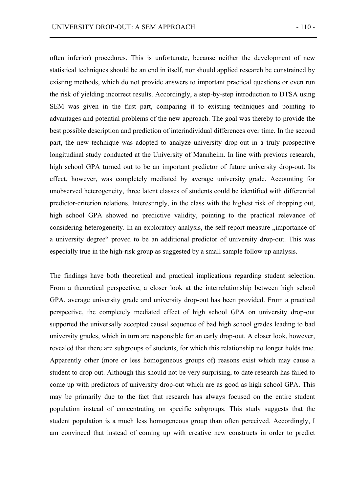often inferior) procedures. This is unfortunate, because neither the development of new statistical techniques should be an end in itself, nor should applied research be constrained by existing methods, which do not provide answers to important practical questions or even run the risk of yielding incorrect results. Accordingly, a step-by-step introduction to DTSA using SEM was given in the first part, comparing it to existing techniques and pointing to advantages and potential problems of the new approach. The goal was thereby to provide the best possible description and prediction of interindividual differences over time. In the second part, the new technique was adopted to analyze university drop-out in a truly prospective longitudinal study conducted at the University of Mannheim. In line with previous research, high school GPA turned out to be an important predictor of future university drop-out. Its effect, however, was completely mediated by average university grade. Accounting for unobserved heterogeneity, three latent classes of students could be identified with differential predictor-criterion relations. Interestingly, in the class with the highest risk of dropping out, high school GPA showed no predictive validity, pointing to the practical relevance of considering heterogeneity. In an exploratory analysis, the self-report measure *importance* of a university degree" proved to be an additional predictor of university drop-out. This was especially true in the high-risk group as suggested by a small sample follow up analysis.

The findings have both theoretical and practical implications regarding student selection. From a theoretical perspective, a closer look at the interrelationship between high school GPA, average university grade and university drop-out has been provided. From a practical perspective, the completely mediated effect of high school GPA on university drop-out supported the universally accepted causal sequence of bad high school grades leading to bad university grades, which in turn are responsible for an early drop-out. A closer look, however, revealed that there are subgroups of students, for which this relationship no longer holds true. Apparently other (more or less homogeneous groups of) reasons exist which may cause a student to drop out. Although this should not be very surprising, to date research has failed to come up with predictors of university drop-out which are as good as high school GPA. This may be primarily due to the fact that research has always focused on the entire student population instead of concentrating on specific subgroups. This study suggests that the student population is a much less homogeneous group than often perceived. Accordingly, I am convinced that instead of coming up with creative new constructs in order to predict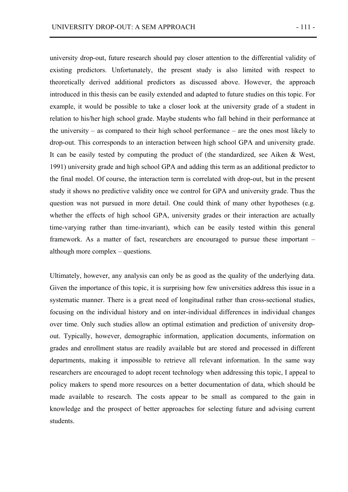university drop-out, future research should pay closer attention to the differential validity of existing predictors. Unfortunately, the present study is also limited with respect to theoretically derived additional predictors as discussed above. However, the approach introduced in this thesis can be easily extended and adapted to future studies on this topic. For example, it would be possible to take a closer look at the university grade of a student in relation to his/her high school grade. Maybe students who fall behind in their performance at the university – as compared to their high school performance – are the ones most likely to drop-out. This corresponds to an interaction between high school GPA and university grade. It can be easily tested by computing the product of (the standardized, see Aiken & West, 1991) university grade and high school GPA and adding this term as an additional predictor to the final model. Of course, the interaction term is correlated with drop-out, but in the present study it shows no predictive validity once we control for GPA and university grade. Thus the question was not pursued in more detail. One could think of many other hypotheses (e.g. whether the effects of high school GPA, university grades or their interaction are actually time-varying rather than time-invariant), which can be easily tested within this general framework. As a matter of fact, researchers are encouraged to pursue these important – although more complex – questions.

Ultimately, however, any analysis can only be as good as the quality of the underlying data. Given the importance of this topic, it is surprising how few universities address this issue in a systematic manner. There is a great need of longitudinal rather than cross-sectional studies, focusing on the individual history and on inter-individual differences in individual changes over time. Only such studies allow an optimal estimation and prediction of university dropout. Typically, however, demographic information, application documents, information on grades and enrollment status are readily available but are stored and processed in different departments, making it impossible to retrieve all relevant information. In the same way researchers are encouraged to adopt recent technology when addressing this topic, I appeal to policy makers to spend more resources on a better documentation of data, which should be made available to research. The costs appear to be small as compared to the gain in knowledge and the prospect of better approaches for selecting future and advising current students.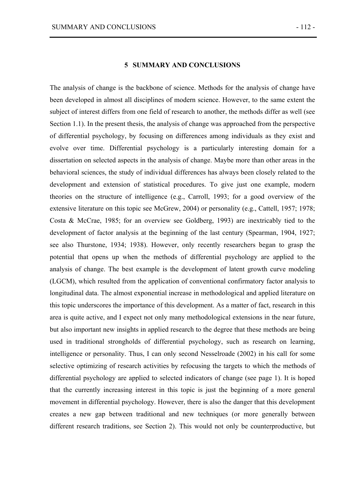### **5 SUMMARY AND CONCLUSIONS**

The analysis of change is the backbone of science. Methods for the analysis of change have been developed in almost all disciplines of modern science. However, to the same extent the subject of interest differs from one field of research to another, the methods differ as well (see Section 1.1). In the present thesis, the analysis of change was approached from the perspective of differential psychology, by focusing on differences among individuals as they exist and evolve over time. Differential psychology is a particularly interesting domain for a dissertation on selected aspects in the analysis of change. Maybe more than other areas in the behavioral sciences, the study of individual differences has always been closely related to the development and extension of statistical procedures. To give just one example, modern theories on the structure of intelligence (e.g., Carroll, 1993; for a good overview of the extensive literature on this topic see McGrew, 2004) or personality (e.g., Cattell, 1957; 1978; Costa & McCrae, 1985; for an overview see Goldberg, 1993) are inextricably tied to the development of factor analysis at the beginning of the last century (Spearman, 1904, 1927; see also Thurstone, 1934; 1938). However, only recently researchers began to grasp the potential that opens up when the methods of differential psychology are applied to the analysis of change. The best example is the development of latent growth curve modeling (LGCM), which resulted from the application of conventional confirmatory factor analysis to longitudinal data. The almost exponential increase in methodological and applied literature on this topic underscores the importance of this development. As a matter of fact, research in this area is quite active, and I expect not only many methodological extensions in the near future, but also important new insights in applied research to the degree that these methods are being used in traditional strongholds of differential psychology, such as research on learning, intelligence or personality. Thus, I can only second Nesselroade (2002) in his call for some selective optimizing of research activities by refocusing the targets to which the methods of differential psychology are applied to selected indicators of change (see page 1). It is hoped that the currently increasing interest in this topic is just the beginning of a more general movement in differential psychology. However, there is also the danger that this development creates a new gap between traditional and new techniques (or more generally between different research traditions, see Section 2). This would not only be counterproductive, but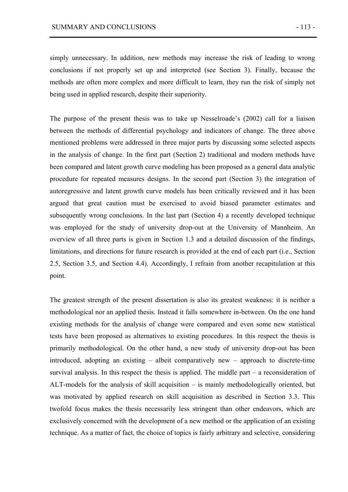simply unnecessary. In addition, new methods may increase the risk of leading to wrong conclusions if not properly set up and interpreted (see Section 3). Finally, because the methods are often more complex and more difficult to learn, they run the risk of simply not being used in applied research, despite their superiority.

The purpose of the present thesis was to take up Nesselroade's (2002) call for a liaison between the methods of differential psychology and indicators of change. The three above mentioned problems were addressed in three major parts by discussing some selected aspects in the analysis of change. In the first part (Section 2) traditional and modern methods have been compared and latent growth curve modeling has been proposed as a general data analytic procedure for repeated measures designs. In the second part (Section 3) the integration of autoregressive and latent growth curve models has been critically reviewed and it has been argued that great caution must be exercised to avoid biased parameter estimates and subsequently wrong conclusions. In the last part (Section 4) a recently developed technique was employed for the study of university drop-out at the University of Mannheim. An overview of all three parts is given in Section 1.3 and a detailed discussion of the findings, limitations, and directions for future research is provided at the end of each part (i.e., Section 2.5, Section 3.5, and Section 4.4). Accordingly, I refrain from another recapitulation at this point.

The greatest strength of the present dissertation is also its greatest weakness: it is neither a methodological nor an applied thesis. Instead it falls somewhere in-between. On the one hand existing methods for the analysis of change were compared and even some new statistical tests have been proposed as alternatives to existing procedures. In this respect the thesis is primarily methodological. On the other hand, a new study of university drop-out has been introduced, adopting an existing – albeit comparatively new – approach to discrete-time survival analysis. In this respect the thesis is applied. The middle part – a reconsideration of ALT-models for the analysis of skill acquisition – is mainly methodologically oriented, but was motivated by applied research on skill acquisition as described in Section 3.3. This twofold focus makes the thesis necessarily less stringent than other endeavors, which are exclusively concerned with the development of a new method or the application of an existing technique. As a matter of fact, the choice of topics is fairly arbitrary and selective, considering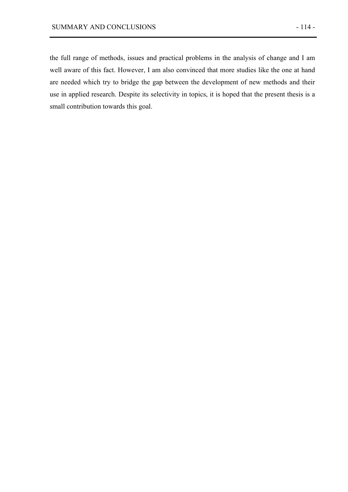the full range of methods, issues and practical problems in the analysis of change and I am well aware of this fact. However, I am also convinced that more studies like the one at hand are needed which try to bridge the gap between the development of new methods and their use in applied research. Despite its selectivity in topics, it is hoped that the present thesis is a small contribution towards this goal.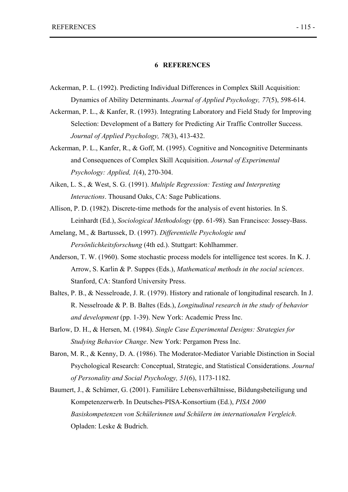#### **6 REFERENCES**

- Ackerman, P. L. (1992). Predicting Individual Differences in Complex Skill Acquisition: Dynamics of Ability Determinants. *Journal of Applied Psychology, 77*(5), 598-614.
- Ackerman, P. L., & Kanfer, R. (1993). Integrating Laboratory and Field Study for Improving Selection: Development of a Battery for Predicting Air Traffic Controller Success. *Journal of Applied Psychology, 78*(3), 413-432.
- Ackerman, P. L., Kanfer, R., & Goff, M. (1995). Cognitive and Noncognitive Determinants and Consequences of Complex Skill Acquisition. *Journal of Experimental Psychology: Applied, 1*(4), 270-304.
- Aiken, L. S., & West, S. G. (1991). *Multiple Regression: Testing and Interpreting Interactions*. Thousand Oaks, CA: Sage Publications.
- Allison, P. D. (1982). Discrete-time methods for the analysis of event histories. In S. Leinhardt (Ed.), *Sociological Methodology* (pp. 61-98). San Francisco: Jossey-Bass.
- Amelang, M., & Bartussek, D. (1997). *Differentielle Psychologie und Persönlichkeitsforschung* (4th ed.). Stuttgart: Kohlhammer.
- Anderson, T. W. (1960). Some stochastic process models for intelligence test scores. In K. J. Arrow, S. Karlin & P. Suppes (Eds.), *Mathematical methods in the social sciences*. Stanford, CA: Stanford University Press.
- Baltes, P. B., & Nesselroade, J. R. (1979). History and rationale of longitudinal research. In J. R. Nesselroade & P. B. Baltes (Eds.), *Longitudinal research in the study of behavior and development* (pp. 1-39). New York: Academic Press Inc.
- Barlow, D. H., & Hersen, M. (1984). *Single Case Experimental Designs: Strategies for Studying Behavior Change*. New York: Pergamon Press Inc.
- Baron, M. R., & Kenny, D. A. (1986). The Moderator-Mediator Variable Distinction in Social Psychological Research: Conceptual, Strategic, and Statistical Considerations. *Journal of Personality and Social Psychology, 51*(6), 1173-1182.
- Baumert, J., & Schümer, G. (2001). Familiäre Lebensverhältnisse, Bildungsbeteiligung und Kompetenzerwerb. In Deutsches-PISA-Konsortium (Ed.), *PISA 2000 Basiskompetenzen von Schülerinnen und Schülern im internationalen Vergleich*. Opladen: Leske & Budrich.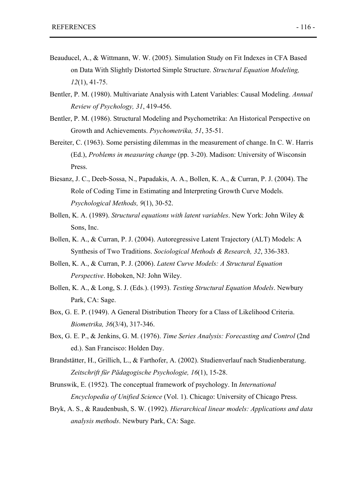- Beauducel, A., & Wittmann, W. W. (2005). Simulation Study on Fit Indexes in CFA Based on Data With Slightly Distorted Simple Structure. *Structural Equation Modeling, 12*(1), 41-75.
- Bentler, P. M. (1980). Multivariate Analysis with Latent Variables: Causal Modeling. *Annual Review of Psychology, 31*, 419-456.
- Bentler, P. M. (1986). Structural Modeling and Psychometrika: An Historical Perspective on Growth and Achievements. *Psychometrika, 51*, 35-51.
- Bereiter, C. (1963). Some persisting dilemmas in the measurement of change. In C. W. Harris (Ed.), *Problems in measuring change* (pp. 3-20). Madison: University of Wisconsin Press.
- Biesanz, J. C., Deeb-Sossa, N., Papadakis, A. A., Bollen, K. A., & Curran, P. J. (2004). The Role of Coding Time in Estimating and Interpreting Growth Curve Models. *Psychological Methods, 9*(1), 30-52.
- Bollen, K. A. (1989). *Structural equations with latent variables*. New York: John Wiley & Sons, Inc.
- Bollen, K. A., & Curran, P. J. (2004). Autoregressive Latent Trajectory (ALT) Models: A Synthesis of Two Traditions. *Sociological Methods & Research, 32*, 336-383.
- Bollen, K. A., & Curran, P. J. (2006). *Latent Curve Models: A Structural Equation Perspective*. Hoboken, NJ: John Wiley.
- Bollen, K. A., & Long, S. J. (Eds.). (1993). *Testing Structural Equation Models*. Newbury Park, CA: Sage.
- Box, G. E. P. (1949). A General Distribution Theory for a Class of Likelihood Criteria. *Biometrika, 36*(3/4), 317-346.
- Box, G. E. P., & Jenkins, G. M. (1976). *Time Series Analysis: Forecasting and Control* (2nd ed.). San Francisco: Holden Day.
- Brandstätter, H., Grillich, L., & Farthofer, A. (2002). Studienverlauf nach Studienberatung. *Zeitschrift für Pädagogische Psychologie, 16*(1), 15-28.
- Brunswik, E. (1952). The conceptual framework of psychology. In *International Encyclopedia of Unified Science* (Vol. 1). Chicago: University of Chicago Press.
- Bryk, A. S., & Raudenbush, S. W. (1992). *Hierarchical linear models: Applications and data analysis methods*. Newbury Park, CA: Sage.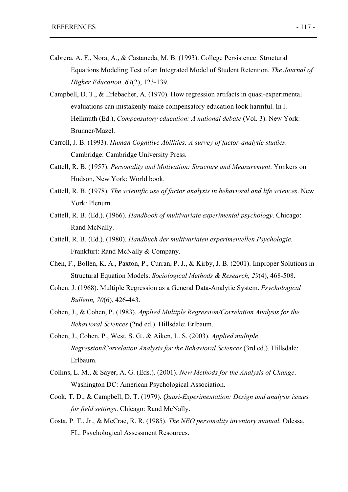- Cabrera, A. F., Nora, A., & Castaneda, M. B. (1993). College Persistence: Structural Equations Modeling Test of an Integrated Model of Student Retention. *The Journal of Higher Education, 64*(2), 123-139.
- Campbell, D. T., & Erlebacher, A. (1970). How regression artifacts in quasi-experimental evaluations can mistakenly make compensatory education look harmful. In J. Hellmuth (Ed.), *Compensatory education: A national debate* (Vol. 3). New York: Brunner/Mazel.
- Carroll, J. B. (1993). *Human Cognitive Abilities: A survey of factor-analytic studies*. Cambridge: Cambridge University Press.
- Cattell, R. B. (1957). *Personality and Motivation: Structure and Measurement*. Yonkers on Hudson, New York: World book.
- Cattell, R. B. (1978). *The scientific use of factor analysis in behavioral and life sciences*. New York: Plenum.
- Cattell, R. B. (Ed.). (1966). *Handbook of multivariate experimental psychology*. Chicago: Rand McNally.
- Cattell, R. B. (Ed.). (1980). *Handbuch der multivariaten experimentellen Psychologie*. Frankfurt: Rand McNally & Company.
- Chen, F., Bollen, K. A., Paxton, P., Curran, P. J., & Kirby, J. B. (2001). Improper Solutions in Structural Equation Models. *Sociological Methods & Research, 29*(4), 468-508.
- Cohen, J. (1968). Multiple Regression as a General Data-Analytic System. *Psychological Bulletin, 70*(6), 426-443.
- Cohen, J., & Cohen, P. (1983). *Applied Multiple Regression/Correlation Analysis for the Behavioral Sciences* (2nd ed.). Hillsdale: Erlbaum.
- Cohen, J., Cohen, P., West, S. G., & Aiken, L. S. (2003). *Applied multiple Regression/Correlation Analysis for the Behavioral Sciences* (3rd ed.). Hillsdale: Erlbaum.
- Collins, L. M., & Sayer, A. G. (Eds.). (2001). *New Methods for the Analysis of Change*. Washington DC: American Psychological Association.
- Cook, T. D., & Campbell, D. T. (1979). *Quasi-Experimentation: Design and analysis issues for field settings*. Chicago: Rand McNally.
- Costa, P. T., Jr., & McCrae, R. R. (1985). *The NEO personality inventory manual.* Odessa, FL: Psychological Assessment Resources.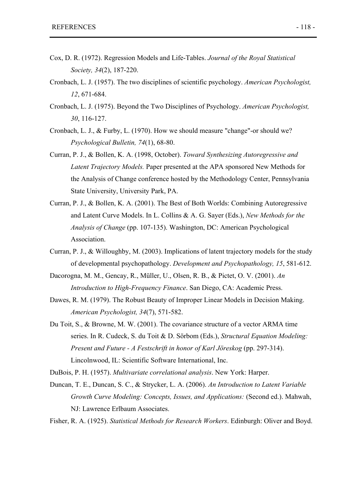- Cox, D. R. (1972). Regression Models and Life-Tables. *Journal of the Royal Statistical Society, 34*(2), 187-220.
- Cronbach, L. J. (1957). The two disciplines of scientific psychology. *American Psychologist, 12*, 671-684.
- Cronbach, L. J. (1975). Beyond the Two Disciplines of Psychology. *American Psychologist, 30*, 116-127.
- Cronbach, L. J., & Furby, L. (1970). How we should measure "change"-or should we? *Psychological Bulletin, 74*(1), 68-80.
- Curran, P. J., & Bollen, K. A. (1998, October). *Toward Synthesizing Autoregressive and Latent Trajectory Models.* Paper presented at the APA sponsored New Methods for the Analysis of Change conference hosted by the Methodology Center, Pennsylvania State University, University Park, PA.
- Curran, P. J., & Bollen, K. A. (2001). The Best of Both Worlds: Combining Autoregressive and Latent Curve Models. In L. Collins & A. G. Sayer (Eds.), *New Methods for the Analysis of Change* (pp. 107-135). Washington, DC: American Psychological Association.
- Curran, P. J., & Willoughby, M. (2003). Implications of latent trajectory models for the study of developmental psychopathology. *Development and Psychopathology, 15*, 581-612.
- Dacorogna, M. M., Gencay, R., Müller, U., Olsen, R. B., & Pictet, O. V. (2001). *An Introduction to High-Frequency Finance*. San Diego, CA: Academic Press.
- Dawes, R. M. (1979). The Robust Beauty of Improper Linear Models in Decision Making. *American Psychologist, 34*(7), 571-582.
- Du Toit, S., & Browne, M. W. (2001). The covariance structure of a vector ARMA time series. In R. Cudeck, S. du Toit & D. Sörbom (Eds.), *Structural Equation Modeling: Present and Future - A Festschrift in honor of Karl Jöreskog* (pp. 297-314). Lincolnwood, IL: Scientific Software International, Inc.

DuBois, P. H. (1957). *Multivariate correlational analysis*. New York: Harper.

Duncan, T. E., Duncan, S. C., & Strycker, L. A. (2006). *An Introduction to Latent Variable Growth Curve Modeling: Concepts, Issues, and Applications:* (Second ed.). Mahwah, NJ: Lawrence Erlbaum Associates.

Fisher, R. A. (1925). *Statistical Methods for Research Workers*. Edinburgh: Oliver and Boyd.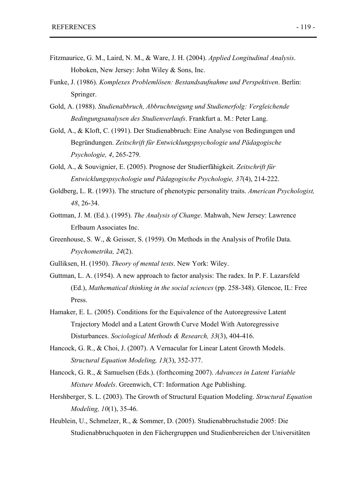- Fitzmaurice, G. M., Laird, N. M., & Ware, J. H. (2004). *Applied Longitudinal Analysis*. Hoboken, New Jersey: John Wiley & Sons, Inc.
- Funke, J. (1986). *Komplexes Problemlösen: Bestandsaufnahme und Perspektiven*. Berlin: Springer.
- Gold, A. (1988). *Studienabbruch, Abbruchneigung und Studienerfolg: Vergleichende Bedingungsanalysen des Studienverlaufs*. Frankfurt a. M.: Peter Lang.
- Gold, A., & Kloft, C. (1991). Der Studienabbruch: Eine Analyse von Bedingungen und Begründungen. *Zeitschrift für Entwicklungspsychologie und Pädagogische Psychologie, 4*, 265-279.
- Gold, A., & Souvignier, E. (2005). Prognose der Studierfähigkeit. *Zeitschrift für Entwicklungspsychologie und Pädagogische Psychologie, 37*(4), 214-222.
- Goldberg, L. R. (1993). The structure of phenotypic personality traits. *American Psychologist, 48*, 26-34.
- Gottman, J. M. (Ed.). (1995). *The Analysis of Change*. Mahwah, New Jersey: Lawrence Erlbaum Associates Inc.
- Greenhouse, S. W., & Geisser, S. (1959). On Methods in the Analysis of Profile Data. *Psychometrika, 24*(2).
- Gulliksen, H. (1950). *Theory of mental tests*. New York: Wiley.
- Guttman, L. A. (1954). A new approach to factor analysis: The radex. In P. F. Lazarsfeld (Ed.), *Mathematical thinking in the social sciences* (pp. 258-348). Glencoe, IL: Free Press.
- Hamaker, E. L. (2005). Conditions for the Equivalence of the Autoregressive Latent Trajectory Model and a Latent Growth Curve Model With Autoregressive Disturbances. *Sociological Methods & Research, 33*(3), 404-416.
- Hancock, G. R., & Choi, J. (2007). A Vernacular for Linear Latent Growth Models. *Structural Equation Modeling, 13*(3), 352-377.
- Hancock, G. R., & Samuelsen (Eds.). (forthcoming 2007). *Advances in Latent Variable Mixture Models*. Greenwich, CT: Information Age Publishing.
- Hershberger, S. L. (2003). The Growth of Structural Equation Modeling. *Structural Equation Modeling, 10*(1), 35-46.
- Heublein, U., Schmelzer, R., & Sommer, D. (2005). Studienabbruchstudie 2005: Die Studienabbruchquoten in den Fächergruppen und Studienbereichen der Universitäten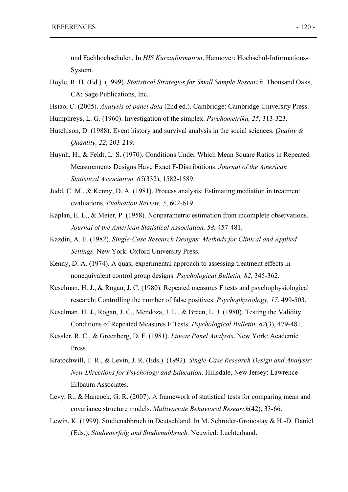und Fachhochschulen. In *HIS Kurzinformation*. Hannover: Hochschul-Informations-System.

- Hoyle, R. H. (Ed.). (1999). *Statistical Strategies for Small Sample Research*. Thousand Oaks, CA: Sage Publications, Inc.
- Hsiao, C. (2005). *Analysis of panel data* (2nd ed.). Cambridge: Cambridge University Press.
- Humphreys, L. G. (1960). Investigation of the simplex. *Psychometrika, 25*, 313-323.
- Hutchison, D. (1988). Event history and survival analysis in the social sciences. *Quality & Quantity, 22*, 203-219.
- Huynh, H., & Feldt, L. S. (1970). Conditions Under Which Mean Square Ratios in Repeated Measurements Designs Have Exact F-Distributions. *Journal of the American Statistical Association, 65*(332), 1582-1589.
- Judd, C. M., & Kenny, D. A. (1981). Process analysis: Estimating mediation in treatment evaluations. *Evaluation Review, 5*, 602-619.
- Kaplan, E. L., & Meier, P. (1958). Nonparametric estimation from incomplete observations. *Journal of the American Statistical Association, 58*, 457-481.
- Kazdin, A. E. (1982). *Single-Case Research Designs: Methods for Clinical and Applied Settings*. New York: Oxford University Press.
- Kenny, D. A. (1974). A quasi-experimental approach to assessing treatment effects in nonequivalent control group designs. *Psychological Bulletin, 82*, 345-362.
- Keselman, H. J., & Rogan, J. C. (1980). Repeated measures F tests and psychophysiological research: Controlling the number of false positives. *Psychophysiology, 17*, 499-503.
- Keselman, H. J., Rogan, J. C., Mendoza, J. L., & Breen, L. J. (1980). Testing the Validity Conditions of Repeated Measures F Tests. *Psychological Bulletin, 87*(3), 479-481.
- Kessler, R. C., & Greenberg, D. F. (1981). *Linear Panel Analysis*. New York: Academic Press.
- Kratochwill, T. R., & Levin, J. R. (Eds.). (1992). *Single-Case Research Design and Analysis: New Directions for Psychology and Education*. Hillsdale, New Jersey: Lawrence Erlbaum Associates.
- Levy, R., & Hancock, G. R. (2007). A framework of statistical tests for comparing mean and covariance structure models. *Multivariate Behavioral Research*(42), 33-66.
- Lewin, K. (1999). Studienabbruch in Deutschland. In M. Schröder-Gronostay & H.-D. Daniel (Eds.), *Studienerfolg und Studienabbruch.* Neuwied: Luchterhand.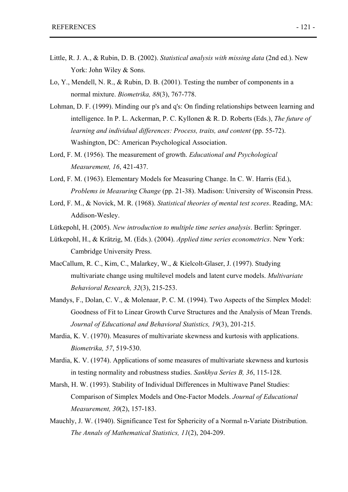- Little, R. J. A., & Rubin, D. B. (2002). *Statistical analysis with missing data* (2nd ed.). New York: John Wiley & Sons.
- Lo, Y., Mendell, N. R., & Rubin, D. B. (2001). Testing the number of components in a normal mixture. *Biometrika, 88*(3), 767-778.
- Lohman, D. F. (1999). Minding our p's and q's: On finding relationships between learning and intelligence. In P. L. Ackerman, P. C. Kyllonen & R. D. Roberts (Eds.), *The future of learning and individual differences: Process, traits, and content* (pp. 55-72). Washington, DC: American Psychological Association.
- Lord, F. M. (1956). The measurement of growth. *Educational and Psychological Measurement, 16*, 421-437.
- Lord, F. M. (1963). Elementary Models for Measuring Change. In C. W. Harris (Ed.), *Problems in Measuring Change* (pp. 21-38). Madison: University of Wisconsin Press.
- Lord, F. M., & Novick, M. R. (1968). *Statistical theories of mental test scores*. Reading, MA: Addison-Wesley.
- Lütkepohl, H. (2005). *New introduction to multiple time series analysis*. Berlin: Springer.
- Lütkepohl, H., & Krätzig, M. (Eds.). (2004). *Applied time series econometrics*. New York: Cambridge University Press.
- MacCallum, R. C., Kim, C., Malarkey, W., & Kielcolt-Glaser, J. (1997). Studying multivariate change using multilevel models and latent curve models. *Multivariate Behavioral Research, 32*(3), 215-253.
- Mandys, F., Dolan, C. V., & Molenaar, P. C. M. (1994). Two Aspects of the Simplex Model: Goodness of Fit to Linear Growth Curve Structures and the Analysis of Mean Trends. *Journal of Educational and Behavioral Statistics, 19*(3), 201-215.
- Mardia, K. V. (1970). Measures of multivariate skewness and kurtosis with applications. *Biometrika, 57*, 519-530.
- Mardia, K. V. (1974). Applications of some measures of multivariate skewness and kurtosis in testing normality and robustness studies. *Sankhya Series B, 36*, 115-128.
- Marsh, H. W. (1993). Stability of Individual Differences in Multiwave Panel Studies: Comparison of Simplex Models and One-Factor Models. *Journal of Educational Measurement, 30*(2), 157-183.
- Mauchly, J. W. (1940). Significance Test for Sphericity of a Normal n-Variate Distribution. *The Annals of Mathematical Statistics, 11*(2), 204-209.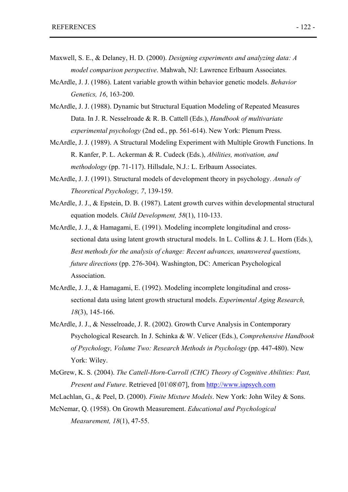- Maxwell, S. E., & Delaney, H. D. (2000). *Designing experiments and analyzing data: A model comparison perspective*. Mahwah, NJ: Lawrence Erlbaum Associates.
- McArdle, J. J. (1986). Latent variable growth within behavior genetic models. *Behavior Genetics, 16*, 163-200.
- McArdle, J. J. (1988). Dynamic but Structural Equation Modeling of Repeated Measures Data. In J. R. Nesselroade & R. B. Cattell (Eds.), *Handbook of multivariate experimental psychology* (2nd ed., pp. 561-614). New York: Plenum Press.
- McArdle, J. J. (1989). A Structural Modeling Experiment with Multiple Growth Functions. In R. Kanfer, P. L. Ackerman & R. Cudeck (Eds.), *Abilities, motivation, and methodology* (pp. 71-117). Hillsdale, N.J.: L. Erlbaum Associates.
- McArdle, J. J. (1991). Structural models of development theory in psychology. *Annals of Theoretical Psychology, 7*, 139-159.
- McArdle, J. J., & Epstein, D. B. (1987). Latent growth curves within developmental structural equation models. *Child Development, 58*(1), 110-133.
- McArdle, J. J., & Hamagami, E. (1991). Modeling incomplete longitudinal and crosssectional data using latent growth structural models. In L. Collins & J. L. Horn (Eds.), *Best methods for the analysis of change: Recent advances, unanswered questions, future directions* (pp. 276-304). Washington, DC: American Psychological Association.
- McArdle, J. J., & Hamagami, E. (1992). Modeling incomplete longitudinal and crosssectional data using latent growth structural models. *Experimental Aging Research, 18*(3), 145-166.
- McArdle, J. J., & Nesselroade, J. R. (2002). Growth Curve Analysis in Contemporary Psychological Research. In J. Schinka & W. Velicer (Eds.), *Comprehensive Handbook of Psychology, Volume Two: Research Methods in Psychology* (pp. 447-480). New York: Wiley.
- McGrew, K. S. (2004). *The Cattell-Horn-Carroll (CHC) Theory of Cognitive Abilities: Past, Present and Future*. Retrieved [01\08\07], from http://www.iapsych.com

McLachlan, G., & Peel, D. (2000). *Finite Mixture Models*. New York: John Wiley & Sons.

McNemar, Q. (1958). On Growth Measurement. *Educational and Psychological Measurement, 18*(1), 47-55.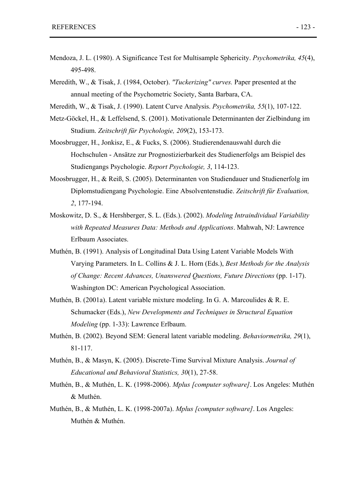- Mendoza, J. L. (1980). A Significance Test for Multisample Sphericity. *Psychometrika, 45*(4), 495-498.
- Meredith, W., & Tisak, J. (1984, October). *"Tuckerizing" curves.* Paper presented at the annual meeting of the Psychometric Society, Santa Barbara, CA.
- Meredith, W., & Tisak, J. (1990). Latent Curve Analysis. *Psychometrika, 55*(1), 107-122.
- Metz-Göckel, H., & Leffelsend, S. (2001). Motivationale Determinanten der Zielbindung im Studium. *Zeitschrift für Psychologie, 209*(2), 153-173.
- Moosbrugger, H., Jonkisz, E., & Fucks, S. (2006). Studierendenauswahl durch die Hochschulen - Ansätze zur Prognostizierbarkeit des Studienerfolgs am Beispiel des Studiengangs Psychologie. *Report Psychologie, 3*, 114-123.
- Moosbrugger, H., & Reiß, S. (2005). Determinanten von Studiendauer und Studienerfolg im Diplomstudiengang Psychologie. Eine Absolventenstudie. *Zeitschrift für Evaluation, 2*, 177-194.
- Moskowitz, D. S., & Hershberger, S. L. (Eds.). (2002). *Modeling Intraindividual Variability with Repeated Measures Data: Methods and Applications*. Mahwah, NJ: Lawrence Erlbaum Associates.
- Muthén, B. (1991). Analysis of Longitudinal Data Using Latent Variable Models With Varying Parameters. In L. Collins & J. L. Horn (Eds.), *Best Methods for the Analysis of Change: Recent Advances, Unanswered Questions, Future Directions* (pp. 1-17). Washington DC: American Psychological Association.
- Muthén, B. (2001a). Latent variable mixture modeling. In G. A. Marcoulides & R. E. Schumacker (Eds.), *New Developments and Techniques in Structural Equation Modeling* (pp. 1-33): Lawrence Erlbaum.
- Muthén, B. (2002). Beyond SEM: General latent variable modeling. *Behaviormetrika, 29*(1), 81-117.
- Muthén, B., & Masyn, K. (2005). Discrete-Time Survival Mixture Analysis. *Journal of Educational and Behavioral Statistics, 30*(1), 27-58.
- Muthén, B., & Muthén, L. K. (1998-2006). *Mplus [computer software]*. Los Angeles: Muthén & Muthén.
- Muthén, B., & Muthén, L. K. (1998-2007a). *Mplus [computer software]*. Los Angeles: Muthén & Muthén.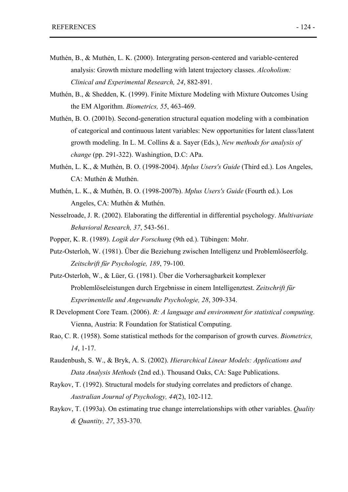- Muthén, B., & Muthén, L. K. (2000). Intergrating person-centered and variable-centered analysis: Growth mixture modelling with latent trajectory classes. *Alcoholism: Clinical and Experimental Research, 24*, 882-891.
- Muthén, B., & Shedden, K. (1999). Finite Mixture Modeling with Mixture Outcomes Using the EM Algorithm. *Biometrics, 55*, 463-469.
- Muthén, B. O. (2001b). Second-generation structural equation modeling with a combination of categorical and continuous latent variables: New opportunities for latent class/latent growth modeling. In L. M. Collins & a. Sayer (Eds.), *New methods for analysis of change* (pp. 291-322). Washingtion, D.C: APa.
- Muthén, L. K., & Muthén, B. O. (1998-2004). *Mplus Users's Guide* (Third ed.). Los Angeles, CA: Muthén & Muthén.
- Muthén, L. K., & Muthén, B. O. (1998-2007b). *Mplus Users's Guide* (Fourth ed.). Los Angeles, CA: Muthén & Muthén.
- Nesselroade, J. R. (2002). Elaborating the differential in differential psychology. *Multivariate Behavioral Research, 37*, 543-561.
- Popper, K. R. (1989). *Logik der Forschung* (9th ed.). Tübingen: Mohr.
- Putz-Osterloh, W. (1981). Über die Beziehung zwischen Intelligenz und Problemlöseerfolg. *Zeitschrift für Psychologie, 189*, 79-100.
- Putz-Osterloh, W., & Lüer, G. (1981). Über die Vorhersagbarkeit komplexer Problemlöseleistungen durch Ergebnisse in einem Intelligenztest. *Zeitschrift für Experimentelle und Angewandte Psychologie, 28*, 309-334.
- R Development Core Team. (2006). *R: A language and environment for statistical computing*. Vienna, Austria: R Foundation for Statistical Computing.
- Rao, C. R. (1958). Some statistical methods for the comparison of growth curves. *Biometrics, 14*, 1-17.
- Raudenbush, S. W., & Bryk, A. S. (2002). *Hierarchical Linear Models: Applications and Data Analysis Methods* (2nd ed.). Thousand Oaks, CA: Sage Publications.
- Raykov, T. (1992). Structural models for studying correlates and predictors of change. *Australian Journal of Psychology, 44*(2), 102-112.
- Raykov, T. (1993a). On estimating true change interrelationships with other variables. *Quality & Quantity, 27*, 353-370.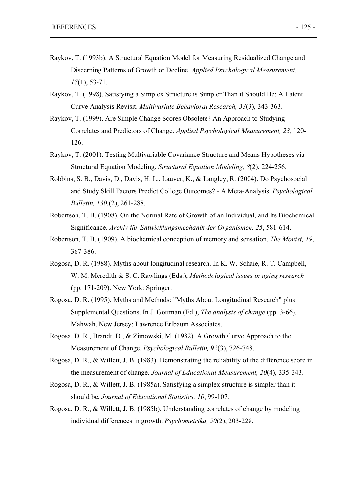- Raykov, T. (1993b). A Structural Equation Model for Measuring Residualized Change and Discerning Patterns of Growth or Decline. *Applied Psychological Measurement, 17*(1), 53-71.
- Raykov, T. (1998). Satisfying a Simplex Structure is Simpler Than it Should Be: A Latent Curve Analysis Revisit. *Multivariate Behavioral Research, 33*(3), 343-363.
- Raykov, T. (1999). Are Simple Change Scores Obsolete? An Approach to Studying Correlates and Predictors of Change. *Applied Psychological Measurement, 23*, 120- 126.
- Raykov, T. (2001). Testing Multivariable Covariance Structure and Means Hypotheses via Structural Equation Modeling. *Structural Equation Modeling, 8*(2), 224-256.
- Robbins, S. B., Davis, D., Davis, H. L., Lauver, K., & Langley, R. (2004). Do Psychosocial and Study Skill Factors Predict College Outcomes? - A Meta-Analysis. *Psychological Bulletin, 130.*(2), 261-288.
- Robertson, T. B. (1908). On the Normal Rate of Growth of an Individual, and Its Biochemical Significance. *Archiv für Entwicklungsmechanik der Organismen, 25*, 581-614.
- Robertson, T. B. (1909). A biochemical conception of memory and sensation. *The Monist, 19*, 367-386.
- Rogosa, D. R. (1988). Myths about longitudinal research. In K. W. Schaie, R. T. Campbell, W. M. Meredith & S. C. Rawlings (Eds.), *Methodological issues in aging research* (pp. 171-209). New York: Springer.
- Rogosa, D. R. (1995). Myths and Methods: "Myths About Longitudinal Research" plus Supplemental Questions. In J. Gottman (Ed.), *The analysis of change* (pp. 3-66). Mahwah, New Jersey: Lawrence Erlbaum Associates.
- Rogosa, D. R., Brandt, D., & Zimowski, M. (1982). A Growth Curve Approach to the Measurement of Change. *Psychological Bulletin, 92*(3), 726-748.
- Rogosa, D. R., & Willett, J. B. (1983). Demonstrating the reliability of the difference score in the measurement of change. *Journal of Educational Measurement, 20*(4), 335-343.
- Rogosa, D. R., & Willett, J. B. (1985a). Satisfying a simplex structure is simpler than it should be. *Journal of Educational Statistics, 10*, 99-107.
- Rogosa, D. R., & Willett, J. B. (1985b). Understanding correlates of change by modeling individual differences in growth. *Psychometrika, 50*(2), 203-228.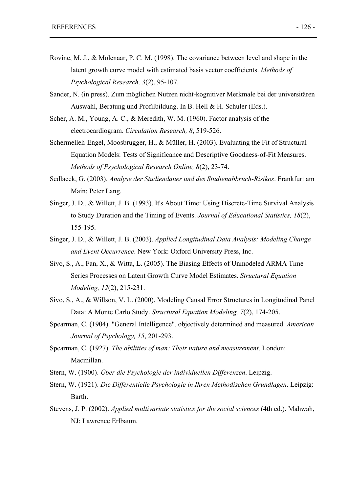- Rovine, M. J., & Molenaar, P. C. M. (1998). The covariance between level and shape in the latent growth curve model with estimated basis vector coefficients. *Methods of Psychological Research, 3*(2), 95-107.
- Sander, N. (in press). Zum möglichen Nutzen nicht-kognitiver Merkmale bei der universitären Auswahl, Beratung und Profilbildung. In B. Hell & H. Schuler (Eds.).
- Scher, A. M., Young, A. C., & Meredith, W. M. (1960). Factor analysis of the electrocardiogram. *Circulation Research, 8*, 519-526.
- Schermelleh-Engel, Moosbrugger, H., & Müller, H. (2003). Evaluating the Fit of Structural Equation Models: Tests of Significance and Descriptive Goodness-of-Fit Measures. *Methods of Psychological Research Online, 8*(2), 23-74.
- Sedlacek, G. (2003). *Analyse der Studiendauer und des Studienabbruch-Risikos*. Frankfurt am Main: Peter Lang.
- Singer, J. D., & Willett, J. B. (1993). It's About Time: Using Discrete-Time Survival Analysis to Study Duration and the Timing of Events. *Journal of Educational Statistics, 18*(2), 155-195.
- Singer, J. D., & Willett, J. B. (2003). *Applied Longitudinal Data Analysis: Modeling Change and Event Occurrence*. New York: Oxford University Press, Inc.
- Sivo, S., A., Fan, X., & Witta, L. (2005). The Biasing Effects of Unmodeled ARMA Time Series Processes on Latent Growth Curve Model Estimates. *Structural Equation Modeling, 12*(2), 215-231.
- Sivo, S., A., & Willson, V. L. (2000). Modeling Causal Error Structures in Longitudinal Panel Data: A Monte Carlo Study. *Structural Equation Modeling, 7*(2), 174-205.
- Spearman, C. (1904). "General Intelligence", objectively determined and measured. *American Journal of Psychology, 15*, 201-293.
- Spearman, C. (1927). *The abilities of man: Their nature and measurement*. London: Macmillan.
- Stern, W. (1900). *Über die Psychologie der individuellen Differenzen*. Leipzig.
- Stern, W. (1921). *Die Differentielle Psychologie in Ihren Methodischen Grundlagen*. Leipzig: Barth.
- Stevens, J. P. (2002). *Applied multivariate statistics for the social sciences* (4th ed.). Mahwah, NJ: Lawrence Erlbaum.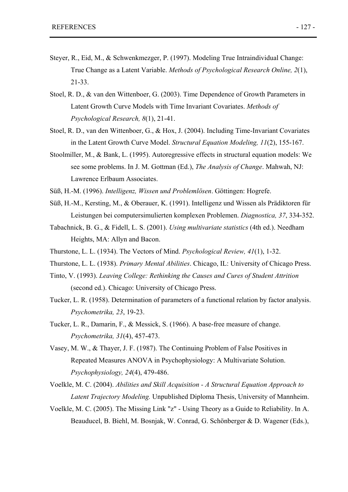- Steyer, R., Eid, M., & Schwenkmezger, P. (1997). Modeling True Intraindividual Change: True Change as a Latent Variable. *Methods of Psychological Research Online, 2*(1), 21-33.
- Stoel, R. D., & van den Wittenboer, G. (2003). Time Dependence of Growth Parameters in Latent Growth Curve Models with Time Invariant Covariates. *Methods of Psychological Research, 8*(1), 21-41.
- Stoel, R. D., van den Wittenboer, G., & Hox, J. (2004). Including Time-Invariant Covariates in the Latent Growth Curve Model. *Structural Equation Modeling, 11*(2), 155-167.
- Stoolmiller, M., & Bank, L. (1995). Autoregressive effects in structural equation models: We see some problems. In J. M. Gottman (Ed.), *The Analysis of Change*. Mahwah, NJ: Lawrence Erlbaum Associates.
- Süß, H.-M. (1996). *Intelligenz, Wissen und Problemlösen*. Göttingen: Hogrefe.
- Süß, H.-M., Kersting, M., & Oberauer, K. (1991). Intelligenz und Wissen als Prädiktoren für Leistungen bei computersimulierten komplexen Problemen. *Diagnostica, 37*, 334-352.
- Tabachnick, B. G., & Fidell, L. S. (2001). *Using multivariate statistics* (4th ed.). Needham Heights, MA: Allyn and Bacon.
- Thurstone, L. L. (1934). The Vectors of Mind. *Psychological Review, 41*(1), 1-32.
- Thurstone, L. L. (1938). *Primary Mental Abilities*. Chicago, IL: University of Chicago Press.
- Tinto, V. (1993). *Leaving College: Rethinking the Causes and Cures of Student Attrition* (second ed.). Chicago: University of Chicago Press.
- Tucker, L. R. (1958). Determination of parameters of a functional relation by factor analysis. *Psychometrika, 23*, 19-23.
- Tucker, L. R., Damarin, F., & Messick, S. (1966). A base-free measure of change. *Psychometrika, 31*(4), 457-473.
- Vasey, M. W., & Thayer, J. F. (1987). The Continuing Problem of False Positives in Repeated Measures ANOVA in Psychophysiology: A Multivariate Solution. *Psychophysiology, 24*(4), 479-486.
- Voelkle, M. C. (2004). *Abilities and Skill Acquisition A Structural Equation Approach to Latent Trajectory Modeling.* Unpublished Diploma Thesis, University of Mannheim.
- Voelkle, M. C. (2005). The Missing Link "z" Using Theory as a Guide to Reliability. In A. Beauducel, B. Biehl, M. Bosnjak, W. Conrad, G. Schönberger & D. Wagener (Eds.),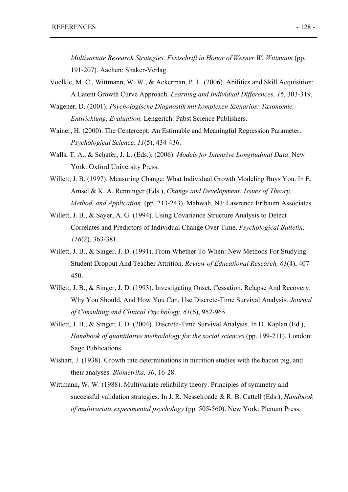*Multivariate Research Strategies. Festschrift in Honor of Werner W. Wittmann* (pp. 191-207). Aachen: Shaker-Verlag.

- Voelkle, M. C., Wittmann, W. W., & Ackerman, P. L. (2006). Abilities and Skill Acquisition: A Latent Growth Curve Approach. *Learning and Individual Differences, 16*, 303-319.
- Wagener, D. (2001). *Psychologische Diagnostik mit komplexen Szenarios: Taxonomie, Entwicklung, Evaluation.* Lengerich: Pabst Science Publishers.
- Wainer, H. (2000). The Centercept: An Estimable and Meaningful Regression Parameter. *Psychological Science, 11*(5), 434-436.
- Walls, T. A., & Schafer, J. L. (Eds.). (2006). *Models for Intensive Longitudinal Data*. New York: Oxford University Press.
- Willett, J. B. (1997). Measuring Change: What Individual Growth Modeling Buys You. In E. Amsel & K. A. Renninger (Eds.), *Change and Development: Issues of Theory, Method, and Application.* (pp. 213-243). Mahwah, NJ: Lawrence Erlbaum Associates.
- Willett, J. B., & Saver, A. G. (1994). Using Covariance Structure Analysis to Detect Correlates and Predictors of Individual Change Over Time. *Psychological Bulletin, 116*(2), 363-381.
- Willett, J. B., & Singer, J. D. (1991). From Whether To When: New Methods For Studying Student Dropout And Teacher Attrition. *Review of Educational Research, 61*(4), 407- 450.
- Willett, J. B., & Singer, J. D. (1993). Investigating Onset, Cessation, Relapse And Recovery: Why You Should, And How You Can, Use Discrete-Time Survival Analysis. *Journal of Consulting and Clinical Psychology, 61*(6), 952-965.
- Willett, J. B., & Singer, J. D. (2004). Discrete-Time Survival Analysis. In D. Kaplan (Ed.), *Handbook of quantitative methodology for the social sciences* (pp. 199-211). London: Sage Publications.
- Wishart, J. (1938). Growth rate determinations in nutrition studies with the bacon pig, and their analyses. *Biometrika, 30*, 16-28.
- Wittmann, W. W. (1988). Multivariate reliability theory. Principles of symmetry and successful validation strategies. In J. R. Nesselroade & R. B. Cattell (Eds.), *Handbook of multivariate experimental psychology* (pp. 505-560). New York: Plenum Press.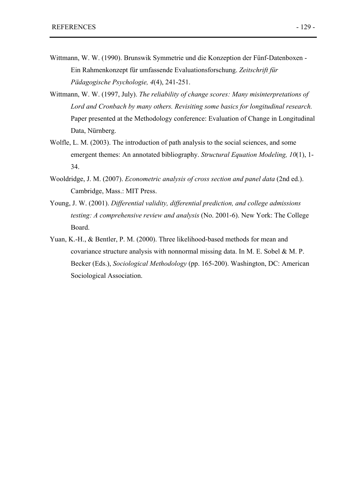- Wittmann, W. W. (1990). Brunswik Symmetrie und die Konzeption der Fünf-Datenboxen Ein Rahmenkonzept für umfassende Evaluationsforschung. *Zeitschrift für Pädagogische Psychologie, 4*(4), 241-251.
- Wittmann, W. W. (1997, July). *The reliability of change scores: Many misinterpretations of Lord and Cronbach by many others. Revisiting some basics for longitudinal research.* Paper presented at the Methodology conference: Evaluation of Change in Longitudinal Data, Nürnberg.
- Wolfle, L. M. (2003). The introduction of path analysis to the social sciences, and some emergent themes: An annotated bibliography. *Structural Equation Modeling, 10*(1), 1- 34.
- Wooldridge, J. M. (2007). *Econometric analysis of cross section and panel data* (2nd ed.). Cambridge, Mass.: MIT Press.
- Young, J. W. (2001). *Differential validity, differential prediction, and college admissions testing: A comprehensive review and analysis* (No. 2001-6). New York: The College Board.
- Yuan, K.-H., & Bentler, P. M. (2000). Three likelihood-based methods for mean and covariance structure analysis with nonnormal missing data. In M. E. Sobel & M. P. Becker (Eds.), *Sociological Methodology* (pp. 165-200). Washington, DC: American Sociological Association.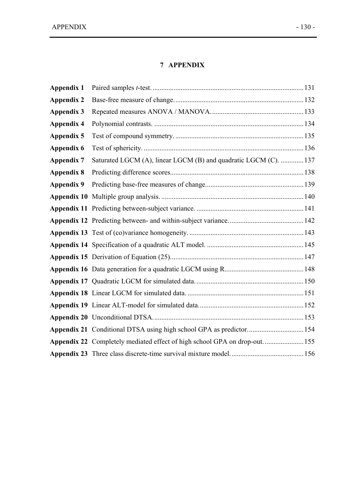# **7 APPENDIX**

| Appendix 1        |                                                                           |  |
|-------------------|---------------------------------------------------------------------------|--|
| <b>Appendix 2</b> |                                                                           |  |
| <b>Appendix 3</b> |                                                                           |  |
| <b>Appendix 4</b> |                                                                           |  |
| Appendix 5        |                                                                           |  |
| Appendix 6        |                                                                           |  |
| <b>Appendix 7</b> | Saturated LGCM (A), linear LGCM (B) and quadratic LGCM (C).  137          |  |
| <b>Appendix 8</b> |                                                                           |  |
| Appendix 9        |                                                                           |  |
|                   |                                                                           |  |
|                   |                                                                           |  |
|                   |                                                                           |  |
|                   |                                                                           |  |
|                   |                                                                           |  |
|                   |                                                                           |  |
|                   |                                                                           |  |
|                   |                                                                           |  |
|                   |                                                                           |  |
|                   |                                                                           |  |
|                   |                                                                           |  |
|                   | Appendix 21 Conditional DTSA using high school GPA as predictor154        |  |
|                   | Appendix 22 Completely mediated effect of high school GPA on drop-out 155 |  |
|                   |                                                                           |  |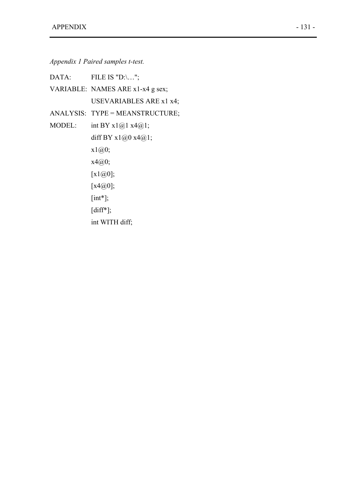*Appendix 1 Paired samples t-test.* 

|        | $DATA:$ FILE IS "D:\";           |
|--------|----------------------------------|
|        | VARIABLE: NAMES ARE x1-x4 g sex; |
|        | USEVARIABLES ARE x1 x4;          |
|        | ANALYSIS: TYPE = MEANSTRUCTURE;  |
| MODEL: | int BY $x1@1 x4@1;$              |
|        | diff BY $x1@0 x4@1;$             |
|        | x1@0;                            |
|        | x4@0;                            |
|        | [x1@0];                          |
|        | [ $x4@0$ ];                      |
|        | $[int^*];$                       |
|        | $[diff*];$                       |
|        | int WITH diff;                   |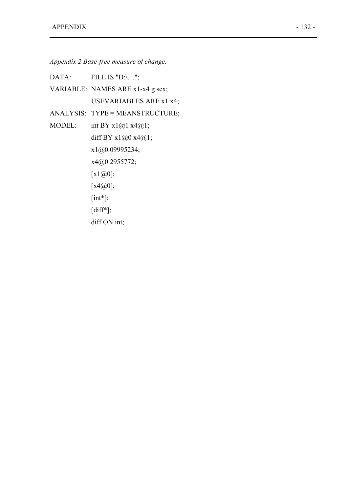*Appendix 2 Base-free measure of change.* 

DATA: FILE IS "D:\...";

VARIABLE: NAMES ARE x1-x4 g sex; USEVARIABLES ARE x1 x4;

ANALYSIS: TYPE = MEANSTRUCTURE;

MODEL: int BY  $x1@1 x4@1;$ diff BY  $x1@0 x4@1;$ x1@0.09995234; x4@0.2955772; [x1@0]; [x4@0]; [int\*]; [diff\*]; diff ON int;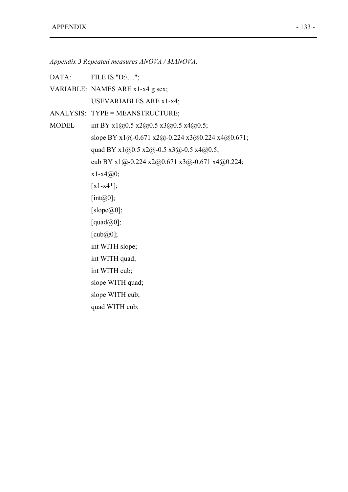*Appendix 3 Repeated measures ANOVA / MANOVA.* 

DATA: FILE IS "D:\...";

- VARIABLE: NAMES ARE x1-x4 g sex; USEVARIABLES ARE x1-x4;
- ANALYSIS: TYPE = MEANSTRUCTURE;
- MODEL int BY x1@0.5 x2@0.5 x3@0.5 x4@0.5; slope BY x1@-0.671 x2@-0.224 x3@0.224 x4@0.671; quad BY x1@0.5 x2@-0.5 x3@-0.5 x4@0.5; cub BY x1@-0.224 x2@0.671 x3@-0.671 x4@0.224;  $x1-x4@0;$  $[x1-x4*];$ [ $int@0$ ]; [slope $@0$ ];  $[quad@0];$  $[cu\mathbf{b}(\mathbf{Q}\mathbf{0})]$ ; int WITH slope; int WITH quad; int WITH cub; slope WITH quad; slope WITH cub; quad WITH cub;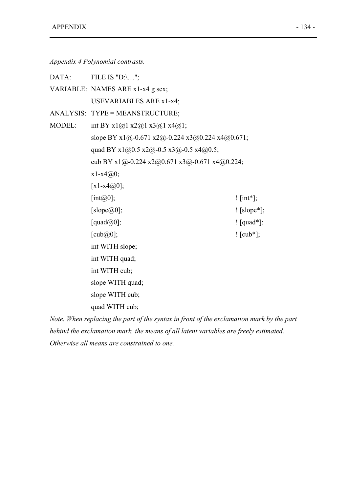*Appendix 4 Polynomial contrasts.* 

| DATA:  | FILE IS "D:\";                                  |                 |
|--------|-------------------------------------------------|-----------------|
|        | VARIABLE: NAMES ARE x1-x4 g sex;                |                 |
|        | <b>USEVARIABLES ARE x1-x4;</b>                  |                 |
|        | ANALYSIS: TYPE = MEANSTRUCTURE;                 |                 |
| MODEL: | int BY $x1@1 x2@1 x3@1 x4@1;$                   |                 |
|        | slope BY x1@-0.671 x2@-0.224 x3@0.224 x4@0.671; |                 |
|        | quad BY $x1@0.5 x2@-0.5 x3@-0.5 x4@0.5$ ;       |                 |
|        | cub BY x1@-0.224 x2@0.671 x3@-0.671 x4@0.224;   |                 |
|        | $x1-x4@0;$                                      |                 |
|        | [ $x1-x4@0$ ];                                  |                 |
|        | [int $(a)$ ];                                   | ! $[int^*]$ ;   |
|        | [slope $@0$ ];                                  | $!\;[slope^*];$ |
|        | [quad $@0$ ];                                   | $!$ [quad*];    |
|        | [ $\text{cub}(a)$ ];                            | $!$ [cub*];     |
|        | int WITH slope;                                 |                 |
|        | int WITH quad;                                  |                 |
|        | int WITH cub;                                   |                 |
|        | slope WITH quad;                                |                 |
|        | slope WITH cub;                                 |                 |
|        | quad WITH cub;                                  |                 |

*Note. When replacing the part of the syntax in front of the exclamation mark by the part behind the exclamation mark, the means of all latent variables are freely estimated. Otherwise all means are constrained to one.*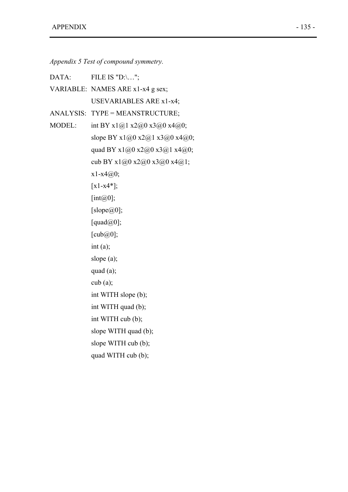*Appendix 5 Test of compound symmetry.* 

| DATA:  | FILE IS "D:\";                             |
|--------|--------------------------------------------|
|        | VARIABLE: NAMES ARE x1-x4 g sex;           |
|        | <b>USEVARIABLES ARE x1-x4;</b>             |
|        | ANALYSIS: TYPE = MEANSTRUCTURE;            |
| MODEL: | int BY $x1@1 x2@0 x3@0 x4@0;$              |
|        | slope BY $x1@0 x2@1 x3@0 x4@0;$            |
|        | quad BY x1@0 x2@0 x3@1 x4@0;               |
|        | cub BY $x1(0,0) x2(0,0) x3(0,0) x4(0,1)$ ; |
|        | $x1-x4@0;$                                 |
|        | $[x1-x4*];$                                |
|        | [int $(a)$ 0];                             |
|        | [slope $@0$ ];                             |
|        | [quad $(\omega 0)$ ];                      |
|        | $[cu\mathbf{b} \mathcal{Q} \mathbf{0}];$   |
|        | int (a);                                   |
|        | slope $(a)$ ;                              |
|        | quad $(a)$ ;                               |
|        | $\cosh(a);$                                |
|        | int WITH slope (b);                        |
|        | int WITH quad (b);                         |
|        | int WITH cub (b);                          |
|        | slope WITH quad (b);                       |
|        | slope WITH cub (b);                        |
|        | quad WITH cub (b);                         |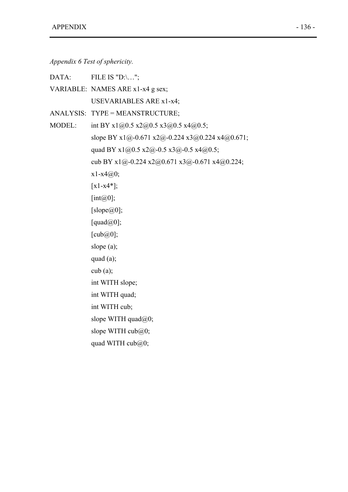*Appendix 6 Test of sphericity.* 

| DATA:         | FILE IS " $D:\dots$ ";                          |
|---------------|-------------------------------------------------|
|               | VARIABLE: NAMES ARE x1-x4 g sex;                |
|               | <b>USEVARIABLES ARE x1-x4;</b>                  |
|               | ANALYSIS: TYPE = MEANSTRUCTURE;                 |
| <b>MODEL:</b> | int BY x1@0.5 x2@0.5 x3@0.5 x4@0.5;             |
|               | slope BY x1@-0.671 x2@-0.224 x3@0.224 x4@0.671; |
|               | quad BY x1@0.5 x2@-0.5 x3@-0.5 x4@0.5;          |
|               | cub BY x1@-0.224 x2@0.671 x3@-0.671 x4@0.224;   |
|               | $x1-x4@0;$                                      |
|               | $[x1-x4*];$                                     |
|               | [int $(a)$ 0];                                  |
|               | [slope $@0$ ];                                  |
|               | [quad $(\omega 0)$ ];                           |
|               | [ $\text{cub}(a)$ ];                            |
|               | slope $(a)$ ;                                   |
|               | quad $(a)$ ;                                    |
|               | cub(a);                                         |
|               | int WITH slope;                                 |
|               | int WITH quad;                                  |
|               | int WITH cub;                                   |
|               | slope WITH quad@0;                              |
|               | slope WITH $\text{cub}(a)0$ ;                   |
|               | quad WITH $\text{cub}(a)0$ ;                    |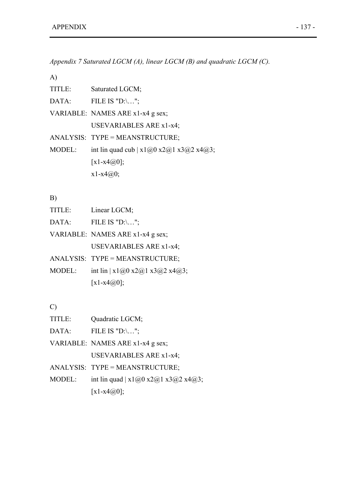*Appendix 7 Saturated LGCM (A), linear LGCM (B) and quadratic LGCM (C).* 

A)

| TITLE: | Saturated LGCM;                           |
|--------|-------------------------------------------|
| DATA:  | FILE IS $"D:\dots"$ ;                     |
|        | VARIABLE: NAMES ARE x1-x4 g sex;          |
|        | USEVARIABLES ARE x1-x4;                   |
|        | ANALYSIS: TYPE = MEANSTRUCTURE;           |
| MODEL: | int lin quad cub   $x1@0 x2@1 x3@2 x4@3;$ |
|        | [x1-x4 $\omega$ 0];                       |
|        | $x1-x4@0;$                                |
|        |                                           |

### B)

- TITLE: Linear LGCM;
- DATA: FILE IS "D:\...";
- VARIABLE: NAMES ARE x1-x4 g sex; USEVARIABLES ARE x1-x4;
- ANALYSIS: TYPE = MEANSTRUCTURE;
- MODEL: int lin | x1@0 x2@1 x3@2 x4@3;  $[x1-x4@0];$

## C)

| TITLE: | Quadratic LGCM;                       |
|--------|---------------------------------------|
| DATA:  | FILE IS $"D:\dots"$ ;                 |
|        | VARIABLE: NAMES ARE x1-x4 g sex;      |
|        | USEVARIABLES ARE x1-x4;               |
|        | ANALYSIS: TYPE = MEANSTRUCTURE;       |
| MODEL: | int lin quad   $x1@0 x2@1 x3@2 x4@3;$ |
|        | [ $x1-x4@0$ ];                        |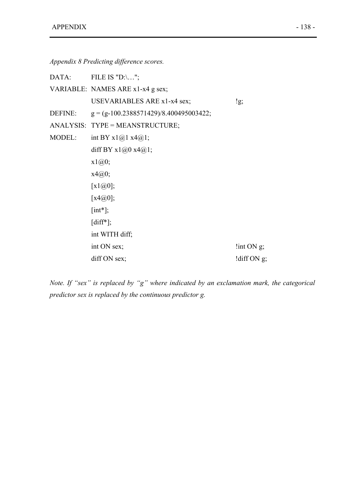| Appendix 8 Predicting difference scores. |  |  |  |  |  |
|------------------------------------------|--|--|--|--|--|
|------------------------------------------|--|--|--|--|--|

|        | $DATA:$ FILE IS "D:\";                           |                         |
|--------|--------------------------------------------------|-------------------------|
|        | VARIABLE: NAMES ARE x1-x4 g sex;                 |                         |
|        | USEVARIABLES ARE x1-x4 sex;                      | !g;                     |
|        | DEFINE: $g = (g-100.2388571429)/8.400495003422;$ |                         |
|        | ANALYSIS: TYPE = MEANSTRUCTURE;                  |                         |
| MODEL: | int BY $x1@1 x4@1;$                              |                         |
|        | diff BY $x1@0 x4@1;$                             |                         |
|        | x1@0;                                            |                         |
|        | x4@0;                                            |                         |
|        | [x1@0];                                          |                         |
|        | [x4@0];                                          |                         |
|        | $[int^*];$                                       |                         |
|        | $\left[ \text{diff*} \right]$ ;                  |                         |
|        | int WITH diff;                                   |                         |
|        | int ON sex;                                      | $\frac{1}{2}$ int ON g; |
|        | diff ON sex;                                     | !diff ON $g$ ;          |

*Note. If "sex" is replaced by "g" where indicated by an exclamation mark, the categorical predictor sex is replaced by the continuous predictor g.*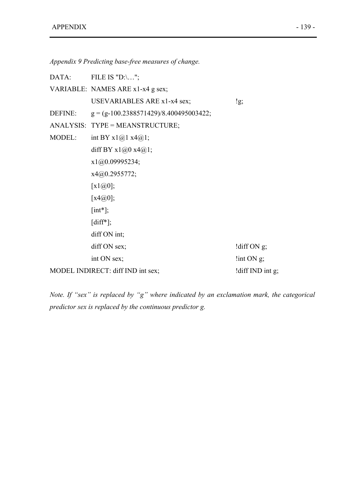*Appendix 9 Predicting base-free measures of change.* 

|        | DATA: FILE IS "D:\";                             |                         |
|--------|--------------------------------------------------|-------------------------|
|        | VARIABLE: NAMES ARE x1-x4 g sex;                 |                         |
|        | USEVARIABLES ARE x1-x4 sex;                      | lg;                     |
|        | DEFINE: $g = (g-100.2388571429)/8.400495003422;$ |                         |
|        | ANALYSIS: TYPE = MEANSTRUCTURE;                  |                         |
| MODEL: | int BY $x1@1 x4@1;$                              |                         |
|        | diff BY $x1@0 x4@1;$                             |                         |
|        | x1@0.09995234;                                   |                         |
|        | x4@0.2955772;                                    |                         |
|        | [x1@0];                                          |                         |
|        | [x4@0];                                          |                         |
|        | $[int^*];$                                       |                         |
|        | $[diff^*];$                                      |                         |
|        | diff ON int;                                     |                         |
|        | diff ON sex;                                     | !diff $ON$ g;           |
|        | int ON sex;                                      | $\frac{1}{2}$ int ON g; |
|        | MODEL INDIRECT: diff IND int sex;                | !diff IND int g;        |

*Note. If "sex" is replaced by "g" where indicated by an exclamation mark, the categorical predictor sex is replaced by the continuous predictor g.*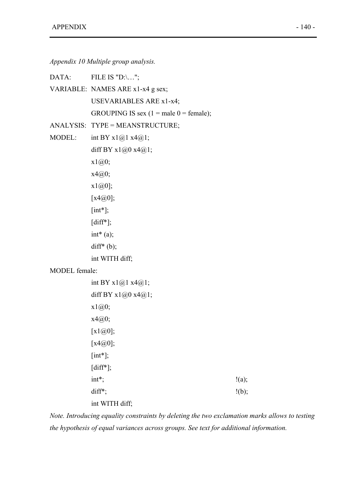*Appendix 10 Multiple group analysis.* 

|               | DATA: FILE IS "D:\";                     |       |
|---------------|------------------------------------------|-------|
|               | VARIABLE: NAMES ARE x1-x4 g sex;         |       |
|               | <b>USEVARIABLES ARE x1-x4;</b>           |       |
|               | GROUPING IS sex $(1 = male 0 = female);$ |       |
|               | ANALYSIS: TYPE = MEANSTRUCTURE;          |       |
| MODEL:        | int BY $x1@1x4@1;$                       |       |
|               | diff BY $x1@0 x4@1;$                     |       |
|               | x1@0;                                    |       |
|               | x4@0;                                    |       |
|               | $x1@0$ ;                                 |       |
|               | [x4@0];                                  |       |
|               | $[int^*];$                               |       |
|               | $[diff*];$                               |       |
|               | $int^*(a);$                              |       |
|               | $diff*(b);$                              |       |
|               | int WITH diff;                           |       |
| MODEL female: |                                          |       |
|               | int BY $x1@1 x4@1;$                      |       |
|               | diff BY $x1@0 x4@1;$                     |       |
|               | x1@0;                                    |       |
|               | x4@0;                                    |       |
|               | $[x1@0];$                                |       |
|               | [ $x4@0$ ];                              |       |
|               | $[int^*];$                               |       |
|               | $[diff*];$                               |       |
|               | int*;                                    | !(a); |
|               | diff*;                                   | !(b); |

int WITH diff;

*Note. Introducing equality constraints by deleting the two exclamation marks allows to testing the hypothesis of equal variances across groups. See text for additional information.*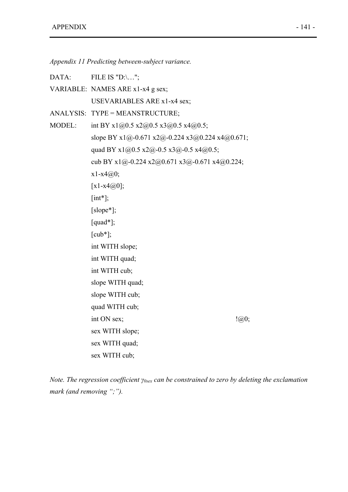*Appendix 11 Predicting between-subject variance.* 

DATA: FILE IS "D:\...";

VARIABLE: NAMES ARE x1-x4 g sex; USEVARIABLES ARE x1-x4 sex;

ANALYSIS: TYPE = MEANSTRUCTURE;

MODEL: int BY x1@0.5 x2@0.5 x3@0.5 x4@0.5; slope BY x1@-0.671 x2@-0.224 x3@0.224 x4@0.671; quad BY x1@0.5 x2@-0.5 x3@-0.5 x4@0.5; cub BY x1@-0.224 x2@0.671 x3@-0.671 x4@0.224;  $x1-x4@0;$  $[x1-x4@0];$  $[int^*];$ [slope\*]; [quad\*];  $[{\rm cub*}];$ int WITH slope; int WITH quad; int WITH cub; slope WITH quad; slope WITH cub; quad WITH cub; int ON sex;  $\qquad \qquad \text{(a)}$ sex WITH slope; sex WITH quad; sex WITH cub;

*Note. The regression coefficient γ0sex can be constrained to zero by deleting the exclamation mark (and removing ";").*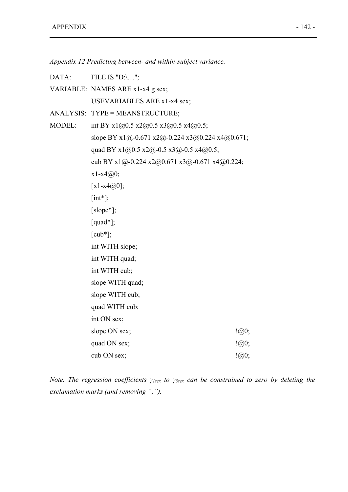*Appendix 12 Predicting between- and within-subject variance.* 

DATA: FILE IS "D:\...";

VARIABLE: NAMES ARE x1-x4 g sex; USEVARIABLES ARE x1-x4 sex;

ANALYSIS: TYPE = MEANSTRUCTURE;

MODEL: int BY x1@0.5 x2@0.5 x3@0.5 x4@0.5; slope BY x1@-0.671 x2@-0.224 x3@0.224 x4@0.671; quad BY x1@0.5 x2@-0.5 x3@-0.5 x4@0.5; cub BY x1@-0.224 x2@0.671 x3@-0.671 x4@0.224;  $x1-x4@0;$  $[x1-x4@0];$  $[int^*];$ [slope<sup>\*</sup>]; [quad\*];  $[{\rm cub*}];$ int WITH slope; int WITH quad; int WITH cub; slope WITH quad; slope WITH cub; quad WITH cub; int ON sex; slope ON sex;  $\qquad \qquad \text{(a)}0;$ quad ON sex;  $\qquad \qquad \text{(a)}0;$ cub ON sex;  $\qquad \qquad \text{(a)}$ 

*Note. The regression coefficients γ1sex to γ3sex can be constrained to zero by deleting the exclamation marks (and removing ";").*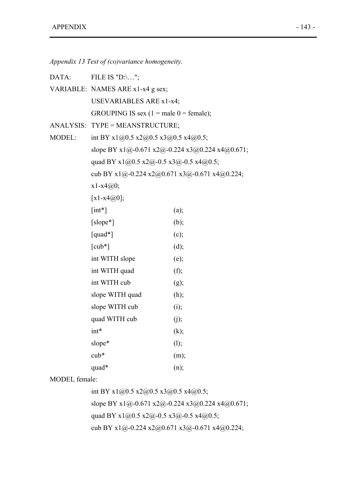*Appendix 13 Test of (co)variance homogeneity.* 

DATA: FILE IS "D:\...";

VARIABLE: NAMES ARE x1-x4 g sex; USEVARIABLES ARE x1-x4; GROUPING IS sex  $(1 = male 0 = female);$ 

- ANALYSIS: TYPE = MEANSTRUCTURE;
- MODEL: int BY x1@0.5 x2@0.5 x3@0.5 x4@0.5; slope BY x1@-0.671 x2@-0.224 x3@0.224 x4@0.671; quad BY  $x1@0.5 x2@-0.5 x3@-0.5 x4@0.5;$ cub BY x1@-0.224 x2@0.671 x3@-0.671 x4@0.224; x1-x4@0;  $[x1-x4@0];$  $[int^*]$  (a);

| $[slope*]$                  | (b); |
|-----------------------------|------|
| $[quad*]$                   | (c); |
| $\lceil \text{cub*} \rceil$ | (d); |
| int WITH slope              | (e); |
| int WITH quad               | (f); |
| int WITH cub                | (g); |
| slope WITH quad             | (h); |
| slope WITH cub              | (i); |
| quad WITH cub               | (j); |
| $int*$                      | (k); |
| slope*                      | (l); |
| $cub*$                      | (m); |
| quad*                       | (n); |

MODEL female:

int BY x1@0.5 x2@0.5 x3@0.5 x4@0.5; slope BY x1@-0.671 x2@-0.224 x3@0.224 x4@0.671; quad BY x1@0.5 x2@-0.5 x3@-0.5 x4@0.5; cub BY x1@-0.224 x2@0.671 x3@-0.671 x4@0.224;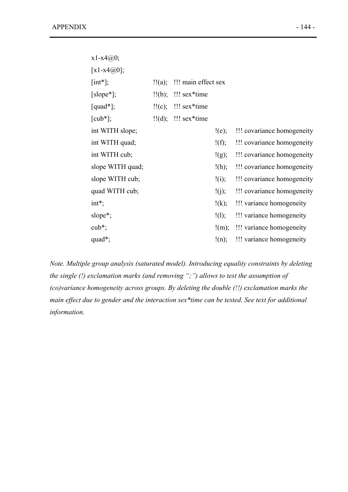| $x1-x4@0;$          |                                                  |       |                            |
|---------------------|--------------------------------------------------|-------|----------------------------|
| [ $x1-x4@0$ ];      |                                                  |       |                            |
| $[int^*];$          | $\frac{1}{2}$ (a); $\frac{1}{2}$ main effect sex |       |                            |
| $[slope*];$         | $!!(b)$ ; $!!$ sex*time                          |       |                            |
| $[quad*];$          | $\frac{1!}{c};$ $\frac{1!}{2}$ sex*time          |       |                            |
| $[{\rm cub*}];$     | $\text{!!}(d)$ ; $\text{!!}$ sex*time            |       |                            |
| int WITH slope;     |                                                  | !(e); | !!! covariance homogeneity |
| int WITH quad;      |                                                  | !(f); | !!! covariance homogeneity |
| int WITH cub;       |                                                  | !(g); | !!! covariance homogeneity |
| slope WITH quad;    |                                                  | !(h); | !!! covariance homogeneity |
| slope WITH cub;     |                                                  | !(i); | !!! covariance homogeneity |
| quad WITH cub;      |                                                  | !(j); | !!! covariance homogeneity |
| $int^*$ ;           |                                                  | !(k); | !!! variance homogeneity   |
| slope $*$ ;         |                                                  | !(1); | !!! variance homogeneity   |
| $\cosh^*$ ;         |                                                  | !(m); | !!! variance homogeneity   |
| quad <sup>*</sup> ; |                                                  | !(n); | !!! variance homogeneity   |
|                     |                                                  |       |                            |

*Note. Multiple group analysis (saturated model). Introducing equality constraints by deleting the single (!) exclamation marks (and removing ";") allows to test the assumption of (co)variance homogeneity across groups. By deleting the double (!!) exclamation marks the main effect due to gender and the interaction sex\*time can be tested. See text for additional information.*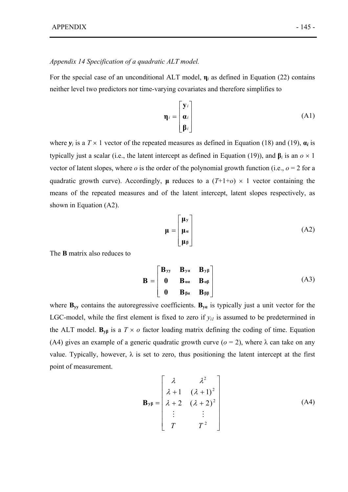#### *Appendix 14 Specification of a quadratic ALT model.*

For the special case of an unconditional ALT model, **η***i* as defined in Equation (22) contains neither level two predictors nor time-varying covariates and therefore simplifies to

$$
\mathbf{\eta}_{i} = \begin{bmatrix} \mathbf{y}_{i} \\ \mathbf{\alpha}_{i} \\ \mathbf{\beta}_{i} \end{bmatrix}
$$
 (A1)

where  $y_i$  is a  $T \times 1$  vector of the repeated measures as defined in Equation (18) and (19),  $a_i$  is typically just a scalar (i.e., the latent intercept as defined in Equation (19)), and  $\beta$ *i* is an  $o \times 1$ vector of latent slopes, where  $o$  is the order of the polynomial growth function (i.e.,  $o = 2$  for a quadratic growth curve). Accordingly,  $\mu$  reduces to a  $(T+1+o) \times 1$  vector containing the means of the repeated measures and of the latent intercept, latent slopes respectively, as shown in Equation (A2).

$$
\mu = \begin{bmatrix} \mu_y \\ \mu_u \\ \mu_\beta \end{bmatrix} \tag{A2}
$$

The **B** matrix also reduces to

$$
\mathbf{B} = \begin{bmatrix} \mathbf{B}_{yy} & \mathbf{B}_{ya} & \mathbf{B}_{y\beta} \\ \mathbf{0} & \mathbf{B}_{\alpha\alpha} & \mathbf{B}_{\alpha\beta} \\ \mathbf{0} & \mathbf{B}_{\beta\alpha} & \mathbf{B}_{\beta\beta} \end{bmatrix}
$$
(A3)

where  $\mathbf{B}_{yy}$  contains the autoregressive coefficients.  $\mathbf{B}_{ya}$  is typically just a unit vector for the LGC-model, while the first element is fixed to zero if  $y_{il}$  is assumed to be predetermined in the ALT model.  $\mathbf{B}_{\nu\beta}$  is a  $T \times o$  factor loading matrix defining the coding of time. Equation (A4) gives an example of a generic quadratic growth curve ( $o = 2$ ), where  $\lambda$  can take on any value. Typically, however,  $\lambda$  is set to zero, thus positioning the latent intercept at the first point of measurement.

$$
\mathbf{B}_{\mathbf{y}\beta} = \begin{bmatrix} \lambda & \lambda^2 \\ \lambda + 1 & (\lambda + 1)^2 \\ \lambda + 2 & (\lambda + 2)^2 \\ \vdots & \vdots \\ T & T^2 \end{bmatrix}
$$
 (A4)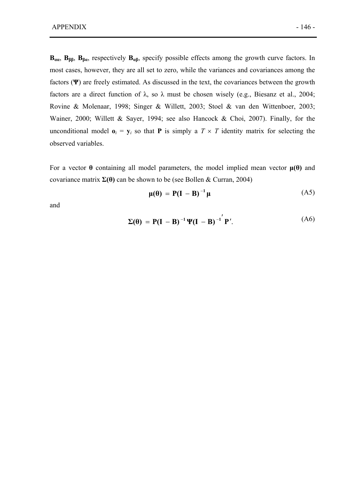**B**<sub>αα</sub>, **B**<sub>ββ</sub>, **B**<sub>βα</sub>, respectively **B**<sub>αβ</sub>, specify possible effects among the growth curve factors. In most cases, however, they are all set to zero, while the variances and covariances among the factors (**Ψ**) are freely estimated. As discussed in the text, the covariances between the growth factors are a direct function of  $\lambda$ , so  $\lambda$  must be chosen wisely (e.g., Biesanz et al., 2004; Rovine & Molenaar, 1998; Singer & Willett, 2003; Stoel & van den Wittenboer, 2003; Wainer, 2000; Willett & Sayer, 1994; see also Hancock & Choi, 2007). Finally, for the unconditional model  $\mathbf{o}_i = \mathbf{v}_i$  so that **P** is simply a  $T \times T$  identity matrix for selecting the observed variables.

For a vector  $\theta$  containing all model parameters, the model implied mean vector  $\mu(\theta)$  and covariance matrix **Σ(θ)** can be shown to be (see Bollen & Curran, 2004)

$$
\mu(\theta) = P(I - B)^{-1} \mu \tag{A5}
$$

and

$$
\Sigma(\theta) = P(I - B)^{-1} \Psi(I - B)^{-1} P'.
$$
 (A6)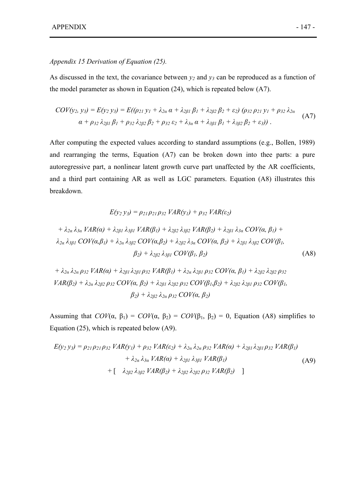#### *Appendix 15 Derivation of Equation (25).*

As discussed in the text, the covariance between  $y_2$  and  $y_3$  can be reproduced as a function of the model parameter as shown in Equation (24), which is repeated below (A7).

$$
COV(y_2, y_3) = E(y_2 y_3) = E((\rho_{21} y_1 + \lambda_{2\alpha} \alpha + \lambda_{2\beta 1} \beta_1 + \lambda_{2\beta 2} \beta_2 + \varepsilon_2) (\rho_{32} \rho_{21} y_1 + \rho_{32} \lambda_{2\alpha} \alpha + \rho_{32} \lambda_{2\beta 1} \beta_1 + \rho_{32} \lambda_{2\beta 2} \beta_2 + \rho_{32} \varepsilon_2 + \lambda_{3\alpha} \alpha + \lambda_{3\beta 1} \beta_1 + \lambda_{3\beta 2} \beta_2 + \varepsilon_3)).
$$
\n(A7)

After computing the expected values according to standard assumptions (e.g., Bollen, 1989) and rearranging the terms, Equation (A7) can be broken down into thee parts: a pure autoregressive part, a nonlinear latent growth curve part unaffected by the AR coefficients, and a third part containing AR as well as LGC parameters. Equation (A8) illustrates this breakdown.

$$
E(y_2 y_3) = \rho_{21} \rho_{21} \rho_{32} \, VAR(y_1) + \rho_{32} \, VAR(\varepsilon_2)
$$

+ 
$$
\lambda_{2\alpha} \lambda_{3\alpha} VAR(\alpha) + \lambda_{2\beta1} \lambda_{3\beta1} VAR(\beta_1) + \lambda_{2\beta2} \lambda_{3\beta2} VAR(\beta_2) + \lambda_{2\beta1} \lambda_{3\alpha} COV(\alpha, \beta_1) +
$$
  
\n $\lambda_{2\alpha} \lambda_{3\beta1} COV(\alpha, \beta_1) + \lambda_{2\alpha} \lambda_{3\beta2} COV(\alpha, \beta_2) + \lambda_{2\beta2} \lambda_{3\alpha} COV(\alpha, \beta_2) + \lambda_{2\beta1} \lambda_{3\beta2} COV(\beta_1,$   
\n $\beta_2) + \lambda_{2\beta2} \lambda_{3\beta1} COV(\beta_1, \beta_2)$  (A8)

+  $\lambda_{2\alpha}$   $\lambda_{2\alpha}$   $\rho_{32}$   $VAR(\alpha)$  +  $\lambda_{2\beta1}$   $\lambda_{2\beta1}$   $\rho_{32}$   $VAR(\beta_1)$  +  $\lambda_{2\alpha}$   $\lambda_{2\beta1}$   $\rho_{32}$   $COV(\alpha, \beta_1)$  +  $\lambda_{2\beta2}$   $\lambda_{2\beta2}$   $\rho_{32}$  $VAR(\beta_2) + \lambda_{2\alpha} \lambda_{2\beta_2} \rho_{32} COV(\alpha, \beta_2) + \lambda_{2\beta_1} \lambda_{2\beta_2} \rho_{32} COV(\beta_1, \beta_2) + \lambda_{2\beta_2} \lambda_{2\beta_1} \rho_{32} COV(\beta_1, \beta_2)$  $β_2$ ) +  $\lambda_{282}$   $\lambda_{2a}$   $ρ_{32}$  *COV(α, β<sub>2</sub>)* 

Assuming that  $COV(\alpha, \beta_1) = COV(\alpha, \beta_2) = COV(\beta_1, \beta_2) = 0$ , Equation (A8) simplifies to Equation (25), which is repeated below (A9).

$$
E(y_2 y_3) = \rho_{21} \rho_{21} \rho_{32} \, VAR(y_1) + \rho_{32} \, VAR(\varepsilon_2) + \lambda_{2\alpha} \, \lambda_{2\alpha} \, \rho_{32} \, VAR(\alpha) + \lambda_{2\beta 1} \, \lambda_{2\beta 1} \, \rho_{32} \, VAR(\beta_1) \\
+ \lambda_{2\alpha} \, \lambda_{3\alpha} \, VAR(\alpha) + \lambda_{2\beta 1} \, \lambda_{3\beta 1} \, VAR(\beta_1) \\
+ \left[ \lambda_{2\beta 2} \, \lambda_{3\beta 2} \, VAR(\beta_2) + \lambda_{2\beta 2} \, \lambda_{2\beta 2} \, \rho_{32} \, VAR(\beta_2) \right] \tag{A9}
$$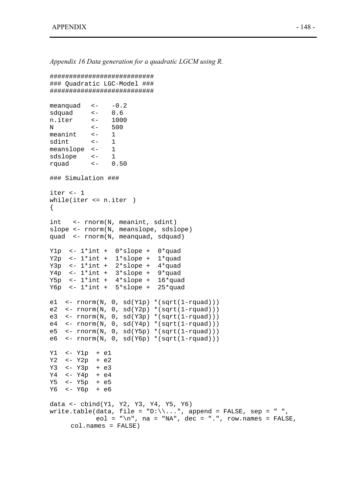*Appendix 16 Data generation for a quadratic LGCM using R.* 

```
########################### 
### Quadratic LGC-Model ### 
########################### 
meanquad <- -0.2sdquad <- 0.6 
n.iter <- 1000 
N <- 500 
meanint \leftarrow 1
sdint <- 1 
meanslope <- 1 
sdslope <- 1 
rquad <- 0.50 
### Simulation ### 
iter <- 1 
while(iter <= n.iter ) 
{ 
int <- rnorm(N, meanint, sdint) 
slope <- rnorm(N, meanslope, sdslope) 
quad <- rnorm(N, meanquad, sdquad) 
Y1p <- 1*int + 0*slope + 0*quad 
Y2p \leftarrow 1*int + 1*slope + 1*quad
Y3p \leftarrow 1*int + 2*slope + 4*quadY4p \leftarrow 1*int + 3*slope + 9*quadY5p \leftarrow 1*int + 4*slope + 16*quadY6p \leftarrow 1*int + 5*slope + 25*quade1 <- rnorm(N, 0, sd(Y1p) *(sqrt(1-rquad))) 
e2 <- rnorm(N, 0, sd(Y2p) * (sqrt(1-rquad)))e3 <- rnorm(N, 0, sd(Y3p) * (sqrt(1-rquad))e4 \leftarrow rnorm(N, 0, sd(Y4p) *(sqrt(1-rquad)))
e5 <- rnorm(N, 0, sd(Y5p) *(sqrt(1-rquad))) 
e6 \leftarrow rnorm(N, 0, sd(Y6p) *(sqrt(1-rquad)))
Y1 <- Y1p + e1 
Y2 <- Y2p + e2 
Y3 <- Y3p + e3 
Y4 <- Y4p + e4 
Y5 <- Y5p + e5 
Y6 <- Y6p + e6 
data <- cbind(Y1, Y2, Y3, Y4, Y5, Y6) 
write.table(data, file = "D:\\...", append = FALSE, sep = " ",
            eol = "\nabla \cdot", na = "NA", dec = ".", row.names = FALSE,
     col.names = FALSE)
```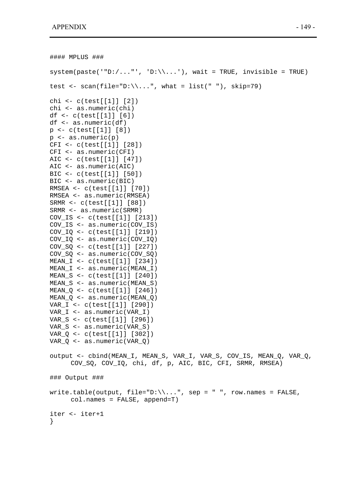```
#### MPLUS ### 
system(paste('"D://..."', 'D:\\\ldots')), wait = TRUE, invisible = TRUE)
test \leftarrow scan(file="D:\\...", what = list(" "), skip=79)
chi <- c(test[[1]] [2]) 
chi <- as.numeric(chi) 
df <- c(test[[1]] [6]) 
df <- as.numeric(df) 
p <- c(test[[1]] [8]) 
p \leftarrow as.numeric(p)CFI <- c(test[[1]] [28]) 
CFI <- as.numeric(CFI) 
AIC <- c(test[[1]] [47]) 
AIC <- as.numeric(AIC) 
BIC <- c(test[[1]] [50]) 
BIC <- as.numeric(BIC) 
RMSEA <- c(test[[1]] [70]) 
RMSEA <- as.numeric(RMSEA) 
SRMR <- c(test[[1]] [88]) 
SRMR <- as.numeric(SRMR) 
COV_IS <- c(test[[1]] [213]) 
COV_IS <- as.numeric(COV_IS) 
COV_IQ <- c(test[[1]] [219]) 
COV_IQ <- as.numeric(COV_IQ) 
COV_SQ <- c(test[[1]] [227]) 
COV SO <- as.numeric(COV SO)
MEAN_I <- c(test[[1]] [234]) 
MEAN I <- as.numeric(MEAN I)
MEAN_S <- c(test[[1]] [240]) 
MEAN_S <- as.numeric(MEAN_S) 
MEAN_Q <- c(test[[1]] [246]) 
MEAN O \le - as.numeric(MEAN O)
VAR_I <- c(test[[1]] [290]) 
VAR_I <- as.numeric(VAR_I) 
VAR_S <- c(test[[1]] [296]) 
VAR_S <- as.numeric(VAR_S) 
VAR_Q <- c(test[[1]] [302]) 
VAR_Q <- as.numeric(VAR_Q) 
output <- cbind(MEAN_I, MEAN_S, VAR_I, VAR_S, COV_IS, MEAN_Q, VAR_Q, 
      COV SQ, COV IQ, chi, df, p, AIC, BIC, CFI, SRMR, RMSEA)
### Output ### 
write.table(output, file="D:\\\\\...", sep = " ", row.names = FALSE,
     col.names = FALSE, append=T) 
iter <- iter+1 
}
```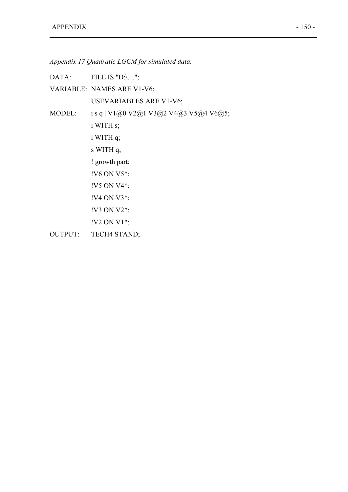*Appendix 17 Quadratic LGCM for simulated data.* 

DATA: FILE IS "D:\...";

VARIABLE: NAMES ARE V1-V6;

USEVARIABLES ARE V1-V6;

MODEL: i s q | V1@0 V2@1 V3@2 V4@3 V5@4 V6@5;

i WITH s; i WITH q;

s WITH q;

! growth part;

!V6 ON V5\*;

- !V5 ON V4\*;
- !V4 ON V3\*;
- !V3 ON V2\*;
- !V2 ON V1\*;
- OUTPUT: TECH4 STAND;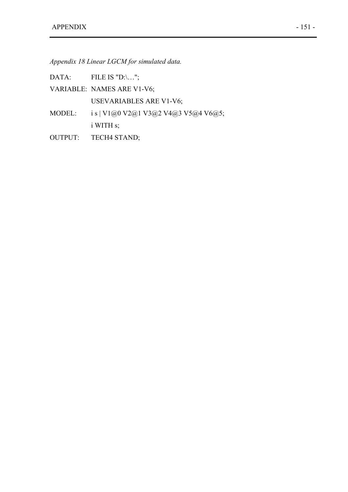*Appendix 18 Linear LGCM for simulated data.* 

DATA: FILE IS "D: $\ldots$ ";

VARIABLE: NAMES ARE V1-V6;

USEVARIABLES ARE V1-V6;

- MODEL: i s | V1@0 V2@1 V3@2 V4@3 V5@4 V6@5; i WITH s;
- OUTPUT: TECH4 STAND;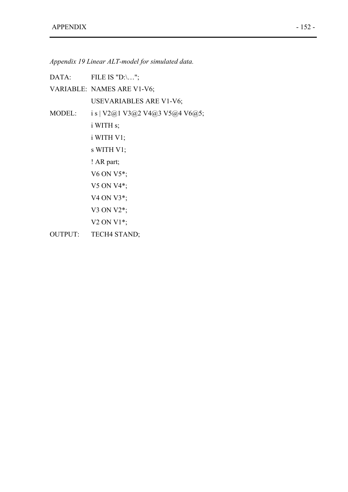*Appendix 19 Linear ALT-model for simulated data.* 

DATA: FILE IS "D:\...";

VARIABLE: NAMES ARE V1-V6; USEVARIABLES ARE V1-V6;

MODEL: i s | V2@1 V3@2 V4@3 V5@4 V6@5;

i WITH s;

i WITH V1;

s WITH V1;

! AR part;

V6 ON V5\*;

V5 ON V4\*;

V4 ON V3\*;

V3 ON V2\*;

V2 ON V1\*;

OUTPUT: TECH4 STAND;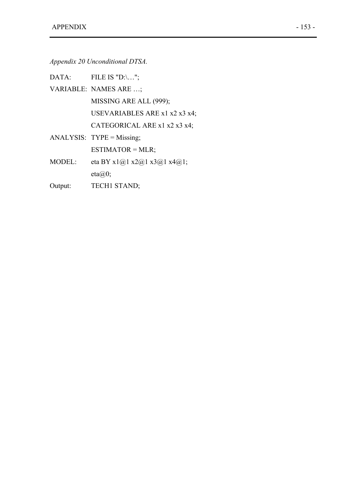*Appendix 20 Unconditional DTSA.* 

|               | DATA: FILE IS "D:\";          |
|---------------|-------------------------------|
|               | VARIABLE: NAMES ARE ;         |
|               | MISSING ARE ALL (999);        |
|               | USEVARIABLES ARE x1 x2 x3 x4; |
|               | CATEGORICAL ARE x1 x2 x3 x4;  |
|               | ANALYSIS: $TYPE = Missing;$   |
|               | $ESTIMATOR = MLR$ ;           |
| <b>MODEL:</b> | eta BY x1@1 x2@1 x3@1 x4@1;   |
|               | $eta(\partial\Omega)$ ;       |
| Output:       | <b>TECH1 STAND;</b>           |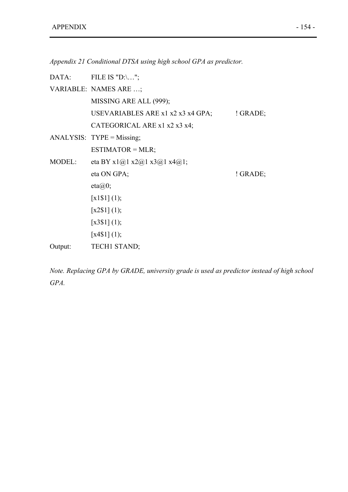*Appendix 21 Conditional DTSA using high school GPA as predictor.* 

|         | DATA: FILE IS "D:\";              |            |
|---------|-----------------------------------|------------|
|         | VARIABLE: NAMES ARE ;             |            |
|         | MISSING ARE ALL (999);            |            |
|         | USEVARIABLES ARE x1 x2 x3 x4 GPA; | $'$ GRADE; |
|         | CATEGORICAL ARE x1 x2 x3 x4;      |            |
|         | ANALYSIS: $TYPE = Missing;$       |            |
|         | $ESTIMATOR = MLR$ ;               |            |
| MODEL:  | eta BY x1@1 x2@1 x3@1 x4@1;       |            |
|         | eta ON GPA;                       | ! GRADE;   |
|         | $eta(\partial\Omega)$ ;           |            |
|         | $[x1\$ $1](1);$                   |            |
|         | [x2\$1] (1);                      |            |
|         | $\left[ x3\$ $1 \right]$ $(1);$   |            |
|         | $\left[ x4\$ 1 $\right]$ (1);     |            |
| Output: | TECH1 STAND;                      |            |

*Note. Replacing GPA by GRADE, university grade is used as predictor instead of high school GPA.*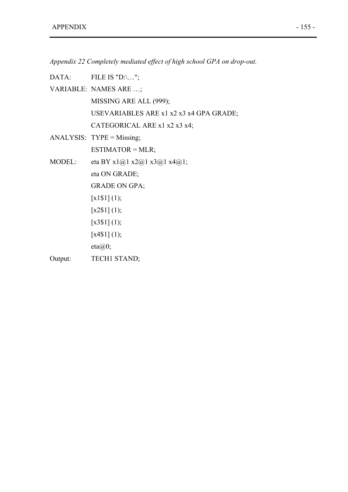*Appendix 22 Completely mediated effect of high school GPA on drop-out.* 

|         | DATA: FILE IS "D:\";                    |
|---------|-----------------------------------------|
|         | VARIABLE: NAMES ARE ;                   |
|         | MISSING ARE ALL (999);                  |
|         | USEVARIABLES ARE x1 x2 x3 x4 GPA GRADE; |
|         | CATEGORICAL ARE x1 x2 x3 x4;            |
|         | $ANALYSIS: TYPE = Missing;$             |
|         | $ESTIMATOR = MLR$ ;                     |
| MODEL:  | eta BY x1@1 x2@1 x3@1 x4@1;             |
|         | eta ON GRADE;                           |
|         | <b>GRADE ON GPA;</b>                    |
|         | $[x1\$ $1](1);$                         |
|         | [x2\$1] (1);                            |
|         | [x3\$1] (1);                            |
|         | [x4\$1] (1);                            |
|         | $eta(\hat{\omega})$ ;                   |
| Output: | <b>TECH1 STAND;</b>                     |
|         |                                         |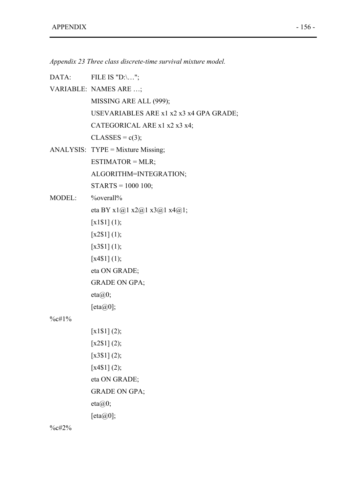*Appendix 23 Three class discrete-time survival mixture model.* 

| DATA:     | FILE IS "D:\";                          |
|-----------|-----------------------------------------|
|           | VARIABLE: NAMES ARE ;                   |
|           | MISSING ARE ALL (999);                  |
|           | USEVARIABLES ARE x1 x2 x3 x4 GPA GRADE; |
|           | CATEGORICAL ARE x1 x2 x3 x4;            |
|           | $CLASSES = c(3);$                       |
|           | $ANALYSIS: TYPE = Mixture Missing;$     |
|           | $ESTIMATOR = MLR;$                      |
|           | ALGORITHM=INTEGRATION;                  |
|           | $STARTS = 1000 100;$                    |
| MODEL:    | $\%$ overall $\%$                       |
|           | eta BY x1@1 x2@1 x3@1 x4@1;             |
|           | [x1\$1] (1);                            |
|           | [x2\$1] (1);                            |
|           | [x3\$1] (1);                            |
|           | [x4\$1] (1);                            |
|           | eta ON GRADE;                           |
|           | <b>GRADE ON GPA;</b>                    |
|           | $eta(\partial\Omega)$ ;                 |
|           | [eta $\omega$ 0];                       |
| $\%$ c#1% |                                         |
|           | $[x1\$ $1]$ $(2);$                      |
|           | [x2\$1] (2);                            |
|           | [x3\$1] (2);                            |
|           | [x4\$1] (2);                            |
|           | eta ON GRADE;                           |
|           | <b>GRADE ON GPA;</b>                    |
|           | eta@0;                                  |
|           | [eta@0];                                |

%c#2%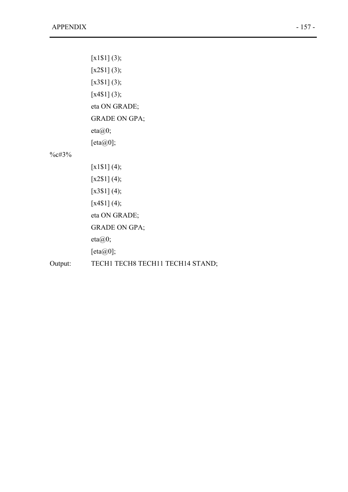|            | $[x1\$ 1] (3);                   |
|------------|----------------------------------|
|            | [x2\$1] (3);                     |
|            | $[x3\$1] (3);$                   |
|            | [x4\$1] (3);                     |
|            | eta ON GRADE;                    |
|            | <b>GRADE ON GPA;</b>             |
|            | $eta(\partial\Omega)$ ;          |
|            | [eta@0];                         |
| $\%c\#3\%$ |                                  |
|            | $[x1\$ $(4);$                    |
|            | [x2\$1] (4);                     |
|            | [x3\$1] (4);                     |
|            | [x4\$1] (4);                     |
|            | eta ON GRADE;                    |
|            | <b>GRADE ON GPA;</b>             |
|            | $eta(\hat{\omega})$ ;            |
|            | [eta@0];                         |
| Output:    | TECH1 TECH8 TECH11 TECH14 STAND; |